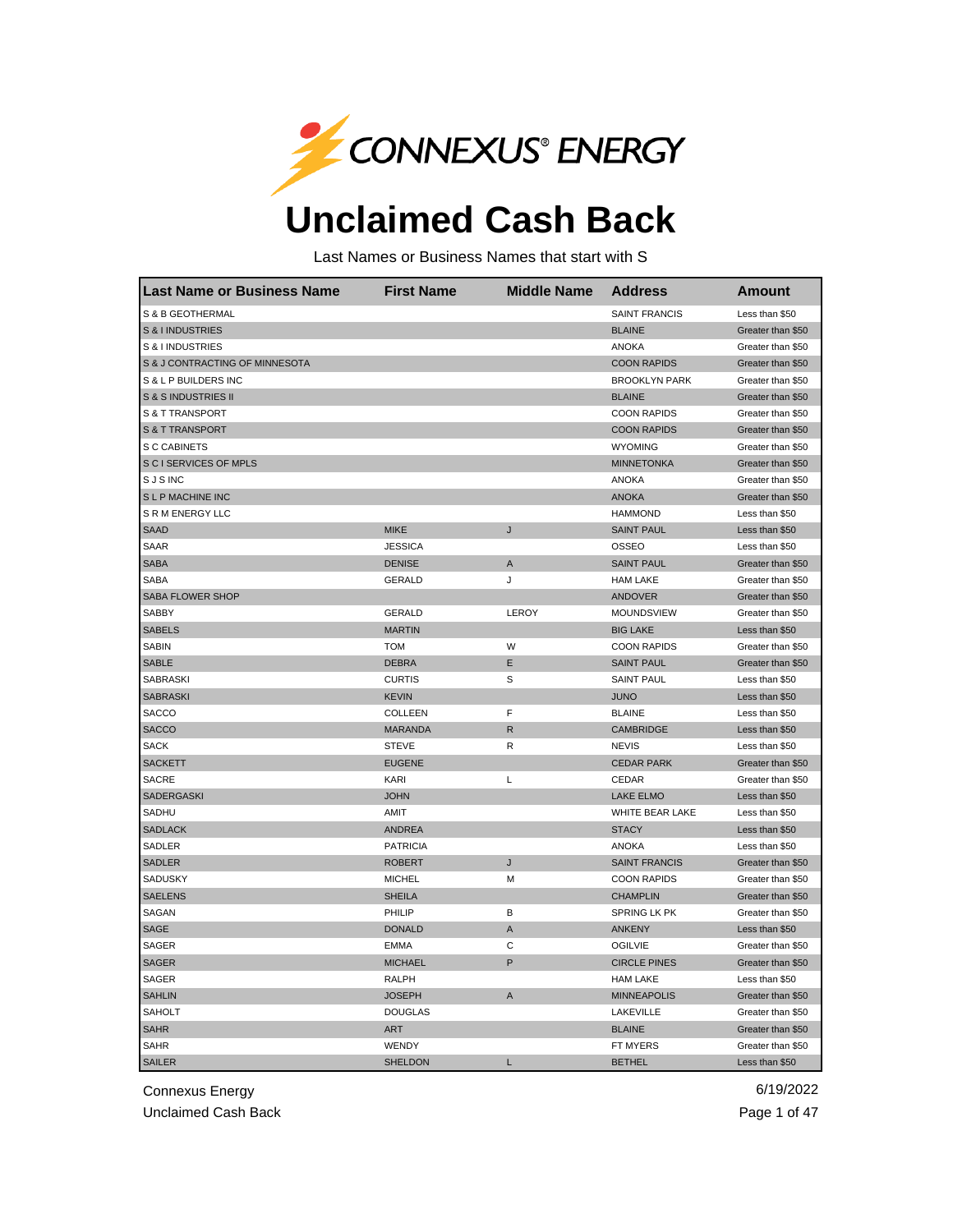

## **Unclaimed Cash Back**

Last Names or Business Names that start with S

| <b>Last Name or Business Name</b> | <b>First Name</b> | <b>Middle Name</b> | <b>Address</b>       | <b>Amount</b>     |
|-----------------------------------|-------------------|--------------------|----------------------|-------------------|
| S & B GEOTHERMAL                  |                   |                    | <b>SAINT FRANCIS</b> | Less than \$50    |
| S & I INDUSTRIES                  |                   |                    | <b>BLAINE</b>        | Greater than \$50 |
| S & I INDUSTRIES                  |                   |                    | <b>ANOKA</b>         | Greater than \$50 |
| S & J CONTRACTING OF MINNESOTA    |                   |                    | <b>COON RAPIDS</b>   | Greater than \$50 |
| S & L P BUILDERS INC              |                   |                    | <b>BROOKLYN PARK</b> | Greater than \$50 |
| <b>S &amp; S INDUSTRIES II</b>    |                   |                    | <b>BLAINE</b>        | Greater than \$50 |
| S & T TRANSPORT                   |                   |                    | <b>COON RAPIDS</b>   | Greater than \$50 |
| S & T TRANSPORT                   |                   |                    | <b>COON RAPIDS</b>   | Greater than \$50 |
| <b>S C CABINETS</b>               |                   |                    | <b>WYOMING</b>       | Greater than \$50 |
| S C I SERVICES OF MPLS            |                   |                    | <b>MINNETONKA</b>    | Greater than \$50 |
| <b>SJSINC</b>                     |                   |                    | <b>ANOKA</b>         | Greater than \$50 |
| S L P MACHINE INC                 |                   |                    | <b>ANOKA</b>         | Greater than \$50 |
| S R M ENERGY LLC                  |                   |                    | <b>HAMMOND</b>       | Less than \$50    |
| <b>SAAD</b>                       | <b>MIKE</b>       | J                  | <b>SAINT PAUL</b>    | Less than \$50    |
| <b>SAAR</b>                       | <b>JESSICA</b>    |                    | <b>OSSEO</b>         | Less than \$50    |
| <b>SABA</b>                       | <b>DENISE</b>     | A                  | <b>SAINT PAUL</b>    | Greater than \$50 |
| SABA                              | <b>GERALD</b>     | J                  | <b>HAM LAKE</b>      | Greater than \$50 |
| <b>SABA FLOWER SHOP</b>           |                   |                    | <b>ANDOVER</b>       | Greater than \$50 |
| <b>SABBY</b>                      | <b>GERALD</b>     | LEROY              | MOUNDSVIEW           | Greater than \$50 |
| <b>SABELS</b>                     | <b>MARTIN</b>     |                    | <b>BIG LAKE</b>      | Less than \$50    |
| <b>SABIN</b>                      | <b>TOM</b>        | W                  | <b>COON RAPIDS</b>   | Greater than \$50 |
| SABLE                             | <b>DEBRA</b>      | Ε                  | <b>SAINT PAUL</b>    | Greater than \$50 |
| SABRASKI                          | <b>CURTIS</b>     | S                  | <b>SAINT PAUL</b>    | Less than \$50    |
| <b>SABRASKI</b>                   | <b>KEVIN</b>      |                    | <b>JUNO</b>          | Less than \$50    |
| <b>SACCO</b>                      | COLLEEN           | F                  | <b>BLAINE</b>        | Less than \$50    |
| <b>SACCO</b>                      | <b>MARANDA</b>    | $\mathsf{R}$       | CAMBRIDGE            | Less than \$50    |
| SACK                              | <b>STEVE</b>      | R                  | <b>NEVIS</b>         | Less than \$50    |
| <b>SACKETT</b>                    | <b>EUGENE</b>     |                    | <b>CEDAR PARK</b>    | Greater than \$50 |
| <b>SACRE</b>                      | KARI              | L                  | CEDAR                | Greater than \$50 |
| SADERGASKI                        | <b>JOHN</b>       |                    | <b>LAKE ELMO</b>     | Less than \$50    |
| SADHU                             | AMIT              |                    | WHITE BEAR LAKE      | Less than \$50    |
| <b>SADLACK</b>                    | <b>ANDREA</b>     |                    | <b>STACY</b>         | Less than \$50    |
| SADLER                            | <b>PATRICIA</b>   |                    | <b>ANOKA</b>         | Less than \$50    |
| <b>SADLER</b>                     | <b>ROBERT</b>     | J                  | <b>SAINT FRANCIS</b> | Greater than \$50 |
| SADUSKY                           | <b>MICHEL</b>     | М                  | <b>COON RAPIDS</b>   | Greater than \$50 |
| <b>SAELENS</b>                    | <b>SHEILA</b>     |                    | <b>CHAMPLIN</b>      | Greater than \$50 |
| SAGAN                             | PHILIP            | B                  | SPRING LK PK         | Greater than \$50 |
| SAGE                              | <b>DONALD</b>     | A                  | <b>ANKENY</b>        | Less than \$50    |
| <b>SAGER</b>                      | <b>EMMA</b>       | С                  | <b>OGILVIE</b>       | Greater than \$50 |
| <b>SAGER</b>                      | <b>MICHAEL</b>    | P                  | <b>CIRCLE PINES</b>  | Greater than \$50 |
| SAGER                             | <b>RALPH</b>      |                    | <b>HAM LAKE</b>      | Less than \$50    |
| <b>SAHLIN</b>                     | <b>JOSEPH</b>     | Α                  | <b>MINNEAPOLIS</b>   | Greater than \$50 |
| <b>SAHOLT</b>                     | <b>DOUGLAS</b>    |                    | LAKEVILLE            | Greater than \$50 |
| <b>SAHR</b>                       | <b>ART</b>        |                    | <b>BLAINE</b>        | Greater than \$50 |
| <b>SAHR</b>                       | WENDY             |                    | FT MYERS             | Greater than \$50 |
| <b>SAILER</b>                     | <b>SHELDON</b>    | Г                  | <b>BETHEL</b>        | Less than \$50    |

Connexus Energy 6/19/2022

Unclaimed Cash Back **Page 1 of 47** Page 1 of 47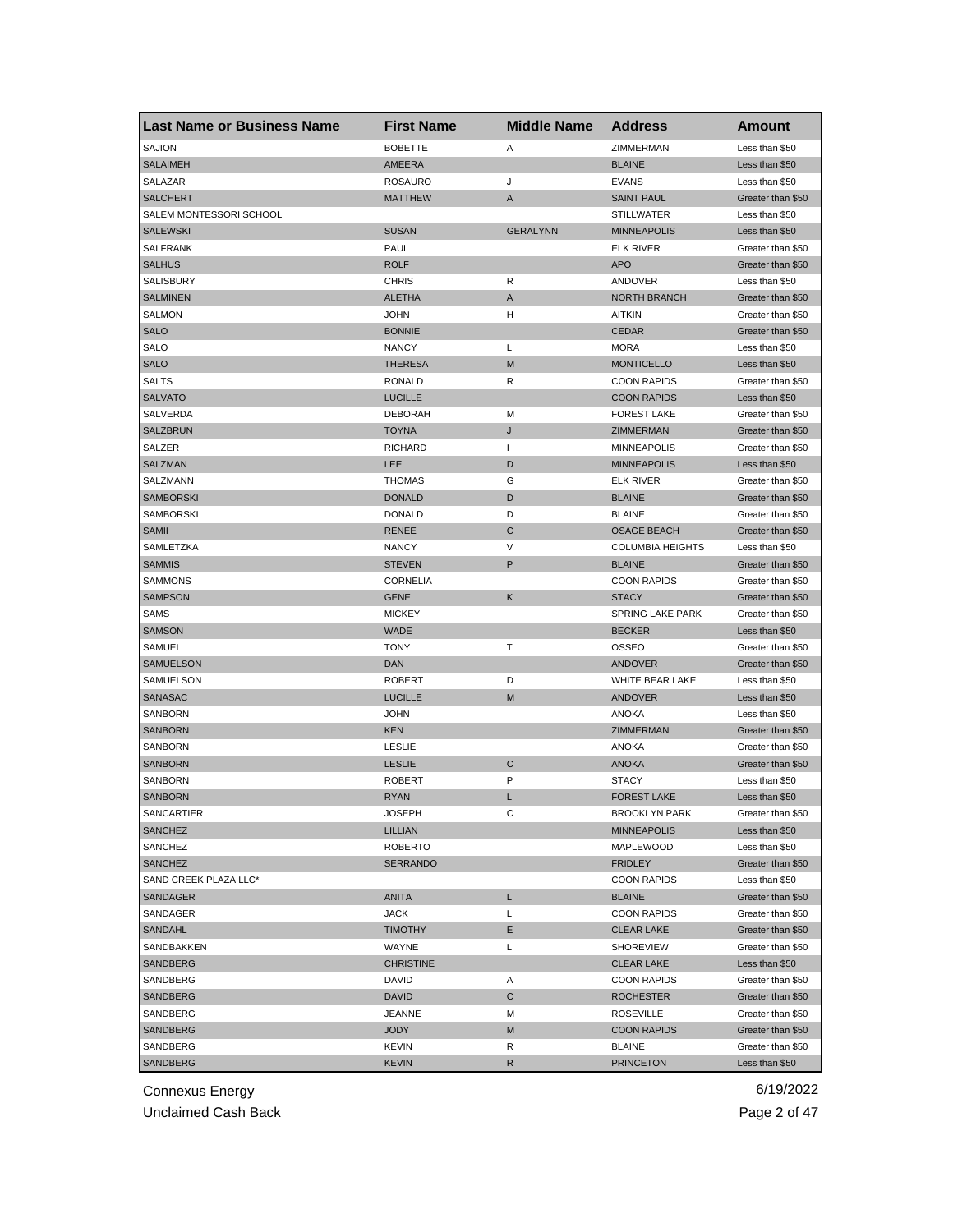| <b>Last Name or Business Name</b> | <b>First Name</b> | <b>Middle Name</b> | <b>Address</b>          | Amount            |
|-----------------------------------|-------------------|--------------------|-------------------------|-------------------|
| <b>SAJION</b>                     | <b>BOBETTE</b>    | Α                  | ZIMMERMAN               | Less than \$50    |
| <b>SALAIMEH</b>                   | AMEERA            |                    | <b>BLAINE</b>           | Less than \$50    |
| SALAZAR                           | ROSAURO           | J                  | <b>EVANS</b>            | Less than \$50    |
| <b>SALCHERT</b>                   | <b>MATTHEW</b>    | A                  | <b>SAINT PAUL</b>       | Greater than \$50 |
| SALEM MONTESSORI SCHOOL           |                   |                    | <b>STILLWATER</b>       | Less than \$50    |
| <b>SALEWSKI</b>                   | <b>SUSAN</b>      | <b>GERALYNN</b>    | <b>MINNEAPOLIS</b>      | Less than \$50    |
| SALFRANK                          | PAUL              |                    | <b>ELK RIVER</b>        | Greater than \$50 |
| <b>SALHUS</b>                     | <b>ROLF</b>       |                    | <b>APO</b>              | Greater than \$50 |
| SALISBURY                         | <b>CHRIS</b>      | R                  | ANDOVER                 | Less than \$50    |
| <b>SALMINEN</b>                   | <b>ALETHA</b>     | A                  | <b>NORTH BRANCH</b>     | Greater than \$50 |
| <b>SALMON</b>                     | JOHN              | н                  | <b>AITKIN</b>           | Greater than \$50 |
| <b>SALO</b>                       | <b>BONNIE</b>     |                    | <b>CEDAR</b>            | Greater than \$50 |
| SALO                              | <b>NANCY</b>      | Г                  | <b>MORA</b>             | Less than \$50    |
| <b>SALO</b>                       | <b>THERESA</b>    | M                  | <b>MONTICELLO</b>       | Less than \$50    |
| <b>SALTS</b>                      | <b>RONALD</b>     | R                  | <b>COON RAPIDS</b>      | Greater than \$50 |
| <b>SALVATO</b>                    | <b>LUCILLE</b>    |                    | <b>COON RAPIDS</b>      | Less than \$50    |
| SALVERDA                          | <b>DEBORAH</b>    | M                  | <b>FOREST LAKE</b>      | Greater than \$50 |
| <b>SALZBRUN</b>                   | <b>TOYNA</b>      | J                  | ZIMMERMAN               | Greater than \$50 |
| SALZER                            | RICHARD           | $\mathbf{I}$       | <b>MINNEAPOLIS</b>      | Greater than \$50 |
| <b>SALZMAN</b>                    | LEE               | D                  | <b>MINNEAPOLIS</b>      | Less than \$50    |
| SALZMANN                          | <b>THOMAS</b>     | G                  | <b>ELK RIVER</b>        | Greater than \$50 |
| <b>SAMBORSKI</b>                  | <b>DONALD</b>     | D                  | <b>BLAINE</b>           | Greater than \$50 |
| <b>SAMBORSKI</b>                  | <b>DONALD</b>     | D                  | <b>BLAINE</b>           | Greater than \$50 |
| <b>SAMII</b>                      | <b>RENEE</b>      | C                  | <b>OSAGE BEACH</b>      | Greater than \$50 |
| SAMLETZKA                         | <b>NANCY</b>      | V                  | <b>COLUMBIA HEIGHTS</b> | Less than \$50    |
| <b>SAMMIS</b>                     | <b>STEVEN</b>     | P                  | <b>BLAINE</b>           | Greater than \$50 |
| SAMMONS                           | <b>CORNELIA</b>   |                    | <b>COON RAPIDS</b>      | Greater than \$50 |
| <b>SAMPSON</b>                    | GENE              | Κ                  | <b>STACY</b>            | Greater than \$50 |
| SAMS                              | <b>MICKEY</b>     |                    | <b>SPRING LAKE PARK</b> | Greater than \$50 |
| <b>SAMSON</b>                     | WADE              |                    | <b>BECKER</b>           | Less than \$50    |
| SAMUEL                            | <b>TONY</b>       | Т                  | <b>OSSEO</b>            | Greater than \$50 |
| <b>SAMUELSON</b>                  | DAN               |                    | <b>ANDOVER</b>          | Greater than \$50 |
| SAMUELSON                         | ROBERT            | D                  | WHITE BEAR LAKE         | Less than \$50    |
| SANASAC                           | <b>LUCILLE</b>    | M                  | ANDOVER                 | Less than \$50    |
| SANBORN                           | JOHN              |                    | <b>ANOKA</b>            | Less than \$50    |
| <b>SANBORN</b>                    | KEN               |                    | ZIMMERMAN               | Greater than \$50 |
| SANBORN                           | <b>LESLIE</b>     |                    | <b>ANOKA</b>            | Greater than \$50 |
| <b>SANBORN</b>                    | <b>LESLIE</b>     | C                  | <b>ANOKA</b>            | Greater than \$50 |
| SANBORN                           | <b>ROBERT</b>     | P                  | <b>STACY</b>            | Less than \$50    |
| <b>SANBORN</b>                    | <b>RYAN</b>       | L                  | <b>FOREST LAKE</b>      | Less than \$50    |
| SANCARTIER                        | JOSEPH            | С                  | BROOKLYN PARK           | Greater than \$50 |
| <b>SANCHEZ</b>                    | LILLIAN           |                    | <b>MINNEAPOLIS</b>      | Less than \$50    |
| SANCHEZ                           | <b>ROBERTO</b>    |                    | MAPLEWOOD               | Less than \$50    |
| SANCHEZ                           | <b>SERRANDO</b>   |                    | <b>FRIDLEY</b>          | Greater than \$50 |
| SAND CREEK PLAZA LLC*             |                   |                    | <b>COON RAPIDS</b>      | Less than \$50    |
| SANDAGER                          | <b>ANITA</b>      | L.                 | <b>BLAINE</b>           | Greater than \$50 |
| SANDAGER                          | <b>JACK</b>       | Г                  | <b>COON RAPIDS</b>      | Greater than \$50 |
| SANDAHL                           | <b>TIMOTHY</b>    | Е                  | <b>CLEAR LAKE</b>       | Greater than \$50 |
| SANDBAKKEN                        | WAYNE             | Г                  | <b>SHOREVIEW</b>        | Greater than \$50 |
| SANDBERG                          | <b>CHRISTINE</b>  |                    | <b>CLEAR LAKE</b>       | Less than \$50    |
| SANDBERG                          | DAVID             | Α                  | <b>COON RAPIDS</b>      | Greater than \$50 |
| SANDBERG                          | DAVID             | С                  | <b>ROCHESTER</b>        | Greater than \$50 |
| SANDBERG                          | JEANNE            | M                  | ROSEVILLE               | Greater than \$50 |
| SANDBERG                          | YODY              | M                  | <b>COON RAPIDS</b>      | Greater than \$50 |
| SANDBERG                          | KEVIN             | R                  | <b>BLAINE</b>           | Greater than \$50 |
| SANDBERG                          | <b>KEVIN</b>      | R                  | <b>PRINCETON</b>        | Less than \$50    |
|                                   |                   |                    |                         |                   |

Unclaimed Cash Back **Page 2 of 47**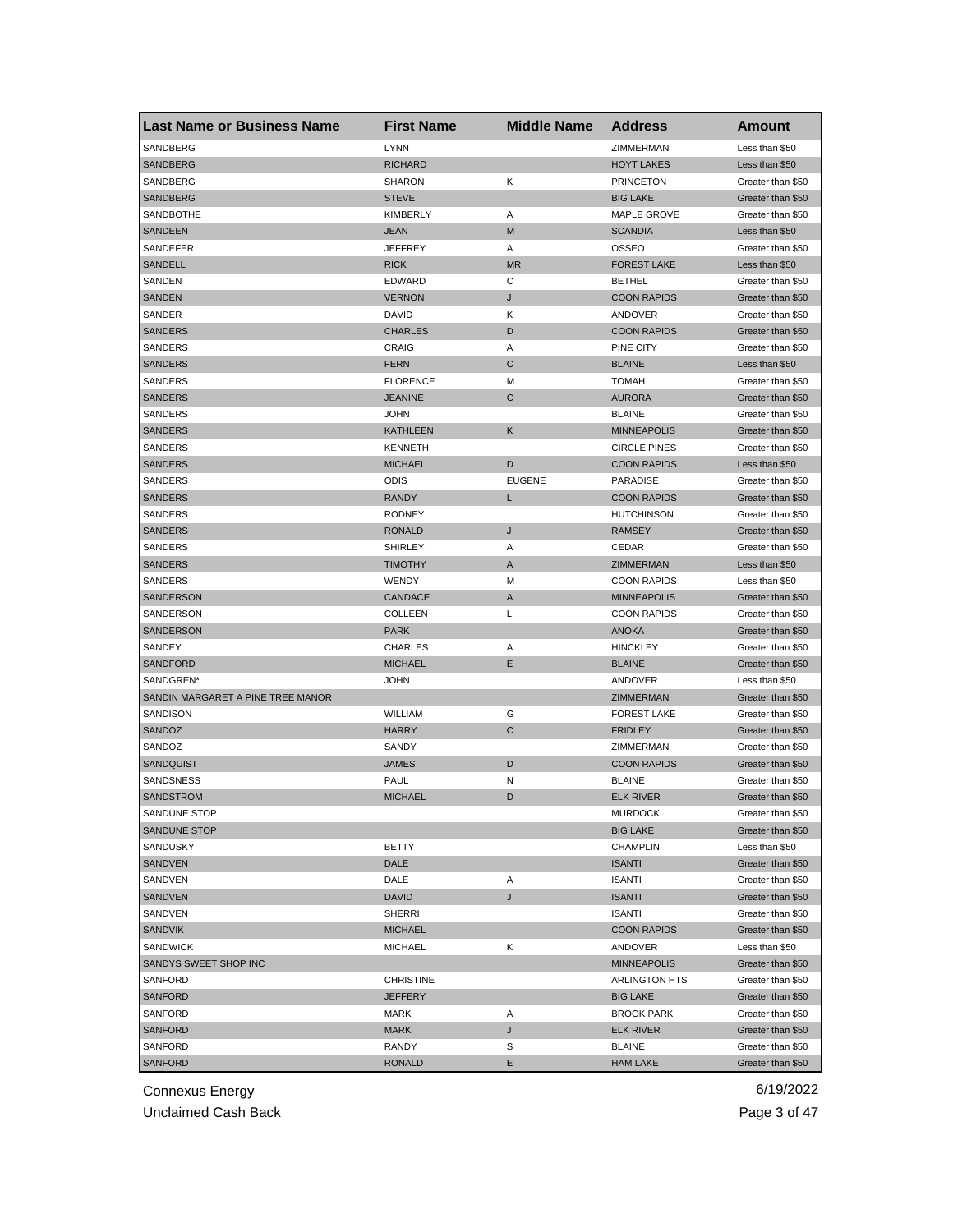| <b>Last Name or Business Name</b> | <b>First Name</b>                | <b>Middle Name</b> | <b>Address</b>       | Amount            |
|-----------------------------------|----------------------------------|--------------------|----------------------|-------------------|
| SANDBERG                          | <b>LYNN</b>                      |                    | ZIMMERMAN            | Less than \$50    |
| SANDBERG                          | <b>RICHARD</b>                   |                    | <b>HOYT LAKES</b>    | Less than \$50    |
| SANDBERG                          | <b>SHARON</b>                    | Κ                  | <b>PRINCETON</b>     | Greater than \$50 |
| SANDBERG                          | <b>STEVE</b>                     |                    | <b>BIG LAKE</b>      | Greater than \$50 |
| SANDBOTHE                         | <b>KIMBERLY</b>                  | Α                  | MAPLE GROVE          | Greater than \$50 |
| SANDEEN                           | <b>JEAN</b>                      | M                  | <b>SCANDIA</b>       | Less than \$50    |
| SANDEFER                          | <b>JEFFREY</b>                   | Α                  | OSSEO                | Greater than \$50 |
| SANDELL                           | <b>RICK</b>                      | <b>MR</b>          | <b>FOREST LAKE</b>   | Less than \$50    |
| SANDEN                            | <b>EDWARD</b>                    | С                  | <b>BETHEL</b>        | Greater than \$50 |
| <b>SANDEN</b>                     | <b>VERNON</b>                    | J                  | <b>COON RAPIDS</b>   | Greater than \$50 |
| SANDER                            | DAVID                            | Κ                  | ANDOVER              | Greater than \$50 |
| <b>SANDERS</b>                    | <b>CHARLES</b>                   | D                  | <b>COON RAPIDS</b>   | Greater than \$50 |
| SANDERS                           | CRAIG                            | Α                  | PINE CITY            | Greater than \$50 |
| <b>SANDERS</b>                    | <b>FERN</b>                      | $\mathsf{C}$       | <b>BLAINE</b>        | Less than \$50    |
| SANDERS                           | <b>FLORENCE</b>                  | M                  | <b>TOMAH</b>         | Greater than \$50 |
| <b>SANDERS</b>                    | <b>JEANINE</b>                   | C                  | <b>AURORA</b>        | Greater than \$50 |
| SANDERS                           | JOHN                             |                    | <b>BLAINE</b>        | Greater than \$50 |
| <b>SANDERS</b>                    | <b>KATHLEEN</b>                  | Κ                  | <b>MINNEAPOLIS</b>   | Greater than \$50 |
| SANDERS                           | <b>KENNETH</b>                   |                    | <b>CIRCLE PINES</b>  | Greater than \$50 |
| <b>SANDERS</b>                    | <b>MICHAEL</b>                   | D                  | <b>COON RAPIDS</b>   | Less than \$50    |
| SANDERS                           | ODIS                             | <b>EUGENE</b>      | PARADISE             | Greater than \$50 |
| <b>SANDERS</b>                    | <b>RANDY</b>                     | L                  | <b>COON RAPIDS</b>   | Greater than \$50 |
| SANDERS                           | <b>RODNEY</b>                    |                    | <b>HUTCHINSON</b>    | Greater than \$50 |
| <b>SANDERS</b>                    | <b>RONALD</b>                    | J                  | <b>RAMSEY</b>        | Greater than \$50 |
| SANDERS                           | <b>SHIRLEY</b>                   | Α                  | CEDAR                | Greater than \$50 |
| <b>SANDERS</b>                    | <b>TIMOTHY</b>                   | A                  | <b>ZIMMERMAN</b>     | Less than \$50    |
| SANDERS                           | WENDY                            | М                  | <b>COON RAPIDS</b>   | Less than \$50    |
| SANDERSON                         | CANDACE                          | A                  | <b>MINNEAPOLIS</b>   | Greater than \$50 |
| SANDERSON                         | <b>COLLEEN</b>                   | L                  | <b>COON RAPIDS</b>   | Greater than \$50 |
| SANDERSON                         | PARK                             |                    | <b>ANOKA</b>         | Greater than \$50 |
| SANDEY                            | <b>CHARLES</b>                   | Α                  | <b>HINCKLEY</b>      | Greater than \$50 |
| <b>SANDFORD</b>                   | <b>MICHAEL</b>                   | E                  | <b>BLAINE</b>        | Greater than \$50 |
| SANDGREN*                         | <b>JOHN</b>                      |                    | ANDOVER              | Less than \$50    |
| SANDIN MARGARET A PINE TREE MANOR |                                  |                    | ZIMMERMAN            | Greater than \$50 |
| SANDISON                          | WILLIAM                          | G                  | <b>FOREST LAKE</b>   | Greater than \$50 |
| SANDOZ                            | <b>HARRY</b>                     | C                  | <b>FRIDLEY</b>       | Greater than \$50 |
| SANDOZ                            | SANDY                            |                    | ZIMMERMAN            | Greater than \$50 |
| SANDQUIST                         | <b>JAMES</b>                     | D                  | <b>COON RAPIDS</b>   | Greater than \$50 |
| SANDSNESS                         | PAUL                             | N                  | <b>BLAINE</b>        | Greater than \$50 |
| <b>SANDSTROM</b>                  | <b>MICHAEL</b>                   | D                  | <b>ELK RIVER</b>     | Greater than \$50 |
| SANDUNE STOP                      |                                  |                    | <b>MURDOCK</b>       | Greater than \$50 |
| <b>SANDUNE STOP</b>               |                                  |                    | <b>BIG LAKE</b>      | Greater than \$50 |
| SANDUSKY                          | <b>BETTY</b>                     |                    | <b>CHAMPLIN</b>      | Less than \$50    |
| SANDVEN                           | DALE                             |                    | <b>ISANTI</b>        | Greater than \$50 |
| SANDVEN                           | DALE                             | Α                  | <b>ISANTI</b>        | Greater than \$50 |
| SANDVEN                           | <b>DAVID</b>                     | J                  | <b>ISANTI</b>        | Greater than \$50 |
|                                   |                                  |                    | <b>ISANTI</b>        | Greater than \$50 |
| SANDVEN                           | SHERRI                           |                    |                      |                   |
| SANDVIK                           | <b>MICHAEL</b><br><b>MICHAEL</b> |                    | <b>COON RAPIDS</b>   | Greater than \$50 |
| <b>SANDWICK</b>                   |                                  | Κ                  | ANDOVER              | Less than \$50    |
| SANDYS SWEET SHOP INC             |                                  |                    | <b>MINNEAPOLIS</b>   | Greater than \$50 |
| SANFORD                           | <b>CHRISTINE</b>                 |                    | <b>ARLINGTON HTS</b> | Greater than \$50 |
| <b>SANFORD</b>                    | <b>JEFFERY</b>                   |                    | <b>BIG LAKE</b>      | Greater than \$50 |
| SANFORD                           | MARK                             | Α                  | <b>BROOK PARK</b>    | Greater than \$50 |
| <b>SANFORD</b>                    | <b>MARK</b>                      | J                  | ELK RIVER            | Greater than \$50 |
| SANFORD                           | RANDY                            | S                  | <b>BLAINE</b>        | Greater than \$50 |
| <b>SANFORD</b>                    | <b>RONALD</b>                    | Е                  | <b>HAM LAKE</b>      | Greater than \$50 |

Unclaimed Cash Back **Page 3 of 47**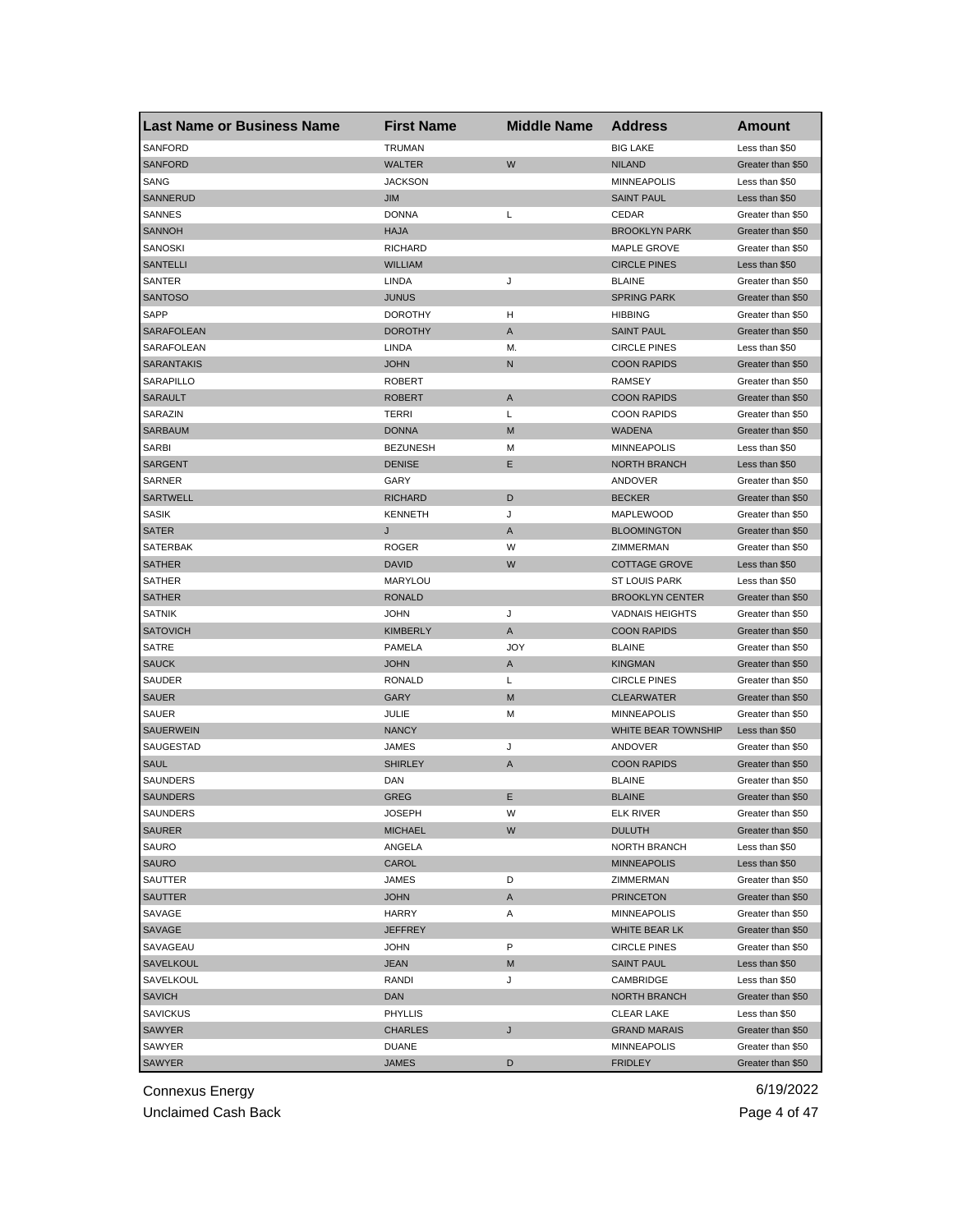| <b>Last Name or Business Name</b> | <b>First Name</b> | <b>Middle Name</b> | <b>Address</b>         | Amount            |
|-----------------------------------|-------------------|--------------------|------------------------|-------------------|
| SANFORD                           | <b>TRUMAN</b>     |                    | <b>BIG LAKE</b>        | Less than \$50    |
| <b>SANFORD</b>                    | WALTER            | W                  | <b>NILAND</b>          | Greater than \$50 |
| SANG                              | <b>JACKSON</b>    |                    | <b>MINNEAPOLIS</b>     | Less than \$50    |
| SANNERUD                          | <b>JIM</b>        |                    | <b>SAINT PAUL</b>      | Less than \$50    |
| SANNES                            | <b>DONNA</b>      | Г                  | CEDAR                  | Greater than \$50 |
| <b>SANNOH</b>                     | <b>HAJA</b>       |                    | <b>BROOKLYN PARK</b>   | Greater than \$50 |
| <b>SANOSKI</b>                    | <b>RICHARD</b>    |                    | <b>MAPLE GROVE</b>     | Greater than \$50 |
| <b>SANTELLI</b>                   | WILLIAM           |                    | <b>CIRCLE PINES</b>    | Less than \$50    |
| SANTER                            | LINDA             | J                  | <b>BLAINE</b>          | Greater than \$50 |
| <b>SANTOSO</b>                    | <b>JUNUS</b>      |                    | <b>SPRING PARK</b>     | Greater than \$50 |
| SAPP                              | <b>DOROTHY</b>    | н                  | <b>HIBBING</b>         | Greater than \$50 |
| SARAFOLEAN                        | <b>DOROTHY</b>    | A                  | <b>SAINT PAUL</b>      | Greater than \$50 |
| SARAFOLEAN                        | LINDA             | M.                 | <b>CIRCLE PINES</b>    | Less than \$50    |
| <b>SARANTAKIS</b>                 | <b>JOHN</b>       | N                  | <b>COON RAPIDS</b>     | Greater than \$50 |
| SARAPILLO                         | <b>ROBERT</b>     |                    | <b>RAMSEY</b>          | Greater than \$50 |
| <b>SARAULT</b>                    | <b>ROBERT</b>     | A                  | <b>COON RAPIDS</b>     | Greater than \$50 |
| SARAZIN                           | TERRI             | L                  | <b>COON RAPIDS</b>     | Greater than \$50 |
| <b>SARBAUM</b>                    | <b>DONNA</b>      | M                  | <b>WADENA</b>          | Greater than \$50 |
| <b>SARBI</b>                      | <b>BEZUNESH</b>   | М                  | <b>MINNEAPOLIS</b>     | Less than \$50    |
| <b>SARGENT</b>                    | <b>DENISE</b>     | Е                  | <b>NORTH BRANCH</b>    | Less than \$50    |
| SARNER                            | GARY              |                    | ANDOVER                | Greater than \$50 |
| <b>SARTWELL</b>                   | <b>RICHARD</b>    | D                  | <b>BECKER</b>          | Greater than \$50 |
| <b>SASIK</b>                      | <b>KENNETH</b>    | J                  | MAPLEWOOD              | Greater than \$50 |
| <b>SATER</b>                      | J                 | A                  | <b>BLOOMINGTON</b>     | Greater than \$50 |
| SATERBAK                          | <b>ROGER</b>      | W                  | ZIMMERMAN              | Greater than \$50 |
| <b>SATHER</b>                     | <b>DAVID</b>      | W                  | <b>COTTAGE GROVE</b>   | Less than \$50    |
| SATHER                            | MARYLOU           |                    | <b>ST LOUIS PARK</b>   | Less than \$50    |
| <b>SATHER</b>                     | RONALD            |                    | <b>BROOKLYN CENTER</b> | Greater than \$50 |
| <b>SATNIK</b>                     | JOHN              | J                  | <b>VADNAIS HEIGHTS</b> | Greater than \$50 |
| <b>SATOVICH</b>                   | <b>KIMBERLY</b>   | A                  | <b>COON RAPIDS</b>     | Greater than \$50 |
| SATRE                             | PAMELA            | <b>JOY</b>         | <b>BLAINE</b>          | Greater than \$50 |
| <b>SAUCK</b>                      | <b>JOHN</b>       | A                  | <b>KINGMAN</b>         | Greater than \$50 |
| SAUDER                            | <b>RONALD</b>     | Г                  | <b>CIRCLE PINES</b>    | Greater than \$50 |
| <b>SAUER</b>                      | GARY              | M                  | <b>CLEARWATER</b>      | Greater than \$50 |
| SAUER                             | JULIE             | м                  | <b>MINNEAPOLIS</b>     | Greater than \$50 |
| <b>SAUERWEIN</b>                  | <b>NANCY</b>      |                    | WHITE BEAR TOWNSHIP    | Less than \$50    |
| SAUGESTAD                         | JAMES             | J                  | ANDOVER                | Greater than \$50 |
| SAUL                              | <b>SHIRLEY</b>    | A                  | <b>COON RAPIDS</b>     | Greater than \$50 |
| SAUNDERS                          | DAN               |                    | <b>BLAINE</b>          | Greater than \$50 |
| <b>SAUNDERS</b>                   | GREG              | Е                  | <b>BLAINE</b>          | Greater than \$50 |
| SAUNDERS                          | JOSEPH            | w                  | ELK RIVER              | Greater than \$50 |
| <b>SAURER</b>                     | MICHAEL           | W                  | <b>DULUTH</b>          | Greater than \$50 |
| SAURO                             | ANGELA            |                    | NORTH BRANCH           | Less than \$50    |
| SAURO                             | CAROL             |                    | <b>MINNEAPOLIS</b>     | Less than \$50    |
| SAUTTER                           | JAMES             | D                  | ZIMMERMAN              | Greater than \$50 |
| SAUTTER                           | <b>JOHN</b>       | A                  | <b>PRINCETON</b>       | Greater than \$50 |
| SAVAGE                            | HARRY             | Α                  | MINNEAPOLIS            | Greater than \$50 |
| SAVAGE                            | JEFFREY           |                    | WHITE BEAR LK          | Greater than \$50 |
| SAVAGEAU                          | JOHN              | P                  | <b>CIRCLE PINES</b>    | Greater than \$50 |
| SAVELKOUL                         | JEAN              | М                  | <b>SAINT PAUL</b>      | Less than \$50    |
| SAVELKOUL                         | RANDI             | J                  | CAMBRIDGE              | Less than \$50    |
| <b>SAVICH</b>                     | DAN               |                    | NORTH BRANCH           | Greater than \$50 |
| <b>SAVICKUS</b>                   | <b>PHYLLIS</b>    |                    | <b>CLEAR LAKE</b>      | Less than \$50    |
| SAWYER                            | CHARLES           | J                  | <b>GRAND MARAIS</b>    | Greater than \$50 |
| SAWYER                            | DUANE             |                    | <b>MINNEAPOLIS</b>     | Greater than \$50 |
| SAWYER                            | <b>JAMES</b>      | D                  | <b>FRIDLEY</b>         | Greater than \$50 |
|                                   |                   |                    |                        |                   |

Unclaimed Cash Back **Page 4 of 47**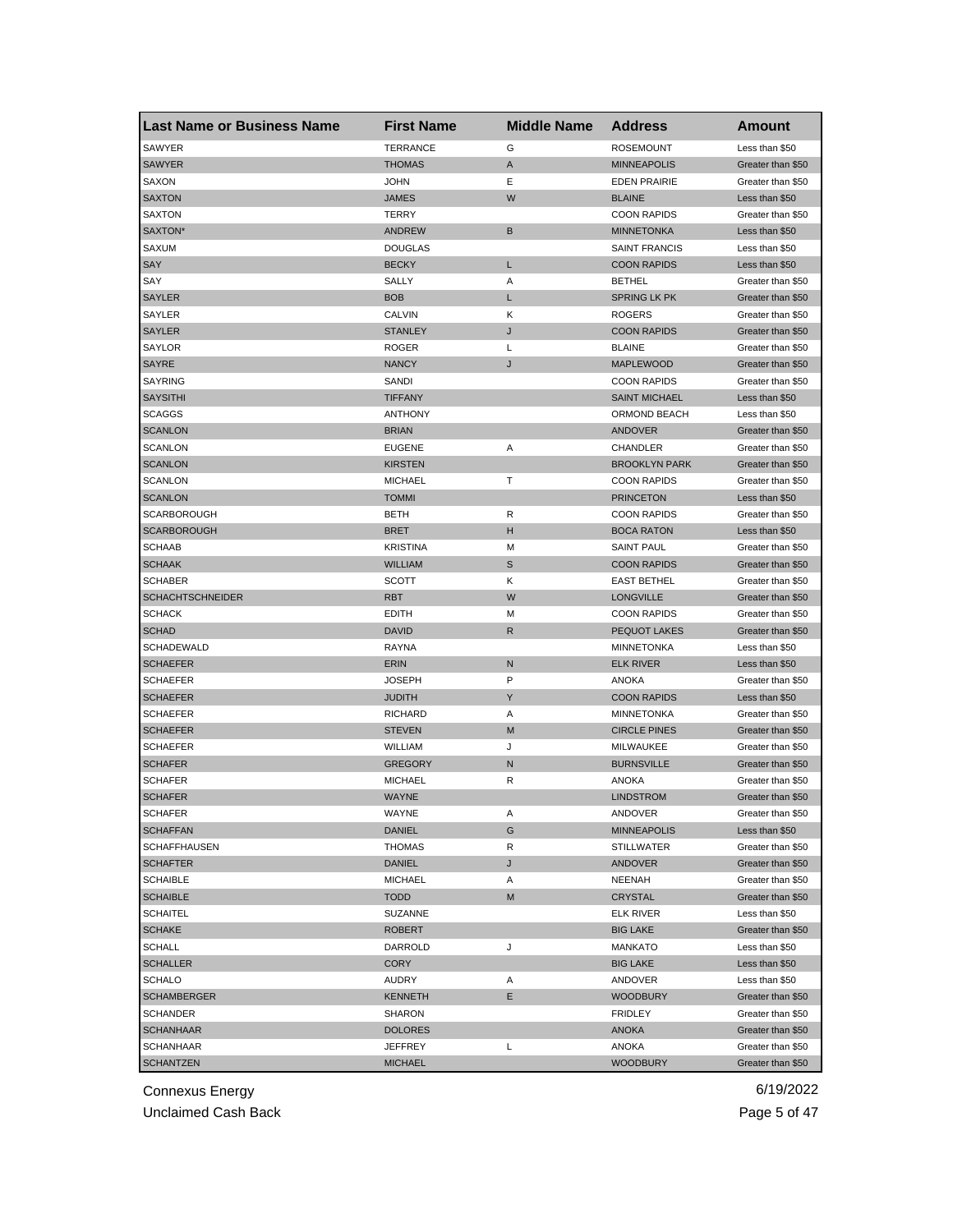| <b>TERRANCE</b><br>G<br>SAWYER<br><b>ROSEMOUNT</b><br>Less than \$50<br><b>SAWYER</b><br><b>THOMAS</b><br>Α<br><b>MINNEAPOLIS</b><br>Greater than \$50<br>Е<br>SAXON<br><b>JOHN</b><br><b>EDEN PRAIRIE</b><br>Greater than \$50<br>W<br><b>SAXTON</b><br><b>JAMES</b><br><b>BLAINE</b><br>Less than \$50<br><b>SAXTON</b><br><b>TERRY</b><br><b>COON RAPIDS</b><br>Greater than \$50<br>SAXTON*<br><b>ANDREW</b><br>B<br><b>MINNETONKA</b><br>Less than \$50<br><b>SAXUM</b><br><b>DOUGLAS</b><br><b>SAINT FRANCIS</b><br>Less than \$50<br>SAY<br><b>BECKY</b><br>L<br><b>COON RAPIDS</b><br>Less than \$50<br>SAY<br>SALLY<br>Α<br><b>BETHEL</b><br>Greater than \$50<br><b>SAYLER</b><br>Г<br><b>SPRING LK PK</b><br><b>BOB</b><br>Greater than \$50<br>SAYLER<br><b>CALVIN</b><br>Κ<br><b>ROGERS</b><br>Greater than \$50<br><b>SAYLER</b><br><b>STANLEY</b><br>J<br><b>COON RAPIDS</b><br>Greater than \$50<br>SAYLOR<br><b>ROGER</b><br>L<br><b>BLAINE</b><br>Greater than \$50<br>J<br><b>MAPLEWOOD</b><br><b>SAYRE</b><br><b>NANCY</b><br>Greater than \$50<br><b>SAYRING</b><br>SANDI<br><b>COON RAPIDS</b><br>Greater than \$50<br><b>TIFFANY</b><br><b>SAYSITHI</b><br><b>SAINT MICHAEL</b><br>Less than \$50<br><b>SCAGGS</b><br><b>ANTHONY</b><br>ORMOND BEACH<br>Less than \$50<br><b>SCANLON</b><br><b>BRIAN</b><br><b>ANDOVER</b><br>Greater than \$50<br><b>SCANLON</b><br><b>EUGENE</b><br>Α<br>CHANDLER<br>Greater than \$50<br><b>SCANLON</b><br><b>KIRSTEN</b><br><b>BROOKLYN PARK</b><br>Greater than \$50<br><b>SCANLON</b><br><b>MICHAEL</b><br>т<br><b>COON RAPIDS</b><br>Greater than \$50<br><b>SCANLON</b><br><b>TOMMI</b><br><b>PRINCETON</b><br>Less than \$50<br><b>SCARBOROUGH</b><br>R<br><b>COON RAPIDS</b><br>BETH<br>Greater than \$50<br><b>SCARBOROUGH</b><br><b>BRET</b><br>н<br><b>BOCA RATON</b><br>Less than \$50<br><b>SCHAAB</b><br><b>KRISTINA</b><br>М<br><b>SAINT PAUL</b><br>Greater than \$50<br><b>SCHAAK</b><br><b>WILLIAM</b><br>S<br><b>COON RAPIDS</b><br>Greater than \$50<br>κ<br><b>SCHABER</b><br><b>SCOTT</b><br><b>EAST BETHEL</b><br>Greater than \$50<br><b>SCHACHTSCHNEIDER</b><br><b>RBT</b><br>W<br><b>LONGVILLE</b><br>Greater than \$50<br><b>SCHACK</b><br><b>EDITH</b><br><b>COON RAPIDS</b><br>М<br>Greater than \$50<br><b>DAVID</b><br><b>SCHAD</b><br>R<br><b>PEQUOT LAKES</b><br>Greater than \$50<br>SCHADEWALD<br><b>RAYNA</b><br><b>MINNETONKA</b><br>Less than \$50<br>N<br><b>SCHAEFER</b><br><b>ERIN</b><br><b>ELK RIVER</b><br>Less than \$50<br>P<br><b>JOSEPH</b><br><b>SCHAEFER</b><br>ANOKA<br>Greater than \$50<br>Υ<br><b>SCHAEFER</b><br><b>JUDITH</b><br><b>COON RAPIDS</b><br>Less than \$50<br><b>SCHAEFER</b><br><b>RICHARD</b><br><b>MINNETONKA</b><br>Α<br>Greater than \$50<br><b>SCHAEFER</b><br><b>STEVEN</b><br>M<br><b>CIRCLE PINES</b><br>Greater than \$50<br>J<br>MILWAUKEE<br><b>SCHAEFER</b><br>WILLIAM<br>Greater than \$50<br><b>SCHAFER</b><br><b>GREGORY</b><br>N<br><b>BURNSVILLE</b><br>Greater than \$50<br><b>SCHAFER</b><br><b>MICHAEL</b><br>R<br><b>ANOKA</b><br>Greater than \$50<br><b>SCHAFER</b><br><b>WAYNE</b><br><b>LINDSTROM</b><br>Greater than \$50<br><b>SCHAFER</b><br>WAYNE<br>A<br>ANDOVER<br>Greater than \$50<br><b>SCHAFFAN</b><br>DANIEL<br>G<br><b>MINNEAPOLIS</b><br>Less than \$50<br><b>SCHAFFHAUSEN</b><br><b>THOMAS</b><br>R<br><b>STILLWATER</b><br>Greater than \$50<br><b>SCHAFTER</b><br>DANIEL<br>J<br>ANDOVER<br>Greater than \$50<br><b>SCHAIBLE</b><br><b>MICHAEL</b><br>NEENAH<br>Greater than \$50<br>Α<br><b>TODD</b><br><b>SCHAIBLE</b><br>M<br>CRYSTAL<br>Greater than \$50<br><b>SCHAITEL</b><br>SUZANNE<br><b>ELK RIVER</b><br>Less than \$50<br><b>SCHAKE</b><br><b>ROBERT</b><br><b>BIG LAKE</b><br>Greater than \$50<br>SCHALL<br>J<br><b>MANKATO</b><br>Less than \$50<br>DARROLD<br><b>SCHALLER</b><br>CORY<br><b>BIG LAKE</b><br>Less than \$50<br><b>SCHALO</b><br>AUDRY<br>ANDOVER<br>Less than \$50<br>Α<br><b>SCHAMBERGER</b><br><b>KENNETH</b><br>Е<br><b>WOODBURY</b><br>Greater than \$50<br>SCHANDER<br>SHARON<br><b>FRIDLEY</b><br>Greater than \$50<br><b>SCHANHAAR</b><br><b>DOLORES</b><br>Greater than \$50<br>ANOKA<br><b>SCHANHAAR</b><br>L<br>ANOKA<br>Greater than \$50<br>JEFFREY | <b>Last Name or Business Name</b> | <b>First Name</b> | <b>Middle Name</b> | <b>Address</b>  | Amount            |
|---------------------------------------------------------------------------------------------------------------------------------------------------------------------------------------------------------------------------------------------------------------------------------------------------------------------------------------------------------------------------------------------------------------------------------------------------------------------------------------------------------------------------------------------------------------------------------------------------------------------------------------------------------------------------------------------------------------------------------------------------------------------------------------------------------------------------------------------------------------------------------------------------------------------------------------------------------------------------------------------------------------------------------------------------------------------------------------------------------------------------------------------------------------------------------------------------------------------------------------------------------------------------------------------------------------------------------------------------------------------------------------------------------------------------------------------------------------------------------------------------------------------------------------------------------------------------------------------------------------------------------------------------------------------------------------------------------------------------------------------------------------------------------------------------------------------------------------------------------------------------------------------------------------------------------------------------------------------------------------------------------------------------------------------------------------------------------------------------------------------------------------------------------------------------------------------------------------------------------------------------------------------------------------------------------------------------------------------------------------------------------------------------------------------------------------------------------------------------------------------------------------------------------------------------------------------------------------------------------------------------------------------------------------------------------------------------------------------------------------------------------------------------------------------------------------------------------------------------------------------------------------------------------------------------------------------------------------------------------------------------------------------------------------------------------------------------------------------------------------------------------------------------------------------------------------------------------------------------------------------------------------------------------------------------------------------------------------------------------------------------------------------------------------------------------------------------------------------------------------------------------------------------------------------------------------------------------------------------------------------------------------------------------------------------------------------------------------------------------------------------------------------------------------------------------------------------------------------------------------------------------------------------------------------------------------------------------------------------------------------------------------------------------------------------------------------------------------------------------------------------------------------------------------------------------------------------------------------------------------------------------------------|-----------------------------------|-------------------|--------------------|-----------------|-------------------|
|                                                                                                                                                                                                                                                                                                                                                                                                                                                                                                                                                                                                                                                                                                                                                                                                                                                                                                                                                                                                                                                                                                                                                                                                                                                                                                                                                                                                                                                                                                                                                                                                                                                                                                                                                                                                                                                                                                                                                                                                                                                                                                                                                                                                                                                                                                                                                                                                                                                                                                                                                                                                                                                                                                                                                                                                                                                                                                                                                                                                                                                                                                                                                                                                                                                                                                                                                                                                                                                                                                                                                                                                                                                                                                                                                                                                                                                                                                                                                                                                                                                                                                                                                                                                                                                                     |                                   |                   |                    |                 |                   |
|                                                                                                                                                                                                                                                                                                                                                                                                                                                                                                                                                                                                                                                                                                                                                                                                                                                                                                                                                                                                                                                                                                                                                                                                                                                                                                                                                                                                                                                                                                                                                                                                                                                                                                                                                                                                                                                                                                                                                                                                                                                                                                                                                                                                                                                                                                                                                                                                                                                                                                                                                                                                                                                                                                                                                                                                                                                                                                                                                                                                                                                                                                                                                                                                                                                                                                                                                                                                                                                                                                                                                                                                                                                                                                                                                                                                                                                                                                                                                                                                                                                                                                                                                                                                                                                                     |                                   |                   |                    |                 |                   |
|                                                                                                                                                                                                                                                                                                                                                                                                                                                                                                                                                                                                                                                                                                                                                                                                                                                                                                                                                                                                                                                                                                                                                                                                                                                                                                                                                                                                                                                                                                                                                                                                                                                                                                                                                                                                                                                                                                                                                                                                                                                                                                                                                                                                                                                                                                                                                                                                                                                                                                                                                                                                                                                                                                                                                                                                                                                                                                                                                                                                                                                                                                                                                                                                                                                                                                                                                                                                                                                                                                                                                                                                                                                                                                                                                                                                                                                                                                                                                                                                                                                                                                                                                                                                                                                                     |                                   |                   |                    |                 |                   |
|                                                                                                                                                                                                                                                                                                                                                                                                                                                                                                                                                                                                                                                                                                                                                                                                                                                                                                                                                                                                                                                                                                                                                                                                                                                                                                                                                                                                                                                                                                                                                                                                                                                                                                                                                                                                                                                                                                                                                                                                                                                                                                                                                                                                                                                                                                                                                                                                                                                                                                                                                                                                                                                                                                                                                                                                                                                                                                                                                                                                                                                                                                                                                                                                                                                                                                                                                                                                                                                                                                                                                                                                                                                                                                                                                                                                                                                                                                                                                                                                                                                                                                                                                                                                                                                                     |                                   |                   |                    |                 |                   |
|                                                                                                                                                                                                                                                                                                                                                                                                                                                                                                                                                                                                                                                                                                                                                                                                                                                                                                                                                                                                                                                                                                                                                                                                                                                                                                                                                                                                                                                                                                                                                                                                                                                                                                                                                                                                                                                                                                                                                                                                                                                                                                                                                                                                                                                                                                                                                                                                                                                                                                                                                                                                                                                                                                                                                                                                                                                                                                                                                                                                                                                                                                                                                                                                                                                                                                                                                                                                                                                                                                                                                                                                                                                                                                                                                                                                                                                                                                                                                                                                                                                                                                                                                                                                                                                                     |                                   |                   |                    |                 |                   |
|                                                                                                                                                                                                                                                                                                                                                                                                                                                                                                                                                                                                                                                                                                                                                                                                                                                                                                                                                                                                                                                                                                                                                                                                                                                                                                                                                                                                                                                                                                                                                                                                                                                                                                                                                                                                                                                                                                                                                                                                                                                                                                                                                                                                                                                                                                                                                                                                                                                                                                                                                                                                                                                                                                                                                                                                                                                                                                                                                                                                                                                                                                                                                                                                                                                                                                                                                                                                                                                                                                                                                                                                                                                                                                                                                                                                                                                                                                                                                                                                                                                                                                                                                                                                                                                                     |                                   |                   |                    |                 |                   |
|                                                                                                                                                                                                                                                                                                                                                                                                                                                                                                                                                                                                                                                                                                                                                                                                                                                                                                                                                                                                                                                                                                                                                                                                                                                                                                                                                                                                                                                                                                                                                                                                                                                                                                                                                                                                                                                                                                                                                                                                                                                                                                                                                                                                                                                                                                                                                                                                                                                                                                                                                                                                                                                                                                                                                                                                                                                                                                                                                                                                                                                                                                                                                                                                                                                                                                                                                                                                                                                                                                                                                                                                                                                                                                                                                                                                                                                                                                                                                                                                                                                                                                                                                                                                                                                                     |                                   |                   |                    |                 |                   |
|                                                                                                                                                                                                                                                                                                                                                                                                                                                                                                                                                                                                                                                                                                                                                                                                                                                                                                                                                                                                                                                                                                                                                                                                                                                                                                                                                                                                                                                                                                                                                                                                                                                                                                                                                                                                                                                                                                                                                                                                                                                                                                                                                                                                                                                                                                                                                                                                                                                                                                                                                                                                                                                                                                                                                                                                                                                                                                                                                                                                                                                                                                                                                                                                                                                                                                                                                                                                                                                                                                                                                                                                                                                                                                                                                                                                                                                                                                                                                                                                                                                                                                                                                                                                                                                                     |                                   |                   |                    |                 |                   |
|                                                                                                                                                                                                                                                                                                                                                                                                                                                                                                                                                                                                                                                                                                                                                                                                                                                                                                                                                                                                                                                                                                                                                                                                                                                                                                                                                                                                                                                                                                                                                                                                                                                                                                                                                                                                                                                                                                                                                                                                                                                                                                                                                                                                                                                                                                                                                                                                                                                                                                                                                                                                                                                                                                                                                                                                                                                                                                                                                                                                                                                                                                                                                                                                                                                                                                                                                                                                                                                                                                                                                                                                                                                                                                                                                                                                                                                                                                                                                                                                                                                                                                                                                                                                                                                                     |                                   |                   |                    |                 |                   |
|                                                                                                                                                                                                                                                                                                                                                                                                                                                                                                                                                                                                                                                                                                                                                                                                                                                                                                                                                                                                                                                                                                                                                                                                                                                                                                                                                                                                                                                                                                                                                                                                                                                                                                                                                                                                                                                                                                                                                                                                                                                                                                                                                                                                                                                                                                                                                                                                                                                                                                                                                                                                                                                                                                                                                                                                                                                                                                                                                                                                                                                                                                                                                                                                                                                                                                                                                                                                                                                                                                                                                                                                                                                                                                                                                                                                                                                                                                                                                                                                                                                                                                                                                                                                                                                                     |                                   |                   |                    |                 |                   |
|                                                                                                                                                                                                                                                                                                                                                                                                                                                                                                                                                                                                                                                                                                                                                                                                                                                                                                                                                                                                                                                                                                                                                                                                                                                                                                                                                                                                                                                                                                                                                                                                                                                                                                                                                                                                                                                                                                                                                                                                                                                                                                                                                                                                                                                                                                                                                                                                                                                                                                                                                                                                                                                                                                                                                                                                                                                                                                                                                                                                                                                                                                                                                                                                                                                                                                                                                                                                                                                                                                                                                                                                                                                                                                                                                                                                                                                                                                                                                                                                                                                                                                                                                                                                                                                                     |                                   |                   |                    |                 |                   |
|                                                                                                                                                                                                                                                                                                                                                                                                                                                                                                                                                                                                                                                                                                                                                                                                                                                                                                                                                                                                                                                                                                                                                                                                                                                                                                                                                                                                                                                                                                                                                                                                                                                                                                                                                                                                                                                                                                                                                                                                                                                                                                                                                                                                                                                                                                                                                                                                                                                                                                                                                                                                                                                                                                                                                                                                                                                                                                                                                                                                                                                                                                                                                                                                                                                                                                                                                                                                                                                                                                                                                                                                                                                                                                                                                                                                                                                                                                                                                                                                                                                                                                                                                                                                                                                                     |                                   |                   |                    |                 |                   |
|                                                                                                                                                                                                                                                                                                                                                                                                                                                                                                                                                                                                                                                                                                                                                                                                                                                                                                                                                                                                                                                                                                                                                                                                                                                                                                                                                                                                                                                                                                                                                                                                                                                                                                                                                                                                                                                                                                                                                                                                                                                                                                                                                                                                                                                                                                                                                                                                                                                                                                                                                                                                                                                                                                                                                                                                                                                                                                                                                                                                                                                                                                                                                                                                                                                                                                                                                                                                                                                                                                                                                                                                                                                                                                                                                                                                                                                                                                                                                                                                                                                                                                                                                                                                                                                                     |                                   |                   |                    |                 |                   |
|                                                                                                                                                                                                                                                                                                                                                                                                                                                                                                                                                                                                                                                                                                                                                                                                                                                                                                                                                                                                                                                                                                                                                                                                                                                                                                                                                                                                                                                                                                                                                                                                                                                                                                                                                                                                                                                                                                                                                                                                                                                                                                                                                                                                                                                                                                                                                                                                                                                                                                                                                                                                                                                                                                                                                                                                                                                                                                                                                                                                                                                                                                                                                                                                                                                                                                                                                                                                                                                                                                                                                                                                                                                                                                                                                                                                                                                                                                                                                                                                                                                                                                                                                                                                                                                                     |                                   |                   |                    |                 |                   |
|                                                                                                                                                                                                                                                                                                                                                                                                                                                                                                                                                                                                                                                                                                                                                                                                                                                                                                                                                                                                                                                                                                                                                                                                                                                                                                                                                                                                                                                                                                                                                                                                                                                                                                                                                                                                                                                                                                                                                                                                                                                                                                                                                                                                                                                                                                                                                                                                                                                                                                                                                                                                                                                                                                                                                                                                                                                                                                                                                                                                                                                                                                                                                                                                                                                                                                                                                                                                                                                                                                                                                                                                                                                                                                                                                                                                                                                                                                                                                                                                                                                                                                                                                                                                                                                                     |                                   |                   |                    |                 |                   |
|                                                                                                                                                                                                                                                                                                                                                                                                                                                                                                                                                                                                                                                                                                                                                                                                                                                                                                                                                                                                                                                                                                                                                                                                                                                                                                                                                                                                                                                                                                                                                                                                                                                                                                                                                                                                                                                                                                                                                                                                                                                                                                                                                                                                                                                                                                                                                                                                                                                                                                                                                                                                                                                                                                                                                                                                                                                                                                                                                                                                                                                                                                                                                                                                                                                                                                                                                                                                                                                                                                                                                                                                                                                                                                                                                                                                                                                                                                                                                                                                                                                                                                                                                                                                                                                                     |                                   |                   |                    |                 |                   |
|                                                                                                                                                                                                                                                                                                                                                                                                                                                                                                                                                                                                                                                                                                                                                                                                                                                                                                                                                                                                                                                                                                                                                                                                                                                                                                                                                                                                                                                                                                                                                                                                                                                                                                                                                                                                                                                                                                                                                                                                                                                                                                                                                                                                                                                                                                                                                                                                                                                                                                                                                                                                                                                                                                                                                                                                                                                                                                                                                                                                                                                                                                                                                                                                                                                                                                                                                                                                                                                                                                                                                                                                                                                                                                                                                                                                                                                                                                                                                                                                                                                                                                                                                                                                                                                                     |                                   |                   |                    |                 |                   |
|                                                                                                                                                                                                                                                                                                                                                                                                                                                                                                                                                                                                                                                                                                                                                                                                                                                                                                                                                                                                                                                                                                                                                                                                                                                                                                                                                                                                                                                                                                                                                                                                                                                                                                                                                                                                                                                                                                                                                                                                                                                                                                                                                                                                                                                                                                                                                                                                                                                                                                                                                                                                                                                                                                                                                                                                                                                                                                                                                                                                                                                                                                                                                                                                                                                                                                                                                                                                                                                                                                                                                                                                                                                                                                                                                                                                                                                                                                                                                                                                                                                                                                                                                                                                                                                                     |                                   |                   |                    |                 |                   |
|                                                                                                                                                                                                                                                                                                                                                                                                                                                                                                                                                                                                                                                                                                                                                                                                                                                                                                                                                                                                                                                                                                                                                                                                                                                                                                                                                                                                                                                                                                                                                                                                                                                                                                                                                                                                                                                                                                                                                                                                                                                                                                                                                                                                                                                                                                                                                                                                                                                                                                                                                                                                                                                                                                                                                                                                                                                                                                                                                                                                                                                                                                                                                                                                                                                                                                                                                                                                                                                                                                                                                                                                                                                                                                                                                                                                                                                                                                                                                                                                                                                                                                                                                                                                                                                                     |                                   |                   |                    |                 |                   |
|                                                                                                                                                                                                                                                                                                                                                                                                                                                                                                                                                                                                                                                                                                                                                                                                                                                                                                                                                                                                                                                                                                                                                                                                                                                                                                                                                                                                                                                                                                                                                                                                                                                                                                                                                                                                                                                                                                                                                                                                                                                                                                                                                                                                                                                                                                                                                                                                                                                                                                                                                                                                                                                                                                                                                                                                                                                                                                                                                                                                                                                                                                                                                                                                                                                                                                                                                                                                                                                                                                                                                                                                                                                                                                                                                                                                                                                                                                                                                                                                                                                                                                                                                                                                                                                                     |                                   |                   |                    |                 |                   |
|                                                                                                                                                                                                                                                                                                                                                                                                                                                                                                                                                                                                                                                                                                                                                                                                                                                                                                                                                                                                                                                                                                                                                                                                                                                                                                                                                                                                                                                                                                                                                                                                                                                                                                                                                                                                                                                                                                                                                                                                                                                                                                                                                                                                                                                                                                                                                                                                                                                                                                                                                                                                                                                                                                                                                                                                                                                                                                                                                                                                                                                                                                                                                                                                                                                                                                                                                                                                                                                                                                                                                                                                                                                                                                                                                                                                                                                                                                                                                                                                                                                                                                                                                                                                                                                                     |                                   |                   |                    |                 |                   |
|                                                                                                                                                                                                                                                                                                                                                                                                                                                                                                                                                                                                                                                                                                                                                                                                                                                                                                                                                                                                                                                                                                                                                                                                                                                                                                                                                                                                                                                                                                                                                                                                                                                                                                                                                                                                                                                                                                                                                                                                                                                                                                                                                                                                                                                                                                                                                                                                                                                                                                                                                                                                                                                                                                                                                                                                                                                                                                                                                                                                                                                                                                                                                                                                                                                                                                                                                                                                                                                                                                                                                                                                                                                                                                                                                                                                                                                                                                                                                                                                                                                                                                                                                                                                                                                                     |                                   |                   |                    |                 |                   |
|                                                                                                                                                                                                                                                                                                                                                                                                                                                                                                                                                                                                                                                                                                                                                                                                                                                                                                                                                                                                                                                                                                                                                                                                                                                                                                                                                                                                                                                                                                                                                                                                                                                                                                                                                                                                                                                                                                                                                                                                                                                                                                                                                                                                                                                                                                                                                                                                                                                                                                                                                                                                                                                                                                                                                                                                                                                                                                                                                                                                                                                                                                                                                                                                                                                                                                                                                                                                                                                                                                                                                                                                                                                                                                                                                                                                                                                                                                                                                                                                                                                                                                                                                                                                                                                                     |                                   |                   |                    |                 |                   |
|                                                                                                                                                                                                                                                                                                                                                                                                                                                                                                                                                                                                                                                                                                                                                                                                                                                                                                                                                                                                                                                                                                                                                                                                                                                                                                                                                                                                                                                                                                                                                                                                                                                                                                                                                                                                                                                                                                                                                                                                                                                                                                                                                                                                                                                                                                                                                                                                                                                                                                                                                                                                                                                                                                                                                                                                                                                                                                                                                                                                                                                                                                                                                                                                                                                                                                                                                                                                                                                                                                                                                                                                                                                                                                                                                                                                                                                                                                                                                                                                                                                                                                                                                                                                                                                                     |                                   |                   |                    |                 |                   |
|                                                                                                                                                                                                                                                                                                                                                                                                                                                                                                                                                                                                                                                                                                                                                                                                                                                                                                                                                                                                                                                                                                                                                                                                                                                                                                                                                                                                                                                                                                                                                                                                                                                                                                                                                                                                                                                                                                                                                                                                                                                                                                                                                                                                                                                                                                                                                                                                                                                                                                                                                                                                                                                                                                                                                                                                                                                                                                                                                                                                                                                                                                                                                                                                                                                                                                                                                                                                                                                                                                                                                                                                                                                                                                                                                                                                                                                                                                                                                                                                                                                                                                                                                                                                                                                                     |                                   |                   |                    |                 |                   |
|                                                                                                                                                                                                                                                                                                                                                                                                                                                                                                                                                                                                                                                                                                                                                                                                                                                                                                                                                                                                                                                                                                                                                                                                                                                                                                                                                                                                                                                                                                                                                                                                                                                                                                                                                                                                                                                                                                                                                                                                                                                                                                                                                                                                                                                                                                                                                                                                                                                                                                                                                                                                                                                                                                                                                                                                                                                                                                                                                                                                                                                                                                                                                                                                                                                                                                                                                                                                                                                                                                                                                                                                                                                                                                                                                                                                                                                                                                                                                                                                                                                                                                                                                                                                                                                                     |                                   |                   |                    |                 |                   |
|                                                                                                                                                                                                                                                                                                                                                                                                                                                                                                                                                                                                                                                                                                                                                                                                                                                                                                                                                                                                                                                                                                                                                                                                                                                                                                                                                                                                                                                                                                                                                                                                                                                                                                                                                                                                                                                                                                                                                                                                                                                                                                                                                                                                                                                                                                                                                                                                                                                                                                                                                                                                                                                                                                                                                                                                                                                                                                                                                                                                                                                                                                                                                                                                                                                                                                                                                                                                                                                                                                                                                                                                                                                                                                                                                                                                                                                                                                                                                                                                                                                                                                                                                                                                                                                                     |                                   |                   |                    |                 |                   |
|                                                                                                                                                                                                                                                                                                                                                                                                                                                                                                                                                                                                                                                                                                                                                                                                                                                                                                                                                                                                                                                                                                                                                                                                                                                                                                                                                                                                                                                                                                                                                                                                                                                                                                                                                                                                                                                                                                                                                                                                                                                                                                                                                                                                                                                                                                                                                                                                                                                                                                                                                                                                                                                                                                                                                                                                                                                                                                                                                                                                                                                                                                                                                                                                                                                                                                                                                                                                                                                                                                                                                                                                                                                                                                                                                                                                                                                                                                                                                                                                                                                                                                                                                                                                                                                                     |                                   |                   |                    |                 |                   |
|                                                                                                                                                                                                                                                                                                                                                                                                                                                                                                                                                                                                                                                                                                                                                                                                                                                                                                                                                                                                                                                                                                                                                                                                                                                                                                                                                                                                                                                                                                                                                                                                                                                                                                                                                                                                                                                                                                                                                                                                                                                                                                                                                                                                                                                                                                                                                                                                                                                                                                                                                                                                                                                                                                                                                                                                                                                                                                                                                                                                                                                                                                                                                                                                                                                                                                                                                                                                                                                                                                                                                                                                                                                                                                                                                                                                                                                                                                                                                                                                                                                                                                                                                                                                                                                                     |                                   |                   |                    |                 |                   |
|                                                                                                                                                                                                                                                                                                                                                                                                                                                                                                                                                                                                                                                                                                                                                                                                                                                                                                                                                                                                                                                                                                                                                                                                                                                                                                                                                                                                                                                                                                                                                                                                                                                                                                                                                                                                                                                                                                                                                                                                                                                                                                                                                                                                                                                                                                                                                                                                                                                                                                                                                                                                                                                                                                                                                                                                                                                                                                                                                                                                                                                                                                                                                                                                                                                                                                                                                                                                                                                                                                                                                                                                                                                                                                                                                                                                                                                                                                                                                                                                                                                                                                                                                                                                                                                                     |                                   |                   |                    |                 |                   |
|                                                                                                                                                                                                                                                                                                                                                                                                                                                                                                                                                                                                                                                                                                                                                                                                                                                                                                                                                                                                                                                                                                                                                                                                                                                                                                                                                                                                                                                                                                                                                                                                                                                                                                                                                                                                                                                                                                                                                                                                                                                                                                                                                                                                                                                                                                                                                                                                                                                                                                                                                                                                                                                                                                                                                                                                                                                                                                                                                                                                                                                                                                                                                                                                                                                                                                                                                                                                                                                                                                                                                                                                                                                                                                                                                                                                                                                                                                                                                                                                                                                                                                                                                                                                                                                                     |                                   |                   |                    |                 |                   |
|                                                                                                                                                                                                                                                                                                                                                                                                                                                                                                                                                                                                                                                                                                                                                                                                                                                                                                                                                                                                                                                                                                                                                                                                                                                                                                                                                                                                                                                                                                                                                                                                                                                                                                                                                                                                                                                                                                                                                                                                                                                                                                                                                                                                                                                                                                                                                                                                                                                                                                                                                                                                                                                                                                                                                                                                                                                                                                                                                                                                                                                                                                                                                                                                                                                                                                                                                                                                                                                                                                                                                                                                                                                                                                                                                                                                                                                                                                                                                                                                                                                                                                                                                                                                                                                                     |                                   |                   |                    |                 |                   |
|                                                                                                                                                                                                                                                                                                                                                                                                                                                                                                                                                                                                                                                                                                                                                                                                                                                                                                                                                                                                                                                                                                                                                                                                                                                                                                                                                                                                                                                                                                                                                                                                                                                                                                                                                                                                                                                                                                                                                                                                                                                                                                                                                                                                                                                                                                                                                                                                                                                                                                                                                                                                                                                                                                                                                                                                                                                                                                                                                                                                                                                                                                                                                                                                                                                                                                                                                                                                                                                                                                                                                                                                                                                                                                                                                                                                                                                                                                                                                                                                                                                                                                                                                                                                                                                                     |                                   |                   |                    |                 |                   |
|                                                                                                                                                                                                                                                                                                                                                                                                                                                                                                                                                                                                                                                                                                                                                                                                                                                                                                                                                                                                                                                                                                                                                                                                                                                                                                                                                                                                                                                                                                                                                                                                                                                                                                                                                                                                                                                                                                                                                                                                                                                                                                                                                                                                                                                                                                                                                                                                                                                                                                                                                                                                                                                                                                                                                                                                                                                                                                                                                                                                                                                                                                                                                                                                                                                                                                                                                                                                                                                                                                                                                                                                                                                                                                                                                                                                                                                                                                                                                                                                                                                                                                                                                                                                                                                                     |                                   |                   |                    |                 |                   |
|                                                                                                                                                                                                                                                                                                                                                                                                                                                                                                                                                                                                                                                                                                                                                                                                                                                                                                                                                                                                                                                                                                                                                                                                                                                                                                                                                                                                                                                                                                                                                                                                                                                                                                                                                                                                                                                                                                                                                                                                                                                                                                                                                                                                                                                                                                                                                                                                                                                                                                                                                                                                                                                                                                                                                                                                                                                                                                                                                                                                                                                                                                                                                                                                                                                                                                                                                                                                                                                                                                                                                                                                                                                                                                                                                                                                                                                                                                                                                                                                                                                                                                                                                                                                                                                                     |                                   |                   |                    |                 |                   |
|                                                                                                                                                                                                                                                                                                                                                                                                                                                                                                                                                                                                                                                                                                                                                                                                                                                                                                                                                                                                                                                                                                                                                                                                                                                                                                                                                                                                                                                                                                                                                                                                                                                                                                                                                                                                                                                                                                                                                                                                                                                                                                                                                                                                                                                                                                                                                                                                                                                                                                                                                                                                                                                                                                                                                                                                                                                                                                                                                                                                                                                                                                                                                                                                                                                                                                                                                                                                                                                                                                                                                                                                                                                                                                                                                                                                                                                                                                                                                                                                                                                                                                                                                                                                                                                                     |                                   |                   |                    |                 |                   |
|                                                                                                                                                                                                                                                                                                                                                                                                                                                                                                                                                                                                                                                                                                                                                                                                                                                                                                                                                                                                                                                                                                                                                                                                                                                                                                                                                                                                                                                                                                                                                                                                                                                                                                                                                                                                                                                                                                                                                                                                                                                                                                                                                                                                                                                                                                                                                                                                                                                                                                                                                                                                                                                                                                                                                                                                                                                                                                                                                                                                                                                                                                                                                                                                                                                                                                                                                                                                                                                                                                                                                                                                                                                                                                                                                                                                                                                                                                                                                                                                                                                                                                                                                                                                                                                                     |                                   |                   |                    |                 |                   |
|                                                                                                                                                                                                                                                                                                                                                                                                                                                                                                                                                                                                                                                                                                                                                                                                                                                                                                                                                                                                                                                                                                                                                                                                                                                                                                                                                                                                                                                                                                                                                                                                                                                                                                                                                                                                                                                                                                                                                                                                                                                                                                                                                                                                                                                                                                                                                                                                                                                                                                                                                                                                                                                                                                                                                                                                                                                                                                                                                                                                                                                                                                                                                                                                                                                                                                                                                                                                                                                                                                                                                                                                                                                                                                                                                                                                                                                                                                                                                                                                                                                                                                                                                                                                                                                                     |                                   |                   |                    |                 |                   |
|                                                                                                                                                                                                                                                                                                                                                                                                                                                                                                                                                                                                                                                                                                                                                                                                                                                                                                                                                                                                                                                                                                                                                                                                                                                                                                                                                                                                                                                                                                                                                                                                                                                                                                                                                                                                                                                                                                                                                                                                                                                                                                                                                                                                                                                                                                                                                                                                                                                                                                                                                                                                                                                                                                                                                                                                                                                                                                                                                                                                                                                                                                                                                                                                                                                                                                                                                                                                                                                                                                                                                                                                                                                                                                                                                                                                                                                                                                                                                                                                                                                                                                                                                                                                                                                                     |                                   |                   |                    |                 |                   |
|                                                                                                                                                                                                                                                                                                                                                                                                                                                                                                                                                                                                                                                                                                                                                                                                                                                                                                                                                                                                                                                                                                                                                                                                                                                                                                                                                                                                                                                                                                                                                                                                                                                                                                                                                                                                                                                                                                                                                                                                                                                                                                                                                                                                                                                                                                                                                                                                                                                                                                                                                                                                                                                                                                                                                                                                                                                                                                                                                                                                                                                                                                                                                                                                                                                                                                                                                                                                                                                                                                                                                                                                                                                                                                                                                                                                                                                                                                                                                                                                                                                                                                                                                                                                                                                                     |                                   |                   |                    |                 |                   |
|                                                                                                                                                                                                                                                                                                                                                                                                                                                                                                                                                                                                                                                                                                                                                                                                                                                                                                                                                                                                                                                                                                                                                                                                                                                                                                                                                                                                                                                                                                                                                                                                                                                                                                                                                                                                                                                                                                                                                                                                                                                                                                                                                                                                                                                                                                                                                                                                                                                                                                                                                                                                                                                                                                                                                                                                                                                                                                                                                                                                                                                                                                                                                                                                                                                                                                                                                                                                                                                                                                                                                                                                                                                                                                                                                                                                                                                                                                                                                                                                                                                                                                                                                                                                                                                                     |                                   |                   |                    |                 |                   |
|                                                                                                                                                                                                                                                                                                                                                                                                                                                                                                                                                                                                                                                                                                                                                                                                                                                                                                                                                                                                                                                                                                                                                                                                                                                                                                                                                                                                                                                                                                                                                                                                                                                                                                                                                                                                                                                                                                                                                                                                                                                                                                                                                                                                                                                                                                                                                                                                                                                                                                                                                                                                                                                                                                                                                                                                                                                                                                                                                                                                                                                                                                                                                                                                                                                                                                                                                                                                                                                                                                                                                                                                                                                                                                                                                                                                                                                                                                                                                                                                                                                                                                                                                                                                                                                                     |                                   |                   |                    |                 |                   |
|                                                                                                                                                                                                                                                                                                                                                                                                                                                                                                                                                                                                                                                                                                                                                                                                                                                                                                                                                                                                                                                                                                                                                                                                                                                                                                                                                                                                                                                                                                                                                                                                                                                                                                                                                                                                                                                                                                                                                                                                                                                                                                                                                                                                                                                                                                                                                                                                                                                                                                                                                                                                                                                                                                                                                                                                                                                                                                                                                                                                                                                                                                                                                                                                                                                                                                                                                                                                                                                                                                                                                                                                                                                                                                                                                                                                                                                                                                                                                                                                                                                                                                                                                                                                                                                                     |                                   |                   |                    |                 |                   |
|                                                                                                                                                                                                                                                                                                                                                                                                                                                                                                                                                                                                                                                                                                                                                                                                                                                                                                                                                                                                                                                                                                                                                                                                                                                                                                                                                                                                                                                                                                                                                                                                                                                                                                                                                                                                                                                                                                                                                                                                                                                                                                                                                                                                                                                                                                                                                                                                                                                                                                                                                                                                                                                                                                                                                                                                                                                                                                                                                                                                                                                                                                                                                                                                                                                                                                                                                                                                                                                                                                                                                                                                                                                                                                                                                                                                                                                                                                                                                                                                                                                                                                                                                                                                                                                                     |                                   |                   |                    |                 |                   |
|                                                                                                                                                                                                                                                                                                                                                                                                                                                                                                                                                                                                                                                                                                                                                                                                                                                                                                                                                                                                                                                                                                                                                                                                                                                                                                                                                                                                                                                                                                                                                                                                                                                                                                                                                                                                                                                                                                                                                                                                                                                                                                                                                                                                                                                                                                                                                                                                                                                                                                                                                                                                                                                                                                                                                                                                                                                                                                                                                                                                                                                                                                                                                                                                                                                                                                                                                                                                                                                                                                                                                                                                                                                                                                                                                                                                                                                                                                                                                                                                                                                                                                                                                                                                                                                                     |                                   |                   |                    |                 |                   |
|                                                                                                                                                                                                                                                                                                                                                                                                                                                                                                                                                                                                                                                                                                                                                                                                                                                                                                                                                                                                                                                                                                                                                                                                                                                                                                                                                                                                                                                                                                                                                                                                                                                                                                                                                                                                                                                                                                                                                                                                                                                                                                                                                                                                                                                                                                                                                                                                                                                                                                                                                                                                                                                                                                                                                                                                                                                                                                                                                                                                                                                                                                                                                                                                                                                                                                                                                                                                                                                                                                                                                                                                                                                                                                                                                                                                                                                                                                                                                                                                                                                                                                                                                                                                                                                                     |                                   |                   |                    |                 |                   |
|                                                                                                                                                                                                                                                                                                                                                                                                                                                                                                                                                                                                                                                                                                                                                                                                                                                                                                                                                                                                                                                                                                                                                                                                                                                                                                                                                                                                                                                                                                                                                                                                                                                                                                                                                                                                                                                                                                                                                                                                                                                                                                                                                                                                                                                                                                                                                                                                                                                                                                                                                                                                                                                                                                                                                                                                                                                                                                                                                                                                                                                                                                                                                                                                                                                                                                                                                                                                                                                                                                                                                                                                                                                                                                                                                                                                                                                                                                                                                                                                                                                                                                                                                                                                                                                                     |                                   |                   |                    |                 |                   |
|                                                                                                                                                                                                                                                                                                                                                                                                                                                                                                                                                                                                                                                                                                                                                                                                                                                                                                                                                                                                                                                                                                                                                                                                                                                                                                                                                                                                                                                                                                                                                                                                                                                                                                                                                                                                                                                                                                                                                                                                                                                                                                                                                                                                                                                                                                                                                                                                                                                                                                                                                                                                                                                                                                                                                                                                                                                                                                                                                                                                                                                                                                                                                                                                                                                                                                                                                                                                                                                                                                                                                                                                                                                                                                                                                                                                                                                                                                                                                                                                                                                                                                                                                                                                                                                                     |                                   |                   |                    |                 |                   |
|                                                                                                                                                                                                                                                                                                                                                                                                                                                                                                                                                                                                                                                                                                                                                                                                                                                                                                                                                                                                                                                                                                                                                                                                                                                                                                                                                                                                                                                                                                                                                                                                                                                                                                                                                                                                                                                                                                                                                                                                                                                                                                                                                                                                                                                                                                                                                                                                                                                                                                                                                                                                                                                                                                                                                                                                                                                                                                                                                                                                                                                                                                                                                                                                                                                                                                                                                                                                                                                                                                                                                                                                                                                                                                                                                                                                                                                                                                                                                                                                                                                                                                                                                                                                                                                                     |                                   |                   |                    |                 |                   |
|                                                                                                                                                                                                                                                                                                                                                                                                                                                                                                                                                                                                                                                                                                                                                                                                                                                                                                                                                                                                                                                                                                                                                                                                                                                                                                                                                                                                                                                                                                                                                                                                                                                                                                                                                                                                                                                                                                                                                                                                                                                                                                                                                                                                                                                                                                                                                                                                                                                                                                                                                                                                                                                                                                                                                                                                                                                                                                                                                                                                                                                                                                                                                                                                                                                                                                                                                                                                                                                                                                                                                                                                                                                                                                                                                                                                                                                                                                                                                                                                                                                                                                                                                                                                                                                                     |                                   |                   |                    |                 |                   |
|                                                                                                                                                                                                                                                                                                                                                                                                                                                                                                                                                                                                                                                                                                                                                                                                                                                                                                                                                                                                                                                                                                                                                                                                                                                                                                                                                                                                                                                                                                                                                                                                                                                                                                                                                                                                                                                                                                                                                                                                                                                                                                                                                                                                                                                                                                                                                                                                                                                                                                                                                                                                                                                                                                                                                                                                                                                                                                                                                                                                                                                                                                                                                                                                                                                                                                                                                                                                                                                                                                                                                                                                                                                                                                                                                                                                                                                                                                                                                                                                                                                                                                                                                                                                                                                                     |                                   |                   |                    |                 |                   |
|                                                                                                                                                                                                                                                                                                                                                                                                                                                                                                                                                                                                                                                                                                                                                                                                                                                                                                                                                                                                                                                                                                                                                                                                                                                                                                                                                                                                                                                                                                                                                                                                                                                                                                                                                                                                                                                                                                                                                                                                                                                                                                                                                                                                                                                                                                                                                                                                                                                                                                                                                                                                                                                                                                                                                                                                                                                                                                                                                                                                                                                                                                                                                                                                                                                                                                                                                                                                                                                                                                                                                                                                                                                                                                                                                                                                                                                                                                                                                                                                                                                                                                                                                                                                                                                                     |                                   |                   |                    |                 |                   |
|                                                                                                                                                                                                                                                                                                                                                                                                                                                                                                                                                                                                                                                                                                                                                                                                                                                                                                                                                                                                                                                                                                                                                                                                                                                                                                                                                                                                                                                                                                                                                                                                                                                                                                                                                                                                                                                                                                                                                                                                                                                                                                                                                                                                                                                                                                                                                                                                                                                                                                                                                                                                                                                                                                                                                                                                                                                                                                                                                                                                                                                                                                                                                                                                                                                                                                                                                                                                                                                                                                                                                                                                                                                                                                                                                                                                                                                                                                                                                                                                                                                                                                                                                                                                                                                                     |                                   |                   |                    |                 |                   |
|                                                                                                                                                                                                                                                                                                                                                                                                                                                                                                                                                                                                                                                                                                                                                                                                                                                                                                                                                                                                                                                                                                                                                                                                                                                                                                                                                                                                                                                                                                                                                                                                                                                                                                                                                                                                                                                                                                                                                                                                                                                                                                                                                                                                                                                                                                                                                                                                                                                                                                                                                                                                                                                                                                                                                                                                                                                                                                                                                                                                                                                                                                                                                                                                                                                                                                                                                                                                                                                                                                                                                                                                                                                                                                                                                                                                                                                                                                                                                                                                                                                                                                                                                                                                                                                                     |                                   |                   |                    |                 |                   |
|                                                                                                                                                                                                                                                                                                                                                                                                                                                                                                                                                                                                                                                                                                                                                                                                                                                                                                                                                                                                                                                                                                                                                                                                                                                                                                                                                                                                                                                                                                                                                                                                                                                                                                                                                                                                                                                                                                                                                                                                                                                                                                                                                                                                                                                                                                                                                                                                                                                                                                                                                                                                                                                                                                                                                                                                                                                                                                                                                                                                                                                                                                                                                                                                                                                                                                                                                                                                                                                                                                                                                                                                                                                                                                                                                                                                                                                                                                                                                                                                                                                                                                                                                                                                                                                                     |                                   |                   |                    |                 |                   |
|                                                                                                                                                                                                                                                                                                                                                                                                                                                                                                                                                                                                                                                                                                                                                                                                                                                                                                                                                                                                                                                                                                                                                                                                                                                                                                                                                                                                                                                                                                                                                                                                                                                                                                                                                                                                                                                                                                                                                                                                                                                                                                                                                                                                                                                                                                                                                                                                                                                                                                                                                                                                                                                                                                                                                                                                                                                                                                                                                                                                                                                                                                                                                                                                                                                                                                                                                                                                                                                                                                                                                                                                                                                                                                                                                                                                                                                                                                                                                                                                                                                                                                                                                                                                                                                                     | <b>SCHANTZEN</b>                  | <b>MICHAEL</b>    |                    | <b>WOODBURY</b> | Greater than \$50 |

Unclaimed Cash Back **Page 5 of 47**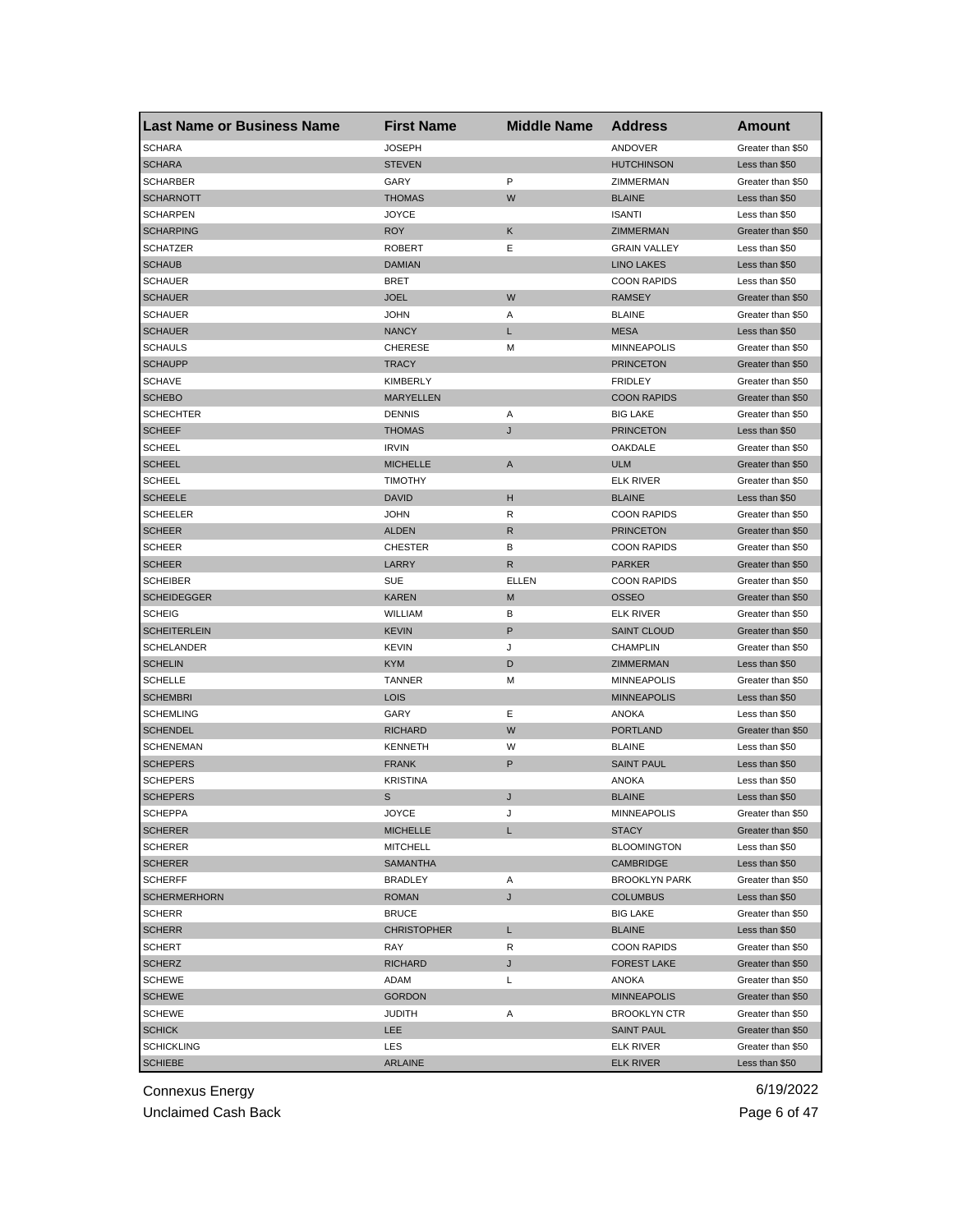| <b>Last Name or Business Name</b> | <b>First Name</b>  | <b>Middle Name</b> | <b>Address</b>       | Amount            |
|-----------------------------------|--------------------|--------------------|----------------------|-------------------|
| <b>SCHARA</b>                     | <b>JOSEPH</b>      |                    | ANDOVER              | Greater than \$50 |
| <b>SCHARA</b>                     | <b>STEVEN</b>      |                    | <b>HUTCHINSON</b>    | Less than \$50    |
| <b>SCHARBER</b>                   | GARY               | P                  | ZIMMERMAN            | Greater than \$50 |
| <b>SCHARNOTT</b>                  | <b>THOMAS</b>      | W                  | <b>BLAINE</b>        | Less than \$50    |
| <b>SCHARPEN</b>                   | <b>JOYCE</b>       |                    | <b>ISANTI</b>        | Less than \$50    |
| <b>SCHARPING</b>                  | <b>ROY</b>         | Κ                  | ZIMMERMAN            | Greater than \$50 |
| SCHATZER                          | <b>ROBERT</b>      | Ε                  | <b>GRAIN VALLEY</b>  | Less than \$50    |
| <b>SCHAUB</b>                     | DAMIAN             |                    | <b>LINO LAKES</b>    | Less than \$50    |
| <b>SCHAUER</b>                    | BRET               |                    | <b>COON RAPIDS</b>   | Less than \$50    |
| <b>SCHAUER</b>                    | <b>JOEL</b>        | W                  | <b>RAMSEY</b>        | Greater than \$50 |
| <b>SCHAUER</b>                    | JOHN               | Α                  | <b>BLAINE</b>        | Greater than \$50 |
| <b>SCHAUER</b>                    | <b>NANCY</b>       | Г                  | <b>MESA</b>          | Less than \$50    |
| <b>SCHAULS</b>                    | <b>CHERESE</b>     | М                  | <b>MINNEAPOLIS</b>   | Greater than \$50 |
| <b>SCHAUPP</b>                    | <b>TRACY</b>       |                    | <b>PRINCETON</b>     | Greater than \$50 |
| <b>SCHAVE</b>                     | <b>KIMBERLY</b>    |                    | <b>FRIDLEY</b>       | Greater than \$50 |
| <b>SCHEBO</b>                     | MARYELLEN          |                    | <b>COON RAPIDS</b>   | Greater than \$50 |
| <b>SCHECHTER</b>                  | <b>DENNIS</b>      | Α                  | <b>BIG LAKE</b>      | Greater than \$50 |
| <b>SCHEEF</b>                     | <b>THOMAS</b>      | J                  | <b>PRINCETON</b>     | Less than \$50    |
| <b>SCHEEL</b>                     | <b>IRVIN</b>       |                    | OAKDALE              | Greater than \$50 |
| <b>SCHEEL</b>                     | <b>MICHELLE</b>    | Α                  | <b>ULM</b>           | Greater than \$50 |
| <b>SCHEEL</b>                     | <b>TIMOTHY</b>     |                    | <b>ELK RIVER</b>     | Greater than \$50 |
| <b>SCHEELE</b>                    | <b>DAVID</b>       | н                  | <b>BLAINE</b>        | Less than \$50    |
| <b>SCHEELER</b>                   | <b>JOHN</b>        | R                  | <b>COON RAPIDS</b>   | Greater than \$50 |
| <b>SCHEER</b>                     | <b>ALDEN</b>       | R                  | <b>PRINCETON</b>     | Greater than \$50 |
| SCHEER                            | <b>CHESTER</b>     | В                  | <b>COON RAPIDS</b>   | Greater than \$50 |
| <b>SCHEER</b>                     | LARRY              | R                  | <b>PARKER</b>        | Greater than \$50 |
| <b>SCHEIBER</b>                   | <b>SUE</b>         | <b>ELLEN</b>       | <b>COON RAPIDS</b>   | Greater than \$50 |
| <b>SCHEIDEGGER</b>                | <b>KAREN</b>       | M                  | <b>OSSEO</b>         | Greater than \$50 |
| <b>SCHEIG</b>                     | WILLIAM            | В                  | <b>ELK RIVER</b>     | Greater than \$50 |
| <b>SCHEITERLEIN</b>               | KEVIN              | P                  | <b>SAINT CLOUD</b>   | Greater than \$50 |
| <b>SCHELANDER</b>                 | <b>KEVIN</b>       | J                  | <b>CHAMPLIN</b>      | Greater than \$50 |
| <b>SCHELIN</b>                    | <b>KYM</b>         | D                  | <b>ZIMMERMAN</b>     | Less than \$50    |
| <b>SCHELLE</b>                    | <b>TANNER</b>      | М                  | <b>MINNEAPOLIS</b>   | Greater than \$50 |
| <b>SCHEMBRI</b>                   | <b>LOIS</b>        |                    | <b>MINNEAPOLIS</b>   | Less than \$50    |
| <b>SCHEMLING</b>                  | GARY               | Е                  | <b>ANOKA</b>         | Less than \$50    |
| <b>SCHENDEL</b>                   | <b>RICHARD</b>     | W                  | <b>PORTLAND</b>      | Greater than \$50 |
| <b>SCHENEMAN</b>                  | <b>KENNETH</b>     | W                  | <b>BLAINE</b>        | Less than \$50    |
| <b>SCHEPERS</b>                   | <b>FRANK</b>       | P                  | <b>SAINT PAUL</b>    | Less than \$50    |
| <b>SCHEPERS</b>                   | <b>KRISTINA</b>    |                    | <b>ANOKA</b>         | Less than \$50    |
| <b>SCHEPERS</b>                   | S                  | J                  | <b>BLAINE</b>        | Less than \$50    |
| <b>SCHEPPA</b>                    | JOYCE              | J                  | MINNEAPOLIS          | Greater than \$50 |
| <b>SCHERER</b>                    | <b>MICHELLE</b>    | L                  | <b>STACY</b>         | Greater than \$50 |
| <b>SCHERER</b>                    | <b>MITCHELL</b>    |                    | <b>BLOOMINGTON</b>   | Less than \$50    |
| <b>SCHERER</b>                    | <b>SAMANTHA</b>    |                    | CAMBRIDGE            | Less than \$50    |
| <b>SCHERFF</b>                    | BRADLEY            | Α                  | <b>BROOKLYN PARK</b> | Greater than \$50 |
| <b>SCHERMERHORN</b>               | ROMAN              | J                  | <b>COLUMBUS</b>      | Less than \$50    |
| <b>SCHERR</b>                     | <b>BRUCE</b>       |                    | <b>BIG LAKE</b>      | Greater than \$50 |
| <b>SCHERR</b>                     | <b>CHRISTOPHER</b> | L                  | <b>BLAINE</b>        | Less than \$50    |
| SCHERT                            | RAY                | R                  | <b>COON RAPIDS</b>   | Greater than \$50 |
|                                   |                    |                    |                      |                   |
| <b>SCHERZ</b>                     | RICHARD            | J                  | <b>FOREST LAKE</b>   | Greater than \$50 |
| <b>SCHEWE</b>                     | ADAM               | L                  | ANOKA                | Greater than \$50 |
| <b>SCHEWE</b>                     | <b>GORDON</b>      |                    | <b>MINNEAPOLIS</b>   | Greater than \$50 |
| <b>SCHEWE</b>                     | JUDITH             | Α                  | <b>BROOKLYN CTR</b>  | Greater than \$50 |
| <b>SCHICK</b>                     | LEE                |                    | SAINT PAUL           | Greater than \$50 |
| <b>SCHICKLING</b>                 | LES                |                    | ELK RIVER            | Greater than \$50 |
| <b>SCHIEBE</b>                    | <b>ARLAINE</b>     |                    | <b>ELK RIVER</b>     | Less than \$50    |

Unclaimed Cash Back **Page 6 of 47**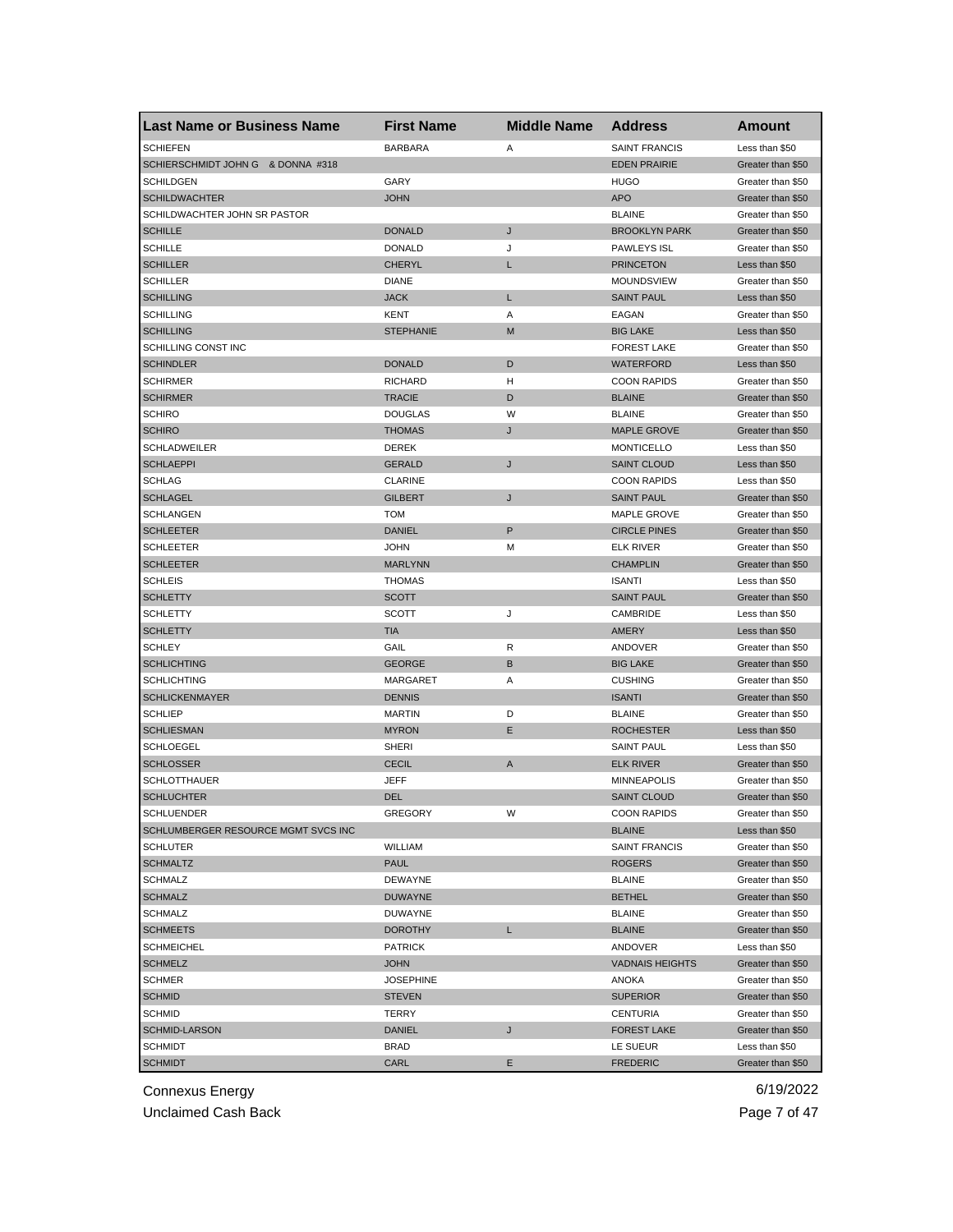| Last Name or Business Name           | <b>First Name</b>                | <b>Middle Name</b> | <b>Address</b>         | Amount            |
|--------------------------------------|----------------------------------|--------------------|------------------------|-------------------|
| <b>SCHIEFEN</b>                      | <b>BARBARA</b>                   | Α                  | <b>SAINT FRANCIS</b>   | Less than \$50    |
| SCHIERSCHMIDT JOHN G & DONNA #318    |                                  |                    | <b>EDEN PRAIRIE</b>    | Greater than \$50 |
| <b>SCHILDGEN</b>                     | GARY                             |                    | <b>HUGO</b>            | Greater than \$50 |
| <b>SCHILDWACHTER</b>                 | <b>JOHN</b>                      |                    | <b>APO</b>             | Greater than \$50 |
| SCHILDWACHTER JOHN SR PASTOR         |                                  |                    | <b>BLAINE</b>          | Greater than \$50 |
| <b>SCHILLE</b>                       | <b>DONALD</b>                    | J                  | <b>BROOKLYN PARK</b>   | Greater than \$50 |
| <b>SCHILLE</b>                       | <b>DONALD</b>                    | J                  | PAWLEYS ISL            | Greater than \$50 |
| <b>SCHILLER</b>                      | <b>CHERYL</b>                    | L                  | <b>PRINCETON</b>       | Less than \$50    |
| <b>SCHILLER</b>                      | <b>DIANE</b>                     |                    | MOUNDSVIEW             | Greater than \$50 |
| <b>SCHILLING</b>                     | <b>JACK</b>                      | L                  | <b>SAINT PAUL</b>      | Less than \$50    |
| <b>SCHILLING</b>                     | <b>KENT</b>                      | Α                  | EAGAN                  | Greater than \$50 |
| <b>SCHILLING</b>                     | <b>STEPHANIE</b>                 | M                  | <b>BIG LAKE</b>        | Less than \$50    |
| SCHILLING CONST INC                  |                                  |                    | <b>FOREST LAKE</b>     | Greater than \$50 |
| <b>SCHINDLER</b>                     | <b>DONALD</b>                    | D                  | <b>WATERFORD</b>       | Less than \$50    |
| <b>SCHIRMER</b>                      | <b>RICHARD</b>                   | н                  | <b>COON RAPIDS</b>     | Greater than \$50 |
| <b>SCHIRMER</b>                      | <b>TRACIE</b>                    | D                  | <b>BLAINE</b>          | Greater than \$50 |
| <b>SCHIRO</b>                        | <b>DOUGLAS</b>                   | W                  | <b>BLAINE</b>          | Greater than \$50 |
| <b>SCHIRO</b>                        | <b>THOMAS</b>                    | J                  | <b>MAPLE GROVE</b>     | Greater than \$50 |
| <b>SCHLADWEILER</b>                  | DEREK                            |                    | <b>MONTICELLO</b>      | Less than \$50    |
| <b>SCHLAEPPI</b>                     | <b>GERALD</b>                    | J                  | <b>SAINT CLOUD</b>     | Less than \$50    |
| <b>SCHLAG</b>                        | <b>CLARINE</b>                   |                    | <b>COON RAPIDS</b>     | Less than \$50    |
| <b>SCHLAGEL</b>                      | <b>GILBERT</b>                   | J                  | <b>SAINT PAUL</b>      | Greater than \$50 |
| <b>SCHLANGEN</b>                     | <b>TOM</b>                       |                    | <b>MAPLE GROVE</b>     | Greater than \$50 |
| <b>SCHLEETER</b>                     | <b>DANIEL</b>                    | P                  | <b>CIRCLE PINES</b>    | Greater than \$50 |
| SCHLEETER                            | <b>JOHN</b>                      | М                  | <b>ELK RIVER</b>       | Greater than \$50 |
| <b>SCHLEETER</b>                     | <b>MARLYNN</b>                   |                    | <b>CHAMPLIN</b>        | Greater than \$50 |
| <b>SCHLEIS</b>                       | <b>THOMAS</b>                    |                    | <b>ISANTI</b>          | Less than \$50    |
| <b>SCHLETTY</b>                      | <b>SCOTT</b>                     |                    | <b>SAINT PAUL</b>      | Greater than \$50 |
| SCHLETTY                             | <b>SCOTT</b>                     | J                  | CAMBRIDE               | Less than \$50    |
| <b>SCHLETTY</b>                      | <b>TIA</b>                       |                    | AMERY                  | Less than \$50    |
| <b>SCHLEY</b>                        | GAIL                             | R                  | ANDOVER                | Greater than \$50 |
| <b>SCHLICHTING</b>                   | <b>GEORGE</b>                    | В                  | <b>BIG LAKE</b>        | Greater than \$50 |
| <b>SCHLICHTING</b>                   | MARGARET                         | Α                  | <b>CUSHING</b>         | Greater than \$50 |
| <b>SCHLICKENMAYER</b>                | <b>DENNIS</b>                    |                    | <b>ISANTI</b>          | Greater than \$50 |
| <b>SCHLIEP</b>                       | <b>MARTIN</b>                    | D                  | <b>BLAINE</b>          | Greater than \$50 |
| <b>SCHLIESMAN</b>                    | <b>MYRON</b>                     | Ε                  | <b>ROCHESTER</b>       | Less than \$50    |
| <b>SCHLOEGEL</b>                     | <b>SHERI</b>                     |                    | <b>SAINT PAUL</b>      | Less than \$50    |
| <b>SCHLOSSER</b>                     | <b>CECIL</b>                     | Α                  | <b>ELK RIVER</b>       | Greater than \$50 |
| <b>SCHLOTTHAUER</b>                  | <b>JEFF</b>                      |                    | <b>MINNEAPOLIS</b>     | Greater than \$50 |
| <b>SCHLUCHTER</b>                    | <b>DEL</b>                       |                    | <b>SAINT CLOUD</b>     | Greater than \$50 |
| SCHLUENDER                           | GREGORY                          |                    | <b>COON RAPIDS</b>     | Greater than \$50 |
| SCHLUMBERGER RESOURCE MGMT SVCS INC  |                                  |                    | <b>BLAINE</b>          | Less than \$50    |
| <b>SCHLUTER</b>                      | WILLIAM                          |                    | <b>SAINT FRANCIS</b>   | Greater than \$50 |
| <b>SCHMALTZ</b>                      | <b>PAUL</b>                      |                    | <b>ROGERS</b>          | Greater than \$50 |
| <b>SCHMALZ</b>                       | <b>DEWAYNE</b>                   |                    | <b>BLAINE</b>          | Greater than \$50 |
| <b>SCHMALZ</b>                       | <b>DUWAYNE</b>                   |                    | <b>BETHEL</b>          | Greater than \$50 |
| <b>SCHMALZ</b>                       | <b>DUWAYNE</b>                   |                    | <b>BLAINE</b>          | Greater than \$50 |
|                                      |                                  | L                  | <b>BLAINE</b>          | Greater than \$50 |
| <b>SCHMEETS</b><br><b>SCHMEICHEL</b> | <b>DOROTHY</b><br><b>PATRICK</b> |                    | ANDOVER                | Less than \$50    |
|                                      |                                  |                    |                        |                   |
| <b>SCHMELZ</b>                       | <b>JOHN</b>                      |                    | <b>VADNAIS HEIGHTS</b> | Greater than \$50 |
| <b>SCHMER</b>                        | <b>JOSEPHINE</b>                 |                    | ANOKA                  | Greater than \$50 |
| <b>SCHMID</b>                        | <b>STEVEN</b>                    |                    | <b>SUPERIOR</b>        | Greater than \$50 |
| <b>SCHMID</b>                        | <b>TERRY</b>                     |                    | CENTURIA               | Greater than \$50 |
| <b>SCHMID-LARSON</b>                 | <b>DANIEL</b>                    | J                  | <b>FOREST LAKE</b>     | Greater than \$50 |
| <b>SCHMIDT</b>                       | <b>BRAD</b>                      |                    | LE SUEUR               | Less than \$50    |
| <b>SCHMIDT</b>                       | CARL                             | Е                  | <b>FREDERIC</b>        | Greater than \$50 |

Unclaimed Cash Back **Page 7 of 47**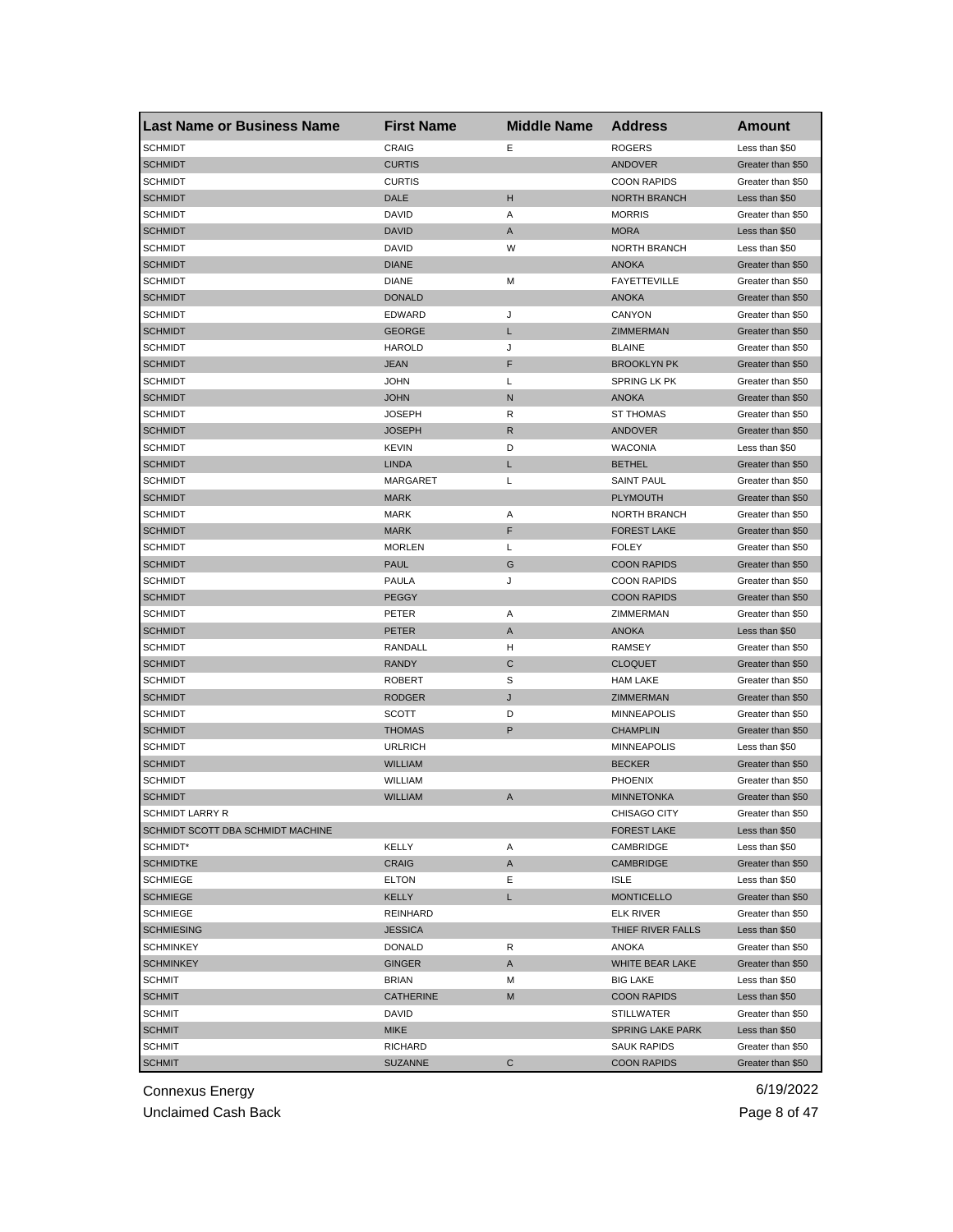| <b>Last Name or Business Name</b> | <b>First Name</b> | <b>Middle Name</b> | <b>Address</b>      | Amount                              |
|-----------------------------------|-------------------|--------------------|---------------------|-------------------------------------|
| <b>SCHMIDT</b>                    | CRAIG             | Е                  | <b>ROGERS</b>       | Less than \$50                      |
| <b>SCHMIDT</b>                    | <b>CURTIS</b>     |                    | ANDOVER             | Greater than \$50                   |
| <b>SCHMIDT</b>                    | <b>CURTIS</b>     |                    | <b>COON RAPIDS</b>  | Greater than \$50                   |
| <b>SCHMIDT</b>                    | DALE              | н                  | <b>NORTH BRANCH</b> | Less than \$50                      |
| <b>SCHMIDT</b>                    | DAVID             | Α                  | <b>MORRIS</b>       | Greater than \$50                   |
| <b>SCHMIDT</b>                    | <b>DAVID</b>      | Α                  | <b>MORA</b>         | Less than \$50                      |
| <b>SCHMIDT</b>                    | DAVID             | W                  | <b>NORTH BRANCH</b> | Less than \$50                      |
| <b>SCHMIDT</b>                    | <b>DIANE</b>      |                    | <b>ANOKA</b>        | Greater than \$50                   |
| <b>SCHMIDT</b>                    | <b>DIANE</b>      | М                  | <b>FAYETTEVILLE</b> | Greater than \$50                   |
| <b>SCHMIDT</b>                    | <b>DONALD</b>     |                    | <b>ANOKA</b>        | Greater than \$50                   |
| <b>SCHMIDT</b>                    | <b>EDWARD</b>     | J                  | CANYON              | Greater than \$50                   |
| <b>SCHMIDT</b>                    | <b>GEORGE</b>     | L                  | <b>ZIMMERMAN</b>    | Greater than \$50                   |
| <b>SCHMIDT</b>                    | <b>HAROLD</b>     | J                  | <b>BLAINE</b>       | Greater than \$50                   |
| <b>SCHMIDT</b>                    | JEAN              | F                  | <b>BROOKLYN PK</b>  | Greater than \$50                   |
| <b>SCHMIDT</b>                    | JOHN              | L                  | <b>SPRING LK PK</b> | Greater than \$50                   |
| <b>SCHMIDT</b>                    | <b>JOHN</b>       | N                  | <b>ANOKA</b>        | Greater than \$50                   |
| <b>SCHMIDT</b>                    | <b>JOSEPH</b>     | R                  | <b>ST THOMAS</b>    | Greater than \$50                   |
| <b>SCHMIDT</b>                    | <b>JOSEPH</b>     | R                  | <b>ANDOVER</b>      | Greater than \$50                   |
| <b>SCHMIDT</b>                    | <b>KEVIN</b>      | D                  | <b>WACONIA</b>      | Less than \$50                      |
| <b>SCHMIDT</b>                    | LINDA             | L                  | <b>BETHEL</b>       | Greater than \$50                   |
| <b>SCHMIDT</b>                    | MARGARET          | Г                  | <b>SAINT PAUL</b>   | Greater than \$50                   |
| <b>SCHMIDT</b>                    | <b>MARK</b>       |                    | <b>PLYMOUTH</b>     | Greater than \$50                   |
| <b>SCHMIDT</b>                    | <b>MARK</b>       | Α                  | <b>NORTH BRANCH</b> | Greater than \$50                   |
| <b>SCHMIDT</b>                    | <b>MARK</b>       | F                  | <b>FOREST LAKE</b>  | Greater than \$50                   |
| <b>SCHMIDT</b>                    | <b>MORLEN</b>     | L                  | <b>FOLEY</b>        | Greater than \$50                   |
| <b>SCHMIDT</b>                    | <b>PAUL</b>       | G                  | <b>COON RAPIDS</b>  | Greater than \$50                   |
| SCHMIDT                           | PAULA             | J                  | <b>COON RAPIDS</b>  | Greater than \$50                   |
| <b>SCHMIDT</b>                    | <b>PEGGY</b>      |                    | <b>COON RAPIDS</b>  | Greater than \$50                   |
| <b>SCHMIDT</b>                    | PETER             | Α                  | ZIMMERMAN           | Greater than \$50                   |
| <b>SCHMIDT</b>                    | PETER             | A                  | <b>ANOKA</b>        | Less than \$50                      |
| <b>SCHMIDT</b>                    | RANDALL           | н                  | <b>RAMSEY</b>       | Greater than \$50                   |
| <b>SCHMIDT</b>                    | <b>RANDY</b>      | C                  | <b>CLOQUET</b>      | Greater than \$50                   |
| <b>SCHMIDT</b>                    | <b>ROBERT</b>     | S                  | <b>HAM LAKE</b>     | Greater than \$50                   |
| <b>SCHMIDT</b>                    | RODGER            | J                  | ZIMMERMAN           | Greater than \$50                   |
| <b>SCHMIDT</b>                    | SCOTT             | D                  | <b>MINNEAPOLIS</b>  | Greater than \$50                   |
| <b>SCHMIDT</b>                    | <b>THOMAS</b>     | P                  | <b>CHAMPLIN</b>     | Greater than \$50                   |
| <b>SCHMIDT</b>                    | <b>URLRICH</b>    |                    | <b>MINNEAPOLIS</b>  | Less than \$50                      |
| <b>SCHMIDT</b>                    | <b>WILLIAM</b>    |                    | <b>BECKER</b>       | Greater than \$50                   |
| <b>SCHMIDT</b>                    | WILLIAM           |                    | <b>PHOENIX</b>      | Greater than \$50                   |
| <b>SCHMIDT</b>                    | WILLIAM           | A                  | <b>MINNETONKA</b>   | Greater than \$50                   |
| SCHMIDT LARRY R                   |                   |                    | CHISAGO CITY        | Greater than \$50                   |
| SCHMIDT SCOTT DBA SCHMIDT MACHINE |                   |                    | <b>FOREST LAKE</b>  | Less than \$50                      |
| SCHMIDT*                          | KELLY             | Α                  | CAMBRIDGE           | Less than \$50                      |
| <b>SCHMIDTKE</b>                  | CRAIG             | A                  | CAMBRIDGE           | Greater than \$50                   |
| <b>SCHMIEGE</b>                   | <b>ELTON</b>      | Е                  | <b>ISLE</b>         | Less than \$50                      |
| <b>SCHMIEGE</b>                   | KELLY             | L.                 | <b>MONTICELLO</b>   | Greater than \$50                   |
| <b>SCHMIEGE</b>                   | <b>REINHARD</b>   |                    | <b>ELK RIVER</b>    | Greater than \$50                   |
| <b>SCHMIESING</b>                 | <b>JESSICA</b>    |                    | THIEF RIVER FALLS   | Less than \$50                      |
|                                   | <b>DONALD</b>     |                    |                     |                                     |
| <b>SCHMINKEY</b>                  |                   | R                  | <b>ANOKA</b>        | Greater than \$50                   |
| <b>SCHMINKEY</b>                  | <b>GINGER</b>     | A                  | WHITE BEAR LAKE     | Greater than \$50<br>Less than \$50 |
| <b>SCHMIT</b>                     | BRIAN             | M                  | <b>BIG LAKE</b>     |                                     |
| <b>SCHMIT</b>                     | <b>CATHERINE</b>  | М                  | <b>COON RAPIDS</b>  | Less than \$50                      |
| <b>SCHMIT</b>                     | DAVID             |                    | STILLWATER          | Greater than \$50                   |
| <b>SCHMIT</b>                     | <b>MIKE</b>       |                    | SPRING LAKE PARK    | Less than \$50                      |
| <b>SCHMIT</b>                     | RICHARD           |                    | <b>SAUK RAPIDS</b>  | Greater than \$50                   |
| <b>SCHMIT</b>                     | <b>SUZANNE</b>    | С                  | <b>COON RAPIDS</b>  | Greater than \$50                   |

Unclaimed Cash Back **Page 8 of 47**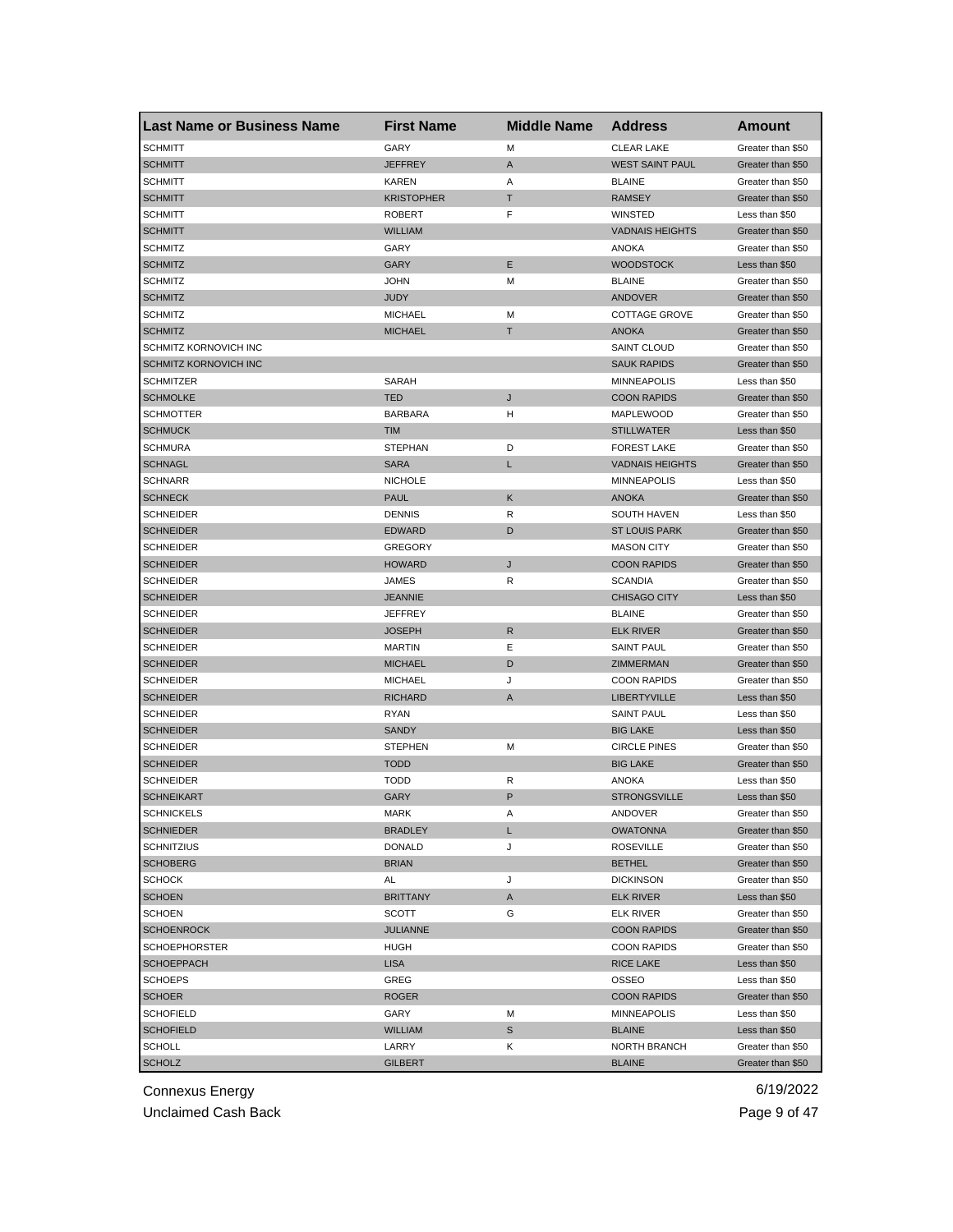| Last Name or Business Name            | <b>First Name</b> | <b>Middle Name</b> | <b>Address</b>         | <b>Amount</b>                          |
|---------------------------------------|-------------------|--------------------|------------------------|----------------------------------------|
| <b>SCHMITT</b>                        | GARY              | M                  | <b>CLEAR LAKE</b>      | Greater than \$50                      |
| <b>SCHMITT</b>                        | <b>JEFFREY</b>    | A                  | <b>WEST SAINT PAUL</b> | Greater than \$50                      |
| <b>SCHMITT</b>                        | <b>KAREN</b>      | Α                  | <b>BLAINE</b>          | Greater than \$50                      |
| <b>SCHMITT</b>                        | <b>KRISTOPHER</b> | Τ                  | <b>RAMSEY</b>          | Greater than \$50                      |
| <b>SCHMITT</b>                        | <b>ROBERT</b>     | F                  | WINSTED                | Less than \$50                         |
| <b>SCHMITT</b>                        | <b>WILLIAM</b>    |                    | <b>VADNAIS HEIGHTS</b> | Greater than \$50                      |
| <b>SCHMITZ</b>                        | GARY              |                    | ANOKA                  | Greater than \$50                      |
| <b>SCHMITZ</b>                        | <b>GARY</b>       | Е                  | <b>WOODSTOCK</b>       | Less than \$50                         |
| <b>SCHMITZ</b>                        | <b>JOHN</b>       | М                  | <b>BLAINE</b>          | Greater than \$50                      |
| <b>SCHMITZ</b>                        | <b>JUDY</b>       |                    | <b>ANDOVER</b>         | Greater than \$50                      |
| <b>SCHMITZ</b>                        | <b>MICHAEL</b>    | М                  | <b>COTTAGE GROVE</b>   | Greater than \$50                      |
| <b>SCHMITZ</b>                        | <b>MICHAEL</b>    | Т                  | <b>ANOKA</b>           | Greater than \$50                      |
| SCHMITZ KORNOVICH INC                 |                   |                    | SAINT CLOUD            | Greater than \$50                      |
| <b>SCHMITZ KORNOVICH INC</b>          |                   |                    | <b>SAUK RAPIDS</b>     | Greater than \$50                      |
| <b>SCHMITZER</b>                      | SARAH             |                    | <b>MINNEAPOLIS</b>     | Less than \$50                         |
| <b>SCHMOLKE</b>                       | <b>TED</b>        | J                  | <b>COON RAPIDS</b>     | Greater than \$50                      |
| <b>SCHMOTTER</b>                      | <b>BARBARA</b>    | н                  | MAPLEWOOD              | Greater than \$50                      |
| <b>SCHMUCK</b>                        | <b>TIM</b>        |                    | <b>STILLWATER</b>      | Less than \$50                         |
| SCHMURA                               | <b>STEPHAN</b>    | D                  | <b>FOREST LAKE</b>     | Greater than \$50                      |
| <b>SCHNAGL</b>                        | <b>SARA</b>       | L                  | <b>VADNAIS HEIGHTS</b> | Greater than \$50                      |
| <b>SCHNARR</b>                        | <b>NICHOLE</b>    |                    | <b>MINNEAPOLIS</b>     | Less than \$50                         |
| <b>SCHNECK</b>                        | <b>PAUL</b>       | Κ                  | <b>ANOKA</b>           | Greater than \$50                      |
| <b>SCHNEIDER</b>                      | <b>DENNIS</b>     | R                  | <b>SOUTH HAVEN</b>     | Less than \$50                         |
| <b>SCHNEIDER</b>                      | <b>EDWARD</b>     | D                  | <b>ST LOUIS PARK</b>   | Greater than \$50                      |
| <b>SCHNEIDER</b>                      | <b>GREGORY</b>    |                    | <b>MASON CITY</b>      | Greater than \$50                      |
| <b>SCHNEIDER</b>                      | <b>HOWARD</b>     | J                  | <b>COON RAPIDS</b>     | Greater than \$50                      |
| <b>SCHNEIDER</b>                      | JAMES             | R                  | <b>SCANDIA</b>         | Greater than \$50                      |
| <b>SCHNEIDER</b>                      | <b>JEANNIE</b>    |                    | <b>CHISAGO CITY</b>    | Less than \$50                         |
| <b>SCHNEIDER</b>                      | <b>JEFFREY</b>    |                    | <b>BLAINE</b>          | Greater than \$50                      |
| <b>SCHNEIDER</b>                      | <b>JOSEPH</b>     | R                  | <b>ELK RIVER</b>       | Greater than \$50                      |
| <b>SCHNEIDER</b>                      | <b>MARTIN</b>     | Ε                  | <b>SAINT PAUL</b>      | Greater than \$50                      |
| <b>SCHNEIDER</b>                      | <b>MICHAEL</b>    | D                  | ZIMMERMAN              | Greater than \$50                      |
| <b>SCHNEIDER</b>                      | <b>MICHAEL</b>    | J                  | <b>COON RAPIDS</b>     | Greater than \$50                      |
| <b>SCHNEIDER</b>                      | <b>RICHARD</b>    | A                  | <b>LIBERTYVILLE</b>    | Less than \$50                         |
| <b>SCHNEIDER</b>                      | <b>RYAN</b>       |                    | <b>SAINT PAUL</b>      | Less than \$50                         |
| <b>SCHNEIDER</b>                      | <b>SANDY</b>      |                    | <b>BIG LAKE</b>        | Less than \$50                         |
|                                       | <b>STEPHEN</b>    | М                  | <b>CIRCLE PINES</b>    |                                        |
| <b>SCHNEIDER</b><br><b>SCHNEIDER</b>  | <b>TODD</b>       |                    | <b>BIG LAKE</b>        | Greater than \$50<br>Greater than \$50 |
|                                       |                   |                    |                        |                                        |
| <b>SCHNEIDER</b><br><b>SCHNEIKART</b> | <b>TODD</b>       | R<br>P             | ANOKA                  | Less than \$50                         |
|                                       | <b>GARY</b>       |                    | <b>STRONGSVILLE</b>    | Less than \$50                         |
| <b>SCHNICKELS</b>                     | MARK              | A                  | ANDOVER                | Greater than \$50                      |
| <b>SCHNIEDER</b>                      | <b>BRADLEY</b>    | L                  | <b>OWATONNA</b>        | Greater than \$50                      |
| <b>SCHNITZIUS</b>                     | <b>DONALD</b>     | J                  | <b>ROSEVILLE</b>       | Greater than \$50                      |
| <b>SCHOBERG</b>                       | <b>BRIAN</b>      |                    | <b>BETHEL</b>          | Greater than \$50                      |
| <b>SCHOCK</b>                         | AL                | J                  | <b>DICKINSON</b>       | Greater than \$50                      |
| <b>SCHOEN</b>                         | <b>BRITTANY</b>   | Α                  | <b>ELK RIVER</b>       | Less than \$50                         |
| <b>SCHOEN</b>                         | SCOTT             | G                  | <b>ELK RIVER</b>       | Greater than \$50                      |
| <b>SCHOENROCK</b>                     | <b>JULIANNE</b>   |                    | <b>COON RAPIDS</b>     | Greater than \$50                      |
| <b>SCHOEPHORSTER</b>                  | <b>HUGH</b>       |                    | <b>COON RAPIDS</b>     | Greater than \$50                      |
| <b>SCHOEPPACH</b>                     | <b>LISA</b>       |                    | RICE LAKE              | Less than \$50                         |
| <b>SCHOEPS</b>                        | GREG              |                    | OSSEO                  | Less than \$50                         |
| <b>SCHOER</b>                         | <b>ROGER</b>      |                    | <b>COON RAPIDS</b>     | Greater than \$50                      |
| <b>SCHOFIELD</b>                      | GARY              | М                  | MINNEAPOLIS            | Less than \$50                         |
| <b>SCHOFIELD</b>                      | <b>WILLIAM</b>    | S                  | <b>BLAINE</b>          | Less than \$50                         |
| <b>SCHOLL</b>                         | LARRY             | Κ                  | NORTH BRANCH           | Greater than \$50                      |
| <b>SCHOLZ</b>                         | <b>GILBERT</b>    |                    | <b>BLAINE</b>          | Greater than \$50                      |

Unclaimed Cash Back **Page 9 of 47**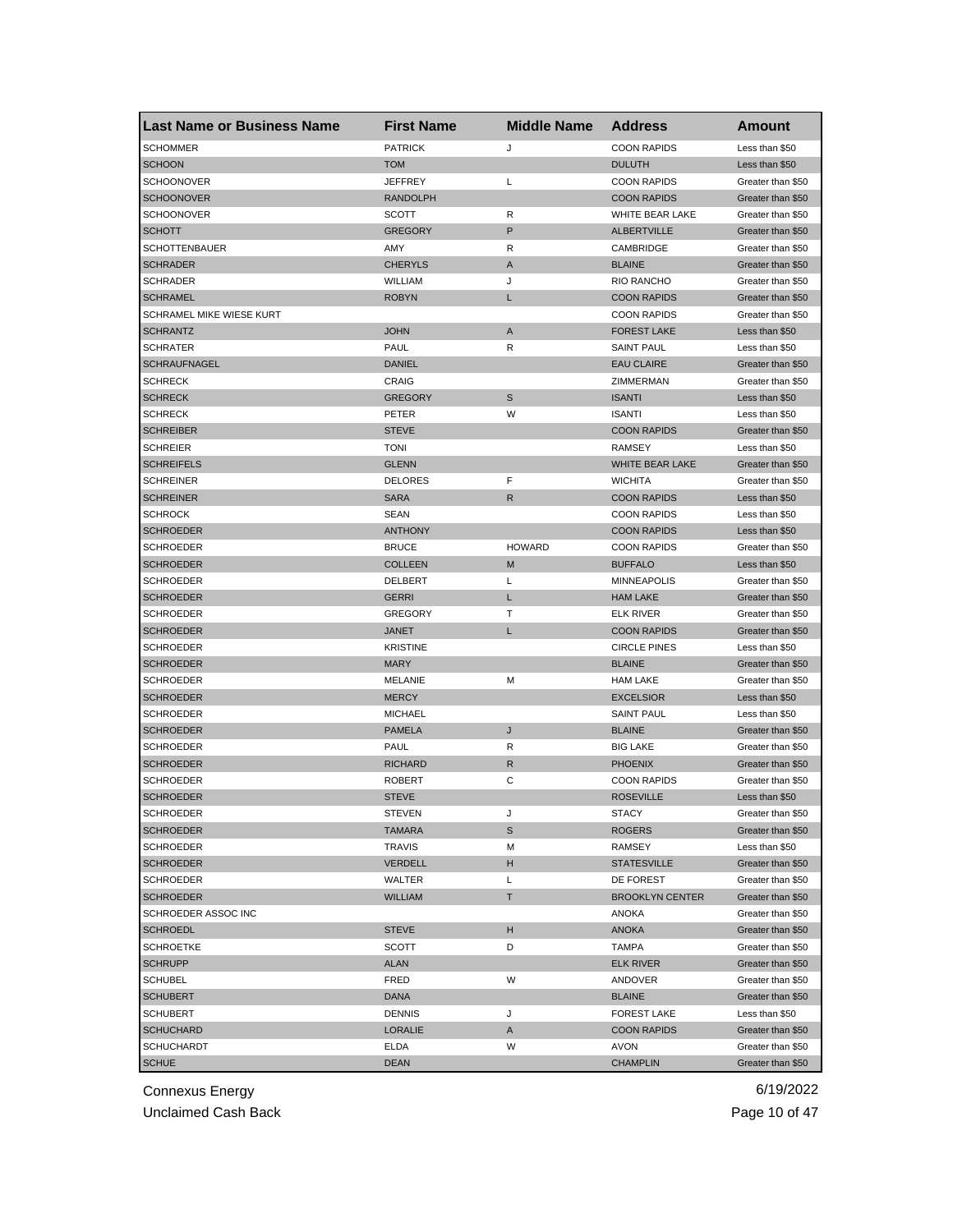| <b>Last Name or Business Name</b> | <b>First Name</b> | <b>Middle Name</b> | <b>Address</b>         | Amount            |
|-----------------------------------|-------------------|--------------------|------------------------|-------------------|
| <b>SCHOMMER</b>                   | <b>PATRICK</b>    | J                  | <b>COON RAPIDS</b>     | Less than \$50    |
| <b>SCHOON</b>                     | <b>TOM</b>        |                    | <b>DULUTH</b>          | Less than \$50    |
| <b>SCHOONOVER</b>                 | <b>JEFFREY</b>    | L                  | <b>COON RAPIDS</b>     | Greater than \$50 |
| <b>SCHOONOVER</b>                 | <b>RANDOLPH</b>   |                    | <b>COON RAPIDS</b>     | Greater than \$50 |
| <b>SCHOONOVER</b>                 | SCOTT             | R                  | WHITE BEAR LAKE        | Greater than \$50 |
| <b>SCHOTT</b>                     | <b>GREGORY</b>    | P                  | <b>ALBERTVILLE</b>     | Greater than \$50 |
| <b>SCHOTTENBAUER</b>              | AMY               | R                  | CAMBRIDGE              | Greater than \$50 |
| <b>SCHRADER</b>                   | <b>CHERYLS</b>    | A                  | <b>BLAINE</b>          | Greater than \$50 |
| <b>SCHRADER</b>                   | WILLIAM           | J                  | <b>RIO RANCHO</b>      | Greater than \$50 |
| <b>SCHRAMEL</b>                   | <b>ROBYN</b>      | L                  | <b>COON RAPIDS</b>     | Greater than \$50 |
| SCHRAMEL MIKE WIESE KURT          |                   |                    | <b>COON RAPIDS</b>     | Greater than \$50 |
| <b>SCHRANTZ</b>                   | <b>JOHN</b>       | A                  | <b>FOREST LAKE</b>     | Less than \$50    |
| <b>SCHRATER</b>                   | PAUL              | R                  | <b>SAINT PAUL</b>      | Less than \$50    |
| <b>SCHRAUFNAGEL</b>               | DANIEL            |                    | <b>EAU CLAIRE</b>      | Greater than \$50 |
| <b>SCHRECK</b>                    | CRAIG             |                    | ZIMMERMAN              | Greater than \$50 |
| <b>SCHRECK</b>                    | <b>GREGORY</b>    | S                  | <b>ISANTI</b>          | Less than \$50    |
| <b>SCHRECK</b>                    | PETER             | W                  | <b>ISANTI</b>          | Less than \$50    |
| <b>SCHREIBER</b>                  | <b>STEVE</b>      |                    | <b>COON RAPIDS</b>     | Greater than \$50 |
| <b>SCHREIER</b>                   | TONI              |                    | RAMSEY                 | Less than \$50    |
| <b>SCHREIFELS</b>                 | <b>GLENN</b>      |                    | WHITE BEAR LAKE        | Greater than \$50 |
| <b>SCHREINER</b>                  | <b>DELORES</b>    | F                  | <b>WICHITA</b>         | Greater than \$50 |
| <b>SCHREINER</b>                  | <b>SARA</b>       | R                  | <b>COON RAPIDS</b>     | Less than \$50    |
| <b>SCHROCK</b>                    | <b>SEAN</b>       |                    | <b>COON RAPIDS</b>     | Less than \$50    |
| <b>SCHROEDER</b>                  | <b>ANTHONY</b>    |                    | <b>COON RAPIDS</b>     | Less than \$50    |
| SCHROEDER                         | <b>BRUCE</b>      | <b>HOWARD</b>      | <b>COON RAPIDS</b>     | Greater than \$50 |
| <b>SCHROEDER</b>                  | <b>COLLEEN</b>    | M                  | <b>BUFFALO</b>         | Less than \$50    |
| <b>SCHROEDER</b>                  | DELBERT           | L                  | <b>MINNEAPOLIS</b>     | Greater than \$50 |
| <b>SCHROEDER</b>                  | <b>GERRI</b>      | L                  | <b>HAM LAKE</b>        | Greater than \$50 |
| <b>SCHROEDER</b>                  | <b>GREGORY</b>    | т                  | <b>ELK RIVER</b>       | Greater than \$50 |
| <b>SCHROEDER</b>                  | JANET             | L                  | <b>COON RAPIDS</b>     | Greater than \$50 |
| SCHROEDER                         | <b>KRISTINE</b>   |                    | <b>CIRCLE PINES</b>    | Less than \$50    |
| <b>SCHROEDER</b>                  | <b>MARY</b>       |                    | <b>BLAINE</b>          | Greater than \$50 |
| <b>SCHROEDER</b>                  | MELANIE           | M                  | <b>HAM LAKE</b>        | Greater than \$50 |
| <b>SCHROEDER</b>                  | <b>MERCY</b>      |                    | <b>EXCELSIOR</b>       | Less than \$50    |
| <b>SCHROEDER</b>                  | <b>MICHAEL</b>    |                    | <b>SAINT PAUL</b>      | Less than \$50    |
| <b>SCHROEDER</b>                  | <b>PAMELA</b>     | J                  | <b>BLAINE</b>          | Greater than \$50 |
| <b>SCHROEDER</b>                  | PAUL              | R                  | <b>BIG LAKE</b>        | Greater than \$50 |
| <b>SCHROEDER</b>                  | <b>RICHARD</b>    | R                  | <b>PHOENIX</b>         | Greater than \$50 |
| <b>SCHROEDER</b>                  | <b>ROBERT</b>     | С                  | <b>COON RAPIDS</b>     | Greater than \$50 |
| <b>SCHROEDER</b>                  | STEVE             |                    | <b>ROSEVILLE</b>       | Less than \$50    |
| <b>SCHROEDER</b>                  | STEVEN            | J                  | <b>STACY</b>           | Greater than \$50 |
| <b>SCHROEDER</b>                  | TAMARA            | S                  | ROGERS                 | Greater than \$50 |
| <b>SCHROEDER</b>                  | TRAVIS            | M                  | RAMSEY                 | Less than \$50    |
| <b>SCHROEDER</b>                  | <b>VERDELL</b>    | H                  | <b>STATESVILLE</b>     | Greater than \$50 |
| <b>SCHROEDER</b>                  | WALTER            | L                  | DE FOREST              | Greater than \$50 |
| <b>SCHROEDER</b>                  | <b>WILLIAM</b>    | T                  | <b>BROOKLYN CENTER</b> | Greater than \$50 |
| SCHROEDER ASSOC INC               |                   |                    | ANOKA                  | Greater than \$50 |
| <b>SCHROEDL</b>                   | <b>STEVE</b>      | н                  | <b>ANOKA</b>           | Greater than \$50 |
| <b>SCHROETKE</b>                  | SCOTT             | D                  | <b>TAMPA</b>           | Greater than \$50 |
| <b>SCHRUPP</b>                    | ALAN              |                    | <b>ELK RIVER</b>       | Greater than \$50 |
| <b>SCHUBEL</b>                    | FRED              | W                  | ANDOVER                | Greater than \$50 |
| <b>SCHUBERT</b>                   | <b>DANA</b>       |                    | <b>BLAINE</b>          | Greater than \$50 |
| <b>SCHUBERT</b>                   | <b>DENNIS</b>     | J                  | <b>FOREST LAKE</b>     | Less than \$50    |
| <b>SCHUCHARD</b>                  | LORALIE           | A                  | <b>COON RAPIDS</b>     | Greater than \$50 |
| <b>SCHUCHARDT</b>                 | ELDA              | W                  | <b>AVON</b>            | Greater than \$50 |
| <b>SCHUE</b>                      | <b>DEAN</b>       |                    | <b>CHAMPLIN</b>        | Greater than \$50 |
|                                   |                   |                    |                        |                   |

Unclaimed Cash Back **Page 10 of 47**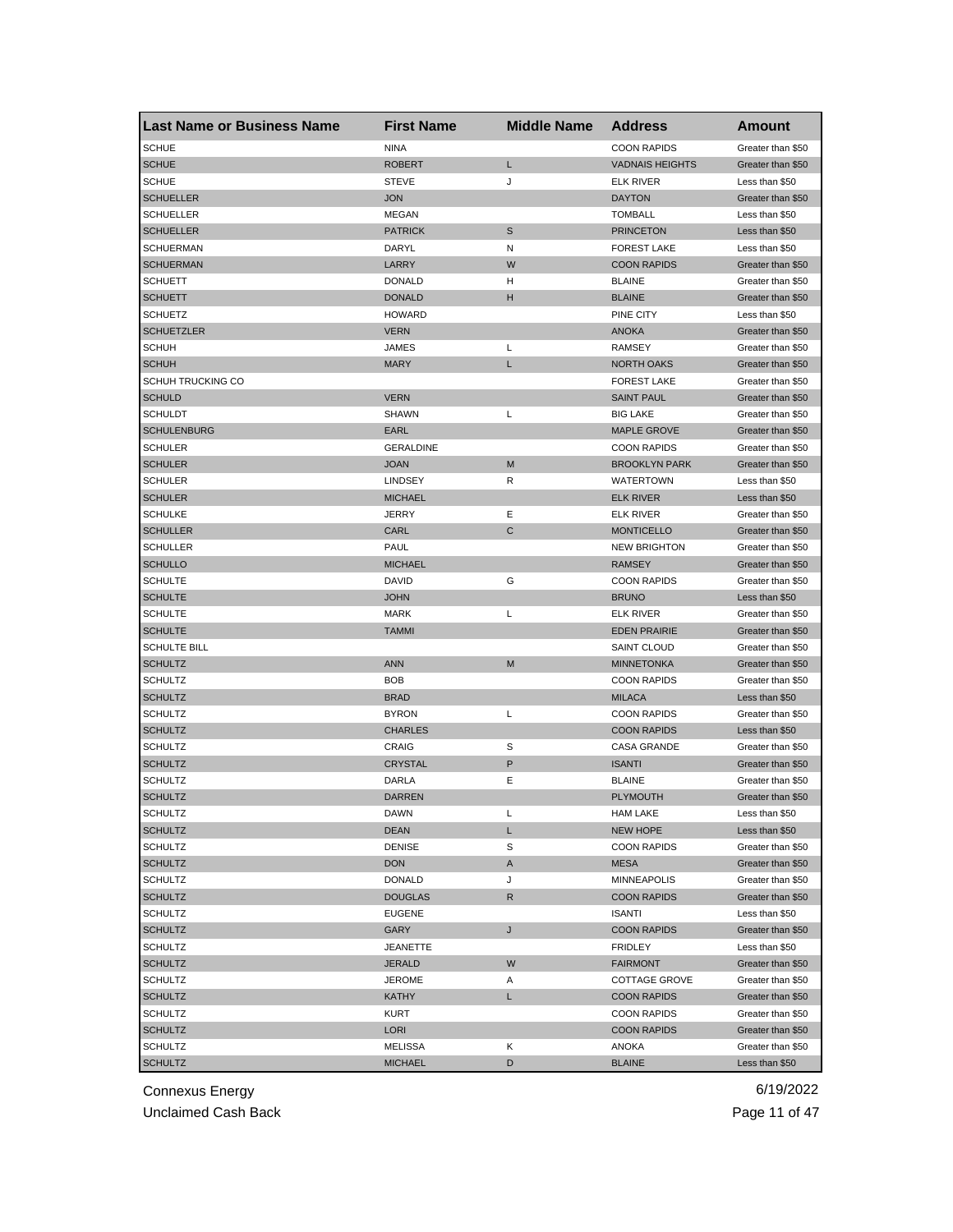| <b>Last Name or Business Name</b> | <b>First Name</b> | <b>Middle Name</b> | <b>Address</b>         | Amount            |
|-----------------------------------|-------------------|--------------------|------------------------|-------------------|
| <b>SCHUE</b>                      | <b>NINA</b>       |                    | <b>COON RAPIDS</b>     | Greater than \$50 |
| <b>SCHUE</b>                      | <b>ROBERT</b>     | Г                  | <b>VADNAIS HEIGHTS</b> | Greater than \$50 |
| <b>SCHUE</b>                      | <b>STEVE</b>      | J                  | <b>ELK RIVER</b>       | Less than \$50    |
| <b>SCHUELLER</b>                  | <b>JON</b>        |                    | <b>DAYTON</b>          | Greater than \$50 |
| <b>SCHUELLER</b>                  | <b>MEGAN</b>      |                    | <b>TOMBALL</b>         | Less than \$50    |
| <b>SCHUELLER</b>                  | <b>PATRICK</b>    | S                  | <b>PRINCETON</b>       | Less than \$50    |
| <b>SCHUERMAN</b>                  | DARYL             | N                  | <b>FOREST LAKE</b>     | Less than \$50    |
| <b>SCHUERMAN</b>                  | LARRY             | W                  | <b>COON RAPIDS</b>     | Greater than \$50 |
| <b>SCHUETT</b>                    | <b>DONALD</b>     | н                  | <b>BLAINE</b>          | Greater than \$50 |
| <b>SCHUETT</b>                    | <b>DONALD</b>     | н                  | <b>BLAINE</b>          | Greater than \$50 |
| <b>SCHUETZ</b>                    | <b>HOWARD</b>     |                    | PINE CITY              | Less than \$50    |
| <b>SCHUETZLER</b>                 | <b>VERN</b>       |                    | <b>ANOKA</b>           | Greater than \$50 |
| <b>SCHUH</b>                      | <b>JAMES</b>      | Г                  | <b>RAMSEY</b>          | Greater than \$50 |
| <b>SCHUH</b>                      | <b>MARY</b>       | L                  | <b>NORTH OAKS</b>      | Greater than \$50 |
| SCHUH TRUCKING CO                 |                   |                    | <b>FOREST LAKE</b>     | Greater than \$50 |
| <b>SCHULD</b>                     | <b>VERN</b>       |                    | <b>SAINT PAUL</b>      | Greater than \$50 |
| <b>SCHULDT</b>                    | <b>SHAWN</b>      | Г                  | <b>BIG LAKE</b>        | Greater than \$50 |
| <b>SCHULENBURG</b>                | EARL              |                    | <b>MAPLE GROVE</b>     | Greater than \$50 |
| <b>SCHULER</b>                    | <b>GERALDINE</b>  |                    | <b>COON RAPIDS</b>     | Greater than \$50 |
| <b>SCHULER</b>                    | <b>JOAN</b>       | M                  | <b>BROOKLYN PARK</b>   | Greater than \$50 |
| <b>SCHULER</b>                    | <b>LINDSEY</b>    | R                  | <b>WATERTOWN</b>       | Less than \$50    |
| <b>SCHULER</b>                    | <b>MICHAEL</b>    |                    | <b>ELK RIVER</b>       | Less than \$50    |
| <b>SCHULKE</b>                    | <b>JERRY</b>      | Ε                  | <b>ELK RIVER</b>       | Greater than \$50 |
| <b>SCHULLER</b>                   | CARL              | C                  | <b>MONTICELLO</b>      | Greater than \$50 |
| <b>SCHULLER</b>                   | PAUL              |                    | <b>NEW BRIGHTON</b>    | Greater than \$50 |
| <b>SCHULLO</b>                    | <b>MICHAEL</b>    |                    | <b>RAMSEY</b>          | Greater than \$50 |
| <b>SCHULTE</b>                    | DAVID             | G                  | <b>COON RAPIDS</b>     | Greater than \$50 |
| <b>SCHULTE</b>                    | <b>JOHN</b>       |                    | <b>BRUNO</b>           | Less than \$50    |
| <b>SCHULTE</b>                    | <b>MARK</b>       | L                  | <b>ELK RIVER</b>       | Greater than \$50 |
| <b>SCHULTE</b>                    | <b>TAMMI</b>      |                    | <b>EDEN PRAIRIE</b>    | Greater than \$50 |
|                                   |                   |                    |                        |                   |
| <b>SCHULTE BILL</b>               | <b>ANN</b>        | M                  | SAINT CLOUD            | Greater than \$50 |
| <b>SCHULTZ</b>                    |                   |                    | <b>MINNETONKA</b>      | Greater than \$50 |
| <b>SCHULTZ</b>                    | <b>BOB</b>        |                    | <b>COON RAPIDS</b>     | Greater than \$50 |
| <b>SCHULTZ</b>                    | <b>BRAD</b>       |                    | <b>MILACA</b>          | Less than \$50    |
| <b>SCHULTZ</b>                    | <b>BYRON</b>      | Г                  | <b>COON RAPIDS</b>     | Greater than \$50 |
| <b>SCHULTZ</b>                    | <b>CHARLES</b>    |                    | <b>COON RAPIDS</b>     | Less than \$50    |
| <b>SCHULTZ</b>                    | CRAIG             | S                  | <b>CASA GRANDE</b>     | Greater than \$50 |
| <b>SCHULTZ</b>                    | <b>CRYSTAL</b>    | P                  | <b>ISANTI</b>          | Greater than \$50 |
| <b>SCHULTZ</b>                    | DARLA             | Ε                  | <b>BLAINE</b>          | Greater than \$50 |
| <b>SCHULTZ</b>                    | <b>DARREN</b>     |                    | <b>PLYMOUTH</b>        | Greater than \$50 |
| <b>SCHULTZ</b>                    | DAWN              | L                  | HAM LAKE               | Less than \$50    |
| <b>SCHULTZ</b>                    | DEAN              | L                  | NEW HOPE               | Less than \$50    |
| <b>SCHULTZ</b>                    | <b>DENISE</b>     | S                  | <b>COON RAPIDS</b>     | Greater than \$50 |
| <b>SCHULTZ</b>                    | <b>DON</b>        | A                  | MESA                   | Greater than \$50 |
| <b>SCHULTZ</b>                    | <b>DONALD</b>     | J                  | MINNEAPOLIS            | Greater than \$50 |
| <b>SCHULTZ</b>                    | <b>DOUGLAS</b>    | R                  | <b>COON RAPIDS</b>     | Greater than \$50 |
| <b>SCHULTZ</b>                    | <b>EUGENE</b>     |                    | <b>ISANTI</b>          | Less than \$50    |
| <b>SCHULTZ</b>                    | GARY              | J                  | <b>COON RAPIDS</b>     | Greater than \$50 |
| <b>SCHULTZ</b>                    | <b>JEANETTE</b>   |                    | <b>FRIDLEY</b>         | Less than \$50    |
| <b>SCHULTZ</b>                    | <b>JERALD</b>     | W                  | <b>FAIRMONT</b>        | Greater than \$50 |
| <b>SCHULTZ</b>                    | <b>JEROME</b>     | Α                  | <b>COTTAGE GROVE</b>   | Greater than \$50 |
| <b>SCHULTZ</b>                    | KATHY             | L                  | <b>COON RAPIDS</b>     | Greater than \$50 |
| <b>SCHULTZ</b>                    | KURT              |                    | <b>COON RAPIDS</b>     | Greater than \$50 |
| <b>SCHULTZ</b>                    | LORI              |                    | <b>COON RAPIDS</b>     | Greater than \$50 |
| <b>SCHULTZ</b>                    | MELISSA           | Κ                  | ANOKA                  | Greater than \$50 |
| <b>SCHULTZ</b>                    | <b>MICHAEL</b>    | D                  | <b>BLAINE</b>          | Less than \$50    |

Unclaimed Cash Back **Page 11 of 47**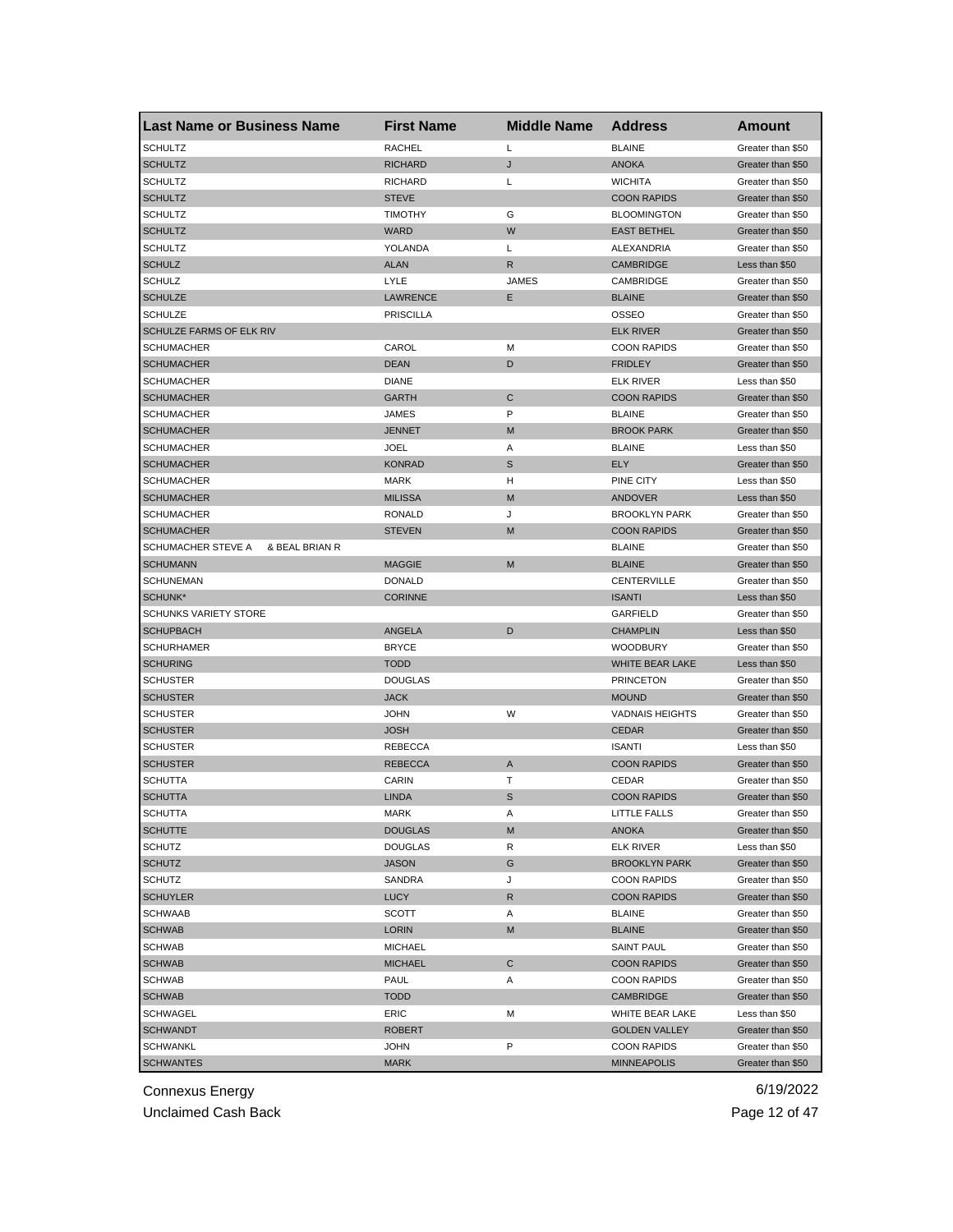| Last Name or Business Name           | <b>First Name</b> | <b>Middle Name</b> | <b>Address</b>         | <b>Amount</b>     |
|--------------------------------------|-------------------|--------------------|------------------------|-------------------|
| <b>SCHULTZ</b>                       | <b>RACHEL</b>     | L                  | <b>BLAINE</b>          | Greater than \$50 |
| <b>SCHULTZ</b>                       | <b>RICHARD</b>    | J                  | <b>ANOKA</b>           | Greater than \$50 |
| <b>SCHULTZ</b>                       | <b>RICHARD</b>    | L                  | <b>WICHITA</b>         | Greater than \$50 |
| <b>SCHULTZ</b>                       | <b>STEVE</b>      |                    | <b>COON RAPIDS</b>     | Greater than \$50 |
| <b>SCHULTZ</b>                       | <b>TIMOTHY</b>    | G                  | <b>BLOOMINGTON</b>     | Greater than \$50 |
| <b>SCHULTZ</b>                       | <b>WARD</b>       | W                  | <b>EAST BETHEL</b>     | Greater than \$50 |
| <b>SCHULTZ</b>                       | YOLANDA           | L                  | ALEXANDRIA             | Greater than \$50 |
| <b>SCHULZ</b>                        | <b>ALAN</b>       | R                  | <b>CAMBRIDGE</b>       | Less than \$50    |
| <b>SCHULZ</b>                        | LYLE              | <b>JAMES</b>       | CAMBRIDGE              | Greater than \$50 |
| <b>SCHULZE</b>                       | <b>LAWRENCE</b>   | Ε                  | <b>BLAINE</b>          | Greater than \$50 |
| <b>SCHULZE</b>                       | <b>PRISCILLA</b>  |                    | OSSEO                  | Greater than \$50 |
| SCHULZE FARMS OF ELK RIV             |                   |                    | <b>ELK RIVER</b>       | Greater than \$50 |
| <b>SCHUMACHER</b>                    | CAROL             | М                  | <b>COON RAPIDS</b>     | Greater than \$50 |
| <b>SCHUMACHER</b>                    | <b>DEAN</b>       | D                  | <b>FRIDLEY</b>         | Greater than \$50 |
| <b>SCHUMACHER</b>                    | <b>DIANE</b>      |                    | ELK RIVER              | Less than \$50    |
| <b>SCHUMACHER</b>                    | <b>GARTH</b>      | C                  | <b>COON RAPIDS</b>     | Greater than \$50 |
| <b>SCHUMACHER</b>                    | <b>JAMES</b>      | P                  | <b>BLAINE</b>          | Greater than \$50 |
| <b>SCHUMACHER</b>                    | <b>JENNET</b>     | M                  | <b>BROOK PARK</b>      | Greater than \$50 |
| <b>SCHUMACHER</b>                    | <b>JOEL</b>       | Α                  | <b>BLAINE</b>          | Less than \$50    |
| <b>SCHUMACHER</b>                    | <b>KONRAD</b>     | S                  | ELY                    | Greater than \$50 |
| <b>SCHUMACHER</b>                    | MARK              | н                  | PINE CITY              | Less than \$50    |
| <b>SCHUMACHER</b>                    | <b>MILISSA</b>    | M                  | <b>ANDOVER</b>         | Less than \$50    |
| <b>SCHUMACHER</b>                    | <b>RONALD</b>     | J                  | <b>BROOKLYN PARK</b>   | Greater than \$50 |
| <b>SCHUMACHER</b>                    | <b>STEVEN</b>     | M                  | <b>COON RAPIDS</b>     | Greater than \$50 |
| SCHUMACHER STEVE A<br>& BEAL BRIAN R |                   |                    | <b>BLAINE</b>          | Greater than \$50 |
| <b>SCHUMANN</b>                      | <b>MAGGIE</b>     | M                  | <b>BLAINE</b>          | Greater than \$50 |
| SCHUNEMAN                            | <b>DONALD</b>     |                    | CENTERVILLE            | Greater than \$50 |
| SCHUNK*                              | <b>CORINNE</b>    |                    | <b>ISANTI</b>          | Less than \$50    |
| <b>SCHUNKS VARIETY STORE</b>         |                   |                    | <b>GARFIELD</b>        | Greater than \$50 |
| <b>SCHUPBACH</b>                     | ANGELA            | D                  | <b>CHAMPLIN</b>        | Less than \$50    |
| <b>SCHURHAMER</b>                    | <b>BRYCE</b>      |                    | <b>WOODBURY</b>        | Greater than \$50 |
| <b>SCHURING</b>                      | <b>TODD</b>       |                    | WHITE BEAR LAKE        | Less than \$50    |
| SCHUSTER                             | <b>DOUGLAS</b>    |                    | <b>PRINCETON</b>       | Greater than \$50 |
| <b>SCHUSTER</b>                      | <b>JACK</b>       |                    | <b>MOUND</b>           | Greater than \$50 |
| <b>SCHUSTER</b>                      | <b>JOHN</b>       | W                  | <b>VADNAIS HEIGHTS</b> | Greater than \$50 |
| <b>SCHUSTER</b>                      | <b>JOSH</b>       |                    | <b>CEDAR</b>           | Greater than \$50 |
| <b>SCHUSTER</b>                      | <b>REBECCA</b>    |                    | <b>ISANTI</b>          | Less than \$50    |
| <b>SCHUSTER</b>                      | <b>REBECCA</b>    | A                  | <b>COON RAPIDS</b>     | Greater than \$50 |
| <b>SCHUTTA</b>                       | CARIN             | т                  | CEDAR                  | Greater than \$50 |
| <b>SCHUTTA</b>                       | <b>LINDA</b>      | S                  | <b>COON RAPIDS</b>     | Greater than \$50 |
| SCHUTTA                              | MARK              | A                  | LITTLE FALLS           | Greater than \$50 |
| <b>SCHUTTE</b>                       | <b>DOUGLAS</b>    | M                  | ANOKA                  | Greater than \$50 |
| <b>SCHUTZ</b>                        | <b>DOUGLAS</b>    | R                  | <b>ELK RIVER</b>       | Less than \$50    |
| <b>SCHUTZ</b>                        | JASON             | G                  | <b>BROOKLYN PARK</b>   | Greater than \$50 |
| <b>SCHUTZ</b>                        | SANDRA            | J                  | <b>COON RAPIDS</b>     | Greater than \$50 |
| <b>SCHUYLER</b>                      | <b>LUCY</b>       | R                  | <b>COON RAPIDS</b>     | Greater than \$50 |
| <b>SCHWAAB</b>                       | SCOTT             | Α                  | <b>BLAINE</b>          | Greater than \$50 |
| <b>SCHWAB</b>                        | <b>LORIN</b>      | M                  | <b>BLAINE</b>          | Greater than \$50 |
| <b>SCHWAB</b>                        | <b>MICHAEL</b>    |                    | <b>SAINT PAUL</b>      | Greater than \$50 |
| <b>SCHWAB</b>                        | <b>MICHAEL</b>    | С                  | <b>COON RAPIDS</b>     | Greater than \$50 |
| <b>SCHWAB</b>                        | PAUL              | Α                  | <b>COON RAPIDS</b>     | Greater than \$50 |
| <b>SCHWAB</b>                        | <b>TODD</b>       |                    | CAMBRIDGE              | Greater than \$50 |
| <b>SCHWAGEL</b>                      | ERIC              | Μ                  | WHITE BEAR LAKE        | Less than \$50    |
| <b>SCHWANDT</b>                      | <b>ROBERT</b>     |                    | <b>GOLDEN VALLEY</b>   | Greater than \$50 |
| <b>SCHWANKL</b>                      | <b>JOHN</b>       | P                  | <b>COON RAPIDS</b>     | Greater than \$50 |
| <b>SCHWANTES</b>                     | <b>MARK</b>       |                    | <b>MINNEAPOLIS</b>     | Greater than \$50 |
|                                      |                   |                    |                        |                   |

Unclaimed Cash Back **Page 12 of 47**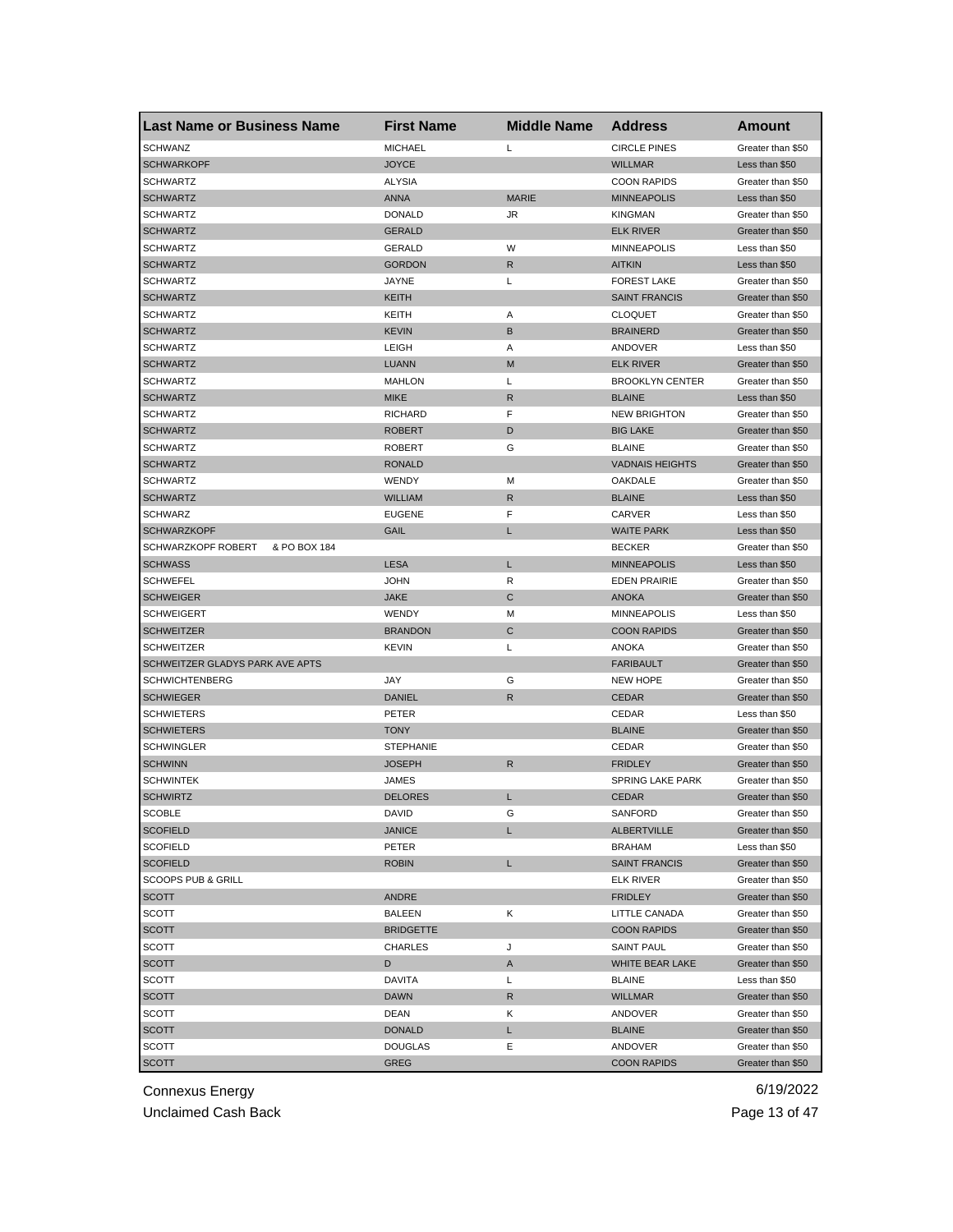| <b>Last Name or Business Name</b>         | <b>First Name</b> | <b>Middle Name</b> | <b>Address</b>          | Amount            |
|-------------------------------------------|-------------------|--------------------|-------------------------|-------------------|
| <b>SCHWANZ</b>                            | <b>MICHAEL</b>    | L                  | <b>CIRCLE PINES</b>     | Greater than \$50 |
| <b>SCHWARKOPF</b>                         | <b>JOYCE</b>      |                    | <b>WILLMAR</b>          | Less than \$50    |
| <b>SCHWARTZ</b>                           | <b>ALYSIA</b>     |                    | <b>COON RAPIDS</b>      | Greater than \$50 |
| <b>SCHWARTZ</b>                           | <b>ANNA</b>       | <b>MARIE</b>       | <b>MINNEAPOLIS</b>      | Less than \$50    |
| <b>SCHWARTZ</b>                           | <b>DONALD</b>     | JR                 | <b>KINGMAN</b>          | Greater than \$50 |
| <b>SCHWARTZ</b>                           | <b>GERALD</b>     |                    | <b>ELK RIVER</b>        | Greater than \$50 |
| <b>SCHWARTZ</b>                           | GERALD            | W                  | <b>MINNEAPOLIS</b>      | Less than \$50    |
| <b>SCHWARTZ</b>                           | <b>GORDON</b>     | R                  | <b>AITKIN</b>           | Less than \$50    |
| <b>SCHWARTZ</b>                           | JAYNE             | L                  | <b>FOREST LAKE</b>      | Greater than \$50 |
| <b>SCHWARTZ</b>                           | <b>KEITH</b>      |                    | <b>SAINT FRANCIS</b>    | Greater than \$50 |
| <b>SCHWARTZ</b>                           | KEITH             | Α                  | <b>CLOQUET</b>          | Greater than \$50 |
| <b>SCHWARTZ</b>                           | <b>KEVIN</b>      | В                  | <b>BRAINERD</b>         | Greater than \$50 |
| <b>SCHWARTZ</b>                           | <b>LEIGH</b>      | Α                  | ANDOVER                 | Less than \$50    |
| <b>SCHWARTZ</b>                           | <b>LUANN</b>      | M                  | <b>ELK RIVER</b>        | Greater than \$50 |
| <b>SCHWARTZ</b>                           | <b>MAHLON</b>     | L                  | <b>BROOKLYN CENTER</b>  | Greater than \$50 |
| <b>SCHWARTZ</b>                           | <b>MIKE</b>       | R                  | <b>BLAINE</b>           | Less than \$50    |
| <b>SCHWARTZ</b>                           | <b>RICHARD</b>    | F                  | <b>NEW BRIGHTON</b>     | Greater than \$50 |
| <b>SCHWARTZ</b>                           | <b>ROBERT</b>     | D                  | <b>BIG LAKE</b>         | Greater than \$50 |
| <b>SCHWARTZ</b>                           | <b>ROBERT</b>     | G                  | <b>BLAINE</b>           | Greater than \$50 |
| <b>SCHWARTZ</b>                           | <b>RONALD</b>     |                    | <b>VADNAIS HEIGHTS</b>  | Greater than \$50 |
| <b>SCHWARTZ</b>                           | WENDY             | M                  | OAKDALE                 | Greater than \$50 |
| <b>SCHWARTZ</b>                           | <b>WILLIAM</b>    | R                  | <b>BLAINE</b>           | Less than \$50    |
| <b>SCHWARZ</b>                            | <b>EUGENE</b>     | F                  | CARVER                  | Less than \$50    |
| <b>SCHWARZKOPF</b>                        | GAIL              | L                  | <b>WAITE PARK</b>       | Less than \$50    |
| <b>SCHWARZKOPF ROBERT</b><br>& PO BOX 184 |                   |                    | <b>BECKER</b>           | Greater than \$50 |
| <b>SCHWASS</b>                            | <b>LESA</b>       | L                  | <b>MINNEAPOLIS</b>      | Less than \$50    |
| <b>SCHWEFEL</b>                           | <b>JOHN</b>       | R                  | <b>EDEN PRAIRIE</b>     | Greater than \$50 |
| <b>SCHWEIGER</b>                          | <b>JAKE</b>       | С                  | <b>ANOKA</b>            | Greater than \$50 |
| <b>SCHWEIGERT</b>                         | WENDY             | М                  | <b>MINNEAPOLIS</b>      | Less than \$50    |
| <b>SCHWEITZER</b>                         | <b>BRANDON</b>    | С                  | <b>COON RAPIDS</b>      | Greater than \$50 |
| <b>SCHWEITZER</b>                         | <b>KEVIN</b>      | Г                  | ANOKA                   | Greater than \$50 |
| SCHWEITZER GLADYS PARK AVE APTS           |                   |                    | <b>FARIBAULT</b>        | Greater than \$50 |
| <b>SCHWICHTENBERG</b>                     | JAY               | G                  | <b>NEW HOPE</b>         | Greater than \$50 |
| <b>SCHWIEGER</b>                          | <b>DANIEL</b>     | $\mathsf{R}$       | <b>CEDAR</b>            | Greater than \$50 |
| <b>SCHWIETERS</b>                         | PETER             |                    | CEDAR                   | Less than \$50    |
| <b>SCHWIETERS</b>                         | <b>TONY</b>       |                    | <b>BLAINE</b>           | Greater than \$50 |
| <b>SCHWINGLER</b>                         | <b>STEPHANIE</b>  |                    | CEDAR                   | Greater than \$50 |
| <b>SCHWINN</b>                            | <b>JOSEPH</b>     | R                  | <b>FRIDLEY</b>          | Greater than \$50 |
| <b>SCHWINTEK</b>                          | JAMES             |                    | <b>SPRING LAKE PARK</b> | Greater than \$50 |
| <b>SCHWIRTZ</b>                           | <b>DELORES</b>    | L                  | <b>CEDAR</b>            | Greater than \$50 |
| <b>SCOBLE</b>                             | DAVID             | G                  | SANFORD                 | Greater than \$50 |
| <b>SCOFIELD</b>                           | <b>JANICE</b>     | L                  | <b>ALBERTVILLE</b>      | Greater than \$50 |
| <b>SCOFIELD</b>                           | PETER             |                    | <b>BRAHAM</b>           | Less than \$50    |
| <b>SCOFIELD</b>                           | <b>ROBIN</b>      | L                  | <b>SAINT FRANCIS</b>    | Greater than \$50 |
| SCOOPS PUB & GRILL                        |                   |                    | <b>ELK RIVER</b>        | Greater than \$50 |
| <b>SCOTT</b>                              | <b>ANDRE</b>      |                    | <b>FRIDLEY</b>          | Greater than \$50 |
| SCOTT                                     | <b>BALEEN</b>     | Κ                  | LITTLE CANADA           | Greater than \$50 |
| <b>SCOTT</b>                              | <b>BRIDGETTE</b>  |                    | <b>COON RAPIDS</b>      | Greater than \$50 |
| SCOTT                                     | CHARLES           | J                  | <b>SAINT PAUL</b>       | Greater than \$50 |
| <b>SCOTT</b>                              | D                 | A                  | WHITE BEAR LAKE         | Greater than \$50 |
| <b>SCOTT</b>                              | <b>DAVITA</b>     | L                  | <b>BLAINE</b>           | Less than \$50    |
| <b>SCOTT</b>                              | <b>DAWN</b>       | R                  | <b>WILLMAR</b>          | Greater than \$50 |
| SCOTT                                     | DEAN              | Κ                  | ANDOVER                 | Greater than \$50 |
| <b>SCOTT</b>                              | <b>DONALD</b>     | L                  | <b>BLAINE</b>           | Greater than \$50 |
| SCOTT                                     | <b>DOUGLAS</b>    | Е                  | ANDOVER                 | Greater than \$50 |
| <b>SCOTT</b>                              | GREG              |                    | <b>COON RAPIDS</b>      | Greater than \$50 |
|                                           |                   |                    |                         |                   |

Unclaimed Cash Back **Page 13 of 47**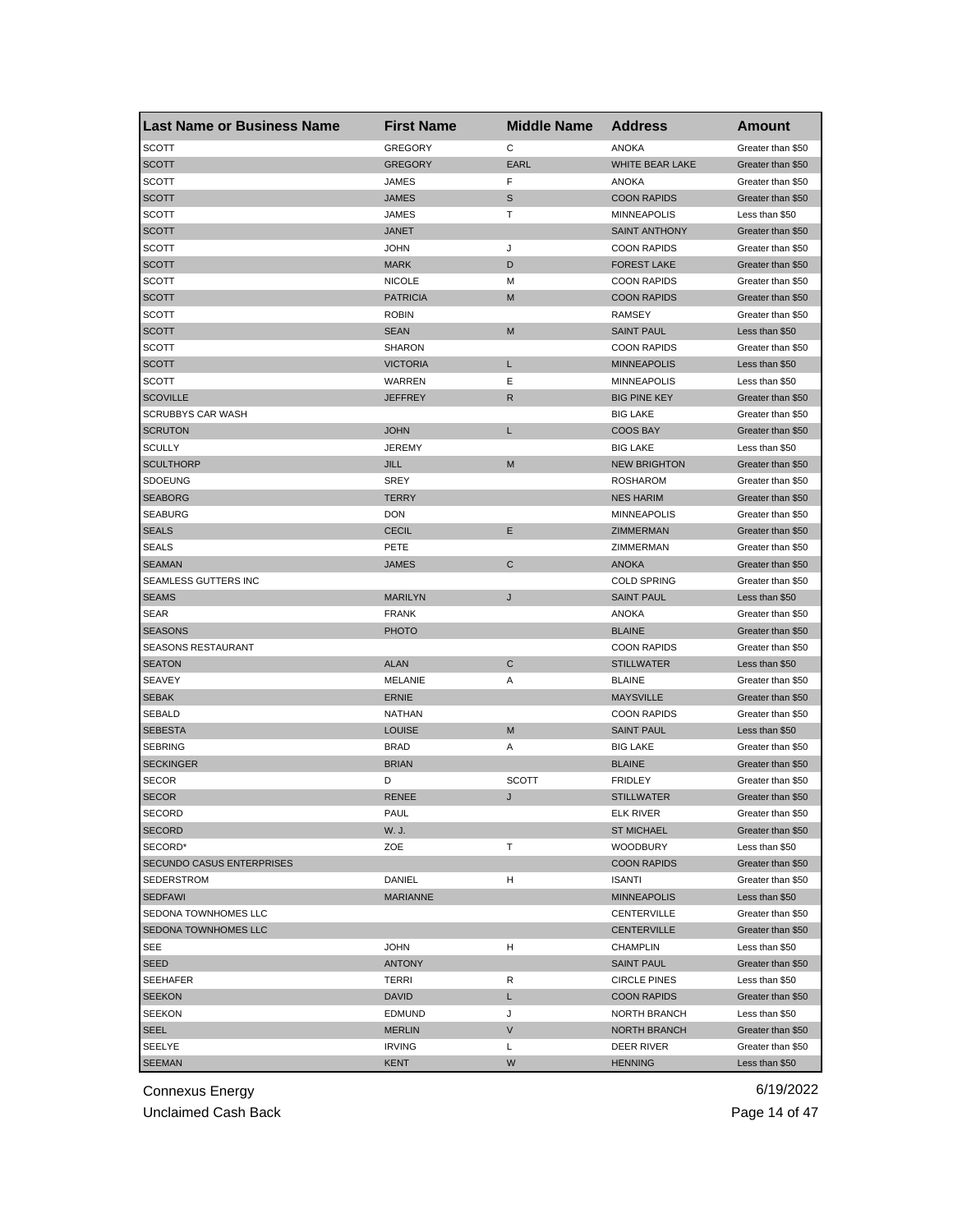| Last Name or Business Name    | <b>First Name</b>       | <b>Middle Name</b> | <b>Address</b>                    | <b>Amount</b>                       |
|-------------------------------|-------------------------|--------------------|-----------------------------------|-------------------------------------|
| <b>SCOTT</b>                  | <b>GREGORY</b>          | C                  | <b>ANOKA</b>                      | Greater than \$50                   |
| <b>SCOTT</b>                  | <b>GREGORY</b>          | <b>EARL</b>        | WHITE BEAR LAKE                   | Greater than \$50                   |
| SCOTT                         | JAMES                   | F                  | ANOKA                             | Greater than \$50                   |
| <b>SCOTT</b>                  | <b>JAMES</b>            | S                  | <b>COON RAPIDS</b>                | Greater than \$50                   |
| SCOTT                         | JAMES                   | Т                  | <b>MINNEAPOLIS</b>                | Less than \$50                      |
| <b>SCOTT</b>                  | <b>JANET</b>            |                    | <b>SAINT ANTHONY</b>              | Greater than \$50                   |
| SCOTT                         | <b>JOHN</b>             | J                  | <b>COON RAPIDS</b>                | Greater than \$50                   |
| SCOTT                         | <b>MARK</b>             | D                  | <b>FOREST LAKE</b>                | Greater than \$50                   |
| SCOTT                         | <b>NICOLE</b>           | М                  | <b>COON RAPIDS</b>                | Greater than \$50                   |
| <b>SCOTT</b>                  | <b>PATRICIA</b>         | M                  | <b>COON RAPIDS</b>                | Greater than \$50                   |
| <b>SCOTT</b>                  | <b>ROBIN</b>            |                    | RAMSEY                            | Greater than \$50                   |
| <b>SCOTT</b>                  | <b>SEAN</b>             | M                  | <b>SAINT PAUL</b>                 | Less than \$50                      |
| SCOTT                         | <b>SHARON</b>           |                    | <b>COON RAPIDS</b>                | Greater than \$50                   |
| <b>SCOTT</b>                  | <b>VICTORIA</b>         | L                  | <b>MINNEAPOLIS</b>                | Less than \$50                      |
| <b>SCOTT</b>                  | WARREN                  | Ε                  | <b>MINNEAPOLIS</b>                | Less than \$50                      |
| <b>SCOVILLE</b>               | <b>JEFFREY</b>          | R                  | <b>BIG PINE KEY</b>               | Greater than \$50                   |
| <b>SCRUBBYS CAR WASH</b>      |                         |                    | <b>BIG LAKE</b>                   | Greater than \$50                   |
| <b>SCRUTON</b>                | <b>JOHN</b>             | Г                  | <b>COOS BAY</b>                   | Greater than \$50                   |
| <b>SCULLY</b>                 | <b>JEREMY</b>           |                    | <b>BIG LAKE</b>                   | Less than \$50                      |
| <b>SCULTHORP</b>              | JILL                    | M                  | <b>NEW BRIGHTON</b>               | Greater than \$50                   |
| <b>SDOEUNG</b>                | <b>SREY</b>             |                    | <b>ROSHAROM</b>                   | Greater than \$50                   |
| <b>SEABORG</b>                | <b>TERRY</b>            |                    | <b>NES HARIM</b>                  | Greater than \$50                   |
| <b>SEABURG</b>                | <b>DON</b>              |                    | <b>MINNEAPOLIS</b>                | Greater than \$50                   |
| <b>SEALS</b>                  | <b>CECIL</b>            | Ε                  | ZIMMERMAN                         | Greater than \$50                   |
| <b>SEALS</b>                  | PETE                    |                    | ZIMMERMAN                         | Greater than \$50                   |
| <b>SEAMAN</b>                 | <b>JAMES</b>            | C                  | <b>ANOKA</b>                      | Greater than \$50                   |
| SEAMLESS GUTTERS INC          |                         |                    | <b>COLD SPRING</b>                | Greater than \$50                   |
| <b>SEAMS</b>                  | <b>MARILYN</b>          | J                  | <b>SAINT PAUL</b>                 | Less than \$50                      |
| SEAR                          | <b>FRANK</b>            |                    | <b>ANOKA</b>                      | Greater than \$50                   |
| <b>SEASONS</b>                | <b>PHOTO</b>            |                    | <b>BLAINE</b>                     | Greater than \$50                   |
| <b>SEASONS RESTAURANT</b>     |                         |                    | <b>COON RAPIDS</b>                | Greater than \$50                   |
|                               | <b>ALAN</b>             | C                  | <b>STILLWATER</b>                 | Less than \$50                      |
| <b>SEATON</b>                 |                         |                    |                                   |                                     |
| <b>SEAVEY</b><br><b>SEBAK</b> | MELANIE<br><b>ERNIE</b> | Α                  | <b>BLAINE</b><br><b>MAYSVILLE</b> | Greater than \$50                   |
|                               |                         |                    |                                   | Greater than \$50                   |
| SEBALD                        | <b>NATHAN</b>           |                    | <b>COON RAPIDS</b>                | Greater than \$50<br>Less than \$50 |
| <b>SEBESTA</b>                | <b>LOUISE</b>           | M                  | <b>SAINT PAUL</b>                 |                                     |
| <b>SEBRING</b>                | <b>BRAD</b>             | Α                  | <b>BIG LAKE</b>                   | Greater than \$50                   |
| <b>SECKINGER</b>              | <b>BRIAN</b>            |                    | <b>BLAINE</b>                     | Greater than \$50                   |
| <b>SECOR</b>                  | D                       | <b>SCOTT</b>       | <b>FRIDLEY</b>                    | Greater than \$50                   |
| <b>SECOR</b>                  | <b>RENEE</b>            | J                  | <b>STILLWATER</b>                 | Greater than \$50                   |
| <b>SECORD</b>                 | <b>PAUL</b>             |                    | ELK RIVER                         | Greater than \$50                   |
| <b>SECORD</b>                 | W. J.                   |                    | <b>ST MICHAEL</b>                 | Greater than \$50                   |
| SECORD*                       | ZOE                     | т                  | <b>WOODBURY</b>                   | Less than \$50                      |
| SECUNDO CASUS ENTERPRISES     |                         |                    | <b>COON RAPIDS</b>                | Greater than \$50                   |
| SEDERSTROM                    | DANIEL                  | н                  | <b>ISANTI</b>                     | Greater than \$50                   |
| <b>SEDFAWI</b>                | <b>MARIANNE</b>         |                    | <b>MINNEAPOLIS</b>                | Less than \$50                      |
| SEDONA TOWNHOMES LLC          |                         |                    | CENTERVILLE                       | Greater than \$50                   |
| <b>SEDONA TOWNHOMES LLC</b>   |                         |                    | <b>CENTERVILLE</b>                | Greater than \$50                   |
| SEE                           | <b>JOHN</b>             | н                  | <b>CHAMPLIN</b>                   | Less than \$50                      |
| SEED                          | <b>ANTONY</b>           |                    | <b>SAINT PAUL</b>                 | Greater than \$50                   |
| SEEHAFER                      | TERRI                   | R                  | <b>CIRCLE PINES</b>               | Less than \$50                      |
| <b>SEEKON</b>                 | <b>DAVID</b>            | L                  | <b>COON RAPIDS</b>                | Greater than \$50                   |
| <b>SEEKON</b>                 | <b>EDMUND</b>           | J                  | NORTH BRANCH                      | Less than \$50                      |
| SEEL                          | <b>MERLIN</b>           | V                  | NORTH BRANCH                      | Greater than \$50                   |
| SEELYE                        | <b>IRVING</b>           | L                  | DEER RIVER                        | Greater than \$50                   |
| <b>SEEMAN</b>                 | <b>KENT</b>             | W                  | <b>HENNING</b>                    | Less than \$50                      |

Unclaimed Cash Back **Page 14 of 47**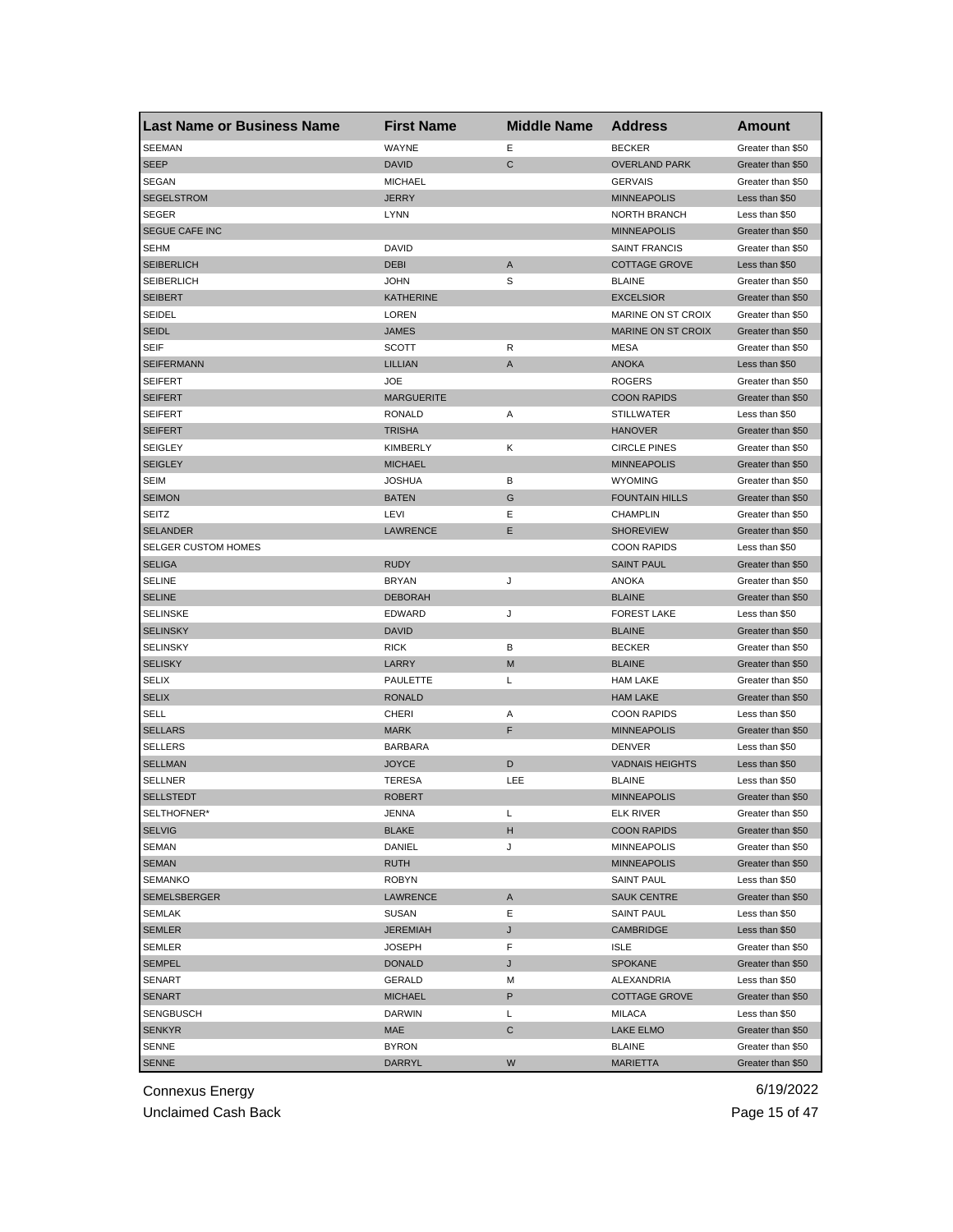| Last Name or Business Name | <b>First Name</b> | <b>Middle Name</b> | <b>Address</b>         | Amount            |
|----------------------------|-------------------|--------------------|------------------------|-------------------|
| <b>SEEMAN</b>              | WAYNE             | Е                  | <b>BECKER</b>          | Greater than \$50 |
| <b>SEEP</b>                | <b>DAVID</b>      | $\mathsf C$        | <b>OVERLAND PARK</b>   | Greater than \$50 |
| SEGAN                      | <b>MICHAEL</b>    |                    | <b>GERVAIS</b>         | Greater than \$50 |
| <b>SEGELSTROM</b>          | <b>JERRY</b>      |                    | <b>MINNEAPOLIS</b>     | Less than \$50    |
| <b>SEGER</b>               | <b>LYNN</b>       |                    | <b>NORTH BRANCH</b>    | Less than \$50    |
| SEGUE CAFE INC             |                   |                    | <b>MINNEAPOLIS</b>     | Greater than \$50 |
| <b>SEHM</b>                | <b>DAVID</b>      |                    | <b>SAINT FRANCIS</b>   | Greater than \$50 |
| <b>SEIBERLICH</b>          | <b>DEBI</b>       | A                  | <b>COTTAGE GROVE</b>   | Less than \$50    |
| <b>SEIBERLICH</b>          | <b>JOHN</b>       | S                  | <b>BLAINE</b>          | Greater than \$50 |
| <b>SEIBERT</b>             | <b>KATHERINE</b>  |                    | <b>EXCELSIOR</b>       | Greater than \$50 |
| <b>SEIDEL</b>              | LOREN             |                    | MARINE ON ST CROIX     | Greater than \$50 |
| <b>SEIDL</b>               | <b>JAMES</b>      |                    | MARINE ON ST CROIX     | Greater than \$50 |
| <b>SEIF</b>                | <b>SCOTT</b>      | R                  | MESA                   | Greater than \$50 |
| <b>SEIFERMANN</b>          | <b>LILLIAN</b>    | A                  | <b>ANOKA</b>           | Less than \$50    |
| <b>SEIFERT</b>             | <b>JOE</b>        |                    | <b>ROGERS</b>          | Greater than \$50 |
| <b>SEIFERT</b>             | <b>MARGUERITE</b> |                    | <b>COON RAPIDS</b>     | Greater than \$50 |
| <b>SEIFERT</b>             | <b>RONALD</b>     | Α                  | <b>STILLWATER</b>      | Less than \$50    |
| <b>SEIFERT</b>             | <b>TRISHA</b>     |                    | <b>HANOVER</b>         | Greater than \$50 |
| <b>SEIGLEY</b>             | <b>KIMBERLY</b>   | Κ                  | <b>CIRCLE PINES</b>    | Greater than \$50 |
| <b>SEIGLEY</b>             | <b>MICHAEL</b>    |                    | <b>MINNEAPOLIS</b>     | Greater than \$50 |
| <b>SEIM</b>                | <b>JOSHUA</b>     | в                  | <b>WYOMING</b>         | Greater than \$50 |
| <b>SEIMON</b>              | <b>BATEN</b>      | G                  | <b>FOUNTAIN HILLS</b>  | Greater than \$50 |
| SEITZ                      | LEVI              | Ε                  | <b>CHAMPLIN</b>        | Greater than \$50 |
| <b>SELANDER</b>            | <b>LAWRENCE</b>   | Ε                  | <b>SHOREVIEW</b>       | Greater than \$50 |
| <b>SELGER CUSTOM HOMES</b> |                   |                    | <b>COON RAPIDS</b>     | Less than \$50    |
| <b>SELIGA</b>              | <b>RUDY</b>       |                    | <b>SAINT PAUL</b>      | Greater than \$50 |
| <b>SELINE</b>              | <b>BRYAN</b>      | J                  | ANOKA                  | Greater than \$50 |
| <b>SELINE</b>              | <b>DEBORAH</b>    |                    | <b>BLAINE</b>          | Greater than \$50 |
| <b>SELINSKE</b>            | <b>EDWARD</b>     | J                  | <b>FOREST LAKE</b>     | Less than \$50    |
| <b>SELINSKY</b>            | <b>DAVID</b>      |                    | <b>BLAINE</b>          | Greater than \$50 |
| <b>SELINSKY</b>            | <b>RICK</b>       | В                  | <b>BECKER</b>          | Greater than \$50 |
| <b>SELISKY</b>             | LARRY             | M                  | <b>BLAINE</b>          | Greater than \$50 |
| <b>SELIX</b>               | <b>PAULETTE</b>   | Г                  | <b>HAM LAKE</b>        | Greater than \$50 |
| <b>SELIX</b>               | <b>RONALD</b>     |                    | <b>HAM LAKE</b>        | Greater than \$50 |
| SELL                       | <b>CHERI</b>      | Α                  | <b>COON RAPIDS</b>     | Less than \$50    |
| <b>SELLARS</b>             | <b>MARK</b>       | F                  | <b>MINNEAPOLIS</b>     | Greater than \$50 |
| <b>SELLERS</b>             | <b>BARBARA</b>    |                    | <b>DENVER</b>          | Less than \$50    |
| <b>SELLMAN</b>             | <b>JOYCE</b>      | D                  | <b>VADNAIS HEIGHTS</b> | Less than \$50    |
| SELLNER                    | <b>TERESA</b>     | LEE                | <b>BLAINE</b>          | Less than \$50    |
| <b>SELLSTEDT</b>           | ROBERT            |                    | <b>MINNEAPOLIS</b>     | Greater than \$50 |
| SELTHOFNER*                | JENNA             | L                  | ELK RIVER              | Greater than \$50 |
| <b>SELVIG</b>              | <b>BLAKE</b>      | н                  | <b>COON RAPIDS</b>     | Greater than \$50 |
| SEMAN                      | DANIEL            | J                  | <b>MINNEAPOLIS</b>     | Greater than \$50 |
| <b>SEMAN</b>               | RUTH              |                    | <b>MINNEAPOLIS</b>     | Greater than \$50 |
| <b>SEMANKO</b>             | <b>ROBYN</b>      |                    | SAINT PAUL             | Less than \$50    |
| <b>SEMELSBERGER</b>        | LAWRENCE          | Α                  | <b>SAUK CENTRE</b>     | Greater than \$50 |
| SEMLAK                     | <b>SUSAN</b>      | Ε                  | <b>SAINT PAUL</b>      | Less than \$50    |
| <b>SEMLER</b>              | <b>JEREMIAH</b>   |                    | CAMBRIDGE              | Less than \$50    |
| SEMLER                     | <b>JOSEPH</b>     | J<br>F             | <b>ISLE</b>            | Greater than \$50 |
|                            | <b>DONALD</b>     |                    | <b>SPOKANE</b>         | Greater than \$50 |
| SEMPEL                     |                   | J                  |                        |                   |
| SENART                     | GERALD            | М                  | ALEXANDRIA             | Less than \$50    |
| <b>SENART</b>              | <b>MICHAEL</b>    | P                  | <b>COTTAGE GROVE</b>   | Greater than \$50 |
| <b>SENGBUSCH</b>           | DARWIN            | L                  | MILACA                 | Less than \$50    |
| <b>SENKYR</b>              | MAE               | С                  | <b>LAKE ELMO</b>       | Greater than \$50 |
| SENNE                      | <b>BYRON</b>      |                    | <b>BLAINE</b>          | Greater than \$50 |
| <b>SENNE</b>               | DARRYL            | W                  | <b>MARIETTA</b>        | Greater than \$50 |

Unclaimed Cash Back **Page 15 of 47**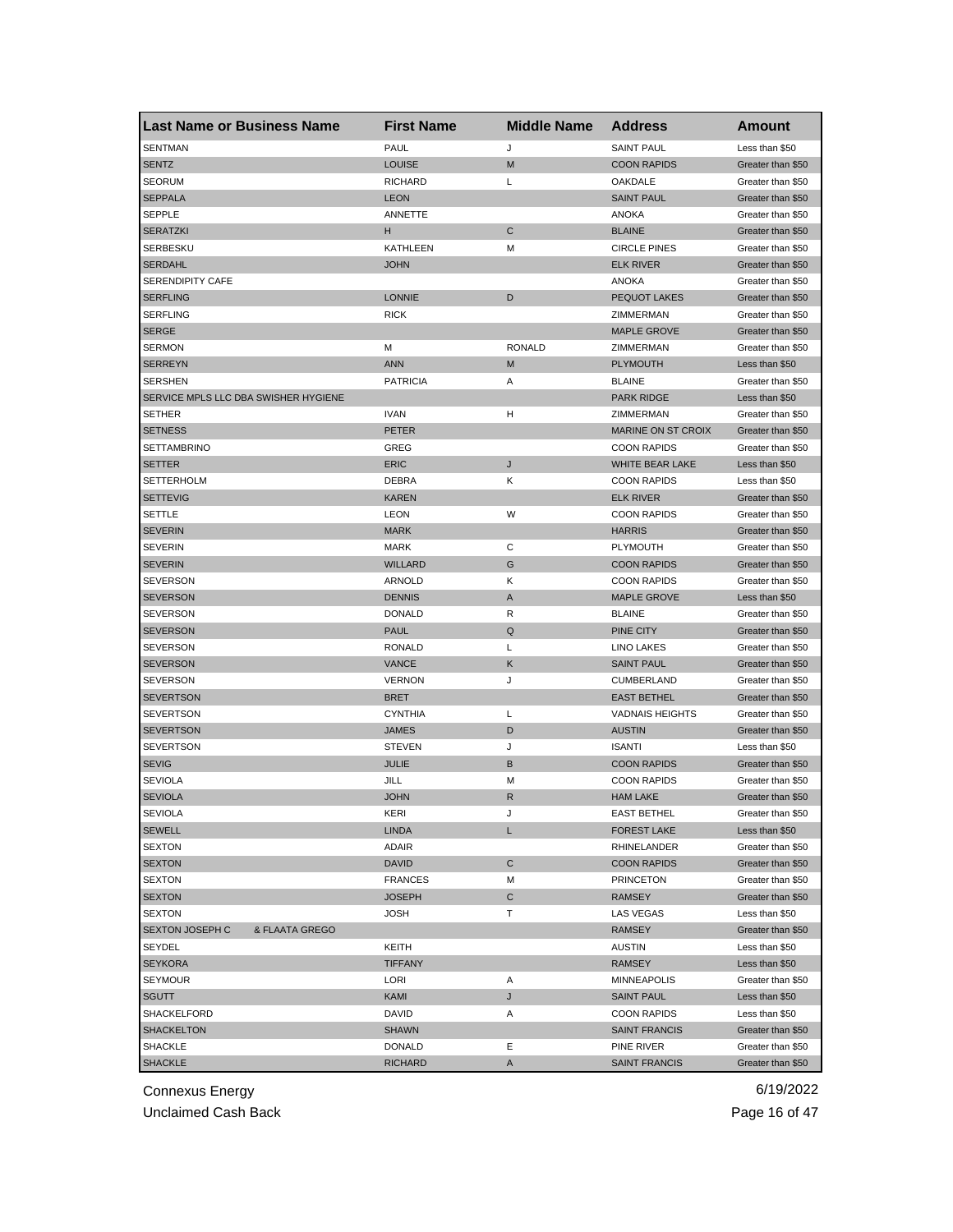| <b>Last Name or Business Name</b>    | <b>First Name</b> | <b>Middle Name</b> | <b>Address</b>            | <b>Amount</b>     |
|--------------------------------------|-------------------|--------------------|---------------------------|-------------------|
| SENTMAN                              | PAUL              | J                  | <b>SAINT PAUL</b>         | Less than \$50    |
| <b>SENTZ</b>                         | <b>LOUISE</b>     | M                  | <b>COON RAPIDS</b>        | Greater than \$50 |
| <b>SEORUM</b>                        | <b>RICHARD</b>    | L                  | OAKDALE                   | Greater than \$50 |
| <b>SEPPALA</b>                       | <b>LEON</b>       |                    | <b>SAINT PAUL</b>         | Greater than \$50 |
| SEPPLE                               | ANNETTE           |                    | <b>ANOKA</b>              | Greater than \$50 |
| <b>SERATZKI</b>                      | н                 | C                  | <b>BLAINE</b>             | Greater than \$50 |
| SERBESKU                             | KATHLEEN          | М                  | <b>CIRCLE PINES</b>       | Greater than \$50 |
| <b>SERDAHL</b>                       | <b>JOHN</b>       |                    | <b>ELK RIVER</b>          | Greater than \$50 |
| <b>SERENDIPITY CAFE</b>              |                   |                    | <b>ANOKA</b>              | Greater than \$50 |
| <b>SERFLING</b>                      | <b>LONNIE</b>     | D                  | <b>PEQUOT LAKES</b>       | Greater than \$50 |
| <b>SERFLING</b>                      | <b>RICK</b>       |                    | ZIMMERMAN                 | Greater than \$50 |
| <b>SERGE</b>                         |                   |                    | <b>MAPLE GROVE</b>        | Greater than \$50 |
| <b>SERMON</b>                        | M                 | <b>RONALD</b>      | ZIMMERMAN                 | Greater than \$50 |
| <b>SERREYN</b>                       | <b>ANN</b>        | M                  | <b>PLYMOUTH</b>           | Less than \$50    |
| <b>SERSHEN</b>                       | <b>PATRICIA</b>   | Α                  | <b>BLAINE</b>             | Greater than \$50 |
| SERVICE MPLS LLC DBA SWISHER HYGIENE |                   |                    | <b>PARK RIDGE</b>         | Less than \$50    |
| SETHER                               | <b>IVAN</b>       | н                  | ZIMMERMAN                 | Greater than \$50 |
| <b>SETNESS</b>                       | <b>PETER</b>      |                    | <b>MARINE ON ST CROIX</b> | Greater than \$50 |
| <b>SETTAMBRINO</b>                   | GREG              |                    | <b>COON RAPIDS</b>        | Greater than \$50 |
| <b>SETTER</b>                        | <b>ERIC</b>       | J                  | WHITE BEAR LAKE           | Less than \$50    |
| <b>SETTERHOLM</b>                    | DEBRA             | Κ                  | <b>COON RAPIDS</b>        | Less than \$50    |
| <b>SETTEVIG</b>                      | <b>KAREN</b>      |                    | <b>ELK RIVER</b>          | Greater than \$50 |
| SETTLE                               | <b>LEON</b>       | W                  | <b>COON RAPIDS</b>        | Greater than \$50 |
| <b>SEVERIN</b>                       | <b>MARK</b>       |                    | <b>HARRIS</b>             | Greater than \$50 |
| <b>SEVERIN</b>                       | <b>MARK</b>       | C                  | PLYMOUTH                  | Greater than \$50 |
| <b>SEVERIN</b>                       | <b>WILLARD</b>    | G                  | <b>COON RAPIDS</b>        | Greater than \$50 |
| <b>SEVERSON</b>                      | ARNOLD            | Κ                  | <b>COON RAPIDS</b>        | Greater than \$50 |
| <b>SEVERSON</b>                      | <b>DENNIS</b>     | A                  | <b>MAPLE GROVE</b>        |                   |
|                                      |                   | R                  | <b>BLAINE</b>             | Less than \$50    |
| <b>SEVERSON</b>                      | <b>DONALD</b>     |                    |                           | Greater than \$50 |
| <b>SEVERSON</b>                      | <b>PAUL</b>       | Q                  | PINE CITY                 | Greater than \$50 |
| <b>SEVERSON</b>                      | <b>RONALD</b>     | L                  | LINO LAKES                | Greater than \$50 |
| <b>SEVERSON</b>                      | <b>VANCE</b>      | Κ                  | <b>SAINT PAUL</b>         | Greater than \$50 |
| <b>SEVERSON</b>                      | <b>VERNON</b>     | J                  | CUMBERLAND                | Greater than \$50 |
| <b>SEVERTSON</b>                     | <b>BRET</b>       |                    | <b>EAST BETHEL</b>        | Greater than \$50 |
| <b>SEVERTSON</b>                     | <b>CYNTHIA</b>    | L                  | <b>VADNAIS HEIGHTS</b>    | Greater than \$50 |
| <b>SEVERTSON</b>                     | <b>JAMES</b>      | D                  | <b>AUSTIN</b>             | Greater than \$50 |
| <b>SEVERTSON</b>                     | <b>STEVEN</b>     | J                  | <b>ISANTI</b>             | Less than \$50    |
| <b>SEVIG</b>                         | <b>JULIE</b>      | B                  | <b>COON RAPIDS</b>        | Greater than \$50 |
| <b>SEVIOLA</b>                       | JILL              | М                  | <b>COON RAPIDS</b>        | Greater than \$50 |
| <b>SEVIOLA</b>                       | <b>JOHN</b>       | R                  | <b>HAM LAKE</b>           | Greater than \$50 |
| <b>SEVIOLA</b>                       | KERI              | J                  | EAST BETHEL               | Greater than \$50 |
| <b>SEWELL</b>                        | <b>LINDA</b>      | L                  | <b>FOREST LAKE</b>        | Less than \$50    |
| <b>SEXTON</b>                        | ADAIR             |                    | RHINELANDER               | Greater than \$50 |
| <b>SEXTON</b>                        | <b>DAVID</b>      | С                  | <b>COON RAPIDS</b>        | Greater than \$50 |
| <b>SEXTON</b>                        | <b>FRANCES</b>    | М                  | <b>PRINCETON</b>          | Greater than \$50 |
| <b>SEXTON</b>                        | <b>JOSEPH</b>     | С                  | RAMSEY                    | Greater than \$50 |
| <b>SEXTON</b>                        | <b>JOSH</b>       | т                  | <b>LAS VEGAS</b>          | Less than \$50    |
| SEXTON JOSEPH C<br>& FLAATA GREGO    |                   |                    | <b>RAMSEY</b>             | Greater than \$50 |
| SEYDEL                               | KEITH             |                    | AUSTIN                    | Less than \$50    |
| <b>SEYKORA</b>                       | <b>TIFFANY</b>    |                    | <b>RAMSEY</b>             | Less than \$50    |
| <b>SEYMOUR</b>                       | LORI              | Α                  | <b>MINNEAPOLIS</b>        | Greater than \$50 |
| SGUTT                                | KAMI              | J                  | <b>SAINT PAUL</b>         | Less than \$50    |
| SHACKELFORD                          | DAVID             | Α                  | <b>COON RAPIDS</b>        | Less than \$50    |
| <b>SHACKELTON</b>                    | <b>SHAWN</b>      |                    | <b>SAINT FRANCIS</b>      | Greater than \$50 |
| SHACKLE                              | <b>DONALD</b>     | Ε                  | PINE RIVER                | Greater than \$50 |
| <b>SHACKLE</b>                       | <b>RICHARD</b>    | A                  | <b>SAINT FRANCIS</b>      | Greater than \$50 |

Unclaimed Cash Back **Page 16 of 47**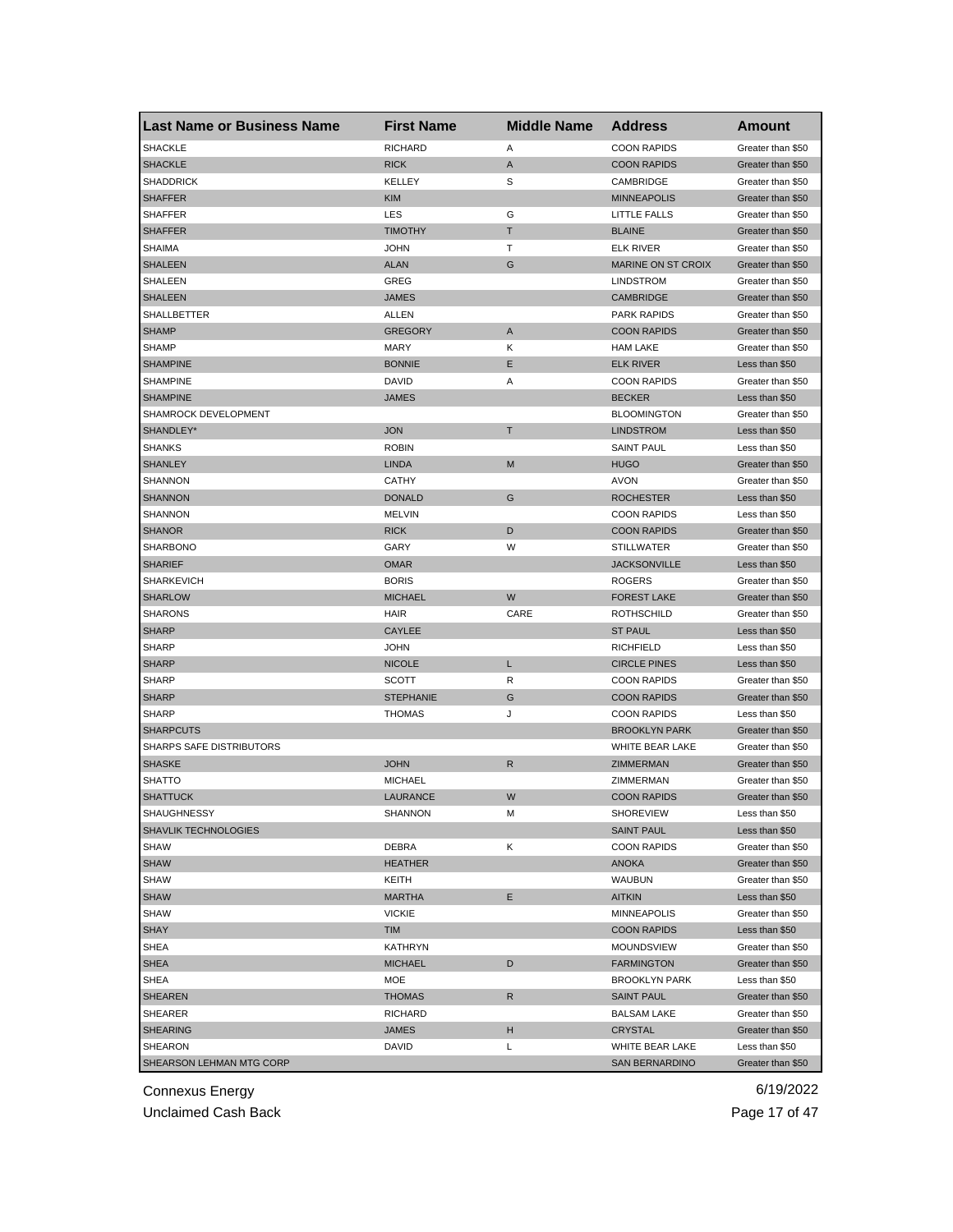| <b>Last Name or Business Name</b> | <b>First Name</b> | <b>Middle Name</b> | <b>Address</b>        | <b>Amount</b>     |
|-----------------------------------|-------------------|--------------------|-----------------------|-------------------|
| <b>SHACKLE</b>                    | <b>RICHARD</b>    | Α                  | <b>COON RAPIDS</b>    | Greater than \$50 |
| <b>SHACKLE</b>                    | <b>RICK</b>       | A                  | <b>COON RAPIDS</b>    | Greater than \$50 |
| <b>SHADDRICK</b>                  | KELLEY            | S                  | CAMBRIDGE             | Greater than \$50 |
| <b>SHAFFER</b>                    | <b>KIM</b>        |                    | <b>MINNEAPOLIS</b>    | Greater than \$50 |
| <b>SHAFFER</b>                    | LES               | G                  | LITTLE FALLS          | Greater than \$50 |
| <b>SHAFFER</b>                    | <b>TIMOTHY</b>    | T                  | <b>BLAINE</b>         | Greater than \$50 |
| <b>SHAIMA</b>                     | JOHN              | т                  | <b>ELK RIVER</b>      | Greater than \$50 |
| <b>SHALEEN</b>                    | <b>ALAN</b>       | G                  | MARINE ON ST CROIX    | Greater than \$50 |
| SHALEEN                           | GREG              |                    | <b>LINDSTROM</b>      | Greater than \$50 |
| <b>SHALEEN</b>                    | <b>JAMES</b>      |                    | <b>CAMBRIDGE</b>      | Greater than \$50 |
| SHALLBETTER                       | <b>ALLEN</b>      |                    | <b>PARK RAPIDS</b>    | Greater than \$50 |
| <b>SHAMP</b>                      | GREGORY           | A                  | <b>COON RAPIDS</b>    | Greater than \$50 |
| <b>SHAMP</b>                      | MARY              | Κ                  | <b>HAM LAKE</b>       | Greater than \$50 |
| <b>SHAMPINE</b>                   | <b>BONNIE</b>     | Ε                  | <b>ELK RIVER</b>      | Less than \$50    |
| <b>SHAMPINE</b>                   | DAVID             | Α                  | <b>COON RAPIDS</b>    | Greater than \$50 |
| <b>SHAMPINE</b>                   | <b>JAMES</b>      |                    | <b>BECKER</b>         | Less than \$50    |
| SHAMROCK DEVELOPMENT              |                   |                    | <b>BLOOMINGTON</b>    | Greater than \$50 |
| SHANDLEY*                         | <b>JON</b>        | т                  | <b>LINDSTROM</b>      | Less than \$50    |
| <b>SHANKS</b>                     | <b>ROBIN</b>      |                    | <b>SAINT PAUL</b>     | Less than \$50    |
| <b>SHANLEY</b>                    | LINDA             | M                  | <b>HUGO</b>           | Greater than \$50 |
| <b>SHANNON</b>                    | <b>CATHY</b>      |                    | <b>AVON</b>           | Greater than \$50 |
| <b>SHANNON</b>                    | <b>DONALD</b>     | G                  | <b>ROCHESTER</b>      | Less than \$50    |
| <b>SHANNON</b>                    | <b>MELVIN</b>     |                    | <b>COON RAPIDS</b>    | Less than \$50    |
| <b>SHANOR</b>                     | <b>RICK</b>       | D                  | <b>COON RAPIDS</b>    | Greater than \$50 |
| <b>SHARBONO</b>                   | GARY              | W                  | <b>STILLWATER</b>     | Greater than \$50 |
| <b>SHARIEF</b>                    | <b>OMAR</b>       |                    | <b>JACKSONVILLE</b>   | Less than \$50    |
| <b>SHARKEVICH</b>                 | <b>BORIS</b>      |                    | <b>ROGERS</b>         | Greater than \$50 |
| <b>SHARLOW</b>                    | <b>MICHAEL</b>    | W                  | <b>FOREST LAKE</b>    | Greater than \$50 |
| <b>SHARONS</b>                    | HAIR              | CARE               | ROTHSCHILD            | Greater than \$50 |
| <b>SHARP</b>                      | CAYLEE            |                    | <b>ST PAUL</b>        | Less than \$50    |
| <b>SHARP</b>                      | <b>JOHN</b>       |                    | <b>RICHFIELD</b>      | Less than \$50    |
| <b>SHARP</b>                      | <b>NICOLE</b>     | L                  | <b>CIRCLE PINES</b>   | Less than \$50    |
| <b>SHARP</b>                      | <b>SCOTT</b>      | R                  | <b>COON RAPIDS</b>    | Greater than \$50 |
| <b>SHARP</b>                      | <b>STEPHANIE</b>  | G                  | <b>COON RAPIDS</b>    | Greater than \$50 |
| <b>SHARP</b>                      | <b>THOMAS</b>     | J                  | <b>COON RAPIDS</b>    | Less than \$50    |
| <b>SHARPCUTS</b>                  |                   |                    | <b>BROOKLYN PARK</b>  | Greater than \$50 |
| SHARPS SAFE DISTRIBUTORS          |                   |                    | WHITE BEAR LAKE       | Greater than \$50 |
| <b>SHASKE</b>                     | <b>JOHN</b>       | R                  | ZIMMERMAN             | Greater than \$50 |
| <b>SHATTO</b>                     | <b>MICHAEL</b>    |                    | ZIMMERMAN             | Greater than \$50 |
| <b>SHATTUCK</b>                   | LAURANCE          | W                  | <b>COON RAPIDS</b>    | Greater than \$50 |
| SHAUGHNESSY                       | SHANNON           | м                  | <b>SHOREVIEW</b>      | Less than \$50    |
| <b>SHAVLIK TECHNOLOGIES</b>       |                   |                    | <b>SAINT PAUL</b>     | Less than \$50    |
| <b>SHAW</b>                       | DEBRA             | Κ                  | <b>COON RAPIDS</b>    | Greater than \$50 |
| <b>SHAW</b>                       | HEATHER           |                    | ANOKA                 | Greater than \$50 |
| SHAW                              | KEITH             |                    | WAUBUN                | Greater than \$50 |
| <b>SHAW</b>                       | <b>MARTHA</b>     | E                  | <b>AITKIN</b>         | Less than \$50    |
| <b>SHAW</b>                       | <b>VICKIE</b>     |                    | <b>MINNEAPOLIS</b>    | Greater than \$50 |
| <b>SHAY</b>                       | <b>TIM</b>        |                    | <b>COON RAPIDS</b>    | Less than \$50    |
| SHEA                              | KATHRYN           |                    | MOUNDSVIEW            | Greater than \$50 |
| <b>SHEA</b>                       | MICHAEL           | D                  | <b>FARMINGTON</b>     | Greater than \$50 |
| SHEA                              | MOE               |                    | <b>BROOKLYN PARK</b>  | Less than \$50    |
| <b>SHEAREN</b>                    | <b>THOMAS</b>     | R                  | <b>SAINT PAUL</b>     | Greater than \$50 |
| SHEARER                           | RICHARD           |                    | <b>BALSAM LAKE</b>    | Greater than \$50 |
| <b>SHEARING</b>                   | JAMES             | н                  | CRYSTAL               | Greater than \$50 |
| SHEARON                           | <b>DAVID</b>      | L                  | WHITE BEAR LAKE       | Less than \$50    |
| SHEARSON LEHMAN MTG CORP          |                   |                    | <b>SAN BERNARDINO</b> | Greater than \$50 |
|                                   |                   |                    |                       |                   |

Unclaimed Cash Back **Page 17 of 47**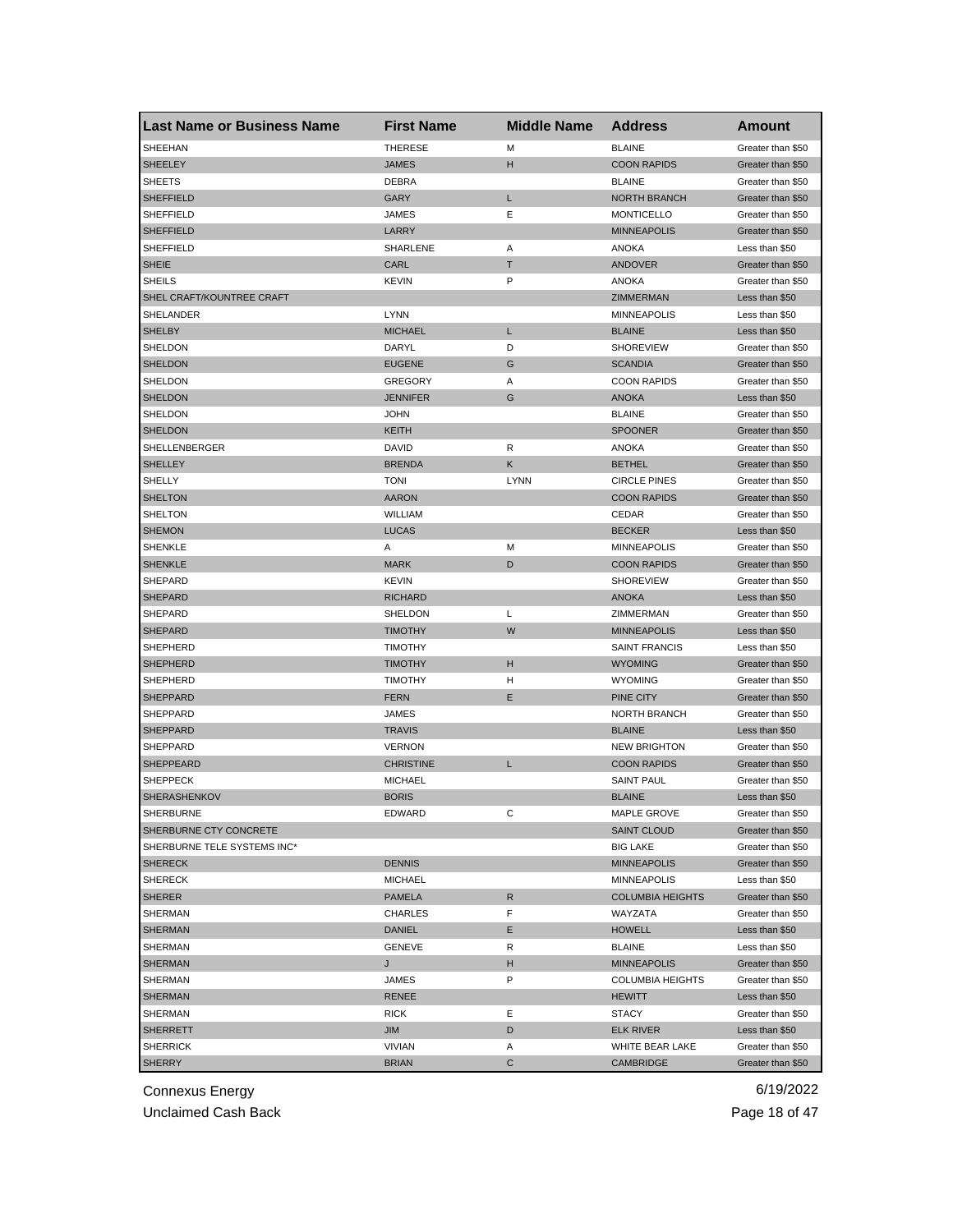| <b>THERESE</b><br>SHEEHAN<br>M<br><b>BLAINE</b><br><b>SHEELEY</b><br><b>JAMES</b><br>н<br><b>COON RAPIDS</b> | Greater than \$50<br>Greater than \$50 |
|--------------------------------------------------------------------------------------------------------------|----------------------------------------|
|                                                                                                              |                                        |
|                                                                                                              |                                        |
| <b>SHEETS</b><br>DEBRA<br><b>BLAINE</b>                                                                      | Greater than \$50                      |
| L<br><b>NORTH BRANCH</b><br><b>SHEFFIELD</b><br>GARY                                                         | Greater than \$50                      |
| JAMES<br>Е<br><b>MONTICELLO</b><br>SHEFFIELD                                                                 | Greater than \$50                      |
| <b>SHEFFIELD</b><br>LARRY<br><b>MINNEAPOLIS</b>                                                              | Greater than \$50                      |
| SHEFFIELD<br>SHARLENE<br>Α<br>ANOKA                                                                          | Less than \$50                         |
| <b>SHEIE</b><br>CARL<br>т<br>ANDOVER                                                                         | Greater than \$50                      |
| P<br><b>SHEILS</b><br><b>KEVIN</b><br><b>ANOKA</b>                                                           | Greater than \$50                      |
| SHEL CRAFT/KOUNTREE CRAFT<br>ZIMMERMAN                                                                       | Less than \$50                         |
| SHELANDER<br><b>LYNN</b><br><b>MINNEAPOLIS</b>                                                               | Less than \$50                         |
| <b>SHELBY</b><br><b>MICHAEL</b><br>L<br><b>BLAINE</b>                                                        | Less than \$50                         |
| SHELDON<br>DARYL<br>D<br><b>SHOREVIEW</b>                                                                    | Greater than \$50                      |
| <b>SHELDON</b><br>G<br><b>SCANDIA</b><br><b>EUGENE</b>                                                       | Greater than \$50                      |
| <b>COON RAPIDS</b><br>SHELDON<br><b>GREGORY</b><br>Α                                                         | Greater than \$50                      |
| <b>SHELDON</b><br>JENNIFER<br>G<br><b>ANOKA</b>                                                              | Less than \$50                         |
| SHELDON<br><b>JOHN</b><br><b>BLAINE</b>                                                                      | Greater than \$50                      |
| <b>SHELDON</b><br>KEITH<br><b>SPOONER</b>                                                                    | Greater than \$50                      |
| DAVID<br>R<br><b>ANOKA</b><br>SHELLENBERGER                                                                  | Greater than \$50                      |
| Κ<br><b>SHELLEY</b><br><b>BRENDA</b><br><b>BETHEL</b>                                                        | Greater than \$50                      |
| <b>SHELLY</b><br><b>TONI</b><br><b>LYNN</b><br><b>CIRCLE PINES</b>                                           | Greater than \$50                      |
| <b>SHELTON</b><br><b>AARON</b><br><b>COON RAPIDS</b>                                                         | Greater than \$50                      |
| <b>SHELTON</b><br>WILLIAM<br>CEDAR                                                                           | Greater than \$50                      |
| <b>SHEMON</b><br><b>LUCAS</b><br><b>BECKER</b>                                                               | Less than \$50                         |
| <b>SHENKLE</b><br>Α<br>M<br><b>MINNEAPOLIS</b>                                                               | Greater than \$50                      |
| <b>SHENKLE</b><br><b>MARK</b><br>D<br><b>COON RAPIDS</b>                                                     | Greater than \$50                      |
| SHEPARD<br><b>KEVIN</b><br><b>SHOREVIEW</b>                                                                  | Greater than \$50                      |
| <b>SHEPARD</b><br><b>RICHARD</b><br><b>ANOKA</b>                                                             | Less than \$50                         |
| SHEPARD<br>Г<br>ZIMMERMAN<br>SHELDON                                                                         | Greater than \$50                      |
| <b>SHEPARD</b><br>W<br><b>MINNEAPOLIS</b><br>TIMOTHY                                                         | Less than \$50                         |
| SHEPHERD<br><b>TIMOTHY</b><br><b>SAINT FRANCIS</b>                                                           | Less than \$50                         |
| <b>SHEPHERD</b><br><b>TIMOTHY</b><br>н<br><b>WYOMING</b>                                                     | Greater than \$50                      |
| SHEPHERD<br><b>TIMOTHY</b><br>н<br><b>WYOMING</b>                                                            | Greater than \$50                      |
| E<br><b>SHEPPARD</b><br><b>FERN</b><br>PINE CITY                                                             | Greater than \$50                      |
| SHEPPARD<br>JAMES<br><b>NORTH BRANCH</b>                                                                     | Greater than \$50                      |
| <b>SHEPPARD</b><br><b>TRAVIS</b><br><b>BLAINE</b>                                                            | Less than \$50                         |
| <b>SHEPPARD</b><br><b>VERNON</b><br><b>NEW BRIGHTON</b>                                                      | Greater than \$50                      |
| <b>SHEPPEARD</b><br><b>CHRISTINE</b><br>L<br><b>COON RAPIDS</b>                                              | Greater than \$50                      |
| <b>SHEPPECK</b><br><b>MICHAEL</b><br><b>SAINT PAUL</b>                                                       | Greater than \$50                      |
| <b>SHERASHENKOV</b><br><b>BORIS</b><br><b>BLAINE</b>                                                         | Less than \$50                         |
| SHERBURNE<br>MAPLE GROVE<br>EDWARD                                                                           | Greater than \$50                      |
| SHERBURNE CTY CONCRETE<br><b>SAINT CLOUD</b>                                                                 | Greater than \$50                      |
| <b>BIG LAKE</b><br>SHERBURNE TELE SYSTEMS INC*                                                               | Greater than \$50                      |
| <b>SHERECK</b><br><b>DENNIS</b><br><b>MINNEAPOLIS</b>                                                        | Greater than \$50                      |
| <b>SHERECK</b><br><b>MICHAEL</b><br><b>MINNEAPOLIS</b>                                                       | Less than \$50                         |
| <b>SHERER</b><br>PAMELA<br>R<br><b>COLUMBIA HEIGHTS</b>                                                      | Greater than \$50                      |
| F<br>SHERMAN<br>CHARLES<br>WAYZATA                                                                           | Greater than \$50                      |
| <b>SHERMAN</b><br>Е<br><b>HOWELL</b><br>DANIEL                                                               | Less than \$50                         |
| SHERMAN<br><b>GENEVE</b><br><b>BLAINE</b><br>R                                                               | Less than \$50                         |
| <b>SHERMAN</b><br>J<br>н<br><b>MINNEAPOLIS</b>                                                               | Greater than \$50                      |
| SHERMAN<br>P<br>JAMES<br><b>COLUMBIA HEIGHTS</b>                                                             | Greater than \$50                      |
| <b>SHERMAN</b><br><b>RENEE</b><br><b>HEWITT</b>                                                              | Less than \$50                         |
| SHERMAN<br>Е<br>RICK<br><b>STACY</b>                                                                         | Greater than \$50                      |
| <b>SHERRETT</b><br>JIM<br>D<br><b>ELK RIVER</b>                                                              | Less than \$50                         |
| <b>SHERRICK</b><br><b>VIVIAN</b><br>Α<br>WHITE BEAR LAKE                                                     | Greater than \$50                      |
| <b>SHERRY</b><br>С<br><b>BRIAN</b><br><b>CAMBRIDGE</b>                                                       | Greater than \$50                      |

Unclaimed Cash Back **Page 18 of 47**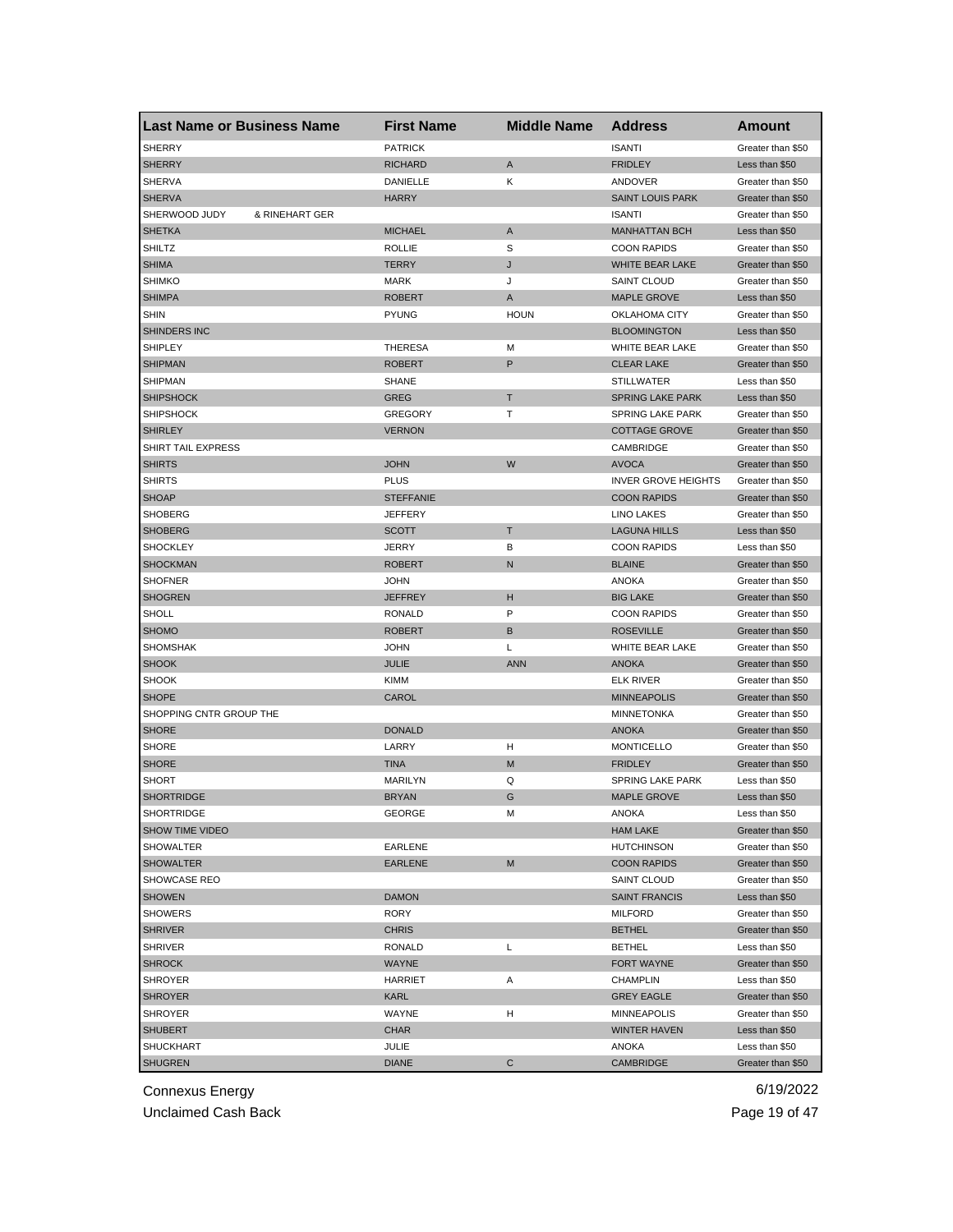| <b>Last Name or Business Name</b> |                | <b>First Name</b> | <b>Middle Name</b> | <b>Address</b>             | Amount                              |
|-----------------------------------|----------------|-------------------|--------------------|----------------------------|-------------------------------------|
| <b>SHERRY</b>                     |                | <b>PATRICK</b>    |                    | <b>ISANTI</b>              | Greater than \$50                   |
| <b>SHERRY</b>                     |                | <b>RICHARD</b>    | A                  | <b>FRIDLEY</b>             | Less than \$50                      |
| <b>SHERVA</b>                     |                | DANIELLE          | Κ                  | ANDOVER                    | Greater than \$50                   |
| <b>SHERVA</b>                     |                | <b>HARRY</b>      |                    | <b>SAINT LOUIS PARK</b>    | Greater than \$50                   |
| SHERWOOD JUDY                     | & RINEHART GER |                   |                    | <b>ISANTI</b>              | Greater than \$50                   |
| <b>SHETKA</b>                     |                | <b>MICHAEL</b>    | A                  | <b>MANHATTAN BCH</b>       | Less than \$50                      |
| <b>SHILTZ</b>                     |                | <b>ROLLIE</b>     | S                  | <b>COON RAPIDS</b>         | Greater than \$50                   |
| <b>SHIMA</b>                      |                | TERRY             | J                  | WHITE BEAR LAKE            | Greater than \$50                   |
| <b>SHIMKO</b>                     |                | <b>MARK</b>       | J                  | <b>SAINT CLOUD</b>         | Greater than \$50                   |
| <b>SHIMPA</b>                     |                | ROBERT            | A                  | <b>MAPLE GROVE</b>         | Less than \$50                      |
| <b>SHIN</b>                       |                | <b>PYUNG</b>      | <b>HOUN</b>        | OKLAHOMA CITY              | Greater than \$50                   |
| SHINDERS INC                      |                |                   |                    | <b>BLOOMINGTON</b>         | Less than \$50                      |
| <b>SHIPLEY</b>                    |                | <b>THERESA</b>    | M                  | <b>WHITE BEAR LAKE</b>     | Greater than \$50                   |
| <b>SHIPMAN</b>                    |                | <b>ROBERT</b>     | P                  | <b>CLEAR LAKE</b>          | Greater than \$50                   |
| <b>SHIPMAN</b>                    |                | <b>SHANE</b>      |                    | <b>STILLWATER</b>          | Less than \$50                      |
| <b>SHIPSHOCK</b>                  |                | <b>GREG</b>       | T                  | <b>SPRING LAKE PARK</b>    | Less than \$50                      |
| <b>SHIPSHOCK</b>                  |                | <b>GREGORY</b>    | т                  | <b>SPRING LAKE PARK</b>    | Greater than \$50                   |
| <b>SHIRLEY</b>                    |                | <b>VERNON</b>     |                    | <b>COTTAGE GROVE</b>       | Greater than \$50                   |
| SHIRT TAIL EXPRESS                |                |                   |                    | CAMBRIDGE                  | Greater than \$50                   |
| <b>SHIRTS</b>                     |                | <b>JOHN</b>       | W                  | <b>AVOCA</b>               | Greater than \$50                   |
| <b>SHIRTS</b>                     |                | <b>PLUS</b>       |                    | <b>INVER GROVE HEIGHTS</b> | Greater than \$50                   |
| <b>SHOAP</b>                      |                | <b>STEFFANIE</b>  |                    | <b>COON RAPIDS</b>         | Greater than \$50                   |
| <b>SHOBERG</b>                    |                | JEFFERY           |                    | <b>LINO LAKES</b>          | Greater than \$50                   |
| <b>SHOBERG</b>                    |                | <b>SCOTT</b>      | Τ                  | <b>LAGUNA HILLS</b>        | Less than \$50                      |
| <b>SHOCKLEY</b>                   |                | JERRY             | в                  | <b>COON RAPIDS</b>         | Less than \$50                      |
| <b>SHOCKMAN</b>                   |                | ROBERT            | N                  | <b>BLAINE</b>              | Greater than \$50                   |
| <b>SHOFNER</b>                    |                | JOHN              |                    | ANOKA                      | Greater than \$50                   |
| <b>SHOGREN</b>                    |                | <b>JEFFREY</b>    | н                  | <b>BIG LAKE</b>            | Greater than \$50                   |
| SHOLL                             |                | <b>RONALD</b>     | P                  | <b>COON RAPIDS</b>         | Greater than \$50                   |
| <b>SHOMO</b>                      |                | <b>ROBERT</b>     | B                  | <b>ROSEVILLE</b>           | Greater than \$50                   |
| <b>SHOMSHAK</b>                   |                | <b>JOHN</b>       | Г                  | WHITE BEAR LAKE            | Greater than \$50                   |
| <b>SHOOK</b>                      |                | JULIE             | <b>ANN</b>         | <b>ANOKA</b>               | Greater than \$50                   |
| <b>SHOOK</b>                      |                | KIMM              |                    | ELK RIVER                  | Greater than \$50                   |
| <b>SHOPE</b>                      |                | CAROL             |                    | <b>MINNEAPOLIS</b>         | Greater than \$50                   |
| SHOPPING CNTR GROUP THE           |                |                   |                    | <b>MINNETONKA</b>          | Greater than \$50                   |
| <b>SHORE</b>                      |                | <b>DONALD</b>     |                    | <b>ANOKA</b>               | Greater than \$50                   |
| <b>SHORE</b>                      |                | LARRY             | н                  | <b>MONTICELLO</b>          | Greater than \$50                   |
| <b>SHORE</b>                      |                | <b>TINA</b>       | M                  | <b>FRIDLEY</b>             | Greater than \$50                   |
| <b>SHORT</b>                      |                | MARILYN           | Q                  | <b>SPRING LAKE PARK</b>    | Less than \$50                      |
| <b>SHORTRIDGE</b>                 |                | <b>BRYAN</b>      | G                  | <b>MAPLE GROVE</b>         | Less than \$50                      |
| SHORTRIDGE                        |                |                   | м                  | ANOKA                      |                                     |
| <b>SHOW TIME VIDEO</b>            |                | GEORGE            |                    | <b>HAM LAKE</b>            | Less than \$50<br>Greater than \$50 |
| <b>SHOWALTER</b>                  |                | EARLENE           |                    | <b>HUTCHINSON</b>          | Greater than \$50                   |
| <b>SHOWALTER</b>                  |                | EARLENE           | M                  | <b>COON RAPIDS</b>         | Greater than \$50                   |
| SHOWCASE REO                      |                |                   |                    | SAINT CLOUD                | Greater than \$50                   |
| <b>SHOWEN</b>                     |                | <b>DAMON</b>      |                    | <b>SAINT FRANCIS</b>       | Less than \$50                      |
|                                   |                |                   |                    |                            |                                     |
| <b>SHOWERS</b>                    |                | RORY              |                    | <b>MILFORD</b>             | Greater than \$50                   |
| <b>SHRIVER</b>                    |                | <b>CHRIS</b>      |                    | <b>BETHEL</b>              | Greater than \$50                   |
| SHRIVER                           |                | RONALD            | Г                  | <b>BETHEL</b>              | Less than \$50                      |
| <b>SHROCK</b>                     |                | <b>WAYNE</b>      |                    | FORT WAYNE                 | Greater than \$50                   |
| SHROYER                           |                | <b>HARRIET</b>    | A                  | CHAMPLIN                   | Less than \$50                      |
| <b>SHROYER</b>                    |                | KARL              |                    | <b>GREY EAGLE</b>          | Greater than \$50                   |
| SHROYER                           |                | WAYNE             | н                  | MINNEAPOLIS                | Greater than \$50                   |
| <b>SHUBERT</b>                    |                | CHAR              |                    | <b>WINTER HAVEN</b>        | Less than \$50                      |
| <b>SHUCKHART</b>                  |                | JULIE             |                    | ANOKA                      | Less than \$50                      |
| <b>SHUGREN</b>                    |                | <b>DIANE</b>      | С                  | <b>CAMBRIDGE</b>           | Greater than \$50                   |

Unclaimed Cash Back **Page 19 of 47**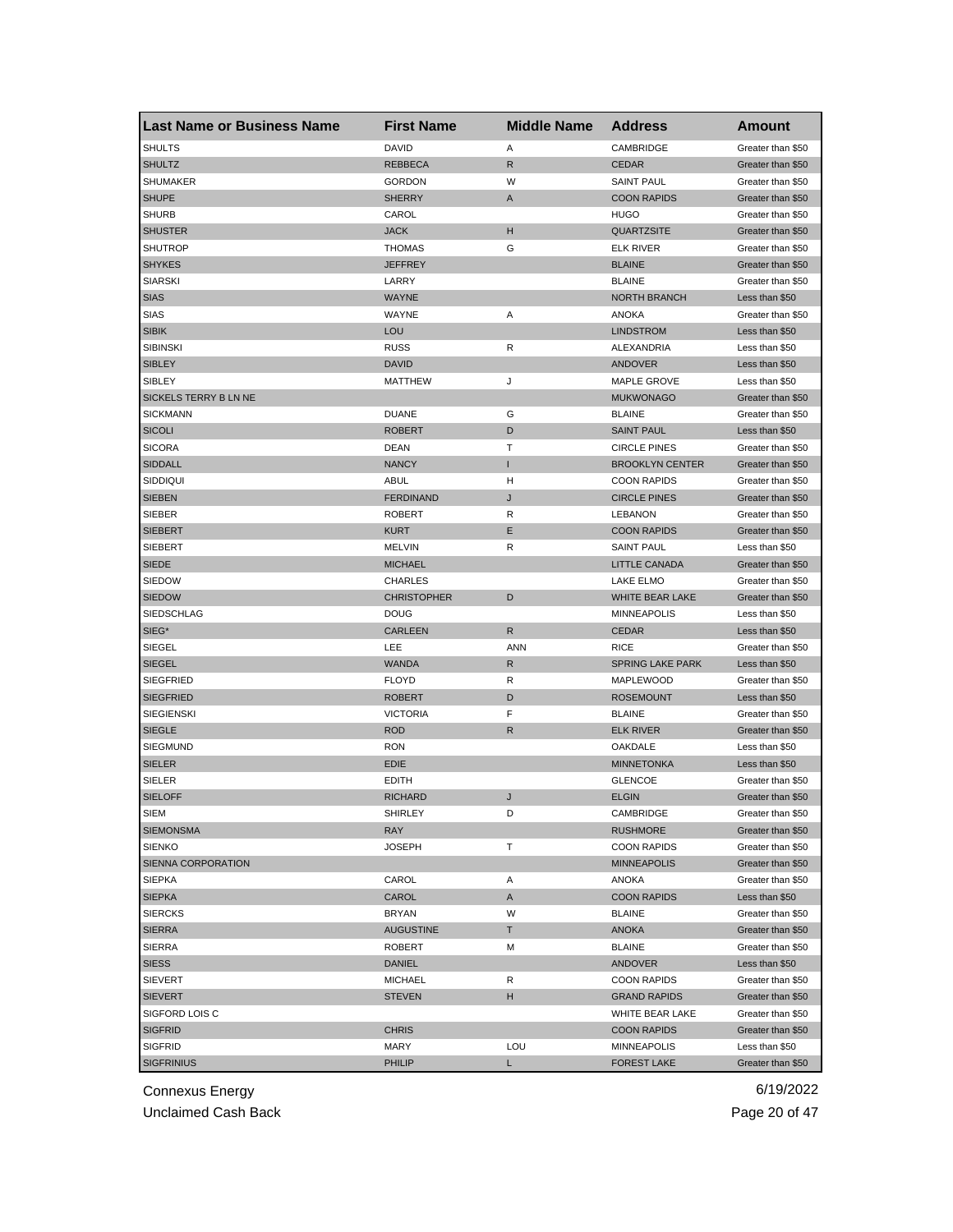| Last Name or Business Name | <b>First Name</b>  | <b>Middle Name</b> | <b>Address</b>          | <b>Amount</b>     |
|----------------------------|--------------------|--------------------|-------------------------|-------------------|
| <b>SHULTS</b>              | <b>DAVID</b>       | Α                  | CAMBRIDGE               | Greater than \$50 |
| <b>SHULTZ</b>              | <b>REBBECA</b>     | R                  | <b>CEDAR</b>            | Greater than \$50 |
| <b>SHUMAKER</b>            | <b>GORDON</b>      | W                  | <b>SAINT PAUL</b>       | Greater than \$50 |
| <b>SHUPE</b>               | <b>SHERRY</b>      | Α                  | <b>COON RAPIDS</b>      | Greater than \$50 |
| <b>SHURB</b>               | CAROL              |                    | <b>HUGO</b>             | Greater than \$50 |
| <b>SHUSTER</b>             | <b>JACK</b>        | H                  | QUARTZSITE              | Greater than \$50 |
| <b>SHUTROP</b>             | <b>THOMAS</b>      | G                  | <b>ELK RIVER</b>        | Greater than \$50 |
| <b>SHYKES</b>              | <b>JEFFREY</b>     |                    | <b>BLAINE</b>           | Greater than \$50 |
| <b>SIARSKI</b>             | LARRY              |                    | <b>BLAINE</b>           | Greater than \$50 |
| <b>SIAS</b>                | <b>WAYNE</b>       |                    | <b>NORTH BRANCH</b>     | Less than \$50    |
| SIAS                       | WAYNE              | Α                  | <b>ANOKA</b>            | Greater than \$50 |
| <b>SIBIK</b>               | <b>LOU</b>         |                    | <b>LINDSTROM</b>        | Less than \$50    |
| <b>SIBINSKI</b>            | <b>RUSS</b>        | R                  | ALEXANDRIA              | Less than \$50    |
| <b>SIBLEY</b>              | <b>DAVID</b>       |                    | <b>ANDOVER</b>          | Less than \$50    |
| SIBLEY                     | <b>MATTHEW</b>     | J                  | <b>MAPLE GROVE</b>      | Less than \$50    |
| SICKELS TERRY B LN NE      |                    |                    | <b>MUKWONAGO</b>        | Greater than \$50 |
| <b>SICKMANN</b>            | <b>DUANE</b>       | G                  | <b>BLAINE</b>           | Greater than \$50 |
| <b>SICOLI</b>              | <b>ROBERT</b>      | D                  | <b>SAINT PAUL</b>       | Less than \$50    |
| <b>SICORA</b>              | <b>DEAN</b>        | Τ                  | <b>CIRCLE PINES</b>     | Greater than \$50 |
| <b>SIDDALL</b>             | <b>NANCY</b>       | T                  | <b>BROOKLYN CENTER</b>  | Greater than \$50 |
| SIDDIQUI                   | ABUL               | н                  | <b>COON RAPIDS</b>      | Greater than \$50 |
| <b>SIEBEN</b>              | <b>FERDINAND</b>   | J                  | <b>CIRCLE PINES</b>     | Greater than \$50 |
| SIEBER                     | <b>ROBERT</b>      | R                  | <b>LEBANON</b>          | Greater than \$50 |
| <b>SIEBERT</b>             | <b>KURT</b>        | Ε                  | <b>COON RAPIDS</b>      | Greater than \$50 |
| SIEBERT                    | <b>MELVIN</b>      | R                  | <b>SAINT PAUL</b>       | Less than \$50    |
| <b>SIEDE</b>               | <b>MICHAEL</b>     |                    | LITTLE CANADA           | Greater than \$50 |
| <b>SIEDOW</b>              | <b>CHARLES</b>     |                    | LAKE ELMO               | Greater than \$50 |
| <b>SIEDOW</b>              | <b>CHRISTOPHER</b> | D                  | WHITE BEAR LAKE         | Greater than \$50 |
| <b>SIEDSCHLAG</b>          | <b>DOUG</b>        |                    | <b>MINNEAPOLIS</b>      | Less than \$50    |
| SIEG*                      | <b>CARLEEN</b>     | R                  | <b>CEDAR</b>            | Less than \$50    |
| SIEGEL                     | LEE                | ANN                | <b>RICE</b>             | Greater than \$50 |
| <b>SIEGEL</b>              | <b>WANDA</b>       | R                  | <b>SPRING LAKE PARK</b> | Less than \$50    |
| <b>SIEGFRIED</b>           | <b>FLOYD</b>       | R                  | MAPLEWOOD               | Greater than \$50 |
| <b>SIEGFRIED</b>           | <b>ROBERT</b>      | D                  | <b>ROSEMOUNT</b>        | Less than \$50    |
| <b>SIEGIENSKI</b>          | <b>VICTORIA</b>    | F                  | <b>BLAINE</b>           | Greater than \$50 |
| <b>SIEGLE</b>              | <b>ROD</b>         | ${\sf R}$          | <b>ELK RIVER</b>        | Greater than \$50 |
| <b>SIEGMUND</b>            | <b>RON</b>         |                    | OAKDALE                 | Less than \$50    |
| <b>SIELER</b>              | <b>EDIE</b>        |                    | <b>MINNETONKA</b>       | Less than \$50    |
| SIELER                     | <b>EDITH</b>       |                    | <b>GLENCOE</b>          | Greater than \$50 |
| <b>SIELOFF</b>             | <b>RICHARD</b>     | J                  | <b>ELGIN</b>            | Greater than \$50 |
| SIEM                       | <b>SHIRLEY</b>     |                    | CAMBRIDGE               | Greater than \$50 |
| <b>SIEMONSMA</b>           | <b>RAY</b>         |                    | <b>RUSHMORE</b>         | Greater than \$50 |
| <b>SIENKO</b>              | <b>JOSEPH</b>      | т                  | <b>COON RAPIDS</b>      | Greater than \$50 |
| SIENNA CORPORATION         |                    |                    | <b>MINNEAPOLIS</b>      | Greater than \$50 |
| <b>SIEPKA</b>              | CAROL              | Α                  | ANOKA                   | Greater than \$50 |
| <b>SIEPKA</b>              | CAROL              | Α                  | <b>COON RAPIDS</b>      | Less than \$50    |
| <b>SIERCKS</b>             | <b>BRYAN</b>       | W                  | <b>BLAINE</b>           | Greater than \$50 |
| <b>SIERRA</b>              | <b>AUGUSTINE</b>   | T                  | <b>ANOKA</b>            | Greater than \$50 |
| <b>SIERRA</b>              | <b>ROBERT</b>      | M                  | <b>BLAINE</b>           | Greater than \$50 |
| <b>SIESS</b>               | <b>DANIEL</b>      |                    | <b>ANDOVER</b>          | Less than \$50    |
| <b>SIEVERT</b>             | <b>MICHAEL</b>     | R                  | <b>COON RAPIDS</b>      | Greater than \$50 |
|                            |                    |                    | <b>GRAND RAPIDS</b>     | Greater than \$50 |
| <b>SIEVERT</b>             | <b>STEVEN</b>      | н                  | WHITE BEAR LAKE         | Greater than \$50 |
| SIGFORD LOIS C             |                    |                    |                         |                   |
| <b>SIGFRID</b>             | <b>CHRIS</b>       | LOU                | <b>COON RAPIDS</b>      | Greater than \$50 |
| <b>SIGFRID</b>             | MARY               |                    | <b>MINNEAPOLIS</b>      | Less than \$50    |
| <b>SIGFRINIUS</b>          | <b>PHILIP</b>      | L.                 | <b>FOREST LAKE</b>      | Greater than \$50 |

Unclaimed Cash Back **Page 20 of 47**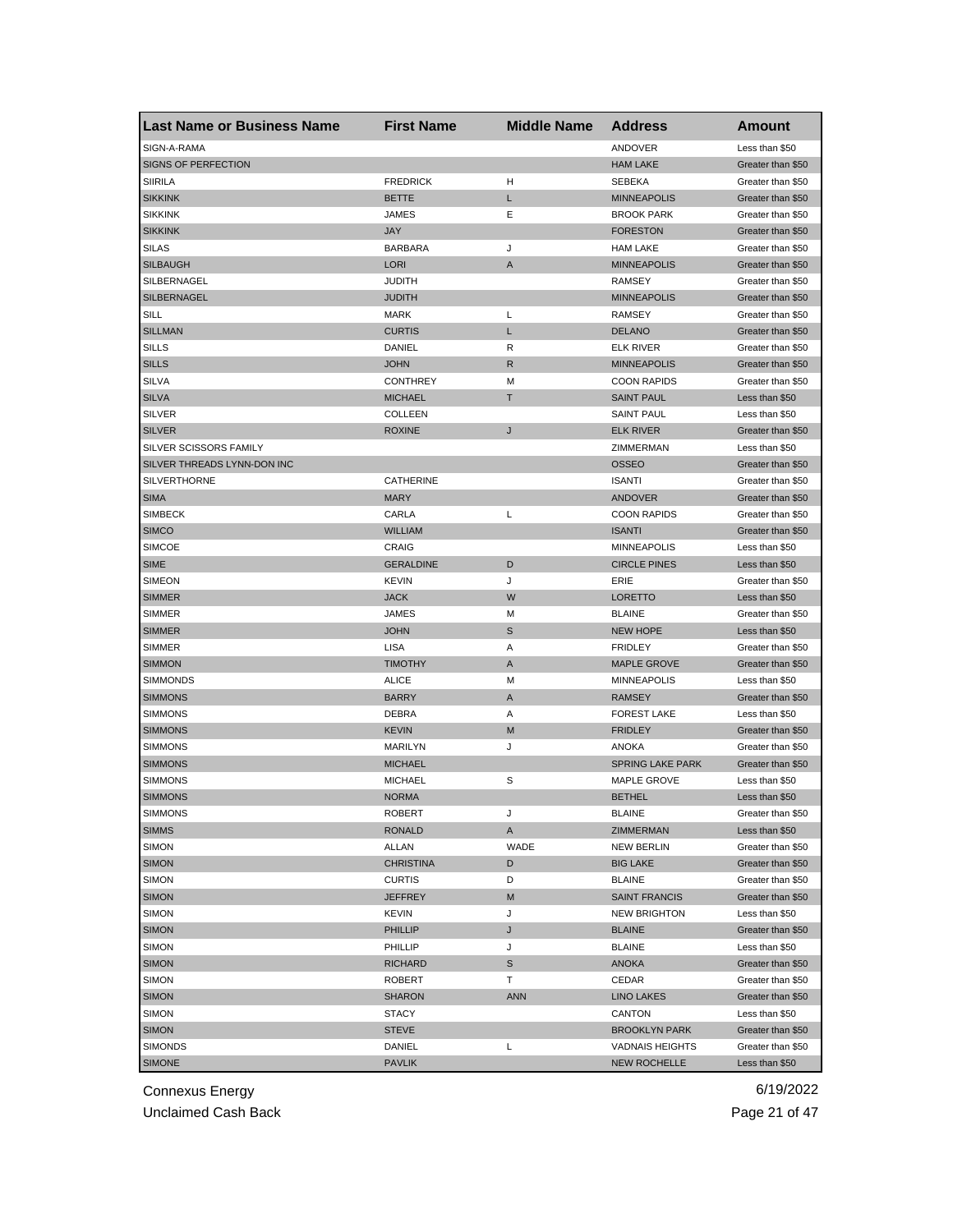| SIGN-A-RAMA<br>ANDOVER<br>Less than \$50<br>SIGNS OF PERFECTION<br><b>HAM LAKE</b><br>Greater than \$50<br><b>SIIRILA</b><br><b>FREDRICK</b><br>н<br><b>SEBEKA</b><br>Greater than \$50<br><b>SIKKINK</b><br><b>BETTE</b><br>L<br><b>MINNEAPOLIS</b><br>Greater than \$50<br>Ε<br><b>SIKKINK</b><br>JAMES<br><b>BROOK PARK</b><br>Greater than \$50<br><b>SIKKINK</b><br><b>JAY</b><br><b>FORESTON</b><br>Greater than \$50<br><b>SILAS</b><br><b>BARBARA</b><br>J<br><b>HAM LAKE</b><br>Greater than \$50<br><b>SILBAUGH</b><br><b>LORI</b><br>A<br><b>MINNEAPOLIS</b><br>Greater than \$50<br>SILBERNAGEL<br><b>RAMSEY</b><br><b>JUDITH</b><br>Greater than \$50<br>SILBERNAGEL<br><b>JUDITH</b><br><b>MINNEAPOLIS</b><br>Greater than \$50<br>SILL<br><b>MARK</b><br>L<br><b>RAMSEY</b><br>Greater than \$50<br><b>SILLMAN</b><br><b>CURTIS</b><br>L<br><b>DELANO</b><br>Greater than \$50<br><b>SILLS</b><br>DANIEL<br>R<br><b>ELK RIVER</b><br>Greater than \$50<br>$\mathsf{R}$<br><b>SILLS</b><br><b>JOHN</b><br><b>MINNEAPOLIS</b><br>Greater than \$50<br><b>SILVA</b><br><b>CONTHREY</b><br>М<br><b>COON RAPIDS</b><br>Greater than \$50<br><b>SILVA</b><br><b>MICHAEL</b><br>т<br><b>SAINT PAUL</b><br>Less than \$50<br><b>SILVER</b><br><b>COLLEEN</b><br><b>SAINT PAUL</b><br>Less than \$50<br><b>SILVER</b><br><b>ROXINE</b><br>J<br><b>ELK RIVER</b><br>Greater than \$50<br>SILVER SCISSORS FAMILY<br>ZIMMERMAN<br>Less than \$50<br>SILVER THREADS LYNN-DON INC<br><b>OSSEO</b><br>Greater than \$50<br><b>SILVERTHORNE</b><br>CATHERINE<br><b>ISANTI</b><br>Greater than \$50<br><b>MARY</b><br><b>SIMA</b><br>ANDOVER<br>Greater than \$50<br>CARLA<br>L<br><b>SIMBECK</b><br><b>COON RAPIDS</b><br>Greater than \$50<br><b>SIMCO</b><br><b>WILLIAM</b><br><b>ISANTI</b><br>Greater than \$50<br><b>SIMCOE</b><br>CRAIG<br><b>MINNEAPOLIS</b><br>Less than \$50<br><b>SIME</b><br><b>GERALDINE</b><br>D<br><b>CIRCLE PINES</b><br>Less than \$50<br><b>KEVIN</b><br>J<br>ERIE<br><b>SIMEON</b><br>Greater than \$50<br>W<br><b>SIMMER</b><br><b>JACK</b><br><b>LORETTO</b><br>Less than \$50<br><b>SIMMER</b><br>JAMES<br>М<br><b>BLAINE</b><br>Greater than \$50<br><b>SIMMER</b><br><b>JOHN</b><br>S<br><b>NEW HOPE</b><br>Less than \$50<br><b>SIMMER</b><br><b>LISA</b><br>Α<br><b>FRIDLEY</b><br>Greater than \$50<br><b>SIMMON</b><br><b>TIMOTHY</b><br>Α<br><b>MAPLE GROVE</b><br>Greater than \$50<br><b>SIMMONDS</b><br><b>ALICE</b><br>М<br><b>MINNEAPOLIS</b><br>Less than \$50<br><b>SIMMONS</b><br><b>BARRY</b><br>A<br><b>RAMSEY</b><br>Greater than \$50<br><b>SIMMONS</b><br>DEBRA<br><b>FOREST LAKE</b><br>Α<br>Less than \$50<br><b>KEVIN</b><br>M<br><b>SIMMONS</b><br><b>FRIDLEY</b><br>Greater than \$50<br>J<br><b>SIMMONS</b><br><b>MARILYN</b><br>ANOKA<br>Greater than \$50<br><b>SPRING LAKE PARK</b><br><b>SIMMONS</b><br><b>MICHAEL</b><br>Greater than \$50<br>S<br><b>SIMMONS</b><br><b>MICHAEL</b><br><b>MAPLE GROVE</b><br>Less than \$50<br><b>SIMMONS</b><br><b>NORMA</b><br><b>BETHEL</b><br>Less than \$50<br><b>SIMMONS</b><br><b>ROBERT</b><br>J<br><b>BLAINE</b><br>Greater than \$50<br><b>SIMMS</b><br><b>RONALD</b><br>ZIMMERMAN<br>Less than \$50<br>A<br><b>SIMON</b><br><b>ALLAN</b><br>WADE<br><b>NEW BERLIN</b><br>Greater than \$50<br><b>SIMON</b><br><b>CHRISTINA</b><br>D<br><b>BIG LAKE</b><br>Greater than \$50<br><b>SIMON</b><br><b>CURTIS</b><br>D<br><b>BLAINE</b><br>Greater than \$50<br><b>SIMON</b><br><b>SAINT FRANCIS</b><br><b>JEFFREY</b><br>M<br>Greater than \$50<br><b>SIMON</b><br><b>KEVIN</b><br>J<br><b>NEW BRIGHTON</b><br>Less than \$50<br><b>SIMON</b><br><b>BLAINE</b><br><b>PHILLIP</b><br>J<br>Greater than \$50<br><b>SIMON</b><br>PHILLIP<br>J<br><b>BLAINE</b><br>Less than \$50<br><b>SIMON</b><br><b>RICHARD</b><br>S<br><b>ANOKA</b><br>Greater than \$50<br><b>SIMON</b><br><b>ROBERT</b><br>т<br>CEDAR<br>Greater than \$50<br><b>SIMON</b><br><b>SHARON</b><br><b>ANN</b><br><b>LINO LAKES</b><br>Greater than \$50<br><b>SIMON</b><br><b>STACY</b><br>CANTON<br>Less than \$50<br><b>SIMON</b><br><b>STEVE</b><br><b>BROOKLYN PARK</b><br>Greater than \$50<br><b>SIMONDS</b><br>DANIEL<br>L<br><b>VADNAIS HEIGHTS</b><br>Greater than \$50<br><b>SIMONE</b><br><b>PAVLIK</b><br><b>NEW ROCHELLE</b><br>Less than \$50 | <b>Last Name or Business Name</b> | <b>First Name</b> | <b>Middle Name</b> | <b>Address</b> | Amount |
|--------------------------------------------------------------------------------------------------------------------------------------------------------------------------------------------------------------------------------------------------------------------------------------------------------------------------------------------------------------------------------------------------------------------------------------------------------------------------------------------------------------------------------------------------------------------------------------------------------------------------------------------------------------------------------------------------------------------------------------------------------------------------------------------------------------------------------------------------------------------------------------------------------------------------------------------------------------------------------------------------------------------------------------------------------------------------------------------------------------------------------------------------------------------------------------------------------------------------------------------------------------------------------------------------------------------------------------------------------------------------------------------------------------------------------------------------------------------------------------------------------------------------------------------------------------------------------------------------------------------------------------------------------------------------------------------------------------------------------------------------------------------------------------------------------------------------------------------------------------------------------------------------------------------------------------------------------------------------------------------------------------------------------------------------------------------------------------------------------------------------------------------------------------------------------------------------------------------------------------------------------------------------------------------------------------------------------------------------------------------------------------------------------------------------------------------------------------------------------------------------------------------------------------------------------------------------------------------------------------------------------------------------------------------------------------------------------------------------------------------------------------------------------------------------------------------------------------------------------------------------------------------------------------------------------------------------------------------------------------------------------------------------------------------------------------------------------------------------------------------------------------------------------------------------------------------------------------------------------------------------------------------------------------------------------------------------------------------------------------------------------------------------------------------------------------------------------------------------------------------------------------------------------------------------------------------------------------------------------------------------------------------------------------------------------------------------------------------------------------------------------------------------------------------------------------------------------------------------------------------------------------------------------------------------------------------------------------------------------------------------------------------------------------------------------------------------------------------------------------------------------------------------------------------------------------------------------------------------------------------------------------------------------------------------------------------------------------|-----------------------------------|-------------------|--------------------|----------------|--------|
|                                                                                                                                                                                                                                                                                                                                                                                                                                                                                                                                                                                                                                                                                                                                                                                                                                                                                                                                                                                                                                                                                                                                                                                                                                                                                                                                                                                                                                                                                                                                                                                                                                                                                                                                                                                                                                                                                                                                                                                                                                                                                                                                                                                                                                                                                                                                                                                                                                                                                                                                                                                                                                                                                                                                                                                                                                                                                                                                                                                                                                                                                                                                                                                                                                                                                                                                                                                                                                                                                                                                                                                                                                                                                                                                                                                                                                                                                                                                                                                                                                                                                                                                                                                                                                                                                                                                      |                                   |                   |                    |                |        |
|                                                                                                                                                                                                                                                                                                                                                                                                                                                                                                                                                                                                                                                                                                                                                                                                                                                                                                                                                                                                                                                                                                                                                                                                                                                                                                                                                                                                                                                                                                                                                                                                                                                                                                                                                                                                                                                                                                                                                                                                                                                                                                                                                                                                                                                                                                                                                                                                                                                                                                                                                                                                                                                                                                                                                                                                                                                                                                                                                                                                                                                                                                                                                                                                                                                                                                                                                                                                                                                                                                                                                                                                                                                                                                                                                                                                                                                                                                                                                                                                                                                                                                                                                                                                                                                                                                                                      |                                   |                   |                    |                |        |
|                                                                                                                                                                                                                                                                                                                                                                                                                                                                                                                                                                                                                                                                                                                                                                                                                                                                                                                                                                                                                                                                                                                                                                                                                                                                                                                                                                                                                                                                                                                                                                                                                                                                                                                                                                                                                                                                                                                                                                                                                                                                                                                                                                                                                                                                                                                                                                                                                                                                                                                                                                                                                                                                                                                                                                                                                                                                                                                                                                                                                                                                                                                                                                                                                                                                                                                                                                                                                                                                                                                                                                                                                                                                                                                                                                                                                                                                                                                                                                                                                                                                                                                                                                                                                                                                                                                                      |                                   |                   |                    |                |        |
|                                                                                                                                                                                                                                                                                                                                                                                                                                                                                                                                                                                                                                                                                                                                                                                                                                                                                                                                                                                                                                                                                                                                                                                                                                                                                                                                                                                                                                                                                                                                                                                                                                                                                                                                                                                                                                                                                                                                                                                                                                                                                                                                                                                                                                                                                                                                                                                                                                                                                                                                                                                                                                                                                                                                                                                                                                                                                                                                                                                                                                                                                                                                                                                                                                                                                                                                                                                                                                                                                                                                                                                                                                                                                                                                                                                                                                                                                                                                                                                                                                                                                                                                                                                                                                                                                                                                      |                                   |                   |                    |                |        |
|                                                                                                                                                                                                                                                                                                                                                                                                                                                                                                                                                                                                                                                                                                                                                                                                                                                                                                                                                                                                                                                                                                                                                                                                                                                                                                                                                                                                                                                                                                                                                                                                                                                                                                                                                                                                                                                                                                                                                                                                                                                                                                                                                                                                                                                                                                                                                                                                                                                                                                                                                                                                                                                                                                                                                                                                                                                                                                                                                                                                                                                                                                                                                                                                                                                                                                                                                                                                                                                                                                                                                                                                                                                                                                                                                                                                                                                                                                                                                                                                                                                                                                                                                                                                                                                                                                                                      |                                   |                   |                    |                |        |
|                                                                                                                                                                                                                                                                                                                                                                                                                                                                                                                                                                                                                                                                                                                                                                                                                                                                                                                                                                                                                                                                                                                                                                                                                                                                                                                                                                                                                                                                                                                                                                                                                                                                                                                                                                                                                                                                                                                                                                                                                                                                                                                                                                                                                                                                                                                                                                                                                                                                                                                                                                                                                                                                                                                                                                                                                                                                                                                                                                                                                                                                                                                                                                                                                                                                                                                                                                                                                                                                                                                                                                                                                                                                                                                                                                                                                                                                                                                                                                                                                                                                                                                                                                                                                                                                                                                                      |                                   |                   |                    |                |        |
|                                                                                                                                                                                                                                                                                                                                                                                                                                                                                                                                                                                                                                                                                                                                                                                                                                                                                                                                                                                                                                                                                                                                                                                                                                                                                                                                                                                                                                                                                                                                                                                                                                                                                                                                                                                                                                                                                                                                                                                                                                                                                                                                                                                                                                                                                                                                                                                                                                                                                                                                                                                                                                                                                                                                                                                                                                                                                                                                                                                                                                                                                                                                                                                                                                                                                                                                                                                                                                                                                                                                                                                                                                                                                                                                                                                                                                                                                                                                                                                                                                                                                                                                                                                                                                                                                                                                      |                                   |                   |                    |                |        |
|                                                                                                                                                                                                                                                                                                                                                                                                                                                                                                                                                                                                                                                                                                                                                                                                                                                                                                                                                                                                                                                                                                                                                                                                                                                                                                                                                                                                                                                                                                                                                                                                                                                                                                                                                                                                                                                                                                                                                                                                                                                                                                                                                                                                                                                                                                                                                                                                                                                                                                                                                                                                                                                                                                                                                                                                                                                                                                                                                                                                                                                                                                                                                                                                                                                                                                                                                                                                                                                                                                                                                                                                                                                                                                                                                                                                                                                                                                                                                                                                                                                                                                                                                                                                                                                                                                                                      |                                   |                   |                    |                |        |
|                                                                                                                                                                                                                                                                                                                                                                                                                                                                                                                                                                                                                                                                                                                                                                                                                                                                                                                                                                                                                                                                                                                                                                                                                                                                                                                                                                                                                                                                                                                                                                                                                                                                                                                                                                                                                                                                                                                                                                                                                                                                                                                                                                                                                                                                                                                                                                                                                                                                                                                                                                                                                                                                                                                                                                                                                                                                                                                                                                                                                                                                                                                                                                                                                                                                                                                                                                                                                                                                                                                                                                                                                                                                                                                                                                                                                                                                                                                                                                                                                                                                                                                                                                                                                                                                                                                                      |                                   |                   |                    |                |        |
|                                                                                                                                                                                                                                                                                                                                                                                                                                                                                                                                                                                                                                                                                                                                                                                                                                                                                                                                                                                                                                                                                                                                                                                                                                                                                                                                                                                                                                                                                                                                                                                                                                                                                                                                                                                                                                                                                                                                                                                                                                                                                                                                                                                                                                                                                                                                                                                                                                                                                                                                                                                                                                                                                                                                                                                                                                                                                                                                                                                                                                                                                                                                                                                                                                                                                                                                                                                                                                                                                                                                                                                                                                                                                                                                                                                                                                                                                                                                                                                                                                                                                                                                                                                                                                                                                                                                      |                                   |                   |                    |                |        |
|                                                                                                                                                                                                                                                                                                                                                                                                                                                                                                                                                                                                                                                                                                                                                                                                                                                                                                                                                                                                                                                                                                                                                                                                                                                                                                                                                                                                                                                                                                                                                                                                                                                                                                                                                                                                                                                                                                                                                                                                                                                                                                                                                                                                                                                                                                                                                                                                                                                                                                                                                                                                                                                                                                                                                                                                                                                                                                                                                                                                                                                                                                                                                                                                                                                                                                                                                                                                                                                                                                                                                                                                                                                                                                                                                                                                                                                                                                                                                                                                                                                                                                                                                                                                                                                                                                                                      |                                   |                   |                    |                |        |
|                                                                                                                                                                                                                                                                                                                                                                                                                                                                                                                                                                                                                                                                                                                                                                                                                                                                                                                                                                                                                                                                                                                                                                                                                                                                                                                                                                                                                                                                                                                                                                                                                                                                                                                                                                                                                                                                                                                                                                                                                                                                                                                                                                                                                                                                                                                                                                                                                                                                                                                                                                                                                                                                                                                                                                                                                                                                                                                                                                                                                                                                                                                                                                                                                                                                                                                                                                                                                                                                                                                                                                                                                                                                                                                                                                                                                                                                                                                                                                                                                                                                                                                                                                                                                                                                                                                                      |                                   |                   |                    |                |        |
|                                                                                                                                                                                                                                                                                                                                                                                                                                                                                                                                                                                                                                                                                                                                                                                                                                                                                                                                                                                                                                                                                                                                                                                                                                                                                                                                                                                                                                                                                                                                                                                                                                                                                                                                                                                                                                                                                                                                                                                                                                                                                                                                                                                                                                                                                                                                                                                                                                                                                                                                                                                                                                                                                                                                                                                                                                                                                                                                                                                                                                                                                                                                                                                                                                                                                                                                                                                                                                                                                                                                                                                                                                                                                                                                                                                                                                                                                                                                                                                                                                                                                                                                                                                                                                                                                                                                      |                                   |                   |                    |                |        |
|                                                                                                                                                                                                                                                                                                                                                                                                                                                                                                                                                                                                                                                                                                                                                                                                                                                                                                                                                                                                                                                                                                                                                                                                                                                                                                                                                                                                                                                                                                                                                                                                                                                                                                                                                                                                                                                                                                                                                                                                                                                                                                                                                                                                                                                                                                                                                                                                                                                                                                                                                                                                                                                                                                                                                                                                                                                                                                                                                                                                                                                                                                                                                                                                                                                                                                                                                                                                                                                                                                                                                                                                                                                                                                                                                                                                                                                                                                                                                                                                                                                                                                                                                                                                                                                                                                                                      |                                   |                   |                    |                |        |
|                                                                                                                                                                                                                                                                                                                                                                                                                                                                                                                                                                                                                                                                                                                                                                                                                                                                                                                                                                                                                                                                                                                                                                                                                                                                                                                                                                                                                                                                                                                                                                                                                                                                                                                                                                                                                                                                                                                                                                                                                                                                                                                                                                                                                                                                                                                                                                                                                                                                                                                                                                                                                                                                                                                                                                                                                                                                                                                                                                                                                                                                                                                                                                                                                                                                                                                                                                                                                                                                                                                                                                                                                                                                                                                                                                                                                                                                                                                                                                                                                                                                                                                                                                                                                                                                                                                                      |                                   |                   |                    |                |        |
|                                                                                                                                                                                                                                                                                                                                                                                                                                                                                                                                                                                                                                                                                                                                                                                                                                                                                                                                                                                                                                                                                                                                                                                                                                                                                                                                                                                                                                                                                                                                                                                                                                                                                                                                                                                                                                                                                                                                                                                                                                                                                                                                                                                                                                                                                                                                                                                                                                                                                                                                                                                                                                                                                                                                                                                                                                                                                                                                                                                                                                                                                                                                                                                                                                                                                                                                                                                                                                                                                                                                                                                                                                                                                                                                                                                                                                                                                                                                                                                                                                                                                                                                                                                                                                                                                                                                      |                                   |                   |                    |                |        |
|                                                                                                                                                                                                                                                                                                                                                                                                                                                                                                                                                                                                                                                                                                                                                                                                                                                                                                                                                                                                                                                                                                                                                                                                                                                                                                                                                                                                                                                                                                                                                                                                                                                                                                                                                                                                                                                                                                                                                                                                                                                                                                                                                                                                                                                                                                                                                                                                                                                                                                                                                                                                                                                                                                                                                                                                                                                                                                                                                                                                                                                                                                                                                                                                                                                                                                                                                                                                                                                                                                                                                                                                                                                                                                                                                                                                                                                                                                                                                                                                                                                                                                                                                                                                                                                                                                                                      |                                   |                   |                    |                |        |
|                                                                                                                                                                                                                                                                                                                                                                                                                                                                                                                                                                                                                                                                                                                                                                                                                                                                                                                                                                                                                                                                                                                                                                                                                                                                                                                                                                                                                                                                                                                                                                                                                                                                                                                                                                                                                                                                                                                                                                                                                                                                                                                                                                                                                                                                                                                                                                                                                                                                                                                                                                                                                                                                                                                                                                                                                                                                                                                                                                                                                                                                                                                                                                                                                                                                                                                                                                                                                                                                                                                                                                                                                                                                                                                                                                                                                                                                                                                                                                                                                                                                                                                                                                                                                                                                                                                                      |                                   |                   |                    |                |        |
|                                                                                                                                                                                                                                                                                                                                                                                                                                                                                                                                                                                                                                                                                                                                                                                                                                                                                                                                                                                                                                                                                                                                                                                                                                                                                                                                                                                                                                                                                                                                                                                                                                                                                                                                                                                                                                                                                                                                                                                                                                                                                                                                                                                                                                                                                                                                                                                                                                                                                                                                                                                                                                                                                                                                                                                                                                                                                                                                                                                                                                                                                                                                                                                                                                                                                                                                                                                                                                                                                                                                                                                                                                                                                                                                                                                                                                                                                                                                                                                                                                                                                                                                                                                                                                                                                                                                      |                                   |                   |                    |                |        |
|                                                                                                                                                                                                                                                                                                                                                                                                                                                                                                                                                                                                                                                                                                                                                                                                                                                                                                                                                                                                                                                                                                                                                                                                                                                                                                                                                                                                                                                                                                                                                                                                                                                                                                                                                                                                                                                                                                                                                                                                                                                                                                                                                                                                                                                                                                                                                                                                                                                                                                                                                                                                                                                                                                                                                                                                                                                                                                                                                                                                                                                                                                                                                                                                                                                                                                                                                                                                                                                                                                                                                                                                                                                                                                                                                                                                                                                                                                                                                                                                                                                                                                                                                                                                                                                                                                                                      |                                   |                   |                    |                |        |
|                                                                                                                                                                                                                                                                                                                                                                                                                                                                                                                                                                                                                                                                                                                                                                                                                                                                                                                                                                                                                                                                                                                                                                                                                                                                                                                                                                                                                                                                                                                                                                                                                                                                                                                                                                                                                                                                                                                                                                                                                                                                                                                                                                                                                                                                                                                                                                                                                                                                                                                                                                                                                                                                                                                                                                                                                                                                                                                                                                                                                                                                                                                                                                                                                                                                                                                                                                                                                                                                                                                                                                                                                                                                                                                                                                                                                                                                                                                                                                                                                                                                                                                                                                                                                                                                                                                                      |                                   |                   |                    |                |        |
|                                                                                                                                                                                                                                                                                                                                                                                                                                                                                                                                                                                                                                                                                                                                                                                                                                                                                                                                                                                                                                                                                                                                                                                                                                                                                                                                                                                                                                                                                                                                                                                                                                                                                                                                                                                                                                                                                                                                                                                                                                                                                                                                                                                                                                                                                                                                                                                                                                                                                                                                                                                                                                                                                                                                                                                                                                                                                                                                                                                                                                                                                                                                                                                                                                                                                                                                                                                                                                                                                                                                                                                                                                                                                                                                                                                                                                                                                                                                                                                                                                                                                                                                                                                                                                                                                                                                      |                                   |                   |                    |                |        |
|                                                                                                                                                                                                                                                                                                                                                                                                                                                                                                                                                                                                                                                                                                                                                                                                                                                                                                                                                                                                                                                                                                                                                                                                                                                                                                                                                                                                                                                                                                                                                                                                                                                                                                                                                                                                                                                                                                                                                                                                                                                                                                                                                                                                                                                                                                                                                                                                                                                                                                                                                                                                                                                                                                                                                                                                                                                                                                                                                                                                                                                                                                                                                                                                                                                                                                                                                                                                                                                                                                                                                                                                                                                                                                                                                                                                                                                                                                                                                                                                                                                                                                                                                                                                                                                                                                                                      |                                   |                   |                    |                |        |
|                                                                                                                                                                                                                                                                                                                                                                                                                                                                                                                                                                                                                                                                                                                                                                                                                                                                                                                                                                                                                                                                                                                                                                                                                                                                                                                                                                                                                                                                                                                                                                                                                                                                                                                                                                                                                                                                                                                                                                                                                                                                                                                                                                                                                                                                                                                                                                                                                                                                                                                                                                                                                                                                                                                                                                                                                                                                                                                                                                                                                                                                                                                                                                                                                                                                                                                                                                                                                                                                                                                                                                                                                                                                                                                                                                                                                                                                                                                                                                                                                                                                                                                                                                                                                                                                                                                                      |                                   |                   |                    |                |        |
|                                                                                                                                                                                                                                                                                                                                                                                                                                                                                                                                                                                                                                                                                                                                                                                                                                                                                                                                                                                                                                                                                                                                                                                                                                                                                                                                                                                                                                                                                                                                                                                                                                                                                                                                                                                                                                                                                                                                                                                                                                                                                                                                                                                                                                                                                                                                                                                                                                                                                                                                                                                                                                                                                                                                                                                                                                                                                                                                                                                                                                                                                                                                                                                                                                                                                                                                                                                                                                                                                                                                                                                                                                                                                                                                                                                                                                                                                                                                                                                                                                                                                                                                                                                                                                                                                                                                      |                                   |                   |                    |                |        |
|                                                                                                                                                                                                                                                                                                                                                                                                                                                                                                                                                                                                                                                                                                                                                                                                                                                                                                                                                                                                                                                                                                                                                                                                                                                                                                                                                                                                                                                                                                                                                                                                                                                                                                                                                                                                                                                                                                                                                                                                                                                                                                                                                                                                                                                                                                                                                                                                                                                                                                                                                                                                                                                                                                                                                                                                                                                                                                                                                                                                                                                                                                                                                                                                                                                                                                                                                                                                                                                                                                                                                                                                                                                                                                                                                                                                                                                                                                                                                                                                                                                                                                                                                                                                                                                                                                                                      |                                   |                   |                    |                |        |
|                                                                                                                                                                                                                                                                                                                                                                                                                                                                                                                                                                                                                                                                                                                                                                                                                                                                                                                                                                                                                                                                                                                                                                                                                                                                                                                                                                                                                                                                                                                                                                                                                                                                                                                                                                                                                                                                                                                                                                                                                                                                                                                                                                                                                                                                                                                                                                                                                                                                                                                                                                                                                                                                                                                                                                                                                                                                                                                                                                                                                                                                                                                                                                                                                                                                                                                                                                                                                                                                                                                                                                                                                                                                                                                                                                                                                                                                                                                                                                                                                                                                                                                                                                                                                                                                                                                                      |                                   |                   |                    |                |        |
|                                                                                                                                                                                                                                                                                                                                                                                                                                                                                                                                                                                                                                                                                                                                                                                                                                                                                                                                                                                                                                                                                                                                                                                                                                                                                                                                                                                                                                                                                                                                                                                                                                                                                                                                                                                                                                                                                                                                                                                                                                                                                                                                                                                                                                                                                                                                                                                                                                                                                                                                                                                                                                                                                                                                                                                                                                                                                                                                                                                                                                                                                                                                                                                                                                                                                                                                                                                                                                                                                                                                                                                                                                                                                                                                                                                                                                                                                                                                                                                                                                                                                                                                                                                                                                                                                                                                      |                                   |                   |                    |                |        |
|                                                                                                                                                                                                                                                                                                                                                                                                                                                                                                                                                                                                                                                                                                                                                                                                                                                                                                                                                                                                                                                                                                                                                                                                                                                                                                                                                                                                                                                                                                                                                                                                                                                                                                                                                                                                                                                                                                                                                                                                                                                                                                                                                                                                                                                                                                                                                                                                                                                                                                                                                                                                                                                                                                                                                                                                                                                                                                                                                                                                                                                                                                                                                                                                                                                                                                                                                                                                                                                                                                                                                                                                                                                                                                                                                                                                                                                                                                                                                                                                                                                                                                                                                                                                                                                                                                                                      |                                   |                   |                    |                |        |
|                                                                                                                                                                                                                                                                                                                                                                                                                                                                                                                                                                                                                                                                                                                                                                                                                                                                                                                                                                                                                                                                                                                                                                                                                                                                                                                                                                                                                                                                                                                                                                                                                                                                                                                                                                                                                                                                                                                                                                                                                                                                                                                                                                                                                                                                                                                                                                                                                                                                                                                                                                                                                                                                                                                                                                                                                                                                                                                                                                                                                                                                                                                                                                                                                                                                                                                                                                                                                                                                                                                                                                                                                                                                                                                                                                                                                                                                                                                                                                                                                                                                                                                                                                                                                                                                                                                                      |                                   |                   |                    |                |        |
|                                                                                                                                                                                                                                                                                                                                                                                                                                                                                                                                                                                                                                                                                                                                                                                                                                                                                                                                                                                                                                                                                                                                                                                                                                                                                                                                                                                                                                                                                                                                                                                                                                                                                                                                                                                                                                                                                                                                                                                                                                                                                                                                                                                                                                                                                                                                                                                                                                                                                                                                                                                                                                                                                                                                                                                                                                                                                                                                                                                                                                                                                                                                                                                                                                                                                                                                                                                                                                                                                                                                                                                                                                                                                                                                                                                                                                                                                                                                                                                                                                                                                                                                                                                                                                                                                                                                      |                                   |                   |                    |                |        |
|                                                                                                                                                                                                                                                                                                                                                                                                                                                                                                                                                                                                                                                                                                                                                                                                                                                                                                                                                                                                                                                                                                                                                                                                                                                                                                                                                                                                                                                                                                                                                                                                                                                                                                                                                                                                                                                                                                                                                                                                                                                                                                                                                                                                                                                                                                                                                                                                                                                                                                                                                                                                                                                                                                                                                                                                                                                                                                                                                                                                                                                                                                                                                                                                                                                                                                                                                                                                                                                                                                                                                                                                                                                                                                                                                                                                                                                                                                                                                                                                                                                                                                                                                                                                                                                                                                                                      |                                   |                   |                    |                |        |
|                                                                                                                                                                                                                                                                                                                                                                                                                                                                                                                                                                                                                                                                                                                                                                                                                                                                                                                                                                                                                                                                                                                                                                                                                                                                                                                                                                                                                                                                                                                                                                                                                                                                                                                                                                                                                                                                                                                                                                                                                                                                                                                                                                                                                                                                                                                                                                                                                                                                                                                                                                                                                                                                                                                                                                                                                                                                                                                                                                                                                                                                                                                                                                                                                                                                                                                                                                                                                                                                                                                                                                                                                                                                                                                                                                                                                                                                                                                                                                                                                                                                                                                                                                                                                                                                                                                                      |                                   |                   |                    |                |        |
|                                                                                                                                                                                                                                                                                                                                                                                                                                                                                                                                                                                                                                                                                                                                                                                                                                                                                                                                                                                                                                                                                                                                                                                                                                                                                                                                                                                                                                                                                                                                                                                                                                                                                                                                                                                                                                                                                                                                                                                                                                                                                                                                                                                                                                                                                                                                                                                                                                                                                                                                                                                                                                                                                                                                                                                                                                                                                                                                                                                                                                                                                                                                                                                                                                                                                                                                                                                                                                                                                                                                                                                                                                                                                                                                                                                                                                                                                                                                                                                                                                                                                                                                                                                                                                                                                                                                      |                                   |                   |                    |                |        |
|                                                                                                                                                                                                                                                                                                                                                                                                                                                                                                                                                                                                                                                                                                                                                                                                                                                                                                                                                                                                                                                                                                                                                                                                                                                                                                                                                                                                                                                                                                                                                                                                                                                                                                                                                                                                                                                                                                                                                                                                                                                                                                                                                                                                                                                                                                                                                                                                                                                                                                                                                                                                                                                                                                                                                                                                                                                                                                                                                                                                                                                                                                                                                                                                                                                                                                                                                                                                                                                                                                                                                                                                                                                                                                                                                                                                                                                                                                                                                                                                                                                                                                                                                                                                                                                                                                                                      |                                   |                   |                    |                |        |
|                                                                                                                                                                                                                                                                                                                                                                                                                                                                                                                                                                                                                                                                                                                                                                                                                                                                                                                                                                                                                                                                                                                                                                                                                                                                                                                                                                                                                                                                                                                                                                                                                                                                                                                                                                                                                                                                                                                                                                                                                                                                                                                                                                                                                                                                                                                                                                                                                                                                                                                                                                                                                                                                                                                                                                                                                                                                                                                                                                                                                                                                                                                                                                                                                                                                                                                                                                                                                                                                                                                                                                                                                                                                                                                                                                                                                                                                                                                                                                                                                                                                                                                                                                                                                                                                                                                                      |                                   |                   |                    |                |        |
|                                                                                                                                                                                                                                                                                                                                                                                                                                                                                                                                                                                                                                                                                                                                                                                                                                                                                                                                                                                                                                                                                                                                                                                                                                                                                                                                                                                                                                                                                                                                                                                                                                                                                                                                                                                                                                                                                                                                                                                                                                                                                                                                                                                                                                                                                                                                                                                                                                                                                                                                                                                                                                                                                                                                                                                                                                                                                                                                                                                                                                                                                                                                                                                                                                                                                                                                                                                                                                                                                                                                                                                                                                                                                                                                                                                                                                                                                                                                                                                                                                                                                                                                                                                                                                                                                                                                      |                                   |                   |                    |                |        |
|                                                                                                                                                                                                                                                                                                                                                                                                                                                                                                                                                                                                                                                                                                                                                                                                                                                                                                                                                                                                                                                                                                                                                                                                                                                                                                                                                                                                                                                                                                                                                                                                                                                                                                                                                                                                                                                                                                                                                                                                                                                                                                                                                                                                                                                                                                                                                                                                                                                                                                                                                                                                                                                                                                                                                                                                                                                                                                                                                                                                                                                                                                                                                                                                                                                                                                                                                                                                                                                                                                                                                                                                                                                                                                                                                                                                                                                                                                                                                                                                                                                                                                                                                                                                                                                                                                                                      |                                   |                   |                    |                |        |
|                                                                                                                                                                                                                                                                                                                                                                                                                                                                                                                                                                                                                                                                                                                                                                                                                                                                                                                                                                                                                                                                                                                                                                                                                                                                                                                                                                                                                                                                                                                                                                                                                                                                                                                                                                                                                                                                                                                                                                                                                                                                                                                                                                                                                                                                                                                                                                                                                                                                                                                                                                                                                                                                                                                                                                                                                                                                                                                                                                                                                                                                                                                                                                                                                                                                                                                                                                                                                                                                                                                                                                                                                                                                                                                                                                                                                                                                                                                                                                                                                                                                                                                                                                                                                                                                                                                                      |                                   |                   |                    |                |        |
|                                                                                                                                                                                                                                                                                                                                                                                                                                                                                                                                                                                                                                                                                                                                                                                                                                                                                                                                                                                                                                                                                                                                                                                                                                                                                                                                                                                                                                                                                                                                                                                                                                                                                                                                                                                                                                                                                                                                                                                                                                                                                                                                                                                                                                                                                                                                                                                                                                                                                                                                                                                                                                                                                                                                                                                                                                                                                                                                                                                                                                                                                                                                                                                                                                                                                                                                                                                                                                                                                                                                                                                                                                                                                                                                                                                                                                                                                                                                                                                                                                                                                                                                                                                                                                                                                                                                      |                                   |                   |                    |                |        |
|                                                                                                                                                                                                                                                                                                                                                                                                                                                                                                                                                                                                                                                                                                                                                                                                                                                                                                                                                                                                                                                                                                                                                                                                                                                                                                                                                                                                                                                                                                                                                                                                                                                                                                                                                                                                                                                                                                                                                                                                                                                                                                                                                                                                                                                                                                                                                                                                                                                                                                                                                                                                                                                                                                                                                                                                                                                                                                                                                                                                                                                                                                                                                                                                                                                                                                                                                                                                                                                                                                                                                                                                                                                                                                                                                                                                                                                                                                                                                                                                                                                                                                                                                                                                                                                                                                                                      |                                   |                   |                    |                |        |
|                                                                                                                                                                                                                                                                                                                                                                                                                                                                                                                                                                                                                                                                                                                                                                                                                                                                                                                                                                                                                                                                                                                                                                                                                                                                                                                                                                                                                                                                                                                                                                                                                                                                                                                                                                                                                                                                                                                                                                                                                                                                                                                                                                                                                                                                                                                                                                                                                                                                                                                                                                                                                                                                                                                                                                                                                                                                                                                                                                                                                                                                                                                                                                                                                                                                                                                                                                                                                                                                                                                                                                                                                                                                                                                                                                                                                                                                                                                                                                                                                                                                                                                                                                                                                                                                                                                                      |                                   |                   |                    |                |        |
|                                                                                                                                                                                                                                                                                                                                                                                                                                                                                                                                                                                                                                                                                                                                                                                                                                                                                                                                                                                                                                                                                                                                                                                                                                                                                                                                                                                                                                                                                                                                                                                                                                                                                                                                                                                                                                                                                                                                                                                                                                                                                                                                                                                                                                                                                                                                                                                                                                                                                                                                                                                                                                                                                                                                                                                                                                                                                                                                                                                                                                                                                                                                                                                                                                                                                                                                                                                                                                                                                                                                                                                                                                                                                                                                                                                                                                                                                                                                                                                                                                                                                                                                                                                                                                                                                                                                      |                                   |                   |                    |                |        |
|                                                                                                                                                                                                                                                                                                                                                                                                                                                                                                                                                                                                                                                                                                                                                                                                                                                                                                                                                                                                                                                                                                                                                                                                                                                                                                                                                                                                                                                                                                                                                                                                                                                                                                                                                                                                                                                                                                                                                                                                                                                                                                                                                                                                                                                                                                                                                                                                                                                                                                                                                                                                                                                                                                                                                                                                                                                                                                                                                                                                                                                                                                                                                                                                                                                                                                                                                                                                                                                                                                                                                                                                                                                                                                                                                                                                                                                                                                                                                                                                                                                                                                                                                                                                                                                                                                                                      |                                   |                   |                    |                |        |
|                                                                                                                                                                                                                                                                                                                                                                                                                                                                                                                                                                                                                                                                                                                                                                                                                                                                                                                                                                                                                                                                                                                                                                                                                                                                                                                                                                                                                                                                                                                                                                                                                                                                                                                                                                                                                                                                                                                                                                                                                                                                                                                                                                                                                                                                                                                                                                                                                                                                                                                                                                                                                                                                                                                                                                                                                                                                                                                                                                                                                                                                                                                                                                                                                                                                                                                                                                                                                                                                                                                                                                                                                                                                                                                                                                                                                                                                                                                                                                                                                                                                                                                                                                                                                                                                                                                                      |                                   |                   |                    |                |        |
|                                                                                                                                                                                                                                                                                                                                                                                                                                                                                                                                                                                                                                                                                                                                                                                                                                                                                                                                                                                                                                                                                                                                                                                                                                                                                                                                                                                                                                                                                                                                                                                                                                                                                                                                                                                                                                                                                                                                                                                                                                                                                                                                                                                                                                                                                                                                                                                                                                                                                                                                                                                                                                                                                                                                                                                                                                                                                                                                                                                                                                                                                                                                                                                                                                                                                                                                                                                                                                                                                                                                                                                                                                                                                                                                                                                                                                                                                                                                                                                                                                                                                                                                                                                                                                                                                                                                      |                                   |                   |                    |                |        |
|                                                                                                                                                                                                                                                                                                                                                                                                                                                                                                                                                                                                                                                                                                                                                                                                                                                                                                                                                                                                                                                                                                                                                                                                                                                                                                                                                                                                                                                                                                                                                                                                                                                                                                                                                                                                                                                                                                                                                                                                                                                                                                                                                                                                                                                                                                                                                                                                                                                                                                                                                                                                                                                                                                                                                                                                                                                                                                                                                                                                                                                                                                                                                                                                                                                                                                                                                                                                                                                                                                                                                                                                                                                                                                                                                                                                                                                                                                                                                                                                                                                                                                                                                                                                                                                                                                                                      |                                   |                   |                    |                |        |
|                                                                                                                                                                                                                                                                                                                                                                                                                                                                                                                                                                                                                                                                                                                                                                                                                                                                                                                                                                                                                                                                                                                                                                                                                                                                                                                                                                                                                                                                                                                                                                                                                                                                                                                                                                                                                                                                                                                                                                                                                                                                                                                                                                                                                                                                                                                                                                                                                                                                                                                                                                                                                                                                                                                                                                                                                                                                                                                                                                                                                                                                                                                                                                                                                                                                                                                                                                                                                                                                                                                                                                                                                                                                                                                                                                                                                                                                                                                                                                                                                                                                                                                                                                                                                                                                                                                                      |                                   |                   |                    |                |        |
|                                                                                                                                                                                                                                                                                                                                                                                                                                                                                                                                                                                                                                                                                                                                                                                                                                                                                                                                                                                                                                                                                                                                                                                                                                                                                                                                                                                                                                                                                                                                                                                                                                                                                                                                                                                                                                                                                                                                                                                                                                                                                                                                                                                                                                                                                                                                                                                                                                                                                                                                                                                                                                                                                                                                                                                                                                                                                                                                                                                                                                                                                                                                                                                                                                                                                                                                                                                                                                                                                                                                                                                                                                                                                                                                                                                                                                                                                                                                                                                                                                                                                                                                                                                                                                                                                                                                      |                                   |                   |                    |                |        |
|                                                                                                                                                                                                                                                                                                                                                                                                                                                                                                                                                                                                                                                                                                                                                                                                                                                                                                                                                                                                                                                                                                                                                                                                                                                                                                                                                                                                                                                                                                                                                                                                                                                                                                                                                                                                                                                                                                                                                                                                                                                                                                                                                                                                                                                                                                                                                                                                                                                                                                                                                                                                                                                                                                                                                                                                                                                                                                                                                                                                                                                                                                                                                                                                                                                                                                                                                                                                                                                                                                                                                                                                                                                                                                                                                                                                                                                                                                                                                                                                                                                                                                                                                                                                                                                                                                                                      |                                   |                   |                    |                |        |
|                                                                                                                                                                                                                                                                                                                                                                                                                                                                                                                                                                                                                                                                                                                                                                                                                                                                                                                                                                                                                                                                                                                                                                                                                                                                                                                                                                                                                                                                                                                                                                                                                                                                                                                                                                                                                                                                                                                                                                                                                                                                                                                                                                                                                                                                                                                                                                                                                                                                                                                                                                                                                                                                                                                                                                                                                                                                                                                                                                                                                                                                                                                                                                                                                                                                                                                                                                                                                                                                                                                                                                                                                                                                                                                                                                                                                                                                                                                                                                                                                                                                                                                                                                                                                                                                                                                                      |                                   |                   |                    |                |        |
|                                                                                                                                                                                                                                                                                                                                                                                                                                                                                                                                                                                                                                                                                                                                                                                                                                                                                                                                                                                                                                                                                                                                                                                                                                                                                                                                                                                                                                                                                                                                                                                                                                                                                                                                                                                                                                                                                                                                                                                                                                                                                                                                                                                                                                                                                                                                                                                                                                                                                                                                                                                                                                                                                                                                                                                                                                                                                                                                                                                                                                                                                                                                                                                                                                                                                                                                                                                                                                                                                                                                                                                                                                                                                                                                                                                                                                                                                                                                                                                                                                                                                                                                                                                                                                                                                                                                      |                                   |                   |                    |                |        |
|                                                                                                                                                                                                                                                                                                                                                                                                                                                                                                                                                                                                                                                                                                                                                                                                                                                                                                                                                                                                                                                                                                                                                                                                                                                                                                                                                                                                                                                                                                                                                                                                                                                                                                                                                                                                                                                                                                                                                                                                                                                                                                                                                                                                                                                                                                                                                                                                                                                                                                                                                                                                                                                                                                                                                                                                                                                                                                                                                                                                                                                                                                                                                                                                                                                                                                                                                                                                                                                                                                                                                                                                                                                                                                                                                                                                                                                                                                                                                                                                                                                                                                                                                                                                                                                                                                                                      |                                   |                   |                    |                |        |
|                                                                                                                                                                                                                                                                                                                                                                                                                                                                                                                                                                                                                                                                                                                                                                                                                                                                                                                                                                                                                                                                                                                                                                                                                                                                                                                                                                                                                                                                                                                                                                                                                                                                                                                                                                                                                                                                                                                                                                                                                                                                                                                                                                                                                                                                                                                                                                                                                                                                                                                                                                                                                                                                                                                                                                                                                                                                                                                                                                                                                                                                                                                                                                                                                                                                                                                                                                                                                                                                                                                                                                                                                                                                                                                                                                                                                                                                                                                                                                                                                                                                                                                                                                                                                                                                                                                                      |                                   |                   |                    |                |        |
|                                                                                                                                                                                                                                                                                                                                                                                                                                                                                                                                                                                                                                                                                                                                                                                                                                                                                                                                                                                                                                                                                                                                                                                                                                                                                                                                                                                                                                                                                                                                                                                                                                                                                                                                                                                                                                                                                                                                                                                                                                                                                                                                                                                                                                                                                                                                                                                                                                                                                                                                                                                                                                                                                                                                                                                                                                                                                                                                                                                                                                                                                                                                                                                                                                                                                                                                                                                                                                                                                                                                                                                                                                                                                                                                                                                                                                                                                                                                                                                                                                                                                                                                                                                                                                                                                                                                      |                                   |                   |                    |                |        |
|                                                                                                                                                                                                                                                                                                                                                                                                                                                                                                                                                                                                                                                                                                                                                                                                                                                                                                                                                                                                                                                                                                                                                                                                                                                                                                                                                                                                                                                                                                                                                                                                                                                                                                                                                                                                                                                                                                                                                                                                                                                                                                                                                                                                                                                                                                                                                                                                                                                                                                                                                                                                                                                                                                                                                                                                                                                                                                                                                                                                                                                                                                                                                                                                                                                                                                                                                                                                                                                                                                                                                                                                                                                                                                                                                                                                                                                                                                                                                                                                                                                                                                                                                                                                                                                                                                                                      |                                   |                   |                    |                |        |
|                                                                                                                                                                                                                                                                                                                                                                                                                                                                                                                                                                                                                                                                                                                                                                                                                                                                                                                                                                                                                                                                                                                                                                                                                                                                                                                                                                                                                                                                                                                                                                                                                                                                                                                                                                                                                                                                                                                                                                                                                                                                                                                                                                                                                                                                                                                                                                                                                                                                                                                                                                                                                                                                                                                                                                                                                                                                                                                                                                                                                                                                                                                                                                                                                                                                                                                                                                                                                                                                                                                                                                                                                                                                                                                                                                                                                                                                                                                                                                                                                                                                                                                                                                                                                                                                                                                                      |                                   |                   |                    |                |        |

Unclaimed Cash Back **Page 21 of 47**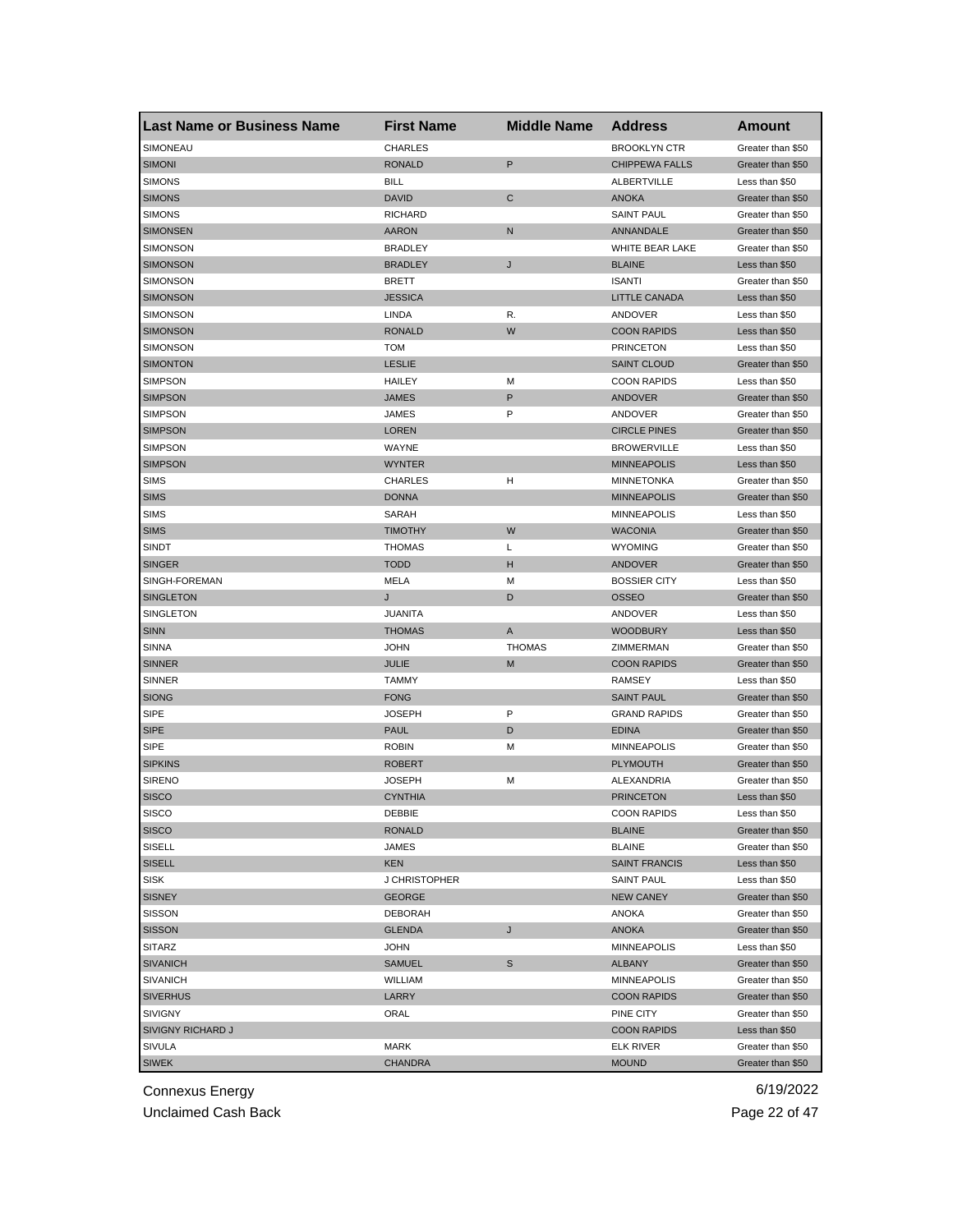| <b>Last Name or Business Name</b>  | <b>First Name</b> | <b>Middle Name</b> | <b>Address</b>        | Amount                              |
|------------------------------------|-------------------|--------------------|-----------------------|-------------------------------------|
| SIMONEAU                           | <b>CHARLES</b>    |                    | <b>BROOKLYN CTR</b>   | Greater than \$50                   |
| <b>SIMONI</b>                      | <b>RONALD</b>     | P                  | <b>CHIPPEWA FALLS</b> | Greater than \$50                   |
| <b>SIMONS</b>                      | <b>BILL</b>       |                    | ALBERTVILLE           | Less than \$50                      |
| <b>SIMONS</b>                      | <b>DAVID</b>      | $\mathsf C$        | <b>ANOKA</b>          | Greater than \$50                   |
| <b>SIMONS</b>                      | <b>RICHARD</b>    |                    | <b>SAINT PAUL</b>     | Greater than \$50                   |
| <b>SIMONSEN</b>                    | <b>AARON</b>      | N                  | ANNANDALE             | Greater than \$50                   |
| SIMONSON                           | <b>BRADLEY</b>    |                    | WHITE BEAR LAKE       | Greater than \$50                   |
| <b>SIMONSON</b>                    | <b>BRADLEY</b>    | J                  | <b>BLAINE</b>         | Less than \$50                      |
| SIMONSON                           | <b>BRETT</b>      |                    | <b>ISANTI</b>         | Greater than \$50                   |
| <b>SIMONSON</b>                    | <b>JESSICA</b>    |                    | LITTLE CANADA         | Less than \$50                      |
| <b>SIMONSON</b>                    | LINDA             | R.                 | ANDOVER               | Less than \$50                      |
| <b>SIMONSON</b>                    | <b>RONALD</b>     | W                  | <b>COON RAPIDS</b>    | Less than \$50                      |
| SIMONSON                           | <b>TOM</b>        |                    | <b>PRINCETON</b>      | Less than \$50                      |
| <b>SIMONTON</b>                    | <b>LESLIE</b>     |                    | <b>SAINT CLOUD</b>    | Greater than \$50                   |
| <b>SIMPSON</b>                     | <b>HAILEY</b>     | М                  | <b>COON RAPIDS</b>    | Less than \$50                      |
| <b>SIMPSON</b>                     | <b>JAMES</b>      | P                  | <b>ANDOVER</b>        | Greater than \$50                   |
| <b>SIMPSON</b>                     | <b>JAMES</b>      | P                  | ANDOVER               | Greater than \$50                   |
| <b>SIMPSON</b>                     | <b>LOREN</b>      |                    | <b>CIRCLE PINES</b>   | Greater than \$50                   |
| <b>SIMPSON</b>                     | WAYNE             |                    | <b>BROWERVILLE</b>    | Less than \$50                      |
| <b>SIMPSON</b>                     | <b>WYNTER</b>     |                    | <b>MINNEAPOLIS</b>    | Less than \$50                      |
| <b>SIMS</b>                        | <b>CHARLES</b>    | н                  | <b>MINNETONKA</b>     | Greater than \$50                   |
| <b>SIMS</b>                        | <b>DONNA</b>      |                    | <b>MINNEAPOLIS</b>    | Greater than \$50                   |
| <b>SIMS</b>                        | SARAH             |                    | <b>MINNEAPOLIS</b>    | Less than \$50                      |
| <b>SIMS</b>                        | <b>TIMOTHY</b>    | W                  | <b>WACONIA</b>        | Greater than \$50                   |
| SINDT                              | <b>THOMAS</b>     | Г                  | <b>WYOMING</b>        | Greater than \$50                   |
| <b>SINGER</b>                      | <b>TODD</b>       | н                  | <b>ANDOVER</b>        | Greater than \$50                   |
| SINGH-FOREMAN                      | MELA              | М                  | <b>BOSSIER CITY</b>   | Less than \$50                      |
| <b>SINGLETON</b>                   | J                 | D                  | <b>OSSEO</b>          | Greater than \$50                   |
| SINGLETON                          | <b>JUANITA</b>    |                    | ANDOVER               | Less than \$50                      |
| <b>SINN</b>                        | <b>THOMAS</b>     | Α                  | <b>WOODBURY</b>       | Less than \$50                      |
| <b>SINNA</b>                       | <b>JOHN</b>       | <b>THOMAS</b>      | ZIMMERMAN             | Greater than \$50                   |
| <b>SINNER</b>                      | <b>JULIE</b>      | M                  | <b>COON RAPIDS</b>    | Greater than \$50                   |
| <b>SINNER</b>                      | <b>TAMMY</b>      |                    | RAMSEY                | Less than \$50                      |
| <b>SIONG</b>                       | <b>FONG</b>       |                    | <b>SAINT PAUL</b>     | Greater than \$50                   |
| <b>SIPE</b>                        | <b>JOSEPH</b>     | P                  | <b>GRAND RAPIDS</b>   | Greater than \$50                   |
| <b>SIPE</b>                        | <b>PAUL</b>       | D                  | <b>EDINA</b>          | Greater than \$50                   |
| <b>SIPE</b>                        | <b>ROBIN</b>      | М                  | <b>MINNEAPOLIS</b>    | Greater than \$50                   |
| <b>SIPKINS</b>                     | <b>ROBERT</b>     |                    | <b>PLYMOUTH</b>       | Greater than \$50                   |
| <b>SIRENO</b>                      | JOSEPH            | М                  | ALEXANDRIA            | Greater than \$50                   |
| <b>SISCO</b>                       | <b>CYNTHIA</b>    |                    | <b>PRINCETON</b>      | Less than \$50                      |
| SISCO                              | DEBBIE            |                    | <b>COON RAPIDS</b>    | Less than \$50                      |
| <b>SISCO</b>                       | <b>RONALD</b>     |                    | <b>BLAINE</b>         | Greater than \$50                   |
| SISELL                             | <b>JAMES</b>      |                    | <b>BLAINE</b>         | Greater than \$50                   |
| <b>SISELL</b>                      | <b>KEN</b>        |                    | <b>SAINT FRANCIS</b>  | Less than \$50                      |
| SISK                               | J CHRISTOPHER     |                    | <b>SAINT PAUL</b>     | Less than \$50                      |
| <b>SISNEY</b>                      | <b>GEORGE</b>     |                    | <b>NEW CANEY</b>      | Greater than \$50                   |
| <b>SISSON</b>                      | <b>DEBORAH</b>    |                    | ANOKA                 | Greater than \$50                   |
| <b>SISSON</b>                      | <b>GLENDA</b>     | J                  | <b>ANOKA</b>          | Greater than \$50                   |
| SITARZ                             | <b>JOHN</b>       |                    | <b>MINNEAPOLIS</b>    | Less than \$50                      |
| <b>SIVANICH</b>                    | <b>SAMUEL</b>     | S                  | <b>ALBANY</b>         | Greater than \$50                   |
| <b>SIVANICH</b>                    | <b>WILLIAM</b>    |                    | <b>MINNEAPOLIS</b>    | Greater than \$50                   |
| <b>SIVERHUS</b>                    | LARRY             |                    | <b>COON RAPIDS</b>    | Greater than \$50                   |
| SIVIGNY                            | ORAL              |                    | PINE CITY             | Greater than \$50                   |
|                                    |                   |                    |                       |                                     |
| SIVIGNY RICHARD J<br><b>SIVULA</b> | <b>MARK</b>       |                    | <b>COON RAPIDS</b>    | Less than \$50<br>Greater than \$50 |
|                                    |                   |                    | ELK RIVER             |                                     |
| <b>SIWEK</b>                       | <b>CHANDRA</b>    |                    | <b>MOUND</b>          | Greater than \$50                   |

Unclaimed Cash Back **Page 22 of 47**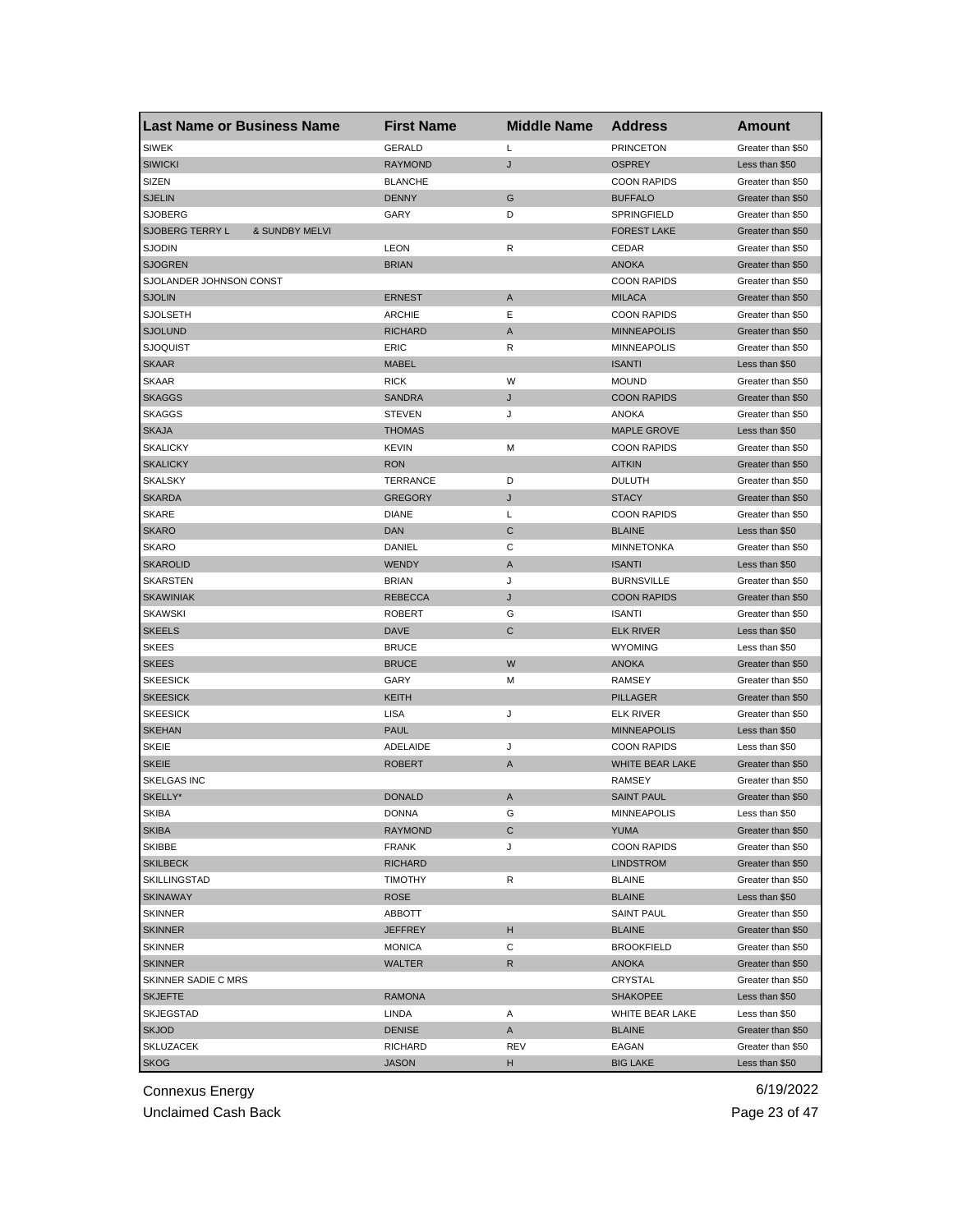| <b>PRINCETON</b><br><b>SIWEK</b><br><b>GERALD</b><br>Г<br>Greater than \$50<br><b>SIWICKI</b><br><b>RAYMOND</b><br>J<br><b>OSPREY</b><br>Less than \$50<br>SIZEN<br><b>BLANCHE</b><br><b>COON RAPIDS</b><br>Greater than \$50<br>G<br><b>SJELIN</b><br><b>DENNY</b><br><b>BUFFALO</b><br>Greater than \$50<br><b>SJOBERG</b><br>GARY<br>D<br>SPRINGFIELD<br>Greater than \$50<br><b>SJOBERG TERRY L</b><br>& SUNDBY MELVI<br><b>FOREST LAKE</b><br>Greater than \$50<br><b>SJODIN</b><br>LEON<br>R<br>CEDAR<br>Greater than \$50<br><b>SJOGREN</b><br><b>BRIAN</b><br><b>ANOKA</b><br>Greater than \$50<br>SJOLANDER JOHNSON CONST<br><b>COON RAPIDS</b><br>Greater than \$50<br><b>SJOLIN</b><br><b>ERNEST</b><br>A<br><b>MILACA</b><br>Greater than \$50<br><b>SJOLSETH</b><br><b>ARCHIE</b><br>Е<br><b>COON RAPIDS</b><br>Greater than \$50<br><b>SJOLUND</b><br><b>RICHARD</b><br><b>MINNEAPOLIS</b><br>A<br>Greater than \$50<br>R<br><b>SJOQUIST</b><br>ERIC<br><b>MINNEAPOLIS</b><br>Greater than \$50<br><b>SKAAR</b><br><b>MABEL</b><br><b>ISANTI</b><br>Less than \$50<br><b>SKAAR</b><br><b>RICK</b><br>W<br><b>MOUND</b><br>Greater than \$50<br><b>SKAGGS</b><br><b>SANDRA</b><br>J<br><b>COON RAPIDS</b><br>Greater than \$50<br><b>SKAGGS</b><br><b>STEVEN</b><br>J<br><b>ANOKA</b><br>Greater than \$50<br><b>SKAJA</b><br><b>THOMAS</b><br><b>MAPLE GROVE</b><br>Less than \$50<br><b>SKALICKY</b><br><b>KEVIN</b><br>M<br><b>COON RAPIDS</b><br>Greater than \$50<br><b>SKALICKY</b><br><b>RON</b><br><b>AITKIN</b><br>Greater than \$50<br><b>SKALSKY</b><br><b>TERRANCE</b><br>D<br><b>DULUTH</b><br>Greater than \$50<br><b>SKARDA</b><br><b>GREGORY</b><br>J<br><b>STACY</b><br>Greater than \$50<br>SKARE<br><b>DIANE</b><br>L<br><b>COON RAPIDS</b><br>Greater than \$50<br><b>SKARO</b><br><b>DAN</b><br>C<br><b>BLAINE</b><br>Less than \$50<br><b>SKARO</b><br>DANIEL<br>С<br><b>MINNETONKA</b><br>Greater than \$50<br><b>SKAROLID</b><br><b>WENDY</b><br><b>ISANTI</b><br>A<br>Less than \$50<br><b>SKARSTEN</b><br><b>BRIAN</b><br>J<br><b>BURNSVILLE</b><br>Greater than \$50<br><b>SKAWINIAK</b><br><b>REBECCA</b><br><b>COON RAPIDS</b><br>J<br>Greater than \$50<br>G<br><b>SKAWSKI</b><br><b>ROBERT</b><br><b>ISANTI</b><br>Greater than \$50<br><b>SKEELS</b><br><b>DAVE</b><br>C<br><b>ELK RIVER</b><br>Less than \$50<br><b>SKEES</b><br><b>BRUCE</b><br><b>WYOMING</b><br>Less than \$50<br>W<br><b>SKEES</b><br><b>BRUCE</b><br><b>ANOKA</b><br>Greater than \$50<br>GARY<br><b>SKEESICK</b><br>М<br>RAMSEY<br>Greater than \$50<br><b>KEITH</b><br><b>SKEESICK</b><br><b>PILLAGER</b><br>Greater than \$50<br><b>SKEESICK</b><br>LISA<br>J<br><b>ELK RIVER</b><br>Greater than \$50<br><b>SKEHAN</b><br><b>PAUL</b><br><b>MINNEAPOLIS</b><br>Less than \$50<br><b>SKEIE</b><br>ADELAIDE<br><b>COON RAPIDS</b><br>J<br>Less than \$50<br><b>SKEIE</b><br><b>ROBERT</b><br>A<br>WHITE BEAR LAKE<br>Greater than \$50<br>SKELGAS INC<br><b>RAMSEY</b><br>Greater than \$50<br>SKELLY*<br><b>DONALD</b><br>A<br><b>SAINT PAUL</b><br>Greater than \$50<br><b>SKIBA</b><br>DONNA<br>G<br><b>MINNEAPOLIS</b><br>Less than \$50<br><b>SKIBA</b><br><b>RAYMOND</b><br>С<br><b>YUMA</b><br>Greater than \$50<br>SKIBBE<br><b>FRANK</b><br>J<br><b>COON RAPIDS</b><br>Greater than \$50<br><b>SKILBECK</b><br><b>RICHARD</b><br><b>LINDSTROM</b><br>Greater than \$50<br>SKILLINGSTAD<br><b>TIMOTHY</b><br>R<br><b>BLAINE</b><br>Greater than \$50<br><b>SKINAWAY</b><br><b>ROSE</b><br><b>BLAINE</b><br>Less than \$50<br><b>SKINNER</b><br>ABBOTT<br><b>SAINT PAUL</b><br>Greater than \$50<br><b>BLAINE</b><br><b>SKINNER</b><br><b>JEFFREY</b><br>н<br>Greater than \$50<br>С<br>SKINNER<br><b>BROOKFIELD</b><br>Greater than \$50<br><b>MONICA</b><br><b>SKINNER</b><br><b>WALTER</b><br>R<br>ANOKA<br>Greater than \$50<br>SKINNER SADIE C MRS<br>CRYSTAL<br>Greater than \$50<br><b>SKJEFTE</b><br><b>RAMONA</b><br><b>SHAKOPEE</b><br>Less than \$50<br>SKJEGSTAD<br>LINDA<br>Α<br>WHITE BEAR LAKE<br>Less than \$50<br><b>SKJOD</b><br><b>DENISE</b><br><b>BLAINE</b><br>Greater than \$50<br>A<br>SKLUZACEK<br>RICHARD<br>REV<br>EAGAN<br>Greater than \$50<br><b>SKOG</b><br><b>JASON</b><br><b>BIG LAKE</b><br>н<br>Less than \$50 | <b>Last Name or Business Name</b> | <b>First Name</b> | <b>Middle Name</b> | <b>Address</b> | <b>Amount</b> |
|-------------------------------------------------------------------------------------------------------------------------------------------------------------------------------------------------------------------------------------------------------------------------------------------------------------------------------------------------------------------------------------------------------------------------------------------------------------------------------------------------------------------------------------------------------------------------------------------------------------------------------------------------------------------------------------------------------------------------------------------------------------------------------------------------------------------------------------------------------------------------------------------------------------------------------------------------------------------------------------------------------------------------------------------------------------------------------------------------------------------------------------------------------------------------------------------------------------------------------------------------------------------------------------------------------------------------------------------------------------------------------------------------------------------------------------------------------------------------------------------------------------------------------------------------------------------------------------------------------------------------------------------------------------------------------------------------------------------------------------------------------------------------------------------------------------------------------------------------------------------------------------------------------------------------------------------------------------------------------------------------------------------------------------------------------------------------------------------------------------------------------------------------------------------------------------------------------------------------------------------------------------------------------------------------------------------------------------------------------------------------------------------------------------------------------------------------------------------------------------------------------------------------------------------------------------------------------------------------------------------------------------------------------------------------------------------------------------------------------------------------------------------------------------------------------------------------------------------------------------------------------------------------------------------------------------------------------------------------------------------------------------------------------------------------------------------------------------------------------------------------------------------------------------------------------------------------------------------------------------------------------------------------------------------------------------------------------------------------------------------------------------------------------------------------------------------------------------------------------------------------------------------------------------------------------------------------------------------------------------------------------------------------------------------------------------------------------------------------------------------------------------------------------------------------------------------------------------------------------------------------------------------------------------------------------------------------------------------------------------------------------------------------------------------------------------------------------------------------------------------------------------------------------------------------------------------------------------------------------------------------------------------------------|-----------------------------------|-------------------|--------------------|----------------|---------------|
|                                                                                                                                                                                                                                                                                                                                                                                                                                                                                                                                                                                                                                                                                                                                                                                                                                                                                                                                                                                                                                                                                                                                                                                                                                                                                                                                                                                                                                                                                                                                                                                                                                                                                                                                                                                                                                                                                                                                                                                                                                                                                                                                                                                                                                                                                                                                                                                                                                                                                                                                                                                                                                                                                                                                                                                                                                                                                                                                                                                                                                                                                                                                                                                                                                                                                                                                                                                                                                                                                                                                                                                                                                                                                                                                                                                                                                                                                                                                                                                                                                                                                                                                                                                                                                                                               |                                   |                   |                    |                |               |
|                                                                                                                                                                                                                                                                                                                                                                                                                                                                                                                                                                                                                                                                                                                                                                                                                                                                                                                                                                                                                                                                                                                                                                                                                                                                                                                                                                                                                                                                                                                                                                                                                                                                                                                                                                                                                                                                                                                                                                                                                                                                                                                                                                                                                                                                                                                                                                                                                                                                                                                                                                                                                                                                                                                                                                                                                                                                                                                                                                                                                                                                                                                                                                                                                                                                                                                                                                                                                                                                                                                                                                                                                                                                                                                                                                                                                                                                                                                                                                                                                                                                                                                                                                                                                                                                               |                                   |                   |                    |                |               |
|                                                                                                                                                                                                                                                                                                                                                                                                                                                                                                                                                                                                                                                                                                                                                                                                                                                                                                                                                                                                                                                                                                                                                                                                                                                                                                                                                                                                                                                                                                                                                                                                                                                                                                                                                                                                                                                                                                                                                                                                                                                                                                                                                                                                                                                                                                                                                                                                                                                                                                                                                                                                                                                                                                                                                                                                                                                                                                                                                                                                                                                                                                                                                                                                                                                                                                                                                                                                                                                                                                                                                                                                                                                                                                                                                                                                                                                                                                                                                                                                                                                                                                                                                                                                                                                                               |                                   |                   |                    |                |               |
|                                                                                                                                                                                                                                                                                                                                                                                                                                                                                                                                                                                                                                                                                                                                                                                                                                                                                                                                                                                                                                                                                                                                                                                                                                                                                                                                                                                                                                                                                                                                                                                                                                                                                                                                                                                                                                                                                                                                                                                                                                                                                                                                                                                                                                                                                                                                                                                                                                                                                                                                                                                                                                                                                                                                                                                                                                                                                                                                                                                                                                                                                                                                                                                                                                                                                                                                                                                                                                                                                                                                                                                                                                                                                                                                                                                                                                                                                                                                                                                                                                                                                                                                                                                                                                                                               |                                   |                   |                    |                |               |
|                                                                                                                                                                                                                                                                                                                                                                                                                                                                                                                                                                                                                                                                                                                                                                                                                                                                                                                                                                                                                                                                                                                                                                                                                                                                                                                                                                                                                                                                                                                                                                                                                                                                                                                                                                                                                                                                                                                                                                                                                                                                                                                                                                                                                                                                                                                                                                                                                                                                                                                                                                                                                                                                                                                                                                                                                                                                                                                                                                                                                                                                                                                                                                                                                                                                                                                                                                                                                                                                                                                                                                                                                                                                                                                                                                                                                                                                                                                                                                                                                                                                                                                                                                                                                                                                               |                                   |                   |                    |                |               |
|                                                                                                                                                                                                                                                                                                                                                                                                                                                                                                                                                                                                                                                                                                                                                                                                                                                                                                                                                                                                                                                                                                                                                                                                                                                                                                                                                                                                                                                                                                                                                                                                                                                                                                                                                                                                                                                                                                                                                                                                                                                                                                                                                                                                                                                                                                                                                                                                                                                                                                                                                                                                                                                                                                                                                                                                                                                                                                                                                                                                                                                                                                                                                                                                                                                                                                                                                                                                                                                                                                                                                                                                                                                                                                                                                                                                                                                                                                                                                                                                                                                                                                                                                                                                                                                                               |                                   |                   |                    |                |               |
|                                                                                                                                                                                                                                                                                                                                                                                                                                                                                                                                                                                                                                                                                                                                                                                                                                                                                                                                                                                                                                                                                                                                                                                                                                                                                                                                                                                                                                                                                                                                                                                                                                                                                                                                                                                                                                                                                                                                                                                                                                                                                                                                                                                                                                                                                                                                                                                                                                                                                                                                                                                                                                                                                                                                                                                                                                                                                                                                                                                                                                                                                                                                                                                                                                                                                                                                                                                                                                                                                                                                                                                                                                                                                                                                                                                                                                                                                                                                                                                                                                                                                                                                                                                                                                                                               |                                   |                   |                    |                |               |
|                                                                                                                                                                                                                                                                                                                                                                                                                                                                                                                                                                                                                                                                                                                                                                                                                                                                                                                                                                                                                                                                                                                                                                                                                                                                                                                                                                                                                                                                                                                                                                                                                                                                                                                                                                                                                                                                                                                                                                                                                                                                                                                                                                                                                                                                                                                                                                                                                                                                                                                                                                                                                                                                                                                                                                                                                                                                                                                                                                                                                                                                                                                                                                                                                                                                                                                                                                                                                                                                                                                                                                                                                                                                                                                                                                                                                                                                                                                                                                                                                                                                                                                                                                                                                                                                               |                                   |                   |                    |                |               |
|                                                                                                                                                                                                                                                                                                                                                                                                                                                                                                                                                                                                                                                                                                                                                                                                                                                                                                                                                                                                                                                                                                                                                                                                                                                                                                                                                                                                                                                                                                                                                                                                                                                                                                                                                                                                                                                                                                                                                                                                                                                                                                                                                                                                                                                                                                                                                                                                                                                                                                                                                                                                                                                                                                                                                                                                                                                                                                                                                                                                                                                                                                                                                                                                                                                                                                                                                                                                                                                                                                                                                                                                                                                                                                                                                                                                                                                                                                                                                                                                                                                                                                                                                                                                                                                                               |                                   |                   |                    |                |               |
|                                                                                                                                                                                                                                                                                                                                                                                                                                                                                                                                                                                                                                                                                                                                                                                                                                                                                                                                                                                                                                                                                                                                                                                                                                                                                                                                                                                                                                                                                                                                                                                                                                                                                                                                                                                                                                                                                                                                                                                                                                                                                                                                                                                                                                                                                                                                                                                                                                                                                                                                                                                                                                                                                                                                                                                                                                                                                                                                                                                                                                                                                                                                                                                                                                                                                                                                                                                                                                                                                                                                                                                                                                                                                                                                                                                                                                                                                                                                                                                                                                                                                                                                                                                                                                                                               |                                   |                   |                    |                |               |
|                                                                                                                                                                                                                                                                                                                                                                                                                                                                                                                                                                                                                                                                                                                                                                                                                                                                                                                                                                                                                                                                                                                                                                                                                                                                                                                                                                                                                                                                                                                                                                                                                                                                                                                                                                                                                                                                                                                                                                                                                                                                                                                                                                                                                                                                                                                                                                                                                                                                                                                                                                                                                                                                                                                                                                                                                                                                                                                                                                                                                                                                                                                                                                                                                                                                                                                                                                                                                                                                                                                                                                                                                                                                                                                                                                                                                                                                                                                                                                                                                                                                                                                                                                                                                                                                               |                                   |                   |                    |                |               |
|                                                                                                                                                                                                                                                                                                                                                                                                                                                                                                                                                                                                                                                                                                                                                                                                                                                                                                                                                                                                                                                                                                                                                                                                                                                                                                                                                                                                                                                                                                                                                                                                                                                                                                                                                                                                                                                                                                                                                                                                                                                                                                                                                                                                                                                                                                                                                                                                                                                                                                                                                                                                                                                                                                                                                                                                                                                                                                                                                                                                                                                                                                                                                                                                                                                                                                                                                                                                                                                                                                                                                                                                                                                                                                                                                                                                                                                                                                                                                                                                                                                                                                                                                                                                                                                                               |                                   |                   |                    |                |               |
|                                                                                                                                                                                                                                                                                                                                                                                                                                                                                                                                                                                                                                                                                                                                                                                                                                                                                                                                                                                                                                                                                                                                                                                                                                                                                                                                                                                                                                                                                                                                                                                                                                                                                                                                                                                                                                                                                                                                                                                                                                                                                                                                                                                                                                                                                                                                                                                                                                                                                                                                                                                                                                                                                                                                                                                                                                                                                                                                                                                                                                                                                                                                                                                                                                                                                                                                                                                                                                                                                                                                                                                                                                                                                                                                                                                                                                                                                                                                                                                                                                                                                                                                                                                                                                                                               |                                   |                   |                    |                |               |
|                                                                                                                                                                                                                                                                                                                                                                                                                                                                                                                                                                                                                                                                                                                                                                                                                                                                                                                                                                                                                                                                                                                                                                                                                                                                                                                                                                                                                                                                                                                                                                                                                                                                                                                                                                                                                                                                                                                                                                                                                                                                                                                                                                                                                                                                                                                                                                                                                                                                                                                                                                                                                                                                                                                                                                                                                                                                                                                                                                                                                                                                                                                                                                                                                                                                                                                                                                                                                                                                                                                                                                                                                                                                                                                                                                                                                                                                                                                                                                                                                                                                                                                                                                                                                                                                               |                                   |                   |                    |                |               |
|                                                                                                                                                                                                                                                                                                                                                                                                                                                                                                                                                                                                                                                                                                                                                                                                                                                                                                                                                                                                                                                                                                                                                                                                                                                                                                                                                                                                                                                                                                                                                                                                                                                                                                                                                                                                                                                                                                                                                                                                                                                                                                                                                                                                                                                                                                                                                                                                                                                                                                                                                                                                                                                                                                                                                                                                                                                                                                                                                                                                                                                                                                                                                                                                                                                                                                                                                                                                                                                                                                                                                                                                                                                                                                                                                                                                                                                                                                                                                                                                                                                                                                                                                                                                                                                                               |                                   |                   |                    |                |               |
|                                                                                                                                                                                                                                                                                                                                                                                                                                                                                                                                                                                                                                                                                                                                                                                                                                                                                                                                                                                                                                                                                                                                                                                                                                                                                                                                                                                                                                                                                                                                                                                                                                                                                                                                                                                                                                                                                                                                                                                                                                                                                                                                                                                                                                                                                                                                                                                                                                                                                                                                                                                                                                                                                                                                                                                                                                                                                                                                                                                                                                                                                                                                                                                                                                                                                                                                                                                                                                                                                                                                                                                                                                                                                                                                                                                                                                                                                                                                                                                                                                                                                                                                                                                                                                                                               |                                   |                   |                    |                |               |
|                                                                                                                                                                                                                                                                                                                                                                                                                                                                                                                                                                                                                                                                                                                                                                                                                                                                                                                                                                                                                                                                                                                                                                                                                                                                                                                                                                                                                                                                                                                                                                                                                                                                                                                                                                                                                                                                                                                                                                                                                                                                                                                                                                                                                                                                                                                                                                                                                                                                                                                                                                                                                                                                                                                                                                                                                                                                                                                                                                                                                                                                                                                                                                                                                                                                                                                                                                                                                                                                                                                                                                                                                                                                                                                                                                                                                                                                                                                                                                                                                                                                                                                                                                                                                                                                               |                                   |                   |                    |                |               |
|                                                                                                                                                                                                                                                                                                                                                                                                                                                                                                                                                                                                                                                                                                                                                                                                                                                                                                                                                                                                                                                                                                                                                                                                                                                                                                                                                                                                                                                                                                                                                                                                                                                                                                                                                                                                                                                                                                                                                                                                                                                                                                                                                                                                                                                                                                                                                                                                                                                                                                                                                                                                                                                                                                                                                                                                                                                                                                                                                                                                                                                                                                                                                                                                                                                                                                                                                                                                                                                                                                                                                                                                                                                                                                                                                                                                                                                                                                                                                                                                                                                                                                                                                                                                                                                                               |                                   |                   |                    |                |               |
|                                                                                                                                                                                                                                                                                                                                                                                                                                                                                                                                                                                                                                                                                                                                                                                                                                                                                                                                                                                                                                                                                                                                                                                                                                                                                                                                                                                                                                                                                                                                                                                                                                                                                                                                                                                                                                                                                                                                                                                                                                                                                                                                                                                                                                                                                                                                                                                                                                                                                                                                                                                                                                                                                                                                                                                                                                                                                                                                                                                                                                                                                                                                                                                                                                                                                                                                                                                                                                                                                                                                                                                                                                                                                                                                                                                                                                                                                                                                                                                                                                                                                                                                                                                                                                                                               |                                   |                   |                    |                |               |
|                                                                                                                                                                                                                                                                                                                                                                                                                                                                                                                                                                                                                                                                                                                                                                                                                                                                                                                                                                                                                                                                                                                                                                                                                                                                                                                                                                                                                                                                                                                                                                                                                                                                                                                                                                                                                                                                                                                                                                                                                                                                                                                                                                                                                                                                                                                                                                                                                                                                                                                                                                                                                                                                                                                                                                                                                                                                                                                                                                                                                                                                                                                                                                                                                                                                                                                                                                                                                                                                                                                                                                                                                                                                                                                                                                                                                                                                                                                                                                                                                                                                                                                                                                                                                                                                               |                                   |                   |                    |                |               |
|                                                                                                                                                                                                                                                                                                                                                                                                                                                                                                                                                                                                                                                                                                                                                                                                                                                                                                                                                                                                                                                                                                                                                                                                                                                                                                                                                                                                                                                                                                                                                                                                                                                                                                                                                                                                                                                                                                                                                                                                                                                                                                                                                                                                                                                                                                                                                                                                                                                                                                                                                                                                                                                                                                                                                                                                                                                                                                                                                                                                                                                                                                                                                                                                                                                                                                                                                                                                                                                                                                                                                                                                                                                                                                                                                                                                                                                                                                                                                                                                                                                                                                                                                                                                                                                                               |                                   |                   |                    |                |               |
|                                                                                                                                                                                                                                                                                                                                                                                                                                                                                                                                                                                                                                                                                                                                                                                                                                                                                                                                                                                                                                                                                                                                                                                                                                                                                                                                                                                                                                                                                                                                                                                                                                                                                                                                                                                                                                                                                                                                                                                                                                                                                                                                                                                                                                                                                                                                                                                                                                                                                                                                                                                                                                                                                                                                                                                                                                                                                                                                                                                                                                                                                                                                                                                                                                                                                                                                                                                                                                                                                                                                                                                                                                                                                                                                                                                                                                                                                                                                                                                                                                                                                                                                                                                                                                                                               |                                   |                   |                    |                |               |
|                                                                                                                                                                                                                                                                                                                                                                                                                                                                                                                                                                                                                                                                                                                                                                                                                                                                                                                                                                                                                                                                                                                                                                                                                                                                                                                                                                                                                                                                                                                                                                                                                                                                                                                                                                                                                                                                                                                                                                                                                                                                                                                                                                                                                                                                                                                                                                                                                                                                                                                                                                                                                                                                                                                                                                                                                                                                                                                                                                                                                                                                                                                                                                                                                                                                                                                                                                                                                                                                                                                                                                                                                                                                                                                                                                                                                                                                                                                                                                                                                                                                                                                                                                                                                                                                               |                                   |                   |                    |                |               |
|                                                                                                                                                                                                                                                                                                                                                                                                                                                                                                                                                                                                                                                                                                                                                                                                                                                                                                                                                                                                                                                                                                                                                                                                                                                                                                                                                                                                                                                                                                                                                                                                                                                                                                                                                                                                                                                                                                                                                                                                                                                                                                                                                                                                                                                                                                                                                                                                                                                                                                                                                                                                                                                                                                                                                                                                                                                                                                                                                                                                                                                                                                                                                                                                                                                                                                                                                                                                                                                                                                                                                                                                                                                                                                                                                                                                                                                                                                                                                                                                                                                                                                                                                                                                                                                                               |                                   |                   |                    |                |               |
|                                                                                                                                                                                                                                                                                                                                                                                                                                                                                                                                                                                                                                                                                                                                                                                                                                                                                                                                                                                                                                                                                                                                                                                                                                                                                                                                                                                                                                                                                                                                                                                                                                                                                                                                                                                                                                                                                                                                                                                                                                                                                                                                                                                                                                                                                                                                                                                                                                                                                                                                                                                                                                                                                                                                                                                                                                                                                                                                                                                                                                                                                                                                                                                                                                                                                                                                                                                                                                                                                                                                                                                                                                                                                                                                                                                                                                                                                                                                                                                                                                                                                                                                                                                                                                                                               |                                   |                   |                    |                |               |
|                                                                                                                                                                                                                                                                                                                                                                                                                                                                                                                                                                                                                                                                                                                                                                                                                                                                                                                                                                                                                                                                                                                                                                                                                                                                                                                                                                                                                                                                                                                                                                                                                                                                                                                                                                                                                                                                                                                                                                                                                                                                                                                                                                                                                                                                                                                                                                                                                                                                                                                                                                                                                                                                                                                                                                                                                                                                                                                                                                                                                                                                                                                                                                                                                                                                                                                                                                                                                                                                                                                                                                                                                                                                                                                                                                                                                                                                                                                                                                                                                                                                                                                                                                                                                                                                               |                                   |                   |                    |                |               |
|                                                                                                                                                                                                                                                                                                                                                                                                                                                                                                                                                                                                                                                                                                                                                                                                                                                                                                                                                                                                                                                                                                                                                                                                                                                                                                                                                                                                                                                                                                                                                                                                                                                                                                                                                                                                                                                                                                                                                                                                                                                                                                                                                                                                                                                                                                                                                                                                                                                                                                                                                                                                                                                                                                                                                                                                                                                                                                                                                                                                                                                                                                                                                                                                                                                                                                                                                                                                                                                                                                                                                                                                                                                                                                                                                                                                                                                                                                                                                                                                                                                                                                                                                                                                                                                                               |                                   |                   |                    |                |               |
|                                                                                                                                                                                                                                                                                                                                                                                                                                                                                                                                                                                                                                                                                                                                                                                                                                                                                                                                                                                                                                                                                                                                                                                                                                                                                                                                                                                                                                                                                                                                                                                                                                                                                                                                                                                                                                                                                                                                                                                                                                                                                                                                                                                                                                                                                                                                                                                                                                                                                                                                                                                                                                                                                                                                                                                                                                                                                                                                                                                                                                                                                                                                                                                                                                                                                                                                                                                                                                                                                                                                                                                                                                                                                                                                                                                                                                                                                                                                                                                                                                                                                                                                                                                                                                                                               |                                   |                   |                    |                |               |
|                                                                                                                                                                                                                                                                                                                                                                                                                                                                                                                                                                                                                                                                                                                                                                                                                                                                                                                                                                                                                                                                                                                                                                                                                                                                                                                                                                                                                                                                                                                                                                                                                                                                                                                                                                                                                                                                                                                                                                                                                                                                                                                                                                                                                                                                                                                                                                                                                                                                                                                                                                                                                                                                                                                                                                                                                                                                                                                                                                                                                                                                                                                                                                                                                                                                                                                                                                                                                                                                                                                                                                                                                                                                                                                                                                                                                                                                                                                                                                                                                                                                                                                                                                                                                                                                               |                                   |                   |                    |                |               |
|                                                                                                                                                                                                                                                                                                                                                                                                                                                                                                                                                                                                                                                                                                                                                                                                                                                                                                                                                                                                                                                                                                                                                                                                                                                                                                                                                                                                                                                                                                                                                                                                                                                                                                                                                                                                                                                                                                                                                                                                                                                                                                                                                                                                                                                                                                                                                                                                                                                                                                                                                                                                                                                                                                                                                                                                                                                                                                                                                                                                                                                                                                                                                                                                                                                                                                                                                                                                                                                                                                                                                                                                                                                                                                                                                                                                                                                                                                                                                                                                                                                                                                                                                                                                                                                                               |                                   |                   |                    |                |               |
|                                                                                                                                                                                                                                                                                                                                                                                                                                                                                                                                                                                                                                                                                                                                                                                                                                                                                                                                                                                                                                                                                                                                                                                                                                                                                                                                                                                                                                                                                                                                                                                                                                                                                                                                                                                                                                                                                                                                                                                                                                                                                                                                                                                                                                                                                                                                                                                                                                                                                                                                                                                                                                                                                                                                                                                                                                                                                                                                                                                                                                                                                                                                                                                                                                                                                                                                                                                                                                                                                                                                                                                                                                                                                                                                                                                                                                                                                                                                                                                                                                                                                                                                                                                                                                                                               |                                   |                   |                    |                |               |
|                                                                                                                                                                                                                                                                                                                                                                                                                                                                                                                                                                                                                                                                                                                                                                                                                                                                                                                                                                                                                                                                                                                                                                                                                                                                                                                                                                                                                                                                                                                                                                                                                                                                                                                                                                                                                                                                                                                                                                                                                                                                                                                                                                                                                                                                                                                                                                                                                                                                                                                                                                                                                                                                                                                                                                                                                                                                                                                                                                                                                                                                                                                                                                                                                                                                                                                                                                                                                                                                                                                                                                                                                                                                                                                                                                                                                                                                                                                                                                                                                                                                                                                                                                                                                                                                               |                                   |                   |                    |                |               |
|                                                                                                                                                                                                                                                                                                                                                                                                                                                                                                                                                                                                                                                                                                                                                                                                                                                                                                                                                                                                                                                                                                                                                                                                                                                                                                                                                                                                                                                                                                                                                                                                                                                                                                                                                                                                                                                                                                                                                                                                                                                                                                                                                                                                                                                                                                                                                                                                                                                                                                                                                                                                                                                                                                                                                                                                                                                                                                                                                                                                                                                                                                                                                                                                                                                                                                                                                                                                                                                                                                                                                                                                                                                                                                                                                                                                                                                                                                                                                                                                                                                                                                                                                                                                                                                                               |                                   |                   |                    |                |               |
|                                                                                                                                                                                                                                                                                                                                                                                                                                                                                                                                                                                                                                                                                                                                                                                                                                                                                                                                                                                                                                                                                                                                                                                                                                                                                                                                                                                                                                                                                                                                                                                                                                                                                                                                                                                                                                                                                                                                                                                                                                                                                                                                                                                                                                                                                                                                                                                                                                                                                                                                                                                                                                                                                                                                                                                                                                                                                                                                                                                                                                                                                                                                                                                                                                                                                                                                                                                                                                                                                                                                                                                                                                                                                                                                                                                                                                                                                                                                                                                                                                                                                                                                                                                                                                                                               |                                   |                   |                    |                |               |
|                                                                                                                                                                                                                                                                                                                                                                                                                                                                                                                                                                                                                                                                                                                                                                                                                                                                                                                                                                                                                                                                                                                                                                                                                                                                                                                                                                                                                                                                                                                                                                                                                                                                                                                                                                                                                                                                                                                                                                                                                                                                                                                                                                                                                                                                                                                                                                                                                                                                                                                                                                                                                                                                                                                                                                                                                                                                                                                                                                                                                                                                                                                                                                                                                                                                                                                                                                                                                                                                                                                                                                                                                                                                                                                                                                                                                                                                                                                                                                                                                                                                                                                                                                                                                                                                               |                                   |                   |                    |                |               |
|                                                                                                                                                                                                                                                                                                                                                                                                                                                                                                                                                                                                                                                                                                                                                                                                                                                                                                                                                                                                                                                                                                                                                                                                                                                                                                                                                                                                                                                                                                                                                                                                                                                                                                                                                                                                                                                                                                                                                                                                                                                                                                                                                                                                                                                                                                                                                                                                                                                                                                                                                                                                                                                                                                                                                                                                                                                                                                                                                                                                                                                                                                                                                                                                                                                                                                                                                                                                                                                                                                                                                                                                                                                                                                                                                                                                                                                                                                                                                                                                                                                                                                                                                                                                                                                                               |                                   |                   |                    |                |               |
|                                                                                                                                                                                                                                                                                                                                                                                                                                                                                                                                                                                                                                                                                                                                                                                                                                                                                                                                                                                                                                                                                                                                                                                                                                                                                                                                                                                                                                                                                                                                                                                                                                                                                                                                                                                                                                                                                                                                                                                                                                                                                                                                                                                                                                                                                                                                                                                                                                                                                                                                                                                                                                                                                                                                                                                                                                                                                                                                                                                                                                                                                                                                                                                                                                                                                                                                                                                                                                                                                                                                                                                                                                                                                                                                                                                                                                                                                                                                                                                                                                                                                                                                                                                                                                                                               |                                   |                   |                    |                |               |
|                                                                                                                                                                                                                                                                                                                                                                                                                                                                                                                                                                                                                                                                                                                                                                                                                                                                                                                                                                                                                                                                                                                                                                                                                                                                                                                                                                                                                                                                                                                                                                                                                                                                                                                                                                                                                                                                                                                                                                                                                                                                                                                                                                                                                                                                                                                                                                                                                                                                                                                                                                                                                                                                                                                                                                                                                                                                                                                                                                                                                                                                                                                                                                                                                                                                                                                                                                                                                                                                                                                                                                                                                                                                                                                                                                                                                                                                                                                                                                                                                                                                                                                                                                                                                                                                               |                                   |                   |                    |                |               |
|                                                                                                                                                                                                                                                                                                                                                                                                                                                                                                                                                                                                                                                                                                                                                                                                                                                                                                                                                                                                                                                                                                                                                                                                                                                                                                                                                                                                                                                                                                                                                                                                                                                                                                                                                                                                                                                                                                                                                                                                                                                                                                                                                                                                                                                                                                                                                                                                                                                                                                                                                                                                                                                                                                                                                                                                                                                                                                                                                                                                                                                                                                                                                                                                                                                                                                                                                                                                                                                                                                                                                                                                                                                                                                                                                                                                                                                                                                                                                                                                                                                                                                                                                                                                                                                                               |                                   |                   |                    |                |               |
|                                                                                                                                                                                                                                                                                                                                                                                                                                                                                                                                                                                                                                                                                                                                                                                                                                                                                                                                                                                                                                                                                                                                                                                                                                                                                                                                                                                                                                                                                                                                                                                                                                                                                                                                                                                                                                                                                                                                                                                                                                                                                                                                                                                                                                                                                                                                                                                                                                                                                                                                                                                                                                                                                                                                                                                                                                                                                                                                                                                                                                                                                                                                                                                                                                                                                                                                                                                                                                                                                                                                                                                                                                                                                                                                                                                                                                                                                                                                                                                                                                                                                                                                                                                                                                                                               |                                   |                   |                    |                |               |
|                                                                                                                                                                                                                                                                                                                                                                                                                                                                                                                                                                                                                                                                                                                                                                                                                                                                                                                                                                                                                                                                                                                                                                                                                                                                                                                                                                                                                                                                                                                                                                                                                                                                                                                                                                                                                                                                                                                                                                                                                                                                                                                                                                                                                                                                                                                                                                                                                                                                                                                                                                                                                                                                                                                                                                                                                                                                                                                                                                                                                                                                                                                                                                                                                                                                                                                                                                                                                                                                                                                                                                                                                                                                                                                                                                                                                                                                                                                                                                                                                                                                                                                                                                                                                                                                               |                                   |                   |                    |                |               |
|                                                                                                                                                                                                                                                                                                                                                                                                                                                                                                                                                                                                                                                                                                                                                                                                                                                                                                                                                                                                                                                                                                                                                                                                                                                                                                                                                                                                                                                                                                                                                                                                                                                                                                                                                                                                                                                                                                                                                                                                                                                                                                                                                                                                                                                                                                                                                                                                                                                                                                                                                                                                                                                                                                                                                                                                                                                                                                                                                                                                                                                                                                                                                                                                                                                                                                                                                                                                                                                                                                                                                                                                                                                                                                                                                                                                                                                                                                                                                                                                                                                                                                                                                                                                                                                                               |                                   |                   |                    |                |               |
|                                                                                                                                                                                                                                                                                                                                                                                                                                                                                                                                                                                                                                                                                                                                                                                                                                                                                                                                                                                                                                                                                                                                                                                                                                                                                                                                                                                                                                                                                                                                                                                                                                                                                                                                                                                                                                                                                                                                                                                                                                                                                                                                                                                                                                                                                                                                                                                                                                                                                                                                                                                                                                                                                                                                                                                                                                                                                                                                                                                                                                                                                                                                                                                                                                                                                                                                                                                                                                                                                                                                                                                                                                                                                                                                                                                                                                                                                                                                                                                                                                                                                                                                                                                                                                                                               |                                   |                   |                    |                |               |
|                                                                                                                                                                                                                                                                                                                                                                                                                                                                                                                                                                                                                                                                                                                                                                                                                                                                                                                                                                                                                                                                                                                                                                                                                                                                                                                                                                                                                                                                                                                                                                                                                                                                                                                                                                                                                                                                                                                                                                                                                                                                                                                                                                                                                                                                                                                                                                                                                                                                                                                                                                                                                                                                                                                                                                                                                                                                                                                                                                                                                                                                                                                                                                                                                                                                                                                                                                                                                                                                                                                                                                                                                                                                                                                                                                                                                                                                                                                                                                                                                                                                                                                                                                                                                                                                               |                                   |                   |                    |                |               |
|                                                                                                                                                                                                                                                                                                                                                                                                                                                                                                                                                                                                                                                                                                                                                                                                                                                                                                                                                                                                                                                                                                                                                                                                                                                                                                                                                                                                                                                                                                                                                                                                                                                                                                                                                                                                                                                                                                                                                                                                                                                                                                                                                                                                                                                                                                                                                                                                                                                                                                                                                                                                                                                                                                                                                                                                                                                                                                                                                                                                                                                                                                                                                                                                                                                                                                                                                                                                                                                                                                                                                                                                                                                                                                                                                                                                                                                                                                                                                                                                                                                                                                                                                                                                                                                                               |                                   |                   |                    |                |               |
|                                                                                                                                                                                                                                                                                                                                                                                                                                                                                                                                                                                                                                                                                                                                                                                                                                                                                                                                                                                                                                                                                                                                                                                                                                                                                                                                                                                                                                                                                                                                                                                                                                                                                                                                                                                                                                                                                                                                                                                                                                                                                                                                                                                                                                                                                                                                                                                                                                                                                                                                                                                                                                                                                                                                                                                                                                                                                                                                                                                                                                                                                                                                                                                                                                                                                                                                                                                                                                                                                                                                                                                                                                                                                                                                                                                                                                                                                                                                                                                                                                                                                                                                                                                                                                                                               |                                   |                   |                    |                |               |
|                                                                                                                                                                                                                                                                                                                                                                                                                                                                                                                                                                                                                                                                                                                                                                                                                                                                                                                                                                                                                                                                                                                                                                                                                                                                                                                                                                                                                                                                                                                                                                                                                                                                                                                                                                                                                                                                                                                                                                                                                                                                                                                                                                                                                                                                                                                                                                                                                                                                                                                                                                                                                                                                                                                                                                                                                                                                                                                                                                                                                                                                                                                                                                                                                                                                                                                                                                                                                                                                                                                                                                                                                                                                                                                                                                                                                                                                                                                                                                                                                                                                                                                                                                                                                                                                               |                                   |                   |                    |                |               |
|                                                                                                                                                                                                                                                                                                                                                                                                                                                                                                                                                                                                                                                                                                                                                                                                                                                                                                                                                                                                                                                                                                                                                                                                                                                                                                                                                                                                                                                                                                                                                                                                                                                                                                                                                                                                                                                                                                                                                                                                                                                                                                                                                                                                                                                                                                                                                                                                                                                                                                                                                                                                                                                                                                                                                                                                                                                                                                                                                                                                                                                                                                                                                                                                                                                                                                                                                                                                                                                                                                                                                                                                                                                                                                                                                                                                                                                                                                                                                                                                                                                                                                                                                                                                                                                                               |                                   |                   |                    |                |               |
|                                                                                                                                                                                                                                                                                                                                                                                                                                                                                                                                                                                                                                                                                                                                                                                                                                                                                                                                                                                                                                                                                                                                                                                                                                                                                                                                                                                                                                                                                                                                                                                                                                                                                                                                                                                                                                                                                                                                                                                                                                                                                                                                                                                                                                                                                                                                                                                                                                                                                                                                                                                                                                                                                                                                                                                                                                                                                                                                                                                                                                                                                                                                                                                                                                                                                                                                                                                                                                                                                                                                                                                                                                                                                                                                                                                                                                                                                                                                                                                                                                                                                                                                                                                                                                                                               |                                   |                   |                    |                |               |
|                                                                                                                                                                                                                                                                                                                                                                                                                                                                                                                                                                                                                                                                                                                                                                                                                                                                                                                                                                                                                                                                                                                                                                                                                                                                                                                                                                                                                                                                                                                                                                                                                                                                                                                                                                                                                                                                                                                                                                                                                                                                                                                                                                                                                                                                                                                                                                                                                                                                                                                                                                                                                                                                                                                                                                                                                                                                                                                                                                                                                                                                                                                                                                                                                                                                                                                                                                                                                                                                                                                                                                                                                                                                                                                                                                                                                                                                                                                                                                                                                                                                                                                                                                                                                                                                               |                                   |                   |                    |                |               |
|                                                                                                                                                                                                                                                                                                                                                                                                                                                                                                                                                                                                                                                                                                                                                                                                                                                                                                                                                                                                                                                                                                                                                                                                                                                                                                                                                                                                                                                                                                                                                                                                                                                                                                                                                                                                                                                                                                                                                                                                                                                                                                                                                                                                                                                                                                                                                                                                                                                                                                                                                                                                                                                                                                                                                                                                                                                                                                                                                                                                                                                                                                                                                                                                                                                                                                                                                                                                                                                                                                                                                                                                                                                                                                                                                                                                                                                                                                                                                                                                                                                                                                                                                                                                                                                                               |                                   |                   |                    |                |               |
|                                                                                                                                                                                                                                                                                                                                                                                                                                                                                                                                                                                                                                                                                                                                                                                                                                                                                                                                                                                                                                                                                                                                                                                                                                                                                                                                                                                                                                                                                                                                                                                                                                                                                                                                                                                                                                                                                                                                                                                                                                                                                                                                                                                                                                                                                                                                                                                                                                                                                                                                                                                                                                                                                                                                                                                                                                                                                                                                                                                                                                                                                                                                                                                                                                                                                                                                                                                                                                                                                                                                                                                                                                                                                                                                                                                                                                                                                                                                                                                                                                                                                                                                                                                                                                                                               |                                   |                   |                    |                |               |
|                                                                                                                                                                                                                                                                                                                                                                                                                                                                                                                                                                                                                                                                                                                                                                                                                                                                                                                                                                                                                                                                                                                                                                                                                                                                                                                                                                                                                                                                                                                                                                                                                                                                                                                                                                                                                                                                                                                                                                                                                                                                                                                                                                                                                                                                                                                                                                                                                                                                                                                                                                                                                                                                                                                                                                                                                                                                                                                                                                                                                                                                                                                                                                                                                                                                                                                                                                                                                                                                                                                                                                                                                                                                                                                                                                                                                                                                                                                                                                                                                                                                                                                                                                                                                                                                               |                                   |                   |                    |                |               |
|                                                                                                                                                                                                                                                                                                                                                                                                                                                                                                                                                                                                                                                                                                                                                                                                                                                                                                                                                                                                                                                                                                                                                                                                                                                                                                                                                                                                                                                                                                                                                                                                                                                                                                                                                                                                                                                                                                                                                                                                                                                                                                                                                                                                                                                                                                                                                                                                                                                                                                                                                                                                                                                                                                                                                                                                                                                                                                                                                                                                                                                                                                                                                                                                                                                                                                                                                                                                                                                                                                                                                                                                                                                                                                                                                                                                                                                                                                                                                                                                                                                                                                                                                                                                                                                                               |                                   |                   |                    |                |               |
|                                                                                                                                                                                                                                                                                                                                                                                                                                                                                                                                                                                                                                                                                                                                                                                                                                                                                                                                                                                                                                                                                                                                                                                                                                                                                                                                                                                                                                                                                                                                                                                                                                                                                                                                                                                                                                                                                                                                                                                                                                                                                                                                                                                                                                                                                                                                                                                                                                                                                                                                                                                                                                                                                                                                                                                                                                                                                                                                                                                                                                                                                                                                                                                                                                                                                                                                                                                                                                                                                                                                                                                                                                                                                                                                                                                                                                                                                                                                                                                                                                                                                                                                                                                                                                                                               |                                   |                   |                    |                |               |
|                                                                                                                                                                                                                                                                                                                                                                                                                                                                                                                                                                                                                                                                                                                                                                                                                                                                                                                                                                                                                                                                                                                                                                                                                                                                                                                                                                                                                                                                                                                                                                                                                                                                                                                                                                                                                                                                                                                                                                                                                                                                                                                                                                                                                                                                                                                                                                                                                                                                                                                                                                                                                                                                                                                                                                                                                                                                                                                                                                                                                                                                                                                                                                                                                                                                                                                                                                                                                                                                                                                                                                                                                                                                                                                                                                                                                                                                                                                                                                                                                                                                                                                                                                                                                                                                               |                                   |                   |                    |                |               |
|                                                                                                                                                                                                                                                                                                                                                                                                                                                                                                                                                                                                                                                                                                                                                                                                                                                                                                                                                                                                                                                                                                                                                                                                                                                                                                                                                                                                                                                                                                                                                                                                                                                                                                                                                                                                                                                                                                                                                                                                                                                                                                                                                                                                                                                                                                                                                                                                                                                                                                                                                                                                                                                                                                                                                                                                                                                                                                                                                                                                                                                                                                                                                                                                                                                                                                                                                                                                                                                                                                                                                                                                                                                                                                                                                                                                                                                                                                                                                                                                                                                                                                                                                                                                                                                                               |                                   |                   |                    |                |               |

Unclaimed Cash Back **Page 23 of 47**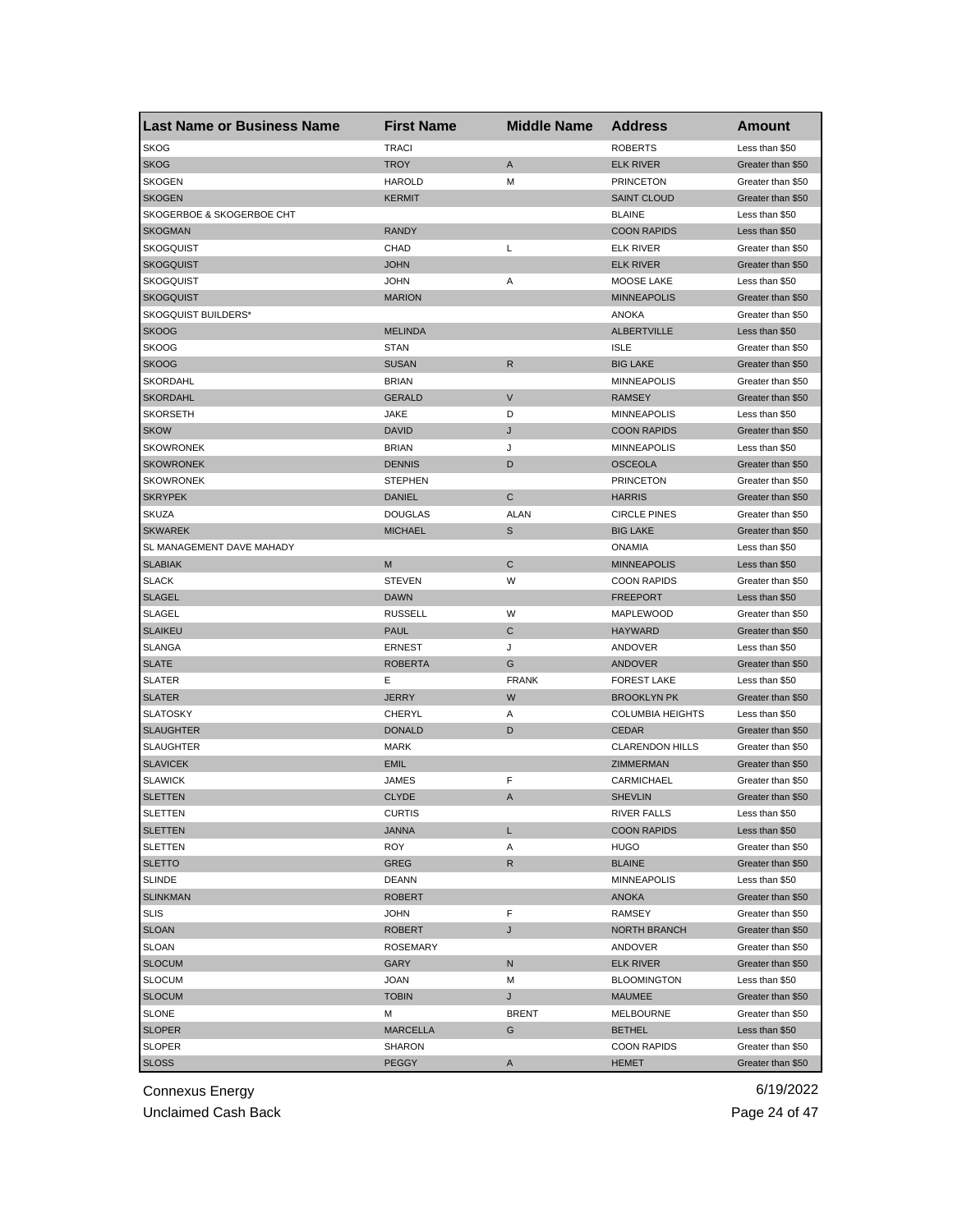| <b>Last Name or Business Name</b> | <b>First Name</b> | <b>Middle Name</b> | <b>Address</b>          | <b>Amount</b>     |
|-----------------------------------|-------------------|--------------------|-------------------------|-------------------|
| <b>SKOG</b>                       | <b>TRACI</b>      |                    | <b>ROBERTS</b>          | Less than \$50    |
| <b>SKOG</b>                       | <b>TROY</b>       | A                  | <b>ELK RIVER</b>        | Greater than \$50 |
| <b>SKOGEN</b>                     | <b>HAROLD</b>     | М                  | <b>PRINCETON</b>        | Greater than \$50 |
| <b>SKOGEN</b>                     | <b>KERMIT</b>     |                    | <b>SAINT CLOUD</b>      | Greater than \$50 |
| SKOGERBOE & SKOGERBOE CHT         |                   |                    | <b>BLAINE</b>           | Less than \$50    |
| <b>SKOGMAN</b>                    | <b>RANDY</b>      |                    | <b>COON RAPIDS</b>      | Less than \$50    |
| <b>SKOGQUIST</b>                  | CHAD              | Г                  | <b>ELK RIVER</b>        | Greater than \$50 |
| <b>SKOGQUIST</b>                  | <b>JOHN</b>       |                    | <b>ELK RIVER</b>        | Greater than \$50 |
| <b>SKOGQUIST</b>                  | <b>JOHN</b>       | Α                  | MOOSE LAKE              | Less than \$50    |
| <b>SKOGQUIST</b>                  | <b>MARION</b>     |                    | <b>MINNEAPOLIS</b>      | Greater than \$50 |
| SKOGQUIST BUILDERS*               |                   |                    | <b>ANOKA</b>            | Greater than \$50 |
| <b>SKOOG</b>                      | <b>MELINDA</b>    |                    | <b>ALBERTVILLE</b>      | Less than \$50    |
| <b>SKOOG</b>                      | <b>STAN</b>       |                    | <b>ISLE</b>             | Greater than \$50 |
| <b>SKOOG</b>                      | <b>SUSAN</b>      | R                  | <b>BIG LAKE</b>         | Greater than \$50 |
| SKORDAHL                          | <b>BRIAN</b>      |                    | <b>MINNEAPOLIS</b>      | Greater than \$50 |
| <b>SKORDAHL</b>                   | <b>GERALD</b>     | V                  | <b>RAMSEY</b>           | Greater than \$50 |
| <b>SKORSETH</b>                   | <b>JAKE</b>       | D                  | <b>MINNEAPOLIS</b>      | Less than \$50    |
| <b>SKOW</b>                       | <b>DAVID</b>      | J                  | <b>COON RAPIDS</b>      | Greater than \$50 |
| <b>SKOWRONEK</b>                  | <b>BRIAN</b>      | J                  | <b>MINNEAPOLIS</b>      | Less than \$50    |
| <b>SKOWRONEK</b>                  | <b>DENNIS</b>     | D                  | <b>OSCEOLA</b>          | Greater than \$50 |
| <b>SKOWRONEK</b>                  | <b>STEPHEN</b>    |                    | <b>PRINCETON</b>        | Greater than \$50 |
| <b>SKRYPEK</b>                    | <b>DANIEL</b>     | С                  | <b>HARRIS</b>           | Greater than \$50 |
| <b>SKUZA</b>                      | <b>DOUGLAS</b>    | <b>ALAN</b>        | <b>CIRCLE PINES</b>     | Greater than \$50 |
| <b>SKWAREK</b>                    | <b>MICHAEL</b>    | S                  | <b>BIG LAKE</b>         | Greater than \$50 |
| SL MANAGEMENT DAVE MAHADY         |                   |                    | <b>ONAMIA</b>           | Less than \$50    |
| <b>SLABIAK</b>                    | M                 | С                  | <b>MINNEAPOLIS</b>      | Less than \$50    |
| <b>SLACK</b>                      | <b>STEVEN</b>     | W                  | <b>COON RAPIDS</b>      | Greater than \$50 |
| <b>SLAGEL</b>                     | <b>DAWN</b>       |                    | <b>FREEPORT</b>         | Less than \$50    |
| <b>SLAGEL</b>                     | <b>RUSSELL</b>    | W                  | MAPLEWOOD               | Greater than \$50 |
| <b>SLAIKEU</b>                    | <b>PAUL</b>       | С                  | <b>HAYWARD</b>          | Greater than \$50 |
| SLANGA                            | <b>ERNEST</b>     | J                  | ANDOVER                 | Less than \$50    |
| <b>SLATE</b>                      | <b>ROBERTA</b>    | G                  | <b>ANDOVER</b>          | Greater than \$50 |
| <b>SLATER</b>                     | Е                 | <b>FRANK</b>       | <b>FOREST LAKE</b>      | Less than \$50    |
| <b>SLATER</b>                     | <b>JERRY</b>      | W                  | <b>BROOKLYN PK</b>      | Greater than \$50 |
| <b>SLATOSKY</b>                   | CHERYL            | Α                  | <b>COLUMBIA HEIGHTS</b> | Less than \$50    |
| <b>SLAUGHTER</b>                  | <b>DONALD</b>     | D                  | <b>CEDAR</b>            | Greater than \$50 |
| <b>SLAUGHTER</b>                  | <b>MARK</b>       |                    | <b>CLARENDON HILLS</b>  | Greater than \$50 |
| <b>SLAVICEK</b>                   | <b>EMIL</b>       |                    | ZIMMERMAN               | Greater than \$50 |
| <b>SLAWICK</b>                    | JAMES             | F                  | CARMICHAEL              | Greater than \$50 |
| <b>SLETTEN</b>                    | <b>CLYDE</b>      | A                  | <b>SHEVLIN</b>          | Greater than \$50 |
| <b>SLETTEN</b>                    | CURTIS            |                    | RIVER FALLS             | Less than \$50    |
| <b>SLETTEN</b>                    | <b>JANNA</b>      | L                  | <b>COON RAPIDS</b>      | Less than \$50    |
| <b>SLETTEN</b>                    | <b>ROY</b>        | Α                  | HUGO                    | Greater than \$50 |
| <b>SLETTO</b>                     | GREG              | R                  | <b>BLAINE</b>           | Greater than \$50 |
| <b>SLINDE</b>                     | DEANN             |                    | <b>MINNEAPOLIS</b>      | Less than \$50    |
| <b>SLINKMAN</b>                   | <b>ROBERT</b>     |                    | <b>ANOKA</b>            | Greater than \$50 |
| <b>SLIS</b>                       | <b>JOHN</b>       | F                  | RAMSEY                  | Greater than \$50 |
| <b>SLOAN</b>                      | <b>ROBERT</b>     | J                  | <b>NORTH BRANCH</b>     | Greater than \$50 |
| SLOAN                             | <b>ROSEMARY</b>   |                    | ANDOVER                 | Greater than \$50 |
| <b>SLOCUM</b>                     | GARY              | N                  | <b>ELK RIVER</b>        | Greater than \$50 |
| <b>SLOCUM</b>                     | <b>JOAN</b>       | М                  | <b>BLOOMINGTON</b>      | Less than \$50    |
| <b>SLOCUM</b>                     | <b>TOBIN</b>      | J                  | MAUMEE                  | Greater than \$50 |
| SLONE                             | М                 | <b>BRENT</b>       | MELBOURNE               | Greater than \$50 |
| <b>SLOPER</b>                     | MARCELLA          | G                  | <b>BETHEL</b>           | Less than \$50    |
| <b>SLOPER</b>                     | SHARON            |                    | <b>COON RAPIDS</b>      | Greater than \$50 |
| <b>SLOSS</b>                      | <b>PEGGY</b>      | Α                  | <b>HEMET</b>            | Greater than \$50 |

Unclaimed Cash Back **Page 24 of 47**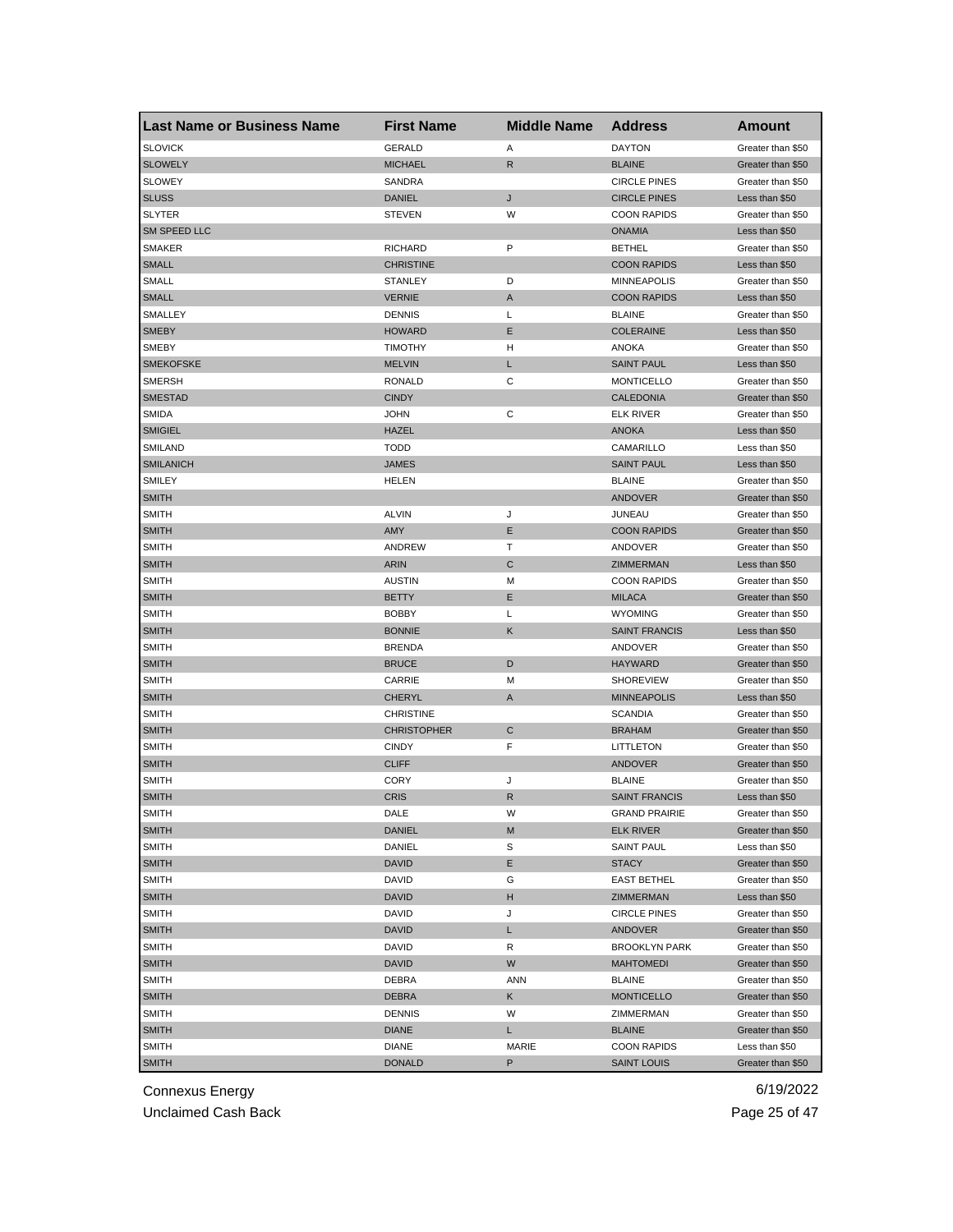| <b>Last Name or Business Name</b> | <b>First Name</b>  | <b>Middle Name</b> | <b>Address</b>       | <b>Amount</b>     |
|-----------------------------------|--------------------|--------------------|----------------------|-------------------|
| <b>SLOVICK</b>                    | <b>GERALD</b>      | Α                  | <b>DAYTON</b>        | Greater than \$50 |
| <b>SLOWELY</b>                    | <b>MICHAEL</b>     | $\mathsf{R}$       | <b>BLAINE</b>        | Greater than \$50 |
| <b>SLOWEY</b>                     | SANDRA             |                    | <b>CIRCLE PINES</b>  | Greater than \$50 |
| <b>SLUSS</b>                      | <b>DANIEL</b>      | J                  | <b>CIRCLE PINES</b>  | Less than \$50    |
| <b>SLYTER</b>                     | <b>STEVEN</b>      | W                  | <b>COON RAPIDS</b>   | Greater than \$50 |
| SM SPEED LLC                      |                    |                    | <b>ONAMIA</b>        | Less than \$50    |
| SMAKER                            | <b>RICHARD</b>     | P                  | <b>BETHEL</b>        | Greater than \$50 |
| <b>SMALL</b>                      | <b>CHRISTINE</b>   |                    | <b>COON RAPIDS</b>   | Less than \$50    |
| <b>SMALL</b>                      | STANLEY            | D                  | <b>MINNEAPOLIS</b>   | Greater than \$50 |
| <b>SMALL</b>                      | <b>VERNIE</b>      | A                  | <b>COON RAPIDS</b>   | Less than \$50    |
| SMALLEY                           | <b>DENNIS</b>      | L                  | <b>BLAINE</b>        | Greater than \$50 |
| <b>SMEBY</b>                      | <b>HOWARD</b>      | Ε                  | <b>COLERAINE</b>     | Less than \$50    |
| <b>SMEBY</b>                      | <b>TIMOTHY</b>     | н                  | <b>ANOKA</b>         | Greater than \$50 |
| <b>SMEKOFSKE</b>                  | <b>MELVIN</b>      | L                  | <b>SAINT PAUL</b>    | Less than \$50    |
| <b>SMERSH</b>                     | <b>RONALD</b>      | С                  | <b>MONTICELLO</b>    | Greater than \$50 |
| <b>SMESTAD</b>                    | <b>CINDY</b>       |                    | <b>CALEDONIA</b>     | Greater than \$50 |
| <b>SMIDA</b>                      | <b>JOHN</b>        | С                  | <b>ELK RIVER</b>     | Greater than \$50 |
| <b>SMIGIEL</b>                    | <b>HAZEL</b>       |                    | <b>ANOKA</b>         | Less than \$50    |
| SMILAND                           | <b>TODD</b>        |                    | CAMARILLO            | Less than \$50    |
| <b>SMILANICH</b>                  | <b>JAMES</b>       |                    | <b>SAINT PAUL</b>    | Less than \$50    |
| SMILEY                            | HELEN              |                    | <b>BLAINE</b>        | Greater than \$50 |
| <b>SMITH</b>                      |                    |                    | <b>ANDOVER</b>       | Greater than \$50 |
| <b>SMITH</b>                      | <b>ALVIN</b>       | J                  | <b>JUNEAU</b>        | Greater than \$50 |
| <b>SMITH</b>                      | AMY                | Е                  | <b>COON RAPIDS</b>   | Greater than \$50 |
| SMITH                             | ANDREW             | т                  | ANDOVER              | Greater than \$50 |
| <b>SMITH</b>                      | <b>ARIN</b>        | C                  | ZIMMERMAN            | Less than \$50    |
| SMITH                             | <b>AUSTIN</b>      | M                  | <b>COON RAPIDS</b>   | Greater than \$50 |
| <b>SMITH</b>                      | <b>BETTY</b>       | Ε                  | <b>MILACA</b>        | Greater than \$50 |
| <b>SMITH</b>                      | <b>BOBBY</b>       | L                  | <b>WYOMING</b>       | Greater than \$50 |
| <b>SMITH</b>                      | <b>BONNIE</b>      | Κ                  | <b>SAINT FRANCIS</b> | Less than \$50    |
| <b>SMITH</b>                      | <b>BRENDA</b>      |                    | ANDOVER              | Greater than \$50 |
| <b>SMITH</b>                      | <b>BRUCE</b>       | D                  | <b>HAYWARD</b>       | Greater than \$50 |
| <b>SMITH</b>                      | CARRIE             | М                  | <b>SHOREVIEW</b>     | Greater than \$50 |
| <b>SMITH</b>                      | <b>CHERYL</b>      | Α                  | <b>MINNEAPOLIS</b>   | Less than \$50    |
| <b>SMITH</b>                      | <b>CHRISTINE</b>   |                    | <b>SCANDIA</b>       | Greater than \$50 |
| <b>SMITH</b>                      | <b>CHRISTOPHER</b> | С                  | <b>BRAHAM</b>        | Greater than \$50 |
| <b>SMITH</b>                      | <b>CINDY</b>       | F                  | LITTLETON            | Greater than \$50 |
| <b>SMITH</b>                      | <b>CLIFF</b>       |                    | <b>ANDOVER</b>       | Greater than \$50 |
| <b>SMITH</b>                      | <b>CORY</b>        | J                  | <b>BLAINE</b>        | Greater than \$50 |
| <b>SMITH</b>                      | <b>CRIS</b>        | R                  | <b>SAINT FRANCIS</b> | Less than \$50    |
| SMITH                             | DALE               | w                  | <b>GRAND PRAIRIE</b> | Greater than \$50 |
| <b>SMITH</b>                      | DANIEL             | M                  | <b>ELK RIVER</b>     | Greater than \$50 |
| <b>SMITH</b>                      | DANIEL             | S                  | <b>SAINT PAUL</b>    | Less than \$50    |
| <b>SMITH</b>                      | DAVID              | Е                  | <b>STACY</b>         | Greater than \$50 |
| <b>SMITH</b>                      | DAVID              | G                  | <b>EAST BETHEL</b>   | Greater than \$50 |
| <b>SMITH</b>                      | <b>DAVID</b>       | н                  | ZIMMERMAN            | Less than \$50    |
| <b>SMITH</b>                      | DAVID              | J                  | <b>CIRCLE PINES</b>  | Greater than \$50 |
| <b>SMITH</b>                      | <b>DAVID</b>       | L                  | <b>ANDOVER</b>       | Greater than \$50 |
| <b>SMITH</b>                      | DAVID              | R                  | <b>BROOKLYN PARK</b> | Greater than \$50 |
| <b>SMITH</b>                      | <b>DAVID</b>       | W                  | <b>MAHTOMEDI</b>     | Greater than \$50 |
| <b>SMITH</b>                      | DEBRA              | <b>ANN</b>         | <b>BLAINE</b>        | Greater than \$50 |
| <b>SMITH</b>                      | <b>DEBRA</b>       | Κ                  | <b>MONTICELLO</b>    | Greater than \$50 |
| <b>SMITH</b>                      | <b>DENNIS</b>      | W                  | ZIMMERMAN            | Greater than \$50 |
| <b>SMITH</b>                      | <b>DIANE</b>       |                    | <b>BLAINE</b>        | Greater than \$50 |
| <b>SMITH</b>                      | <b>DIANE</b>       | L<br>MARIE         | <b>COON RAPIDS</b>   | Less than \$50    |
| <b>SMITH</b>                      | <b>DONALD</b>      | P                  |                      | Greater than \$50 |
|                                   |                    |                    | <b>SAINT LOUIS</b>   |                   |

Unclaimed Cash Back **Page 25 of 47**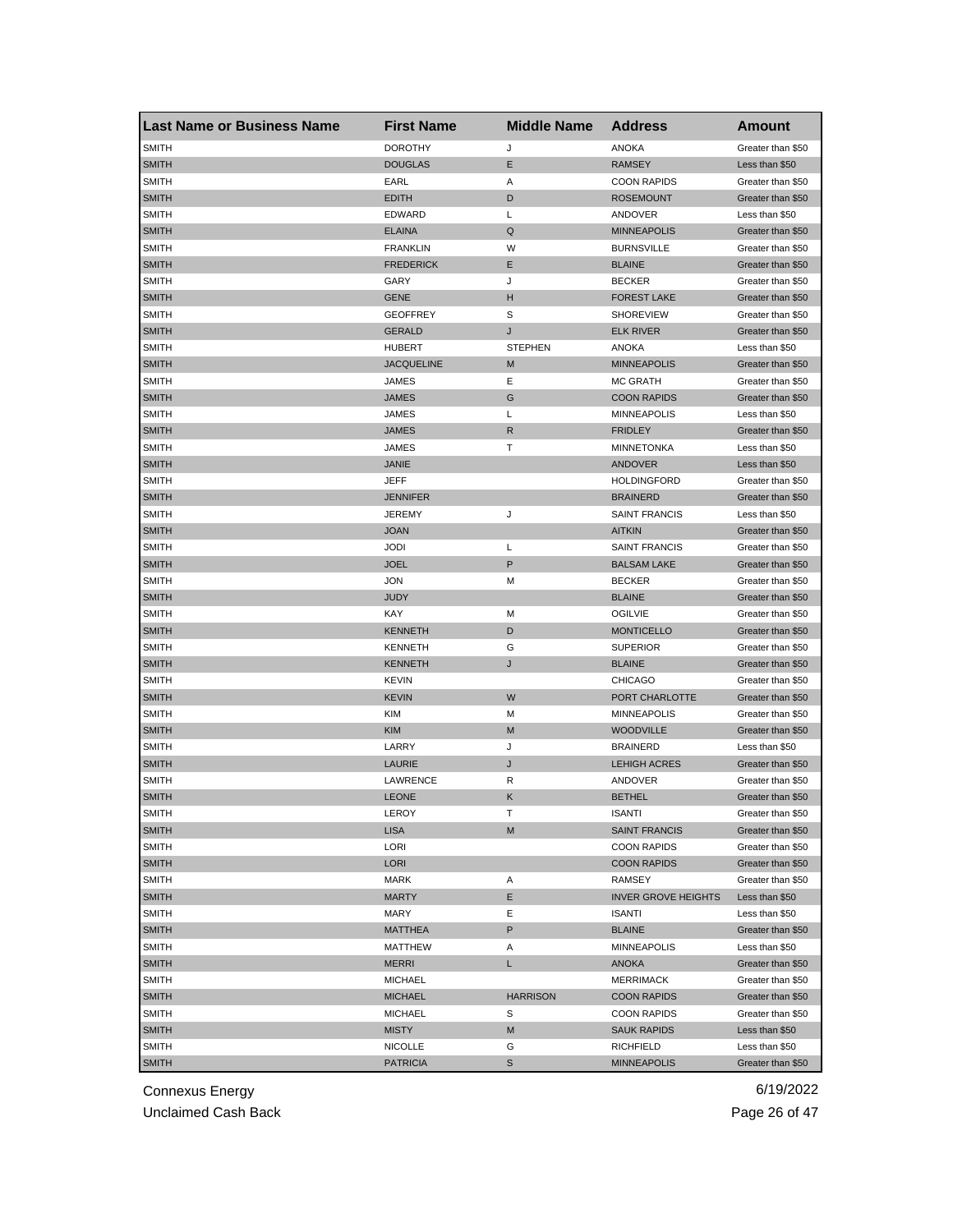| <b>Last Name or Business Name</b> | <b>First Name</b> | <b>Middle Name</b> | <b>Address</b>             | <b>Amount</b>     |
|-----------------------------------|-------------------|--------------------|----------------------------|-------------------|
| <b>SMITH</b>                      | <b>DOROTHY</b>    | J                  | <b>ANOKA</b>               | Greater than \$50 |
| <b>SMITH</b>                      | <b>DOUGLAS</b>    | Е                  | <b>RAMSEY</b>              | Less than \$50    |
| <b>SMITH</b>                      | EARL              | Α                  | <b>COON RAPIDS</b>         | Greater than \$50 |
| <b>SMITH</b>                      | <b>EDITH</b>      | D                  | <b>ROSEMOUNT</b>           | Greater than \$50 |
| <b>SMITH</b>                      | <b>EDWARD</b>     | Г                  | ANDOVER                    | Less than \$50    |
| <b>SMITH</b>                      | <b>ELAINA</b>     | Q                  | <b>MINNEAPOLIS</b>         | Greater than \$50 |
| <b>SMITH</b>                      | <b>FRANKLIN</b>   | W                  | <b>BURNSVILLE</b>          | Greater than \$50 |
| <b>SMITH</b>                      | <b>FREDERICK</b>  | Е                  | <b>BLAINE</b>              | Greater than \$50 |
| <b>SMITH</b>                      | GARY              | J                  | <b>BECKER</b>              | Greater than \$50 |
| <b>SMITH</b>                      | GENE              | н                  | <b>FOREST LAKE</b>         | Greater than \$50 |
| <b>SMITH</b>                      | <b>GEOFFREY</b>   | S                  | <b>SHOREVIEW</b>           | Greater than \$50 |
| <b>SMITH</b>                      | <b>GERALD</b>     | J                  | <b>ELK RIVER</b>           | Greater than \$50 |
| <b>SMITH</b>                      | <b>HUBERT</b>     | <b>STEPHEN</b>     | ANOKA                      | Less than \$50    |
| <b>SMITH</b>                      | <b>JACQUELINE</b> | M                  | <b>MINNEAPOLIS</b>         | Greater than \$50 |
| <b>SMITH</b>                      | <b>JAMES</b>      | Ε                  | <b>MC GRATH</b>            | Greater than \$50 |
| <b>SMITH</b>                      | <b>JAMES</b>      | G                  | <b>COON RAPIDS</b>         | Greater than \$50 |
| <b>SMITH</b>                      | <b>JAMES</b>      | L                  | <b>MINNEAPOLIS</b>         | Less than \$50    |
| <b>SMITH</b>                      | <b>JAMES</b>      | $\mathsf{R}$       | <b>FRIDLEY</b>             | Greater than \$50 |
| <b>SMITH</b>                      | JAMES             | Т                  | <b>MINNETONKA</b>          | Less than \$50    |
| <b>SMITH</b>                      | JANIE             |                    | ANDOVER                    | Less than \$50    |
| <b>SMITH</b>                      | JEFF              |                    | <b>HOLDINGFORD</b>         | Greater than \$50 |
| <b>SMITH</b>                      | <b>JENNIFER</b>   |                    | <b>BRAINERD</b>            | Greater than \$50 |
| <b>SMITH</b>                      | <b>JEREMY</b>     | J                  | <b>SAINT FRANCIS</b>       | Less than \$50    |
| <b>SMITH</b>                      | <b>JOAN</b>       |                    | <b>AITKIN</b>              | Greater than \$50 |
| <b>SMITH</b>                      | JODI              | Г                  | <b>SAINT FRANCIS</b>       | Greater than \$50 |
| <b>SMITH</b>                      | JOEL              | P                  | <b>BALSAM LAKE</b>         | Greater than \$50 |
| SMITH                             | JON               | M                  | <b>BECKER</b>              | Greater than \$50 |
| <b>SMITH</b>                      | JUDY              |                    | <b>BLAINE</b>              | Greater than \$50 |
| <b>SMITH</b>                      | KAY               | М                  | <b>OGILVIE</b>             | Greater than \$50 |
| <b>SMITH</b>                      | <b>KENNETH</b>    | D                  | <b>MONTICELLO</b>          | Greater than \$50 |
| <b>SMITH</b>                      | <b>KENNETH</b>    | G                  | <b>SUPERIOR</b>            | Greater than \$50 |
| <b>SMITH</b>                      | <b>KENNETH</b>    | J                  | <b>BLAINE</b>              | Greater than \$50 |
| <b>SMITH</b>                      | <b>KEVIN</b>      |                    | <b>CHICAGO</b>             | Greater than \$50 |
| <b>SMITH</b>                      | <b>KEVIN</b>      | W                  | PORT CHARLOTTE             | Greater than \$50 |
| <b>SMITH</b>                      | <b>KIM</b>        | M                  | <b>MINNEAPOLIS</b>         | Greater than \$50 |
| <b>SMITH</b>                      | <b>KIM</b>        | M                  | <b>WOODVILLE</b>           | Greater than \$50 |
| <b>SMITH</b>                      | LARRY             | J                  | <b>BRAINERD</b>            | Less than \$50    |
| <b>SMITH</b>                      | LAURIE            | J                  | <b>LEHIGH ACRES</b>        | Greater than \$50 |
| <b>SMITH</b>                      | LAWRENCE          | R                  | ANDOVER                    | Greater than \$50 |
| <b>SMITH</b>                      | <b>LEONE</b>      | Κ                  | <b>BETHEL</b>              | Greater than \$50 |
| SMITH                             | LEROY             | т                  | ISANTI                     | Greater than \$50 |
| <b>SMITH</b>                      | <b>LISA</b>       | M                  | <b>SAINT FRANCIS</b>       | Greater than \$50 |
| <b>SMITH</b>                      | LORI              |                    | <b>COON RAPIDS</b>         | Greater than \$50 |
| <b>SMITH</b>                      | LORI              |                    | <b>COON RAPIDS</b>         | Greater than \$50 |
| <b>SMITH</b>                      | MARK              | Α                  | RAMSEY                     | Greater than \$50 |
| <b>SMITH</b>                      | <b>MARTY</b>      | Е                  | <b>INVER GROVE HEIGHTS</b> | Less than \$50    |
| <b>SMITH</b>                      | MARY              | Ε                  | <b>ISANTI</b>              | Less than \$50    |
|                                   |                   |                    |                            |                   |
| <b>SMITH</b><br><b>SMITH</b>      | <b>MATTHEA</b>    | P                  | <b>BLAINE</b>              | Greater than \$50 |
|                                   | <b>MATTHEW</b>    | Α                  | <b>MINNEAPOLIS</b>         | Less than \$50    |
| <b>SMITH</b>                      | <b>MERRI</b>      | L                  | <b>ANOKA</b>               | Greater than \$50 |
| <b>SMITH</b>                      | <b>MICHAEL</b>    |                    | <b>MERRIMACK</b>           | Greater than \$50 |
| <b>SMITH</b>                      | <b>MICHAEL</b>    | <b>HARRISON</b>    | <b>COON RAPIDS</b>         | Greater than \$50 |
| <b>SMITH</b>                      | MICHAEL           | S                  | <b>COON RAPIDS</b>         | Greater than \$50 |
| <b>SMITH</b>                      | <b>MISTY</b>      | M                  | <b>SAUK RAPIDS</b>         | Less than \$50    |
| <b>SMITH</b>                      | NICOLLE           | G                  | <b>RICHFIELD</b>           | Less than \$50    |
| <b>SMITH</b>                      | <b>PATRICIA</b>   | S                  | <b>MINNEAPOLIS</b>         | Greater than \$50 |

Unclaimed Cash Back **Page 26 of 47**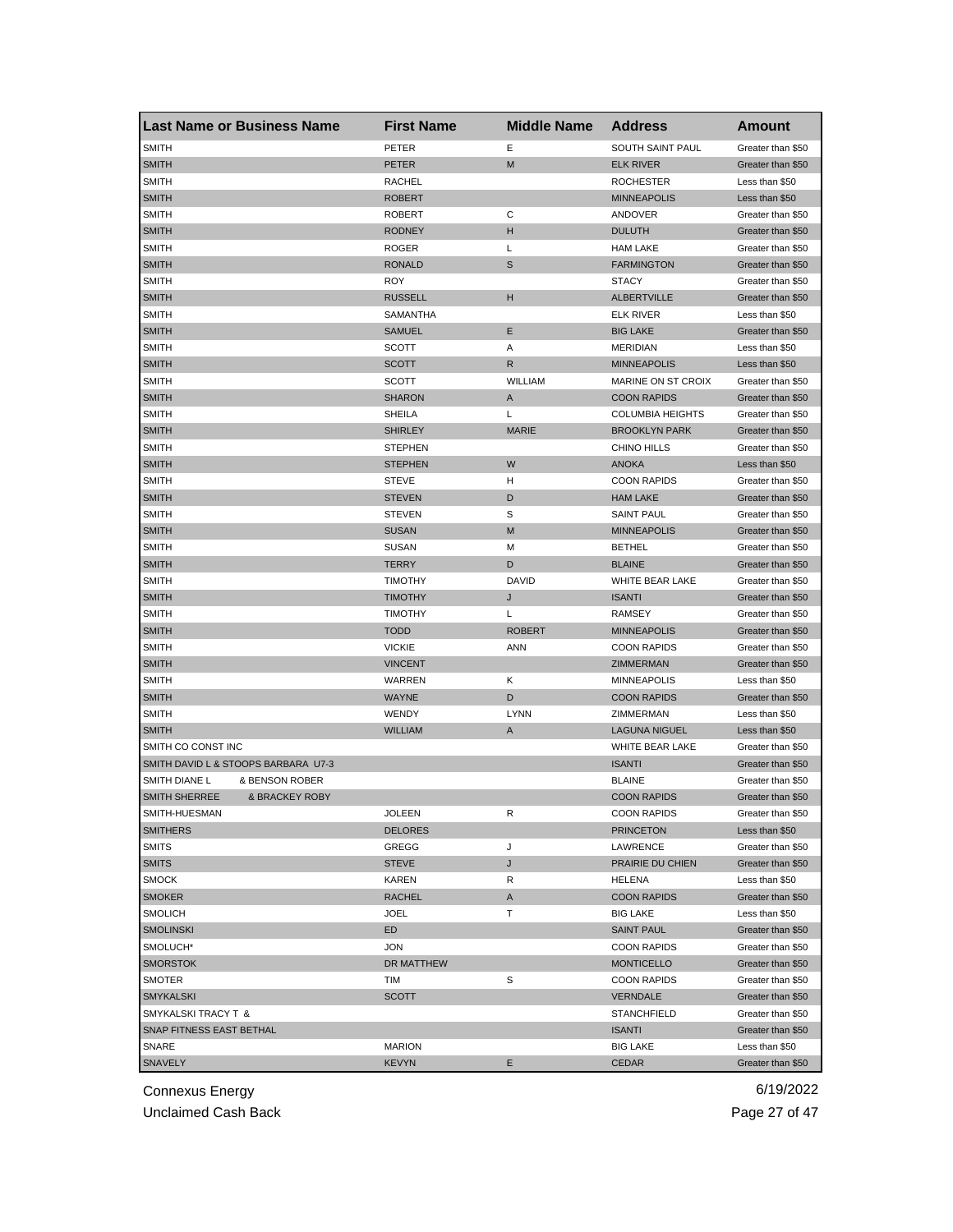| <b>Last Name or Business Name</b>   | <b>First Name</b> | <b>Middle Name</b> | <b>Address</b>          | <b>Amount</b>     |
|-------------------------------------|-------------------|--------------------|-------------------------|-------------------|
| <b>SMITH</b>                        | PETER             | Ε                  | SOUTH SAINT PAUL        | Greater than \$50 |
| <b>SMITH</b>                        | <b>PETER</b>      | M                  | <b>ELK RIVER</b>        | Greater than \$50 |
| <b>SMITH</b>                        | <b>RACHEL</b>     |                    | <b>ROCHESTER</b>        | Less than \$50    |
| <b>SMITH</b>                        | <b>ROBERT</b>     |                    | <b>MINNEAPOLIS</b>      | Less than \$50    |
| <b>SMITH</b>                        | <b>ROBERT</b>     | С                  | ANDOVER                 | Greater than \$50 |
| <b>SMITH</b>                        | <b>RODNEY</b>     | н                  | <b>DULUTH</b>           | Greater than \$50 |
| <b>SMITH</b>                        | <b>ROGER</b>      | Г                  | <b>HAM LAKE</b>         | Greater than \$50 |
| <b>SMITH</b>                        | RONALD            | S                  | <b>FARMINGTON</b>       | Greater than \$50 |
| SMITH                               | ROY               |                    | <b>STACY</b>            | Greater than \$50 |
| <b>SMITH</b>                        | <b>RUSSELL</b>    | н                  | <b>ALBERTVILLE</b>      | Greater than \$50 |
| <b>SMITH</b>                        | <b>SAMANTHA</b>   |                    | <b>ELK RIVER</b>        | Less than \$50    |
| <b>SMITH</b>                        | <b>SAMUEL</b>     | Ε                  | <b>BIG LAKE</b>         | Greater than \$50 |
| <b>SMITH</b>                        | <b>SCOTT</b>      | Α                  | <b>MERIDIAN</b>         | Less than \$50    |
| <b>SMITH</b>                        | <b>SCOTT</b>      | R                  | <b>MINNEAPOLIS</b>      | Less than \$50    |
| <b>SMITH</b>                        | SCOTT             | WILLIAM            | MARINE ON ST CROIX      | Greater than \$50 |
| <b>SMITH</b>                        | <b>SHARON</b>     | Α                  | <b>COON RAPIDS</b>      | Greater than \$50 |
| <b>SMITH</b>                        | <b>SHEILA</b>     | Г                  | <b>COLUMBIA HEIGHTS</b> | Greater than \$50 |
| <b>SMITH</b>                        | <b>SHIRLEY</b>    | <b>MARIE</b>       | <b>BROOKLYN PARK</b>    | Greater than \$50 |
| <b>SMITH</b>                        | <b>STEPHEN</b>    |                    | <b>CHINO HILLS</b>      | Greater than \$50 |
| <b>SMITH</b>                        | <b>STEPHEN</b>    | W                  | <b>ANOKA</b>            | Less than \$50    |
| <b>SMITH</b>                        | <b>STEVE</b>      | н                  | <b>COON RAPIDS</b>      | Greater than \$50 |
| <b>SMITH</b>                        | <b>STEVEN</b>     | D                  | <b>HAM LAKE</b>         | Greater than \$50 |
| <b>SMITH</b>                        | <b>STEVEN</b>     | S                  | <b>SAINT PAUL</b>       | Greater than \$50 |
| <b>SMITH</b>                        | <b>SUSAN</b>      | M                  | <b>MINNEAPOLIS</b>      | Greater than \$50 |
| <b>SMITH</b>                        | <b>SUSAN</b>      | М                  | <b>BETHEL</b>           | Greater than \$50 |
| <b>SMITH</b>                        | <b>TERRY</b>      | D                  | <b>BLAINE</b>           | Greater than \$50 |
| <b>SMITH</b>                        | <b>TIMOTHY</b>    | DAVID              | WHITE BEAR LAKE         | Greater than \$50 |
| <b>SMITH</b>                        | <b>TIMOTHY</b>    | J                  | <b>ISANTI</b>           | Greater than \$50 |
| <b>SMITH</b>                        | <b>TIMOTHY</b>    | L                  | <b>RAMSEY</b>           | Greater than \$50 |
| <b>SMITH</b>                        |                   | <b>ROBERT</b>      | <b>MINNEAPOLIS</b>      |                   |
|                                     | <b>TODD</b>       |                    |                         | Greater than \$50 |
| <b>SMITH</b>                        | <b>VICKIE</b>     | <b>ANN</b>         | <b>COON RAPIDS</b>      | Greater than \$50 |
| <b>SMITH</b>                        | <b>VINCENT</b>    |                    | <b>ZIMMERMAN</b>        | Greater than \$50 |
| <b>SMITH</b>                        | WARREN            | Κ                  | <b>MINNEAPOLIS</b>      | Less than \$50    |
| <b>SMITH</b>                        | <b>WAYNE</b>      | D                  | <b>COON RAPIDS</b>      | Greater than \$50 |
| SMITH                               | WENDY             | <b>LYNN</b>        | ZIMMERMAN               | Less than \$50    |
| <b>SMITH</b>                        | <b>WILLIAM</b>    | A                  | <b>LAGUNA NIGUEL</b>    | Less than \$50    |
| SMITH CO CONST INC                  |                   |                    | WHITE BEAR LAKE         | Greater than \$50 |
| SMITH DAVID L & STOOPS BARBARA U7-3 |                   |                    | <b>ISANTI</b>           | Greater than \$50 |
| SMITH DIANE L<br>& BENSON ROBER     |                   |                    | <b>BLAINE</b>           | Greater than \$50 |
| SMITH SHERREE<br>& BRACKEY ROBY     |                   |                    | <b>COON RAPIDS</b>      | Greater than \$50 |
| SMITH-HUESMAN                       | JOLEEN            | R                  | <b>COON RAPIDS</b>      | Greater than \$50 |
| <b>SMITHERS</b>                     | <b>DELORES</b>    |                    | <b>PRINCETON</b>        | Less than \$50    |
| <b>SMITS</b>                        | GREGG             | J                  | LAWRENCE                | Greater than \$50 |
| <b>SMITS</b>                        | <b>STEVE</b>      | J                  | PRAIRIE DU CHIEN        | Greater than \$50 |
| <b>SMOCK</b>                        | <b>KAREN</b>      | R                  | HELENA                  | Less than \$50    |
| <b>SMOKER</b>                       | <b>RACHEL</b>     | A                  | <b>COON RAPIDS</b>      | Greater than \$50 |
| <b>SMOLICH</b>                      | <b>JOEL</b>       | Т                  | <b>BIG LAKE</b>         | Less than \$50    |
| <b>SMOLINSKI</b>                    | ED                |                    | <b>SAINT PAUL</b>       | Greater than \$50 |
| SMOLUCH*                            | <b>JON</b>        |                    | <b>COON RAPIDS</b>      | Greater than \$50 |
| <b>SMORSTOK</b>                     | DR MATTHEW        |                    | <b>MONTICELLO</b>       | Greater than \$50 |
| SMOTER                              | TIM               | S                  | <b>COON RAPIDS</b>      | Greater than \$50 |
| <b>SMYKALSKI</b>                    | SCOTT             |                    | VERNDALE                | Greater than \$50 |
| SMYKALSKI TRACY T &                 |                   |                    | <b>STANCHFIELD</b>      | Greater than \$50 |
| SNAP FITNESS EAST BETHAL            |                   |                    | <b>ISANTI</b>           | Greater than \$50 |
| SNARE                               | <b>MARION</b>     |                    | <b>BIG LAKE</b>         | Less than \$50    |
| <b>SNAVELY</b>                      | <b>KEVYN</b>      | Е                  | <b>CEDAR</b>            | Greater than \$50 |

Unclaimed Cash Back **Page 27 of 47**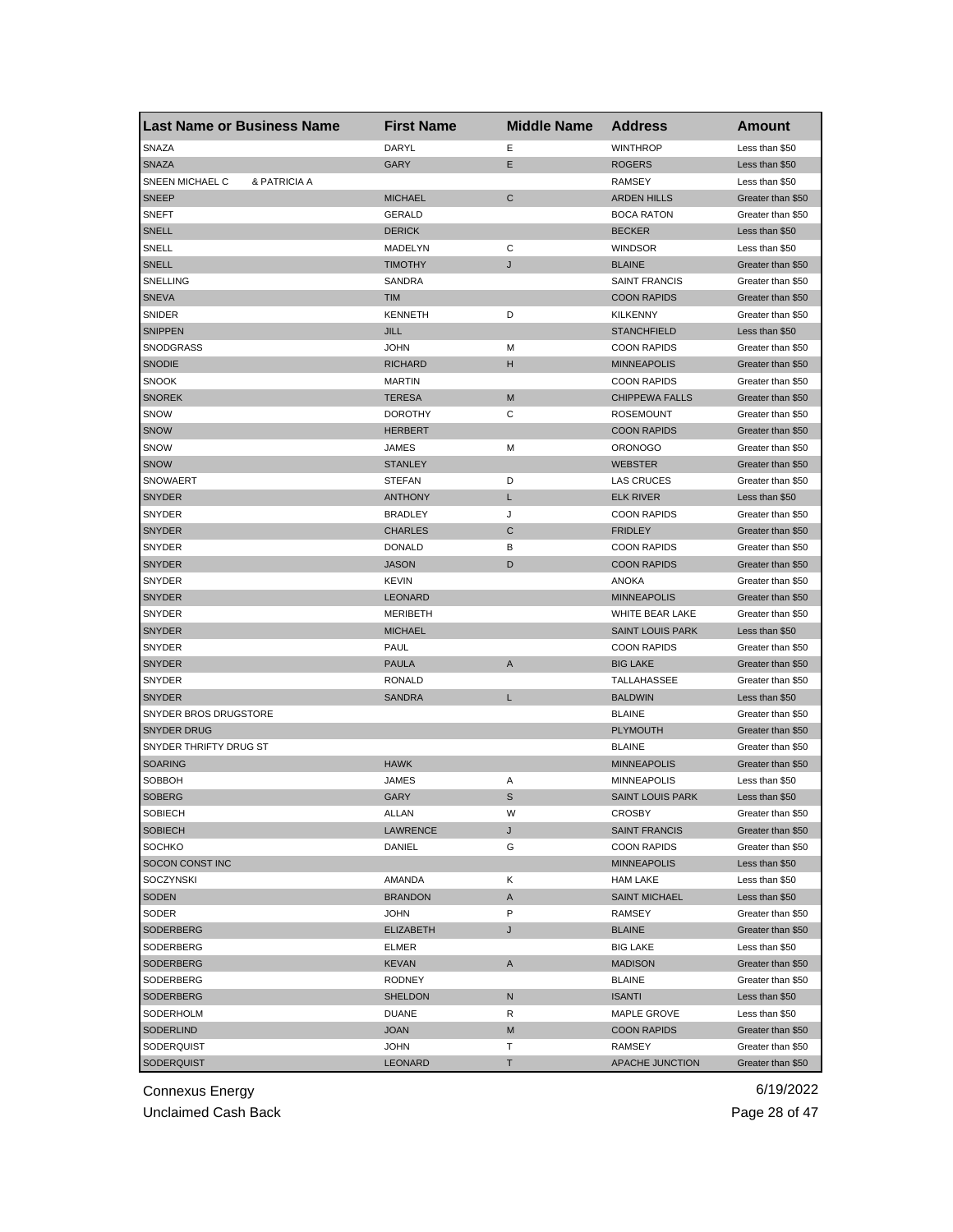| <b>Last Name or Business Name</b> | <b>First Name</b> | <b>Middle Name</b> | <b>Address</b>          | <b>Amount</b>                          |
|-----------------------------------|-------------------|--------------------|-------------------------|----------------------------------------|
| <b>SNAZA</b>                      | DARYL             | Е                  | <b>WINTHROP</b>         | Less than \$50                         |
| <b>SNAZA</b>                      | GARY              | Ε                  | <b>ROGERS</b>           | Less than \$50                         |
| SNEEN MICHAEL C<br>& PATRICIA A   |                   |                    | <b>RAMSEY</b>           | Less than \$50                         |
| <b>SNEEP</b>                      | <b>MICHAEL</b>    | C                  | <b>ARDEN HILLS</b>      | Greater than \$50                      |
| <b>SNEFT</b>                      | <b>GERALD</b>     |                    | <b>BOCA RATON</b>       | Greater than \$50                      |
| <b>SNELL</b>                      | <b>DERICK</b>     |                    | <b>BECKER</b>           | Less than \$50                         |
| SNELL                             | MADELYN           | С                  | <b>WINDSOR</b>          | Less than \$50                         |
| <b>SNELL</b>                      | <b>TIMOTHY</b>    | J                  | <b>BLAINE</b>           | Greater than \$50                      |
| SNELLING                          | SANDRA            |                    | <b>SAINT FRANCIS</b>    | Greater than \$50                      |
| <b>SNEVA</b>                      | TIM               |                    | <b>COON RAPIDS</b>      | Greater than \$50                      |
| SNIDER                            | <b>KENNETH</b>    | D                  | <b>KILKENNY</b>         | Greater than \$50                      |
| <b>SNIPPEN</b>                    | <b>JILL</b>       |                    | <b>STANCHFIELD</b>      | Less than \$50                         |
| SNODGRASS                         | <b>JOHN</b>       | М                  | <b>COON RAPIDS</b>      | Greater than \$50                      |
| <b>SNODIE</b>                     | <b>RICHARD</b>    | н                  | <b>MINNEAPOLIS</b>      | Greater than \$50                      |
| <b>SNOOK</b>                      | <b>MARTIN</b>     |                    | <b>COON RAPIDS</b>      | Greater than \$50                      |
| <b>SNOREK</b>                     | <b>TERESA</b>     | M                  | <b>CHIPPEWA FALLS</b>   | Greater than \$50                      |
| SNOW                              | <b>DOROTHY</b>    | С                  | <b>ROSEMOUNT</b>        | Greater than \$50                      |
| <b>SNOW</b>                       | <b>HERBERT</b>    |                    | <b>COON RAPIDS</b>      | Greater than \$50                      |
| <b>SNOW</b>                       | JAMES             | М                  | <b>ORONOGO</b>          | Greater than \$50                      |
| <b>SNOW</b>                       | <b>STANLEY</b>    |                    | <b>WEBSTER</b>          | Greater than \$50                      |
| <b>SNOWAERT</b>                   | <b>STEFAN</b>     | D                  | <b>LAS CRUCES</b>       | Greater than \$50                      |
| <b>SNYDER</b>                     | <b>ANTHONY</b>    | L                  | <b>ELK RIVER</b>        | Less than \$50                         |
| SNYDER                            | <b>BRADLEY</b>    | J                  | <b>COON RAPIDS</b>      | Greater than \$50                      |
| <b>SNYDER</b>                     | <b>CHARLES</b>    | C                  | <b>FRIDLEY</b>          | Greater than \$50                      |
| SNYDER                            | <b>DONALD</b>     | В                  | <b>COON RAPIDS</b>      | Greater than \$50                      |
| <b>SNYDER</b>                     | <b>JASON</b>      | D                  | <b>COON RAPIDS</b>      | Greater than \$50                      |
| SNYDER                            | <b>KEVIN</b>      |                    | ANOKA                   | Greater than \$50                      |
| <b>SNYDER</b>                     | <b>LEONARD</b>    |                    | <b>MINNEAPOLIS</b>      | Greater than \$50                      |
| SNYDER                            | <b>MERIBETH</b>   |                    | WHITE BEAR LAKE         | Greater than \$50                      |
| <b>SNYDER</b>                     | <b>MICHAEL</b>    |                    | <b>SAINT LOUIS PARK</b> | Less than \$50                         |
| SNYDER                            | PAUL              |                    | <b>COON RAPIDS</b>      | Greater than \$50                      |
| <b>SNYDER</b>                     | <b>PAULA</b>      | A                  | <b>BIG LAKE</b>         | Greater than \$50                      |
| SNYDER                            | <b>RONALD</b>     |                    | TALLAHASSEE             | Greater than \$50                      |
| <b>SNYDER</b>                     | <b>SANDRA</b>     | L                  | <b>BALDWIN</b>          | Less than \$50                         |
| SNYDER BROS DRUGSTORE             |                   |                    | <b>BLAINE</b>           | Greater than \$50                      |
| <b>SNYDER DRUG</b>                |                   |                    | <b>PLYMOUTH</b>         | Greater than \$50                      |
| SNYDER THRIFTY DRUG ST            |                   |                    | <b>BLAINE</b>           | Greater than \$50                      |
| <b>SOARING</b>                    | <b>HAWK</b>       |                    | <b>MINNEAPOLIS</b>      | Greater than \$50                      |
| SOBBOH                            | <b>JAMES</b>      | Α                  | <b>MINNEAPOLIS</b>      | Less than \$50                         |
| <b>SOBERG</b>                     | GARY              | S                  | <b>SAINT LOUIS PARK</b> | Less than \$50                         |
|                                   | ALLAN             | w                  | <b>CROSBY</b>           |                                        |
| SOBIECH<br><b>SOBIECH</b>         | LAWRENCE          | J                  | <b>SAINT FRANCIS</b>    | Greater than \$50<br>Greater than \$50 |
| SOCHKO                            | DANIEL            | G                  | <b>COON RAPIDS</b>      | Greater than \$50                      |
| SOCON CONST INC                   |                   |                    | <b>MINNEAPOLIS</b>      | Less than \$50                         |
|                                   |                   |                    | <b>HAM LAKE</b>         |                                        |
| SOCZYNSKI                         | AMANDA            | Κ                  |                         | Less than \$50                         |
| SODEN                             | <b>BRANDON</b>    | Α                  | <b>SAINT MICHAEL</b>    | Less than \$50                         |
| SODER                             | <b>JOHN</b>       | P                  | <b>RAMSEY</b>           | Greater than \$50                      |
| SODERBERG                         | <b>ELIZABETH</b>  | J                  | <b>BLAINE</b>           | Greater than \$50                      |
| SODERBERG                         | <b>ELMER</b>      |                    | <b>BIG LAKE</b>         | Less than \$50                         |
| SODERBERG                         | <b>KEVAN</b>      | A                  | <b>MADISON</b>          | Greater than \$50                      |
| SODERBERG                         | RODNEY            |                    | <b>BLAINE</b>           | Greater than \$50                      |
| SODERBERG                         | SHELDON           | N                  | <b>ISANTI</b>           | Less than \$50                         |
| SODERHOLM                         | DUANE             | R                  | MAPLE GROVE             | Less than \$50                         |
| SODERLIND                         | <b>JOAN</b>       | M                  | <b>COON RAPIDS</b>      | Greater than \$50                      |
| SODERQUIST                        | <b>JOHN</b>       | т                  | RAMSEY                  | Greater than \$50                      |
| <b>SODERQUIST</b>                 | <b>LEONARD</b>    | Τ                  | APACHE JUNCTION         | Greater than \$50                      |

Unclaimed Cash Back **Page 28 of 47**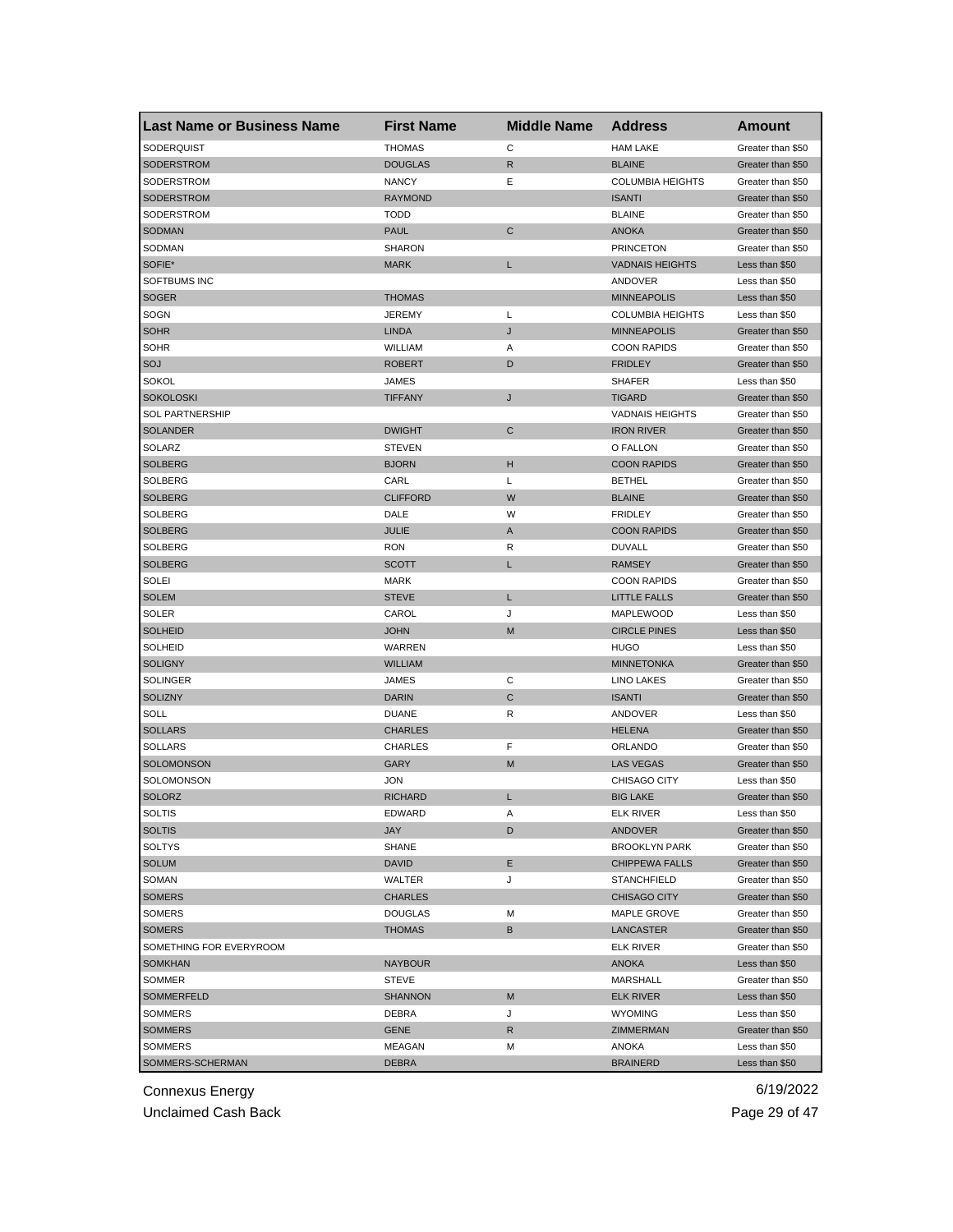| <b>Last Name or Business Name</b> | <b>First Name</b>       | <b>Middle Name</b> | <b>Address</b>          | Amount            |
|-----------------------------------|-------------------------|--------------------|-------------------------|-------------------|
| SODERQUIST                        | <b>THOMAS</b>           | C                  | <b>HAM LAKE</b>         | Greater than \$50 |
| <b>SODERSTROM</b>                 | <b>DOUGLAS</b>          | R                  | <b>BLAINE</b>           | Greater than \$50 |
| SODERSTROM                        | <b>NANCY</b>            | Ε                  | <b>COLUMBIA HEIGHTS</b> | Greater than \$50 |
| <b>SODERSTROM</b>                 | <b>RAYMOND</b>          |                    | <b>ISANTI</b>           | Greater than \$50 |
| SODERSTROM                        | <b>TODD</b>             |                    | <b>BLAINE</b>           | Greater than \$50 |
| <b>SODMAN</b>                     | <b>PAUL</b>             | C                  | <b>ANOKA</b>            | Greater than \$50 |
| SODMAN                            | <b>SHARON</b>           |                    | <b>PRINCETON</b>        | Greater than \$50 |
| SOFIE*                            | <b>MARK</b>             | L                  | <b>VADNAIS HEIGHTS</b>  | Less than \$50    |
| SOFTBUMS INC                      |                         |                    | ANDOVER                 | Less than \$50    |
| <b>SOGER</b>                      | <b>THOMAS</b>           |                    | <b>MINNEAPOLIS</b>      | Less than \$50    |
| SOGN                              | JEREMY                  | L                  | <b>COLUMBIA HEIGHTS</b> | Less than \$50    |
| <b>SOHR</b>                       | LINDA                   | J                  | <b>MINNEAPOLIS</b>      | Greater than \$50 |
| <b>SOHR</b>                       | WILLIAM                 | Α                  | <b>COON RAPIDS</b>      | Greater than \$50 |
| SOJ                               | <b>ROBERT</b>           | D                  | <b>FRIDLEY</b>          | Greater than \$50 |
| <b>SOKOL</b>                      | <b>JAMES</b>            |                    | <b>SHAFER</b>           | Less than \$50    |
| <b>SOKOLOSKI</b>                  | <b>TIFFANY</b>          | J                  | <b>TIGARD</b>           | Greater than \$50 |
| <b>SOL PARTNERSHIP</b>            |                         |                    | <b>VADNAIS HEIGHTS</b>  | Greater than \$50 |
| <b>SOLANDER</b>                   | <b>DWIGHT</b>           | C                  | <b>IRON RIVER</b>       | Greater than \$50 |
| SOLARZ                            | <b>STEVEN</b>           |                    | O FALLON                | Greater than \$50 |
| <b>SOLBERG</b>                    | <b>BJORN</b>            | н                  | <b>COON RAPIDS</b>      | Greater than \$50 |
| SOLBERG                           | CARL                    | Г                  | <b>BETHEL</b>           | Greater than \$50 |
| <b>SOLBERG</b>                    | <b>CLIFFORD</b>         | W                  | <b>BLAINE</b>           | Greater than \$50 |
| SOLBERG                           | DALE                    | W                  | <b>FRIDLEY</b>          | Greater than \$50 |
| <b>SOLBERG</b>                    | JULIE                   | A                  | <b>COON RAPIDS</b>      | Greater than \$50 |
| SOLBERG                           | <b>RON</b>              | R                  | <b>DUVALL</b>           | Greater than \$50 |
| <b>SOLBERG</b>                    | <b>SCOTT</b>            | L                  | <b>RAMSEY</b>           | Greater than \$50 |
| SOLEI                             | MARK                    |                    | <b>COON RAPIDS</b>      | Greater than \$50 |
| <b>SOLEM</b>                      | <b>STEVE</b>            | L                  | <b>LITTLE FALLS</b>     | Greater than \$50 |
| <b>SOLER</b>                      | CAROL                   | J                  | MAPLEWOOD               | Less than \$50    |
| <b>SOLHEID</b>                    | <b>JOHN</b>             | M                  | <b>CIRCLE PINES</b>     | Less than \$50    |
| <b>SOLHEID</b>                    | WARREN                  |                    | <b>HUGO</b>             | Less than \$50    |
| <b>SOLIGNY</b>                    | <b>WILLIAM</b>          |                    | <b>MINNETONKA</b>       | Greater than \$50 |
| <b>SOLINGER</b>                   | JAMES                   | C                  | LINO LAKES              | Greater than \$50 |
| <b>SOLIZNY</b>                    | <b>DARIN</b>            | С                  | <b>ISANTI</b>           | Greater than \$50 |
| SOLL                              | <b>DUANE</b>            | R                  | ANDOVER                 | Less than \$50    |
| <b>SOLLARS</b>                    | <b>CHARLES</b>          |                    | <b>HELENA</b>           | Greater than \$50 |
| <b>SOLLARS</b>                    | <b>CHARLES</b>          | F                  | ORLANDO                 | Greater than \$50 |
| SOLOMONSON                        | GARY                    | M                  | <b>LAS VEGAS</b>        | Greater than \$50 |
| SOLOMONSON                        | JON                     |                    | CHISAGO CITY            | Less than \$50    |
| <b>SOLORZ</b>                     | <b>RICHARD</b>          | L                  | <b>BIG LAKE</b>         | Greater than \$50 |
| <b>SOLTIS</b>                     | EDWARD                  | A                  | ELK RIVER               | Less than \$50    |
| <b>SOLTIS</b>                     | JAY                     | D                  | ANDOVER                 | Greater than \$50 |
| <b>SOLTYS</b>                     | <b>SHANE</b>            |                    | <b>BROOKLYN PARK</b>    | Greater than \$50 |
| <b>SOLUM</b>                      | DAVID                   | E.                 | <b>CHIPPEWA FALLS</b>   | Greater than \$50 |
| SOMAN                             | WALTER                  | J                  | <b>STANCHFIELD</b>      | Greater than \$50 |
| <b>SOMERS</b>                     | <b>CHARLES</b>          |                    | CHISAGO CITY            | Greater than \$50 |
| SOMERS                            | <b>DOUGLAS</b>          | М                  | MAPLE GROVE             | Greater than \$50 |
| <b>SOMERS</b>                     | <b>THOMAS</b>           | В                  | LANCASTER               | Greater than \$50 |
| SOMETHING FOR EVERYROOM           |                         |                    | <b>ELK RIVER</b>        | Greater than \$50 |
| <b>SOMKHAN</b>                    | <b>NAYBOUR</b>          |                    | <b>ANOKA</b>            | Less than \$50    |
| <b>SOMMER</b>                     | <b>STEVE</b>            |                    | MARSHALL                | Greater than \$50 |
|                                   |                         |                    |                         | Less than \$50    |
| SOMMERFELD                        | <b>SHANNON</b><br>DEBRA | M<br>J             | <b>ELK RIVER</b>        |                   |
| SOMMERS                           |                         |                    | WYOMING                 | Less than \$50    |
| <b>SOMMERS</b>                    | <b>GENE</b>             | R                  | ZIMMERMAN<br>ANOKA      | Greater than \$50 |
| SOMMERS                           | MEAGAN                  | M                  |                         | Less than \$50    |
| SOMMERS-SCHERMAN                  | DEBRA                   |                    | <b>BRAINERD</b>         | Less than \$50    |

Unclaimed Cash Back **Page 29 of 47**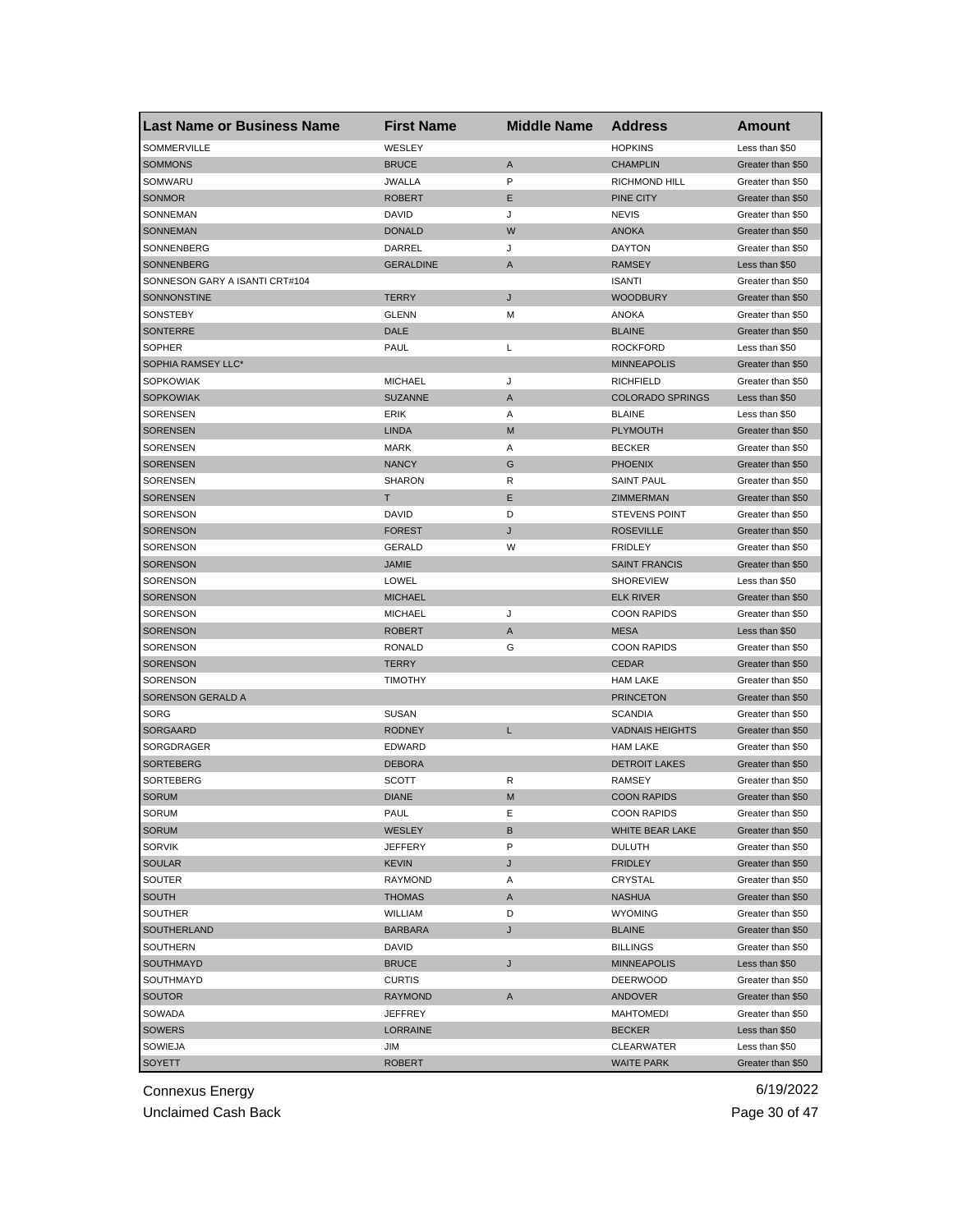| <b>Last Name or Business Name</b> | <b>First Name</b> | <b>Middle Name</b> | <b>Address</b>          | <b>Amount</b>                    |
|-----------------------------------|-------------------|--------------------|-------------------------|----------------------------------|
| SOMMERVILLE                       | WESLEY            |                    | <b>HOPKINS</b>          | Less than \$50                   |
| <b>SOMMONS</b>                    | <b>BRUCE</b>      | A                  | <b>CHAMPLIN</b>         | Greater than \$50                |
| SOMWARU                           | <b>JWALLA</b>     | P                  | <b>RICHMOND HILL</b>    | Greater than \$50                |
| <b>SONMOR</b>                     | <b>ROBERT</b>     | Е                  | PINE CITY               | Greater than \$50                |
| SONNEMAN                          | DAVID             | J                  | <b>NEVIS</b>            | Greater than \$50                |
| <b>SONNEMAN</b>                   | <b>DONALD</b>     | W                  | <b>ANOKA</b>            | Greater than \$50                |
| SONNENBERG                        | DARREL            | J                  | <b>DAYTON</b>           | Greater than \$50                |
| SONNENBERG                        | <b>GERALDINE</b>  | A                  | <b>RAMSEY</b>           | Less than \$50                   |
| SONNESON GARY A ISANTI CRT#104    |                   |                    | <b>ISANTI</b>           | Greater than \$50                |
| SONNONSTINE                       | TERRY             | J                  | <b>WOODBURY</b>         | Greater than \$50                |
| SONSTEBY                          | <b>GLENN</b>      | М                  | <b>ANOKA</b>            | Greater than \$50                |
| <b>SONTERRE</b>                   | DALE              |                    | <b>BLAINE</b>           | Greater than \$50                |
| <b>SOPHER</b>                     | PAUL              | L                  | <b>ROCKFORD</b>         | Less than \$50                   |
| SOPHIA RAMSEY LLC*                |                   |                    | <b>MINNEAPOLIS</b>      | Greater than \$50                |
| <b>SOPKOWIAK</b>                  | <b>MICHAEL</b>    | J                  | <b>RICHFIELD</b>        | Greater than \$50                |
| <b>SOPKOWIAK</b>                  | <b>SUZANNE</b>    | A                  | <b>COLORADO SPRINGS</b> | Less than \$50                   |
| <b>SORENSEN</b>                   | ERIK              | Α                  | <b>BLAINE</b>           | Less than \$50                   |
| <b>SORENSEN</b>                   | <b>LINDA</b>      | M                  | <b>PLYMOUTH</b>         | Greater than \$50                |
| SORENSEN                          | <b>MARK</b>       | Α                  | <b>BECKER</b>           | Greater than \$50                |
| <b>SORENSEN</b>                   | <b>NANCY</b>      | G                  | <b>PHOENIX</b>          | Greater than \$50                |
| <b>SORENSEN</b>                   | <b>SHARON</b>     | R                  | <b>SAINT PAUL</b>       | Greater than \$50                |
| <b>SORENSEN</b>                   | т                 | Е                  | ZIMMERMAN               | Greater than \$50                |
| <b>SORENSON</b>                   |                   | D                  |                         |                                  |
|                                   | DAVID             |                    | <b>STEVENS POINT</b>    | Greater than \$50                |
| <b>SORENSON</b>                   | <b>FOREST</b>     | J                  | <b>ROSEVILLE</b>        | Greater than \$50                |
| SORENSON                          | <b>GERALD</b>     | W                  | <b>FRIDLEY</b>          | Greater than \$50                |
| <b>SORENSON</b>                   | JAMIE             |                    | <b>SAINT FRANCIS</b>    | Greater than \$50                |
| SORENSON                          | <b>LOWEL</b>      |                    | <b>SHOREVIEW</b>        | Less than \$50                   |
| <b>SORENSON</b>                   | <b>MICHAEL</b>    |                    | <b>ELK RIVER</b>        | Greater than \$50                |
| SORENSON                          | <b>MICHAEL</b>    | J                  | <b>COON RAPIDS</b>      | Greater than \$50                |
| <b>SORENSON</b>                   | <b>ROBERT</b>     | A                  | <b>MESA</b>             | Less than \$50                   |
| SORENSON                          | <b>RONALD</b>     | G                  | <b>COON RAPIDS</b>      | Greater than \$50                |
| <b>SORENSON</b>                   | <b>TERRY</b>      |                    | <b>CEDAR</b>            | Greater than \$50                |
| SORENSON                          | TIMOTHY           |                    | <b>HAM LAKE</b>         | Greater than \$50                |
| SORENSON GERALD A                 |                   |                    | <b>PRINCETON</b>        | Greater than \$50                |
| <b>SORG</b>                       | SUSAN             |                    | <b>SCANDIA</b>          | Greater than \$50                |
| <b>SORGAARD</b>                   | <b>RODNEY</b>     | L.                 | <b>VADNAIS HEIGHTS</b>  | Greater than \$50                |
| SORGDRAGER                        | <b>EDWARD</b>     |                    | <b>HAM LAKE</b>         | Greater than \$50                |
| <b>SORTEBERG</b>                  | <b>DEBORA</b>     |                    | <b>DETROIT LAKES</b>    | Greater than \$50                |
| SORTEBERG                         | <b>SCOTT</b>      | R                  | <b>RAMSEY</b>           | Greater than \$50                |
| <b>SORUM</b>                      | <b>DIANE</b>      | M                  | <b>COON RAPIDS</b>      | Greater than \$50                |
| SORUM                             | PAUL              | E                  | COON RAPIDS             | Greater than \$50                |
| SORUM                             | WESLEY            | В                  | WHITE BEAR LAKE         | Greater than \$50                |
| <b>SORVIK</b>                     | JEFFERY           | P                  | <b>DULUTH</b>           | Greater than \$50                |
| <b>SOULAR</b>                     | KEVIN             | J                  | <b>FRIDLEY</b>          | Greater than \$50                |
| SOUTER                            | RAYMOND           | Α                  | CRYSTAL                 | Greater than \$50                |
| <b>SOUTH</b>                      | THOMAS            | A                  | <b>NASHUA</b>           | Greater than \$50                |
| SOUTHER                           | WILLIAM           | D                  | <b>WYOMING</b>          | Greater than \$50                |
| SOUTHERLAND                       | <b>BARBARA</b>    | J                  | <b>BLAINE</b>           | Greater than \$50                |
| SOUTHERN                          | DAVID             |                    | <b>BILLINGS</b>         | Greater than \$50                |
| SOUTHMAYD                         | <b>BRUCE</b>      | J                  | <b>MINNEAPOLIS</b>      | Less than \$50                   |
| SOUTHMAYD                         | <b>CURTIS</b>     |                    | <b>DEERWOOD</b>         | Greater than \$50                |
| <b>SOUTOR</b>                     | <b>RAYMOND</b>    | A                  | ANDOVER                 | Greater than \$50                |
| SOWADA                            | JEFFREY           |                    | <b>MAHTOMEDI</b>        | Greater than \$50                |
|                                   |                   |                    |                         |                                  |
| <b>SOWERS</b>                     | LORRAINE          |                    | <b>BECKER</b>           | Less than \$50<br>Less than \$50 |
| SOWIEJA                           | JIM               |                    | <b>CLEARWATER</b>       |                                  |
| <b>SOYETT</b>                     | <b>ROBERT</b>     |                    | <b>WAITE PARK</b>       | Greater than \$50                |

Unclaimed Cash Back **Page 30 of 47**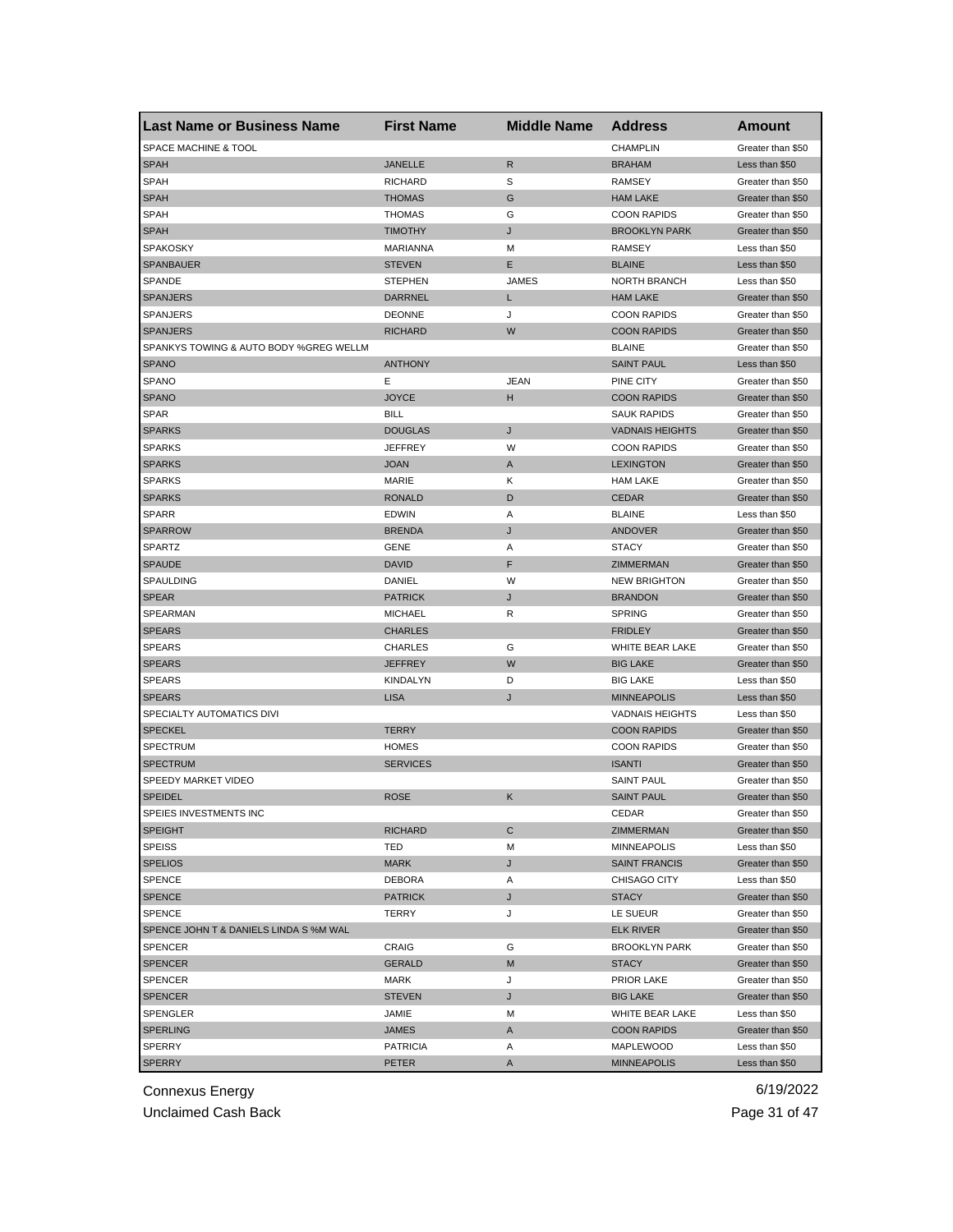| <b>Last Name or Business Name</b>      | <b>First Name</b>  | <b>Middle Name</b> | <b>Address</b>         | Amount                                 |
|----------------------------------------|--------------------|--------------------|------------------------|----------------------------------------|
| SPACE MACHINE & TOOL                   |                    |                    | <b>CHAMPLIN</b>        | Greater than \$50                      |
| <b>SPAH</b>                            | <b>JANELLE</b>     | R                  | <b>BRAHAM</b>          | Less than \$50                         |
| <b>SPAH</b>                            | <b>RICHARD</b>     | S                  | <b>RAMSEY</b>          | Greater than \$50                      |
| <b>SPAH</b>                            | <b>THOMAS</b>      | G                  | <b>HAM LAKE</b>        | Greater than \$50                      |
| <b>SPAH</b>                            | <b>THOMAS</b>      | G                  | <b>COON RAPIDS</b>     | Greater than \$50                      |
| <b>SPAH</b>                            | TIMOTHY            | J                  | <b>BROOKLYN PARK</b>   | Greater than \$50                      |
| <b>SPAKOSKY</b>                        | MARIANNA           | М                  | RAMSEY                 | Less than \$50                         |
| <b>SPANBAUER</b>                       | <b>STEVEN</b>      | Е                  | <b>BLAINE</b>          | Less than \$50                         |
| SPANDE                                 | <b>STEPHEN</b>     | <b>JAMES</b>       | <b>NORTH BRANCH</b>    | Less than \$50                         |
| <b>SPANJERS</b>                        | <b>DARRNEL</b>     | L                  | <b>HAM LAKE</b>        | Greater than \$50                      |
| SPANJERS                               | <b>DEONNE</b>      | J                  | <b>COON RAPIDS</b>     | Greater than \$50                      |
| <b>SPANJERS</b>                        | RICHARD            | W                  | <b>COON RAPIDS</b>     | Greater than \$50                      |
| SPANKYS TOWING & AUTO BODY %GREG WELLM |                    |                    | <b>BLAINE</b>          | Greater than \$50                      |
| <b>SPANO</b>                           | <b>ANTHONY</b>     |                    | <b>SAINT PAUL</b>      | Less than \$50                         |
| SPANO                                  | Е                  | <b>JEAN</b>        | PINE CITY              | Greater than \$50                      |
| <b>SPANO</b>                           | <b>JOYCE</b>       | н                  | <b>COON RAPIDS</b>     | Greater than \$50                      |
| SPAR                                   | <b>BILL</b>        |                    | <b>SAUK RAPIDS</b>     | Greater than \$50                      |
| <b>SPARKS</b>                          | <b>DOUGLAS</b>     | J                  | <b>VADNAIS HEIGHTS</b> | Greater than \$50                      |
| <b>SPARKS</b>                          | <b>JEFFREY</b>     | W                  | <b>COON RAPIDS</b>     | Greater than \$50                      |
| <b>SPARKS</b>                          | <b>JOAN</b>        | A                  | <b>LEXINGTON</b>       | Greater than \$50                      |
| <b>SPARKS</b>                          | MARIE              | κ                  | <b>HAM LAKE</b>        | Greater than \$50                      |
| <b>SPARKS</b>                          | RONALD             | D                  | <b>CEDAR</b>           | Greater than \$50                      |
| <b>SPARR</b>                           | <b>EDWIN</b>       | Α                  | <b>BLAINE</b>          | Less than \$50                         |
| <b>SPARROW</b>                         | <b>BRENDA</b>      | J                  | <b>ANDOVER</b>         | Greater than \$50                      |
| <b>SPARTZ</b>                          | <b>GENE</b>        | Α                  | <b>STACY</b>           | Greater than \$50                      |
| <b>SPAUDE</b>                          | <b>DAVID</b>       | F                  | ZIMMERMAN              | Greater than \$50                      |
| SPAULDING                              | DANIEL             | W                  | <b>NEW BRIGHTON</b>    | Greater than \$50                      |
| <b>SPEAR</b>                           | <b>PATRICK</b>     | J                  | <b>BRANDON</b>         | Greater than \$50                      |
| SPEARMAN                               | <b>MICHAEL</b>     | R                  | <b>SPRING</b>          | Greater than \$50                      |
| <b>SPEARS</b>                          | <b>CHARLES</b>     |                    | <b>FRIDLEY</b>         | Greater than \$50                      |
| <b>SPEARS</b>                          | <b>CHARLES</b>     | G                  | WHITE BEAR LAKE        | Greater than \$50                      |
| <b>SPEARS</b>                          | <b>JEFFREY</b>     | W                  | <b>BIG LAKE</b>        | Greater than \$50                      |
| <b>SPEARS</b>                          | KINDALYN           | D                  | <b>BIG LAKE</b>        | Less than \$50                         |
| <b>SPEARS</b>                          | <b>LISA</b>        | J                  | <b>MINNEAPOLIS</b>     | Less than \$50                         |
| SPECIALTY AUTOMATICS DIVI              |                    |                    | <b>VADNAIS HEIGHTS</b> | Less than \$50                         |
| <b>SPECKEL</b>                         | <b>TERRY</b>       |                    | <b>COON RAPIDS</b>     | Greater than \$50                      |
| <b>SPECTRUM</b>                        | <b>HOMES</b>       |                    | <b>COON RAPIDS</b>     | Greater than \$50                      |
| <b>SPECTRUM</b>                        | <b>SERVICES</b>    |                    | <b>ISANTI</b>          | Greater than \$50                      |
| SPEEDY MARKET VIDEO                    |                    |                    | <b>SAINT PAUL</b>      | Greater than \$50                      |
| <b>SPEIDEL</b>                         | <b>ROSE</b>        | Κ                  | <b>SAINT PAUL</b>      | Greater than \$50                      |
| SPEIES INVESTMENTS INC                 |                    |                    | CEDAR                  |                                        |
| <b>SPEIGHT</b>                         | RICHARD            | C                  | ZIMMERMAN              | Greater than \$50<br>Greater than \$50 |
| <b>SPEISS</b>                          |                    | М                  | <b>MINNEAPOLIS</b>     | Less than \$50                         |
| <b>SPELIOS</b>                         | TED<br><b>MARK</b> | J                  | <b>SAINT FRANCIS</b>   | Greater than \$50                      |
|                                        |                    |                    |                        |                                        |
| SPENCE                                 | DEBORA             | Α                  | CHISAGO CITY           | Less than \$50<br>Greater than \$50    |
| <b>SPENCE</b>                          | <b>PATRICK</b>     | J                  | <b>STACY</b>           |                                        |
| <b>SPENCE</b>                          | <b>TERRY</b>       | J                  | LE SUEUR               | Greater than \$50                      |
| SPENCE JOHN T & DANIELS LINDA S %M WAL |                    |                    | <b>ELK RIVER</b>       | Greater than \$50                      |
| SPENCER                                | CRAIG              | G                  | <b>BROOKLYN PARK</b>   | Greater than \$50                      |
| <b>SPENCER</b>                         | <b>GERALD</b>      | M                  | <b>STACY</b>           | Greater than \$50                      |
| <b>SPENCER</b>                         | <b>MARK</b>        | J                  | <b>PRIOR LAKE</b>      | Greater than \$50                      |
| <b>SPENCER</b>                         | <b>STEVEN</b>      | J                  | <b>BIG LAKE</b>        | Greater than \$50                      |
| SPENGLER                               | JAMIE              | М                  | WHITE BEAR LAKE        | Less than \$50                         |
| <b>SPERLING</b>                        | <b>JAMES</b>       | Α                  | <b>COON RAPIDS</b>     | Greater than \$50                      |
| SPERRY                                 | <b>PATRICIA</b>    | Α                  | MAPLEWOOD              | Less than \$50                         |
| <b>SPERRY</b>                          | PETER              | A                  | <b>MINNEAPOLIS</b>     | Less than \$50                         |

Unclaimed Cash Back **Page 31** of 47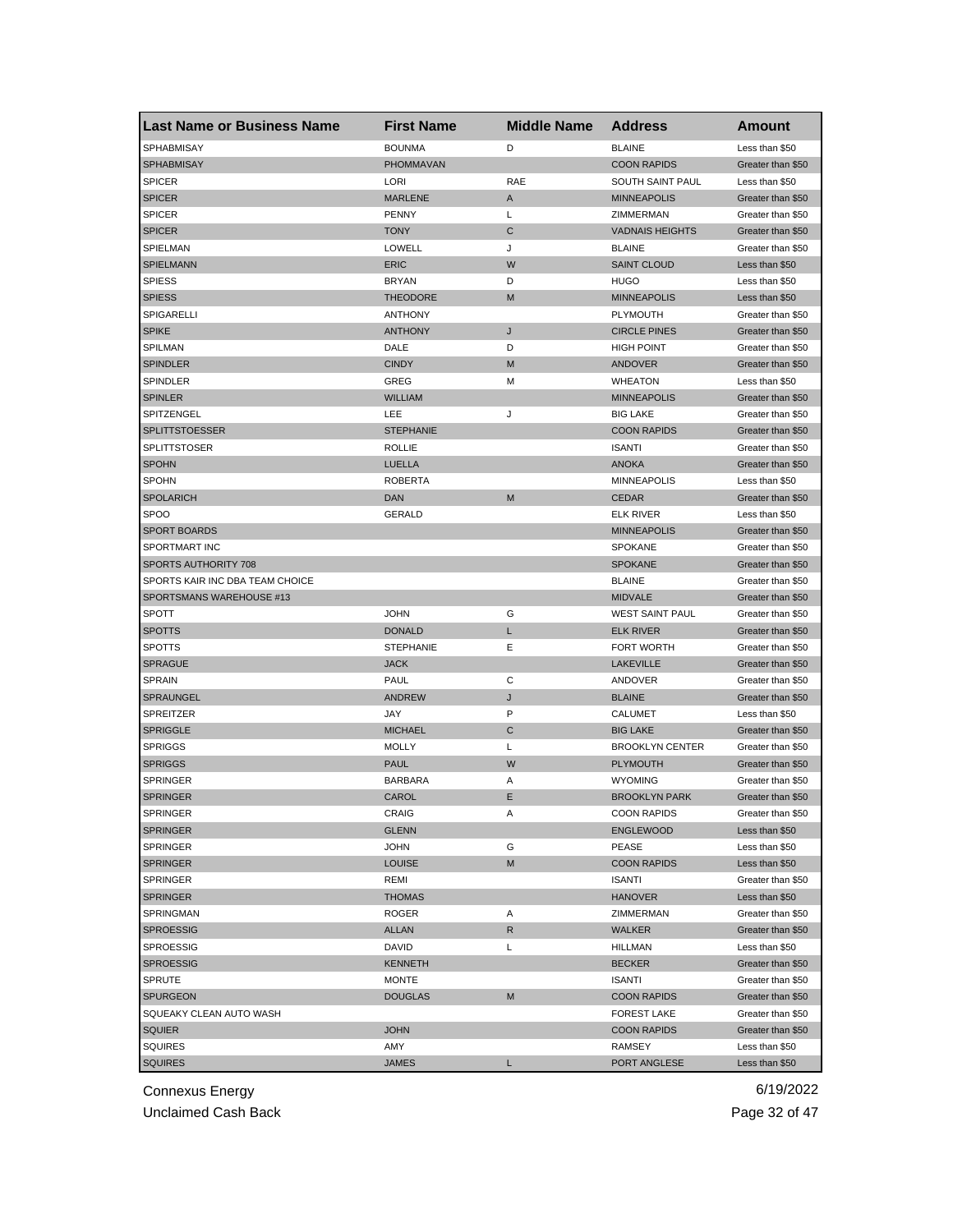| <b>Last Name or Business Name</b> | <b>First Name</b> | <b>Middle Name</b> | <b>Address</b>         | Amount            |
|-----------------------------------|-------------------|--------------------|------------------------|-------------------|
| SPHABMISAY                        | <b>BOUNMA</b>     | D                  | <b>BLAINE</b>          | Less than \$50    |
| <b>SPHABMISAY</b>                 | PHOMMAVAN         |                    | <b>COON RAPIDS</b>     | Greater than \$50 |
| <b>SPICER</b>                     | LORI              | RAE                | SOUTH SAINT PAUL       | Less than \$50    |
| <b>SPICER</b>                     | <b>MARLENE</b>    | Α                  | <b>MINNEAPOLIS</b>     | Greater than \$50 |
| <b>SPICER</b>                     | <b>PENNY</b>      | Г                  | ZIMMERMAN              | Greater than \$50 |
| <b>SPICER</b>                     | <b>TONY</b>       | C                  | <b>VADNAIS HEIGHTS</b> | Greater than \$50 |
| SPIELMAN                          | LOWELL            | J                  | <b>BLAINE</b>          | Greater than \$50 |
| SPIELMANN                         | <b>ERIC</b>       | W                  | <b>SAINT CLOUD</b>     | Less than \$50    |
| <b>SPIESS</b>                     | <b>BRYAN</b>      | D                  | HUGO                   | Less than \$50    |
| <b>SPIESS</b>                     | <b>THEODORE</b>   | M                  | <b>MINNEAPOLIS</b>     | Less than \$50    |
| SPIGARELLI                        | <b>ANTHONY</b>    |                    | <b>PLYMOUTH</b>        | Greater than \$50 |
| <b>SPIKE</b>                      | <b>ANTHONY</b>    | J                  | <b>CIRCLE PINES</b>    | Greater than \$50 |
| SPILMAN                           | DALE              | D                  | <b>HIGH POINT</b>      | Greater than \$50 |
| <b>SPINDLER</b>                   | <b>CINDY</b>      | M                  | <b>ANDOVER</b>         | Greater than \$50 |
| SPINDLER                          | GREG              | М                  | WHEATON                | Less than \$50    |
| <b>SPINLER</b>                    | <b>WILLIAM</b>    |                    | <b>MINNEAPOLIS</b>     | Greater than \$50 |
| SPITZENGEL                        | LEE               | J                  | <b>BIG LAKE</b>        | Greater than \$50 |
| <b>SPLITTSTOESSER</b>             | <b>STEPHANIE</b>  |                    | <b>COON RAPIDS</b>     | Greater than \$50 |
| <b>SPLITTSTOSER</b>               | <b>ROLLIE</b>     |                    | <b>ISANTI</b>          | Greater than \$50 |
| <b>SPOHN</b>                      | <b>LUELLA</b>     |                    | <b>ANOKA</b>           | Greater than \$50 |
| <b>SPOHN</b>                      | <b>ROBERTA</b>    |                    | <b>MINNEAPOLIS</b>     | Less than \$50    |
| <b>SPOLARICH</b>                  | <b>DAN</b>        | M                  | <b>CEDAR</b>           | Greater than \$50 |
| SPOO                              | <b>GERALD</b>     |                    | <b>ELK RIVER</b>       | Less than \$50    |
| <b>SPORT BOARDS</b>               |                   |                    | <b>MINNEAPOLIS</b>     | Greater than \$50 |
| SPORTMART INC                     |                   |                    | <b>SPOKANE</b>         | Greater than \$50 |
| SPORTS AUTHORITY 708              |                   |                    | <b>SPOKANE</b>         | Greater than \$50 |
| SPORTS KAIR INC DBA TEAM CHOICE   |                   |                    | <b>BLAINE</b>          | Greater than \$50 |
| SPORTSMANS WAREHOUSE #13          |                   |                    | <b>MIDVALE</b>         | Greater than \$50 |
| <b>SPOTT</b>                      | <b>JOHN</b>       | G                  | <b>WEST SAINT PAUL</b> | Greater than \$50 |
| <b>SPOTTS</b>                     | <b>DONALD</b>     | L                  | <b>ELK RIVER</b>       | Greater than \$50 |
| <b>SPOTTS</b>                     | <b>STEPHANIE</b>  | Ε                  | FORT WORTH             | Greater than \$50 |
| <b>SPRAGUE</b>                    | <b>JACK</b>       |                    | <b>LAKEVILLE</b>       | Greater than \$50 |
| <b>SPRAIN</b>                     | PAUL              | С                  | ANDOVER                | Greater than \$50 |
| SPRAUNGEL                         | <b>ANDREW</b>     | J                  | <b>BLAINE</b>          | Greater than \$50 |
| SPREITZER                         | JAY               | P                  | CALUMET                | Less than \$50    |
| <b>SPRIGGLE</b>                   | <b>MICHAEL</b>    | С                  | <b>BIG LAKE</b>        | Greater than \$50 |
| <b>SPRIGGS</b>                    | <b>MOLLY</b>      | L                  | <b>BROOKLYN CENTER</b> | Greater than \$50 |
| <b>SPRIGGS</b>                    | <b>PAUL</b>       | W                  | <b>PLYMOUTH</b>        | Greater than \$50 |
| <b>SPRINGER</b>                   | <b>BARBARA</b>    | Α                  | <b>WYOMING</b>         | Greater than \$50 |
| <b>SPRINGER</b>                   | CAROL             | Е                  | <b>BROOKLYN PARK</b>   | Greater than \$50 |
| SPRINGER                          | CRAIG             | Α                  | <b>COON RAPIDS</b>     | Greater than \$50 |
| <b>SPRINGER</b>                   | <b>GLENN</b>      |                    | <b>ENGLEWOOD</b>       | Less than \$50    |
| SPRINGER                          | <b>JOHN</b>       | G                  | PEASE                  | Less than \$50    |
| <b>SPRINGER</b>                   | <b>LOUISE</b>     | M                  | <b>COON RAPIDS</b>     | Less than \$50    |
| SPRINGER                          | REMI              |                    | <b>ISANTI</b>          | Greater than \$50 |
| <b>SPRINGER</b>                   | <b>THOMAS</b>     |                    | <b>HANOVER</b>         | Less than \$50    |
| SPRINGMAN                         | <b>ROGER</b>      |                    |                        | Greater than \$50 |
| <b>SPROESSIG</b>                  | <b>ALLAN</b>      | Α                  | ZIMMERMAN              |                   |
|                                   |                   | R                  | <b>WALKER</b>          | Greater than \$50 |
| <b>SPROESSIG</b>                  | DAVID             | L                  | HILLMAN                | Less than \$50    |
| <b>SPROESSIG</b>                  | <b>KENNETH</b>    |                    | <b>BECKER</b>          | Greater than \$50 |
| SPRUTE                            | <b>MONTE</b>      |                    | ISANTI                 | Greater than \$50 |
| <b>SPURGEON</b>                   | <b>DOUGLAS</b>    | М                  | <b>COON RAPIDS</b>     | Greater than \$50 |
| SQUEAKY CLEAN AUTO WASH           |                   |                    | <b>FOREST LAKE</b>     | Greater than \$50 |
| <b>SQUIER</b>                     | <b>JOHN</b>       |                    | <b>COON RAPIDS</b>     | Greater than \$50 |
| SQUIRES                           | AMY               |                    | RAMSEY                 | Less than \$50    |
| <b>SQUIRES</b>                    | JAMES             | L                  | PORT ANGLESE           | Less than \$50    |

Unclaimed Cash Back **Page 32 of 47**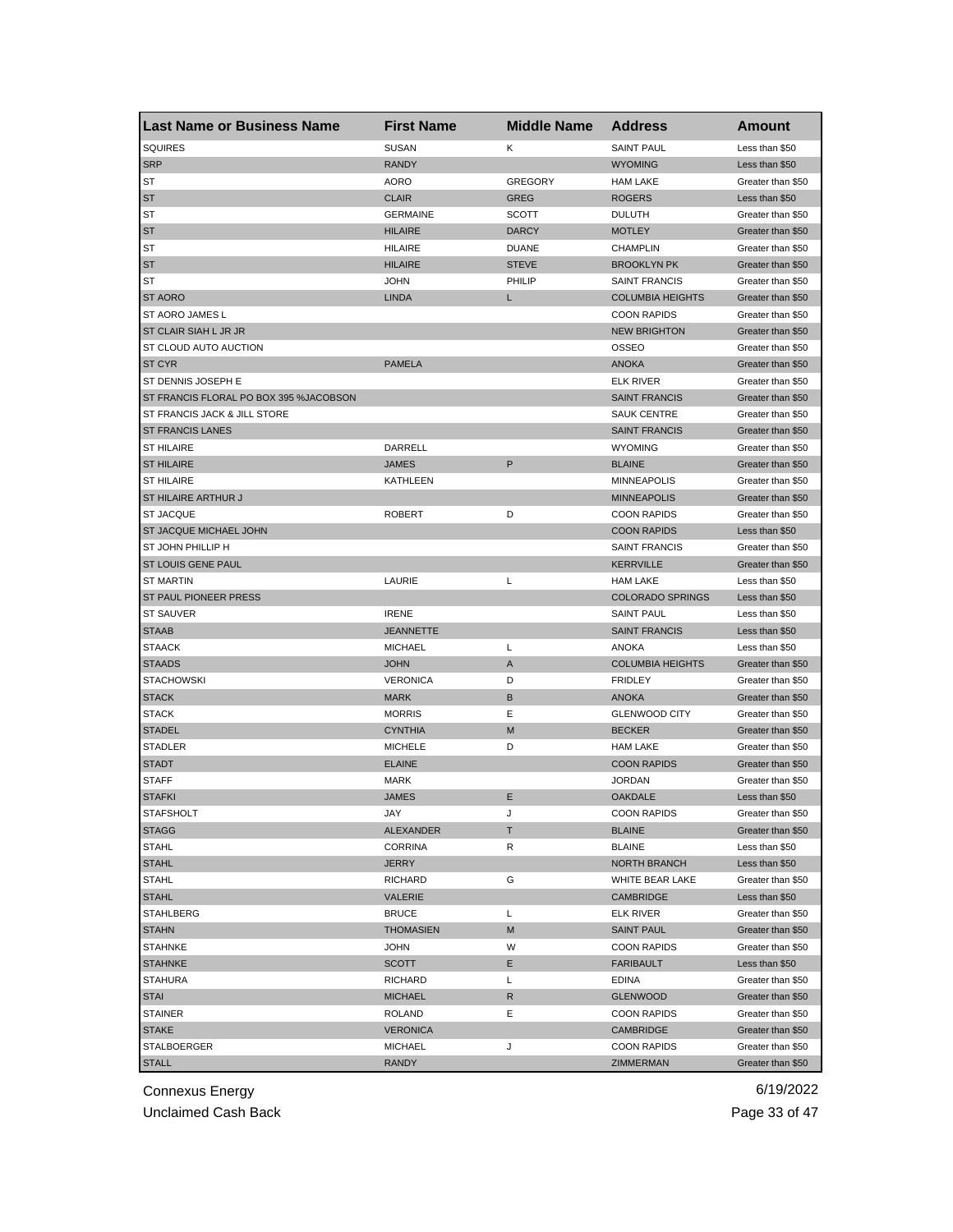| Last Name or Business Name             | <b>First Name</b> | <b>Middle Name</b> | <b>Address</b>          | Amount            |
|----------------------------------------|-------------------|--------------------|-------------------------|-------------------|
| <b>SQUIRES</b>                         | <b>SUSAN</b>      | Κ                  | <b>SAINT PAUL</b>       | Less than \$50    |
| <b>SRP</b>                             | <b>RANDY</b>      |                    | <b>WYOMING</b>          | Less than \$50    |
| ST                                     | <b>AORO</b>       | <b>GREGORY</b>     | <b>HAM LAKE</b>         | Greater than \$50 |
| <b>ST</b>                              | <b>CLAIR</b>      | <b>GREG</b>        | <b>ROGERS</b>           | Less than \$50    |
| ST                                     | <b>GERMAINE</b>   | <b>SCOTT</b>       | <b>DULUTH</b>           | Greater than \$50 |
| <b>ST</b>                              | <b>HILAIRE</b>    | <b>DARCY</b>       | <b>MOTLEY</b>           | Greater than \$50 |
| ST                                     | <b>HILAIRE</b>    | <b>DUANE</b>       | <b>CHAMPLIN</b>         | Greater than \$50 |
| ST                                     | <b>HILAIRE</b>    | <b>STEVE</b>       | <b>BROOKLYN PK</b>      | Greater than \$50 |
| ST                                     | <b>JOHN</b>       | PHILIP             | <b>SAINT FRANCIS</b>    | Greater than \$50 |
| <b>ST AORO</b>                         | <b>LINDA</b>      | L                  | <b>COLUMBIA HEIGHTS</b> | Greater than \$50 |
| ST AORO JAMES L                        |                   |                    | <b>COON RAPIDS</b>      | Greater than \$50 |
| ST CLAIR SIAH L JR JR                  |                   |                    | <b>NEW BRIGHTON</b>     | Greater than \$50 |
| ST CLOUD AUTO AUCTION                  |                   |                    | OSSEO                   | Greater than \$50 |
| <b>ST CYR</b>                          | <b>PAMELA</b>     |                    | <b>ANOKA</b>            | Greater than \$50 |
| ST DENNIS JOSEPH E                     |                   |                    | <b>ELK RIVER</b>        | Greater than \$50 |
| ST FRANCIS FLORAL PO BOX 395 %JACOBSON |                   |                    | <b>SAINT FRANCIS</b>    | Greater than \$50 |
| ST FRANCIS JACK & JILL STORE           |                   |                    | <b>SAUK CENTRE</b>      | Greater than \$50 |
| <b>ST FRANCIS LANES</b>                |                   |                    | <b>SAINT FRANCIS</b>    | Greater than \$50 |
| <b>ST HILAIRE</b>                      | <b>DARRELL</b>    |                    | <b>WYOMING</b>          | Greater than \$50 |
| <b>ST HILAIRE</b>                      | <b>JAMES</b>      | P                  | <b>BLAINE</b>           | Greater than \$50 |
| <b>ST HILAIRE</b>                      | <b>KATHLEEN</b>   |                    | <b>MINNEAPOLIS</b>      | Greater than \$50 |
| ST HILAIRE ARTHUR J                    |                   |                    | <b>MINNEAPOLIS</b>      | Greater than \$50 |
| <b>ST JACQUE</b>                       | <b>ROBERT</b>     | D                  | <b>COON RAPIDS</b>      | Greater than \$50 |
| ST JACQUE MICHAEL JOHN                 |                   |                    | <b>COON RAPIDS</b>      | Less than \$50    |
| ST JOHN PHILLIP H                      |                   |                    | <b>SAINT FRANCIS</b>    | Greater than \$50 |
| ST LOUIS GENE PAUL                     |                   |                    | <b>KERRVILLE</b>        | Greater than \$50 |
| <b>ST MARTIN</b>                       | LAURIE            | L                  | <b>HAM LAKE</b>         | Less than \$50    |
| ST PAUL PIONEER PRESS                  |                   |                    | <b>COLORADO SPRINGS</b> | Less than \$50    |
| <b>ST SAUVER</b>                       | <b>IRENE</b>      |                    | <b>SAINT PAUL</b>       | Less than \$50    |
| <b>STAAB</b>                           | <b>JEANNETTE</b>  |                    | <b>SAINT FRANCIS</b>    | Less than \$50    |
| <b>STAACK</b>                          | <b>MICHAEL</b>    | Г                  | <b>ANOKA</b>            | Less than \$50    |
| <b>STAADS</b>                          | <b>JOHN</b>       | A                  | <b>COLUMBIA HEIGHTS</b> | Greater than \$50 |
| <b>STACHOWSKI</b>                      | <b>VERONICA</b>   | D                  | <b>FRIDLEY</b>          | Greater than \$50 |
| <b>STACK</b>                           | <b>MARK</b>       | B                  | <b>ANOKA</b>            | Greater than \$50 |
| <b>STACK</b>                           | <b>MORRIS</b>     | Е                  | <b>GLENWOOD CITY</b>    | Greater than \$50 |
| <b>STADEL</b>                          | <b>CYNTHIA</b>    | M                  | <b>BECKER</b>           | Greater than \$50 |
|                                        |                   |                    | <b>HAM LAKE</b>         |                   |
| <b>STADLER</b>                         | <b>MICHELE</b>    | D                  |                         | Greater than \$50 |
| <b>STADT</b>                           | <b>ELAINE</b>     |                    | <b>COON RAPIDS</b>      | Greater than \$50 |
| <b>STAFF</b>                           | <b>MARK</b>       |                    | <b>JORDAN</b>           | Greater than \$50 |
| <b>STAFKI</b>                          | <b>JAMES</b>      | Е                  | <b>OAKDALE</b>          | Less than \$50    |
| <b>STAFSHOLT</b>                       | JAY               | J                  | <b>COON RAPIDS</b>      | Greater than \$50 |
| <b>STAGG</b>                           | ALEXANDER         | Т                  | <b>BLAINE</b>           | Greater than \$50 |
| <b>STAHL</b>                           | <b>CORRINA</b>    | R                  | <b>BLAINE</b>           | Less than \$50    |
| <b>STAHL</b>                           | JERRY             |                    | NORTH BRANCH            | Less than \$50    |
| <b>STAHL</b>                           | <b>RICHARD</b>    | G                  | WHITE BEAR LAKE         | Greater than \$50 |
| <b>STAHL</b>                           | <b>VALERIE</b>    |                    | CAMBRIDGE               | Less than \$50    |
| <b>STAHLBERG</b>                       | <b>BRUCE</b>      | Г                  | <b>ELK RIVER</b>        | Greater than \$50 |
| <b>STAHN</b>                           | <b>THOMASIEN</b>  | M                  | <b>SAINT PAUL</b>       | Greater than \$50 |
| <b>STAHNKE</b>                         | <b>JOHN</b>       | W                  | <b>COON RAPIDS</b>      | Greater than \$50 |
| <b>STAHNKE</b>                         | <b>SCOTT</b>      | Е                  | <b>FARIBAULT</b>        | Less than \$50    |
| <b>STAHURA</b>                         | <b>RICHARD</b>    | L                  | EDINA                   | Greater than \$50 |
| <b>STAI</b>                            | <b>MICHAEL</b>    | R                  | <b>GLENWOOD</b>         | Greater than \$50 |
| STAINER                                | ROLAND            | Ε                  | <b>COON RAPIDS</b>      | Greater than \$50 |
| <b>STAKE</b>                           | <b>VERONICA</b>   |                    | CAMBRIDGE               | Greater than \$50 |
| STALBOERGER                            | <b>MICHAEL</b>    | J                  | <b>COON RAPIDS</b>      | Greater than \$50 |
| <b>STALL</b>                           | <b>RANDY</b>      |                    | ZIMMERMAN               | Greater than \$50 |

Unclaimed Cash Back **Page 33 of 47**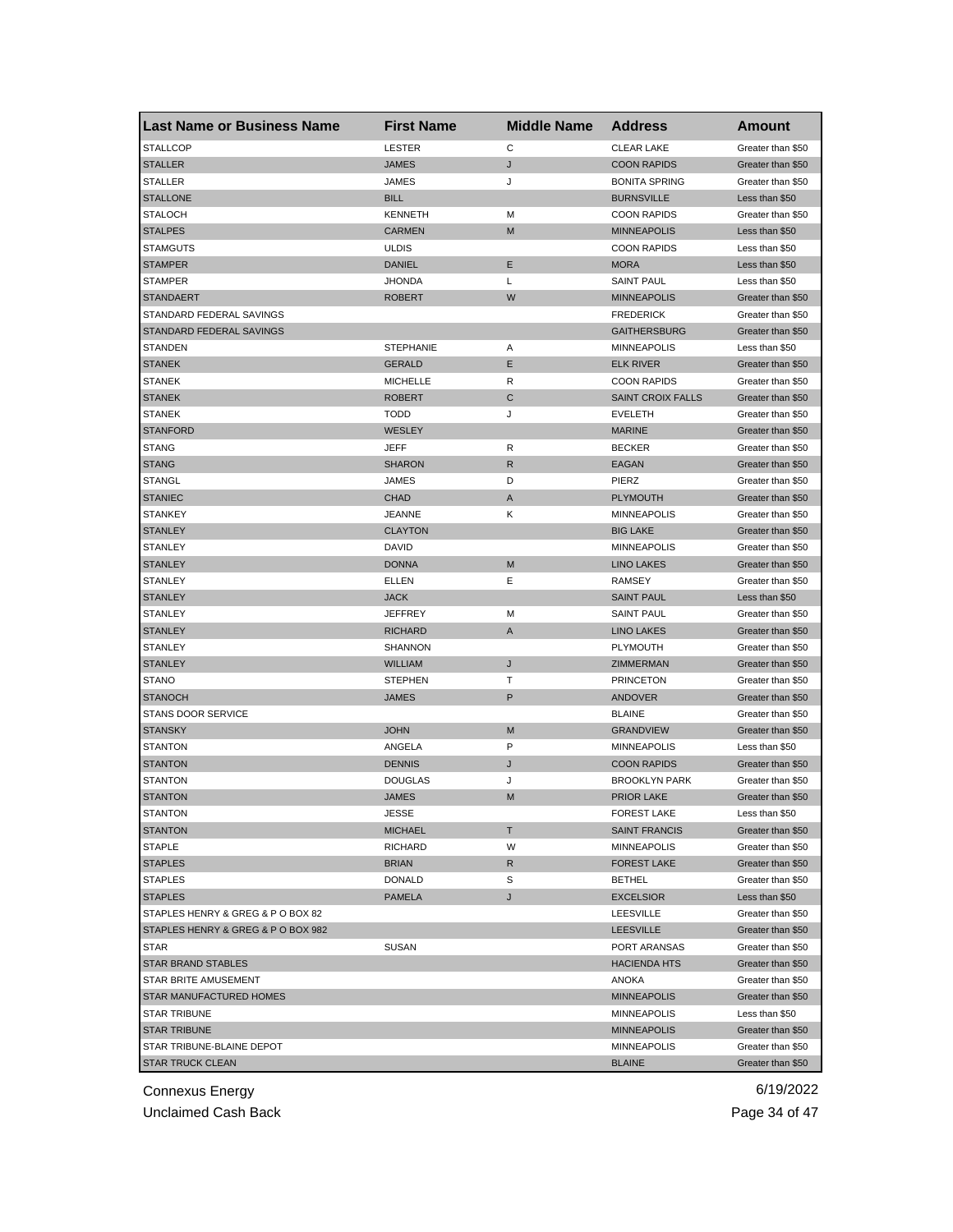| <b>Last Name or Business Name</b>  | <b>First Name</b>       | <b>Middle Name</b> | <b>Address</b>           | Amount                                 |
|------------------------------------|-------------------------|--------------------|--------------------------|----------------------------------------|
| <b>STALLCOP</b>                    | <b>LESTER</b>           | C                  | <b>CLEAR LAKE</b>        | Greater than \$50                      |
| <b>STALLER</b>                     | <b>JAMES</b>            | J                  | <b>COON RAPIDS</b>       | Greater than \$50                      |
| STALLER                            | JAMES                   | J                  | <b>BONITA SPRING</b>     | Greater than \$50                      |
| <b>STALLONE</b>                    | <b>BILL</b>             |                    | <b>BURNSVILLE</b>        | Less than \$50                         |
| <b>STALOCH</b>                     | <b>KENNETH</b>          | М                  | <b>COON RAPIDS</b>       | Greater than \$50                      |
| <b>STALPES</b>                     | <b>CARMEN</b>           | M                  | <b>MINNEAPOLIS</b>       | Less than \$50                         |
| STAMGUTS                           | <b>ULDIS</b>            |                    | <b>COON RAPIDS</b>       | Less than \$50                         |
| <b>STAMPER</b>                     | <b>DANIEL</b>           | Ε                  | <b>MORA</b>              | Less than \$50                         |
| STAMPER                            | <b>JHONDA</b>           | L                  | <b>SAINT PAUL</b>        | Less than \$50                         |
| <b>STANDAERT</b>                   | <b>ROBERT</b>           | W                  | <b>MINNEAPOLIS</b>       | Greater than \$50                      |
| STANDARD FEDERAL SAVINGS           |                         |                    | <b>FREDERICK</b>         | Greater than \$50                      |
| STANDARD FEDERAL SAVINGS           |                         |                    | <b>GAITHERSBURG</b>      | Greater than \$50                      |
| <b>STANDEN</b>                     | <b>STEPHANIE</b>        | Α                  | <b>MINNEAPOLIS</b>       | Less than \$50                         |
| <b>STANEK</b>                      | <b>GERALD</b>           | Ε                  | <b>ELK RIVER</b>         | Greater than \$50                      |
| <b>STANEK</b>                      | <b>MICHELLE</b>         | R                  | <b>COON RAPIDS</b>       | Greater than \$50                      |
| <b>STANEK</b>                      | <b>ROBERT</b>           | C                  | <b>SAINT CROIX FALLS</b> | Greater than \$50                      |
| <b>STANEK</b>                      | <b>TODD</b>             | J                  | EVELETH                  | Greater than \$50                      |
| <b>STANFORD</b>                    | WESLEY                  |                    | <b>MARINE</b>            | Greater than \$50                      |
| <b>STANG</b>                       | JEFF                    | R                  | <b>BECKER</b>            | Greater than \$50                      |
| <b>STANG</b>                       | <b>SHARON</b>           | $\mathsf{R}$       | <b>EAGAN</b>             | Greater than \$50                      |
| <b>STANGL</b>                      | JAMES                   | D                  | PIERZ                    | Greater than \$50                      |
| <b>STANIEC</b>                     | <b>CHAD</b>             | Α                  | PLYMOUTH                 | Greater than \$50                      |
| <b>STANKEY</b>                     | <b>JEANNE</b>           | Κ                  | <b>MINNEAPOLIS</b>       | Greater than \$50                      |
| <b>STANLEY</b>                     | <b>CLAYTON</b>          |                    | <b>BIG LAKE</b>          | Greater than \$50                      |
| <b>STANLEY</b>                     | DAVID                   |                    | <b>MINNEAPOLIS</b>       | Greater than \$50                      |
| <b>STANLEY</b>                     | <b>DONNA</b>            | M                  | <b>LINO LAKES</b>        | Greater than \$50                      |
| STANLEY                            | ELLEN                   | Ε                  | RAMSEY                   | Greater than \$50                      |
| <b>STANLEY</b>                     | <b>JACK</b>             |                    | <b>SAINT PAUL</b>        | Less than \$50                         |
| <b>STANLEY</b>                     | <b>JEFFREY</b>          | M                  | <b>SAINT PAUL</b>        | Greater than \$50                      |
| <b>STANLEY</b>                     | <b>RICHARD</b>          | A                  | <b>LINO LAKES</b>        | Greater than \$50                      |
| <b>STANLEY</b>                     | SHANNON                 |                    | PLYMOUTH                 | Greater than \$50                      |
| <b>STANLEY</b>                     | <b>WILLIAM</b>          | J                  | ZIMMERMAN                | Greater than \$50                      |
| <b>STANO</b>                       | <b>STEPHEN</b>          | т                  | <b>PRINCETON</b>         | Greater than \$50                      |
| <b>STANOCH</b>                     | <b>JAMES</b>            | P                  | ANDOVER                  | Greater than \$50                      |
| <b>STANS DOOR SERVICE</b>          |                         |                    | <b>BLAINE</b>            | Greater than \$50                      |
| <b>STANSKY</b>                     | <b>JOHN</b>             | M                  | <b>GRANDVIEW</b>         | Greater than \$50                      |
| <b>STANTON</b>                     | ANGELA                  | P                  | <b>MINNEAPOLIS</b>       | Less than \$50                         |
| <b>STANTON</b>                     | <b>DENNIS</b>           | J                  | <b>COON RAPIDS</b>       | Greater than \$50                      |
| <b>STANTON</b>                     | <b>DOUGLAS</b>          | J                  | <b>BROOKLYN PARK</b>     | Greater than \$50                      |
| <b>STANTON</b>                     | <b>JAMES</b>            | M                  | <b>PRIOR LAKE</b>        | Greater than \$50                      |
|                                    |                         |                    |                          |                                        |
| <b>STANTON</b><br><b>STANTON</b>   | JESSE<br><b>MICHAEL</b> |                    | <b>FOREST LAKE</b>       | Less than \$50                         |
|                                    | <b>RICHARD</b>          | Т                  | <b>SAINT FRANCIS</b>     | Greater than \$50<br>Greater than \$50 |
| <b>STAPLE</b>                      |                         | W                  | <b>MINNEAPOLIS</b>       |                                        |
| <b>STAPLES</b>                     | <b>BRIAN</b>            | R                  | <b>FOREST LAKE</b>       | Greater than \$50                      |
| <b>STAPLES</b>                     | <b>DONALD</b>           | S                  | <b>BETHEL</b>            | Greater than \$50                      |
| <b>STAPLES</b>                     | <b>PAMELA</b>           | J                  | <b>EXCELSIOR</b>         | Less than \$50                         |
| STAPLES HENRY & GREG & P O BOX 82  |                         |                    | <b>LEESVILLE</b>         | Greater than \$50                      |
| STAPLES HENRY & GREG & P O BOX 982 |                         |                    | <b>LEESVILLE</b>         | Greater than \$50                      |
| STAR                               | <b>SUSAN</b>            |                    | PORT ARANSAS             | Greater than \$50                      |
| <b>STAR BRAND STABLES</b>          |                         |                    | <b>HACIENDA HTS</b>      | Greater than \$50                      |
| STAR BRITE AMUSEMENT               |                         |                    | ANOKA                    | Greater than \$50                      |
| STAR MANUFACTURED HOMES            |                         |                    | <b>MINNEAPOLIS</b>       | Greater than \$50                      |
| STAR TRIBUNE                       |                         |                    | <b>MINNEAPOLIS</b>       | Less than \$50                         |
| <b>STAR TRIBUNE</b>                |                         |                    | <b>MINNEAPOLIS</b>       | Greater than \$50                      |
| STAR TRIBUNE-BLAINE DEPOT          |                         |                    | <b>MINNEAPOLIS</b>       | Greater than \$50                      |
| <b>STAR TRUCK CLEAN</b>            |                         |                    | <b>BLAINE</b>            | Greater than \$50                      |

Unclaimed Cash Back **Page 34 of 47**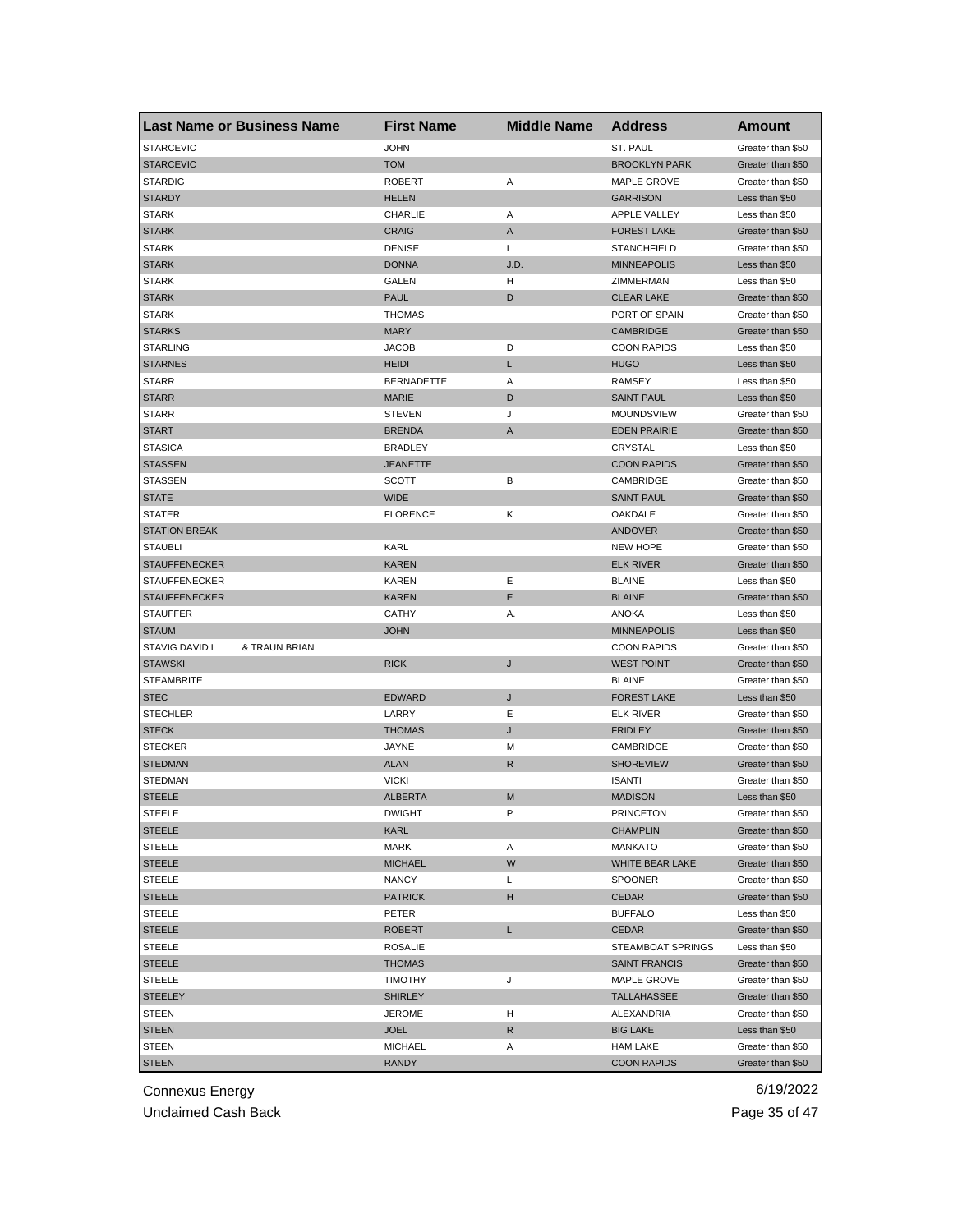| <b>Last Name or Business Name</b> | <b>First Name</b> | <b>Middle Name</b> | <b>Address</b>       | Amount            |
|-----------------------------------|-------------------|--------------------|----------------------|-------------------|
| <b>STARCEVIC</b>                  | <b>JOHN</b>       |                    | ST. PAUL             | Greater than \$50 |
| <b>STARCEVIC</b>                  | <b>TOM</b>        |                    | <b>BROOKLYN PARK</b> | Greater than \$50 |
| <b>STARDIG</b>                    | <b>ROBERT</b>     | Α                  | MAPLE GROVE          | Greater than \$50 |
| <b>STARDY</b>                     | HELEN             |                    | <b>GARRISON</b>      | Less than \$50    |
| <b>STARK</b>                      | CHARLIE           | Α                  | APPLE VALLEY         | Less than \$50    |
| <b>STARK</b>                      | <b>CRAIG</b>      | A                  | <b>FOREST LAKE</b>   | Greater than \$50 |
| <b>STARK</b>                      | <b>DENISE</b>     | Г                  | <b>STANCHFIELD</b>   | Greater than \$50 |
| <b>STARK</b>                      | <b>DONNA</b>      | J.D.               | <b>MINNEAPOLIS</b>   | Less than \$50    |
| <b>STARK</b>                      | GALEN             | н                  | ZIMMERMAN            | Less than \$50    |
| <b>STARK</b>                      | <b>PAUL</b>       | D                  | <b>CLEAR LAKE</b>    | Greater than \$50 |
| <b>STARK</b>                      | <b>THOMAS</b>     |                    | PORT OF SPAIN        | Greater than \$50 |
| <b>STARKS</b>                     | <b>MARY</b>       |                    | <b>CAMBRIDGE</b>     | Greater than \$50 |
| <b>STARLING</b>                   | <b>JACOB</b>      | D                  | <b>COON RAPIDS</b>   | Less than \$50    |
| <b>STARNES</b>                    | <b>HEIDI</b>      | Г                  | <b>HUGO</b>          | Less than \$50    |
| <b>STARR</b>                      | <b>BERNADETTE</b> | Α                  | <b>RAMSEY</b>        | Less than \$50    |
| <b>STARR</b>                      | <b>MARIE</b>      | D                  | <b>SAINT PAUL</b>    | Less than \$50    |
| <b>STARR</b>                      | <b>STEVEN</b>     | J                  | MOUNDSVIEW           | Greater than \$50 |
| <b>START</b>                      | <b>BRENDA</b>     | A                  | <b>EDEN PRAIRIE</b>  | Greater than \$50 |
| <b>STASICA</b>                    | <b>BRADLEY</b>    |                    | CRYSTAL              | Less than \$50    |
| <b>STASSEN</b>                    | <b>JEANETTE</b>   |                    | <b>COON RAPIDS</b>   | Greater than \$50 |
| <b>STASSEN</b>                    | <b>SCOTT</b>      | в                  | CAMBRIDGE            | Greater than \$50 |
| <b>STATE</b>                      | WIDE              |                    | <b>SAINT PAUL</b>    | Greater than \$50 |
| <b>STATER</b>                     | <b>FLORENCE</b>   | Κ                  | OAKDALE              | Greater than \$50 |
| <b>STATION BREAK</b>              |                   |                    | ANDOVER              | Greater than \$50 |
| <b>STAUBLI</b>                    | KARL              |                    | <b>NEW HOPE</b>      | Greater than \$50 |
| <b>STAUFFENECKER</b>              | KAREN             |                    | <b>ELK RIVER</b>     | Greater than \$50 |
| <b>STAUFFENECKER</b>              | KAREN             | Ε                  | <b>BLAINE</b>        | Less than \$50    |
| <b>STAUFFENECKER</b>              | <b>KAREN</b>      | E                  | <b>BLAINE</b>        | Greater than \$50 |
| <b>STAUFFER</b>                   | <b>CATHY</b>      | Α.                 | <b>ANOKA</b>         | Less than \$50    |
| <b>STAUM</b>                      | JOHN              |                    | <b>MINNEAPOLIS</b>   | Less than \$50    |
| STAVIG DAVID L<br>& TRAUN BRIAN   |                   |                    | <b>COON RAPIDS</b>   | Greater than \$50 |
| <b>STAWSKI</b>                    | <b>RICK</b>       | J                  | <b>WEST POINT</b>    | Greater than \$50 |
| <b>STEAMBRITE</b>                 |                   |                    | <b>BLAINE</b>        | Greater than \$50 |
| <b>STEC</b>                       | <b>EDWARD</b>     | J                  | <b>FOREST LAKE</b>   | Less than \$50    |
| <b>STECHLER</b>                   | LARRY             | Ε                  | <b>ELK RIVER</b>     | Greater than \$50 |
| <b>STECK</b>                      | <b>THOMAS</b>     | J                  | <b>FRIDLEY</b>       | Greater than \$50 |
| <b>STECKER</b>                    | JAYNE             | М                  | CAMBRIDGE            | Greater than \$50 |
| <b>STEDMAN</b>                    | <b>ALAN</b>       | R                  | <b>SHOREVIEW</b>     | Greater than \$50 |
| <b>STEDMAN</b>                    | <b>VICKI</b>      |                    | <b>ISANTI</b>        | Greater than \$50 |
| <b>STEELE</b>                     | <b>ALBERTA</b>    | M                  | <b>MADISON</b>       | Less than \$50    |
| STEELE                            | DWIGHT            | P                  | <b>PRINCETON</b>     | Greater than \$50 |
| <b>STEELE</b>                     | KARL              |                    | <b>CHAMPLIN</b>      | Greater than \$50 |
| <b>STEELE</b>                     | MARK              | Α                  | <b>MANKATO</b>       | Greater than \$50 |
| <b>STEELE</b>                     | <b>MICHAEL</b>    | W                  | WHITE BEAR LAKE      | Greater than \$50 |
| STEELE                            | NANCY             | L                  | <b>SPOONER</b>       | Greater than \$50 |
| <b>STEELE</b>                     | <b>PATRICK</b>    | н                  | CEDAR                | Greater than \$50 |
| STEELE                            | PETER             |                    | <b>BUFFALO</b>       | Less than \$50    |
| <b>STEELE</b>                     | <b>ROBERT</b>     | L.                 | <b>CEDAR</b>         | Greater than \$50 |
| STEELE                            | ROSALIE           |                    | STEAMBOAT SPRINGS    | Less than \$50    |
| <b>STEELE</b>                     | THOMAS            |                    | <b>SAINT FRANCIS</b> | Greater than \$50 |
| <b>STEELE</b>                     | <b>TIMOTHY</b>    |                    | MAPLE GROVE          | Greater than \$50 |
|                                   |                   | J                  |                      |                   |
| <b>STEELEY</b>                    | <b>SHIRLEY</b>    |                    | TALLAHASSEE          | Greater than \$50 |
| STEEN                             | JEROME            | H                  | ALEXANDRIA           | Greater than \$50 |
| <b>STEEN</b>                      | JOEL              | R                  | <b>BIG LAKE</b>      | Less than \$50    |
| STEEN                             | <b>MICHAEL</b>    | Α                  | <b>HAM LAKE</b>      | Greater than \$50 |
| <b>STEEN</b>                      | RANDY             |                    | <b>COON RAPIDS</b>   | Greater than \$50 |

Unclaimed Cash Back **Page 35 of 47**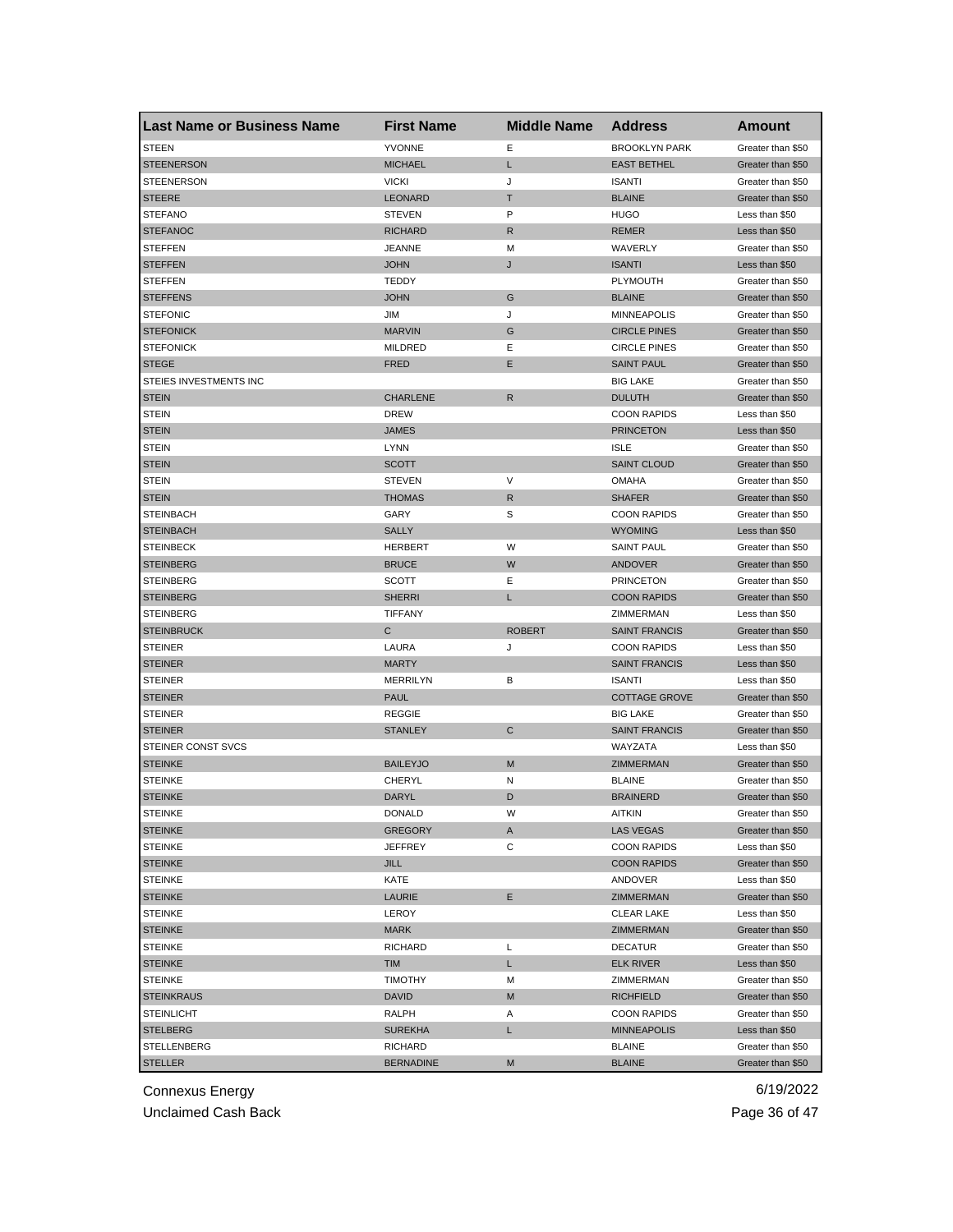| <b>Last Name or Business Name</b> | <b>First Name</b> | <b>Middle Name</b> | <b>Address</b>       | <b>Amount</b>     |
|-----------------------------------|-------------------|--------------------|----------------------|-------------------|
| <b>STEEN</b>                      | <b>YVONNE</b>     | Е                  | <b>BROOKLYN PARK</b> | Greater than \$50 |
| <b>STEENERSON</b>                 | <b>MICHAEL</b>    | L                  | <b>EAST BETHEL</b>   | Greater than \$50 |
| <b>STEENERSON</b>                 | <b>VICKI</b>      | J                  | <b>ISANTI</b>        | Greater than \$50 |
| <b>STEERE</b>                     | <b>LEONARD</b>    | Τ                  | <b>BLAINE</b>        | Greater than \$50 |
| <b>STEFANO</b>                    | <b>STEVEN</b>     | P                  | <b>HUGO</b>          | Less than \$50    |
| <b>STEFANOC</b>                   | <b>RICHARD</b>    | R                  | <b>REMER</b>         | Less than \$50    |
| STEFFEN                           | <b>JEANNE</b>     | м                  | WAVERLY              | Greater than \$50 |
| <b>STEFFEN</b>                    | <b>JOHN</b>       | J                  | <b>ISANTI</b>        | Less than \$50    |
| STEFFEN                           | TEDDY             |                    | PLYMOUTH             | Greater than \$50 |
| <b>STEFFENS</b>                   | <b>JOHN</b>       | G                  | <b>BLAINE</b>        | Greater than \$50 |
| <b>STEFONIC</b>                   | JIM               | J                  | <b>MINNEAPOLIS</b>   | Greater than \$50 |
| <b>STEFONICK</b>                  | <b>MARVIN</b>     | G                  | <b>CIRCLE PINES</b>  | Greater than \$50 |
| <b>STEFONICK</b>                  | <b>MILDRED</b>    | Ε                  | <b>CIRCLE PINES</b>  | Greater than \$50 |
| <b>STEGE</b>                      | <b>FRED</b>       | Ε                  | <b>SAINT PAUL</b>    | Greater than \$50 |
| STEIES INVESTMENTS INC            |                   |                    | <b>BIG LAKE</b>      | Greater than \$50 |
| <b>STEIN</b>                      | <b>CHARLENE</b>   | $\mathsf{R}$       | <b>DULUTH</b>        | Greater than \$50 |
| STEIN                             | <b>DREW</b>       |                    | <b>COON RAPIDS</b>   | Less than \$50    |
| <b>STEIN</b>                      | <b>JAMES</b>      |                    | <b>PRINCETON</b>     | Less than \$50    |
| STEIN                             | <b>LYNN</b>       |                    | <b>ISLE</b>          | Greater than \$50 |
| <b>STEIN</b>                      | <b>SCOTT</b>      |                    | <b>SAINT CLOUD</b>   | Greater than \$50 |
| <b>STEIN</b>                      | <b>STEVEN</b>     | V                  | OMAHA                | Greater than \$50 |
| <b>STEIN</b>                      | <b>THOMAS</b>     | R                  | <b>SHAFER</b>        | Greater than \$50 |
| <b>STEINBACH</b>                  | GARY              | S                  | <b>COON RAPIDS</b>   | Greater than \$50 |
| <b>STEINBACH</b>                  | <b>SALLY</b>      |                    | <b>WYOMING</b>       | Less than \$50    |
| <b>STEINBECK</b>                  | <b>HERBERT</b>    | W                  | <b>SAINT PAUL</b>    | Greater than \$50 |
| <b>STEINBERG</b>                  | <b>BRUCE</b>      | W                  | <b>ANDOVER</b>       | Greater than \$50 |
| <b>STEINBERG</b>                  | SCOTT             | Ε                  | <b>PRINCETON</b>     | Greater than \$50 |
| <b>STEINBERG</b>                  | <b>SHERRI</b>     | Г                  | <b>COON RAPIDS</b>   | Greater than \$50 |
| <b>STEINBERG</b>                  | TIFFANY           |                    | ZIMMERMAN            | Less than \$50    |
| <b>STEINBRUCK</b>                 | С                 | <b>ROBERT</b>      | <b>SAINT FRANCIS</b> | Greater than \$50 |
| <b>STEINER</b>                    | LAURA             | J                  | <b>COON RAPIDS</b>   | Less than \$50    |
| <b>STEINER</b>                    | <b>MARTY</b>      |                    | <b>SAINT FRANCIS</b> | Less than \$50    |
| <b>STEINER</b>                    | <b>MERRILYN</b>   | в                  | <b>ISANTI</b>        | Less than \$50    |
| <b>STEINER</b>                    | <b>PAUL</b>       |                    | <b>COTTAGE GROVE</b> | Greater than \$50 |
| <b>STEINER</b>                    | <b>REGGIE</b>     |                    | <b>BIG LAKE</b>      | Greater than \$50 |
| <b>STEINER</b>                    | STANLEY           | С                  | <b>SAINT FRANCIS</b> | Greater than \$50 |
| STEINER CONST SVCS                |                   |                    | WAYZATA              | Less than \$50    |
| <b>STEINKE</b>                    | <b>BAILEYJO</b>   | M                  | ZIMMERMAN            | Greater than \$50 |
| <b>STEINKE</b>                    | CHERYL            | N                  | <b>BLAINE</b>        | Greater than \$50 |
| <b>STEINKE</b>                    | DARYL             | D                  | <b>BRAINERD</b>      | Greater than \$50 |
| <b>SIEINKE</b>                    | DONALD            | w                  | ALIKIN               | Greater than \$50 |
| <b>STEINKE</b>                    | <b>GREGORY</b>    | A                  | <b>LAS VEGAS</b>     | Greater than \$50 |
| <b>STEINKE</b>                    | <b>JEFFREY</b>    | С                  | <b>COON RAPIDS</b>   | Less than \$50    |
| <b>STEINKE</b>                    | JILL              |                    | <b>COON RAPIDS</b>   | Greater than \$50 |
| <b>STEINKE</b>                    | KATE              |                    | ANDOVER              | Less than \$50    |
| <b>STEINKE</b>                    | LAURIE            | E                  | ZIMMERMAN            | Greater than \$50 |
| <b>STEINKE</b>                    | LEROY             |                    | <b>CLEAR LAKE</b>    | Less than \$50    |
| <b>STEINKE</b>                    | <b>MARK</b>       |                    | ZIMMERMAN            | Greater than \$50 |
| STEINKE                           | <b>RICHARD</b>    | Г                  | <b>DECATUR</b>       | Greater than \$50 |
| <b>STEINKE</b>                    | <b>TIM</b>        | L.                 | <b>ELK RIVER</b>     | Less than \$50    |
| <b>STEINKE</b>                    | <b>TIMOTHY</b>    | М                  | ZIMMERMAN            | Greater than \$50 |
| <b>STEINKRAUS</b>                 | <b>DAVID</b>      | M                  | <b>RICHFIELD</b>     | Greater than \$50 |
| <b>STEINLICHT</b>                 | RALPH             | Α                  | <b>COON RAPIDS</b>   | Greater than \$50 |
| <b>STELBERG</b>                   | <b>SUREKHA</b>    | L                  | <b>MINNEAPOLIS</b>   | Less than \$50    |
| STELLENBERG                       | RICHARD           |                    | <b>BLAINE</b>        | Greater than \$50 |
| <b>STELLER</b>                    | <b>BERNADINE</b>  | М                  | <b>BLAINE</b>        | Greater than \$50 |

Unclaimed Cash Back **Page 36 of 47**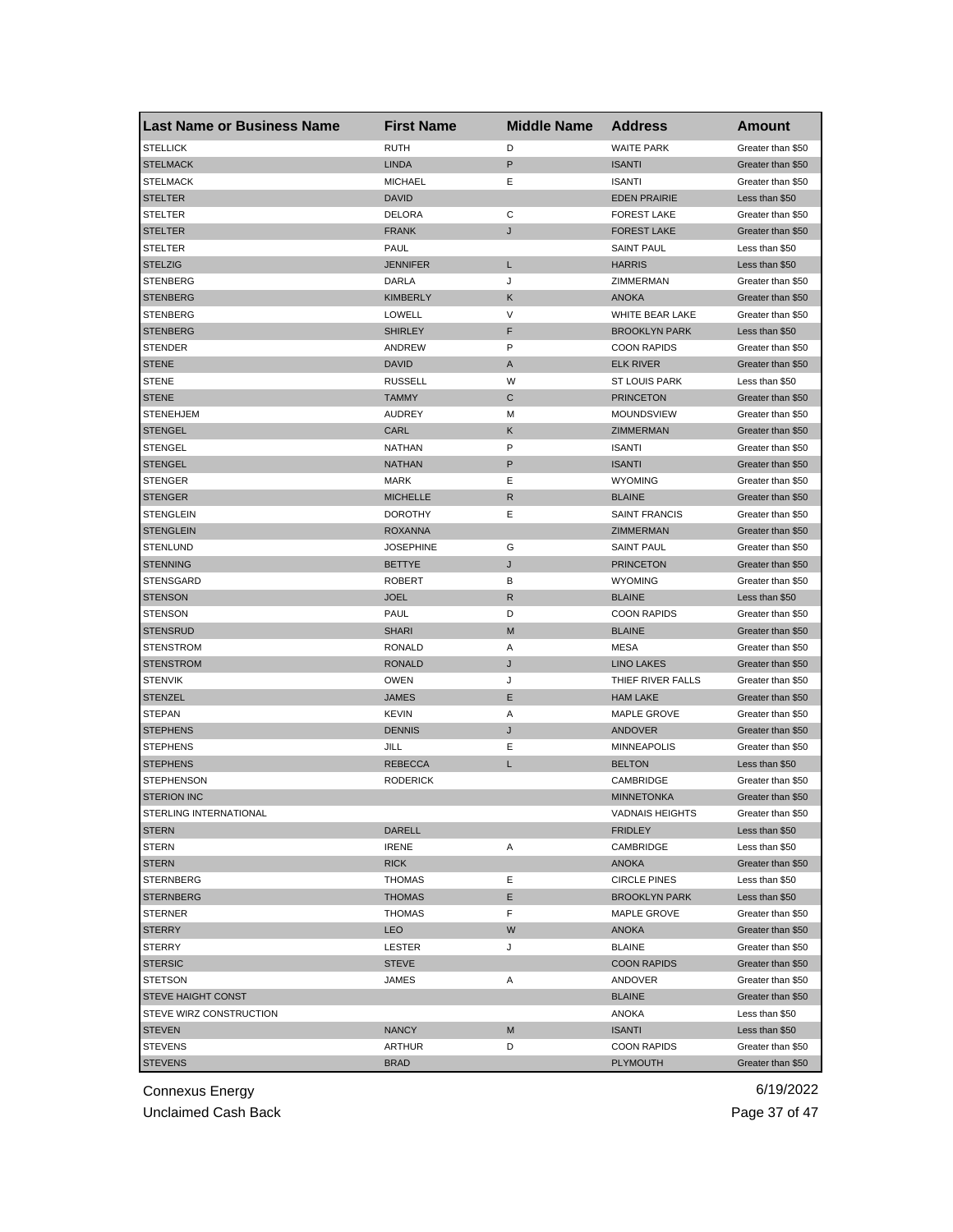| <b>Last Name or Business Name</b> | <b>First Name</b>                 | <b>Middle Name</b> | <b>Address</b>       | Amount            |
|-----------------------------------|-----------------------------------|--------------------|----------------------|-------------------|
| <b>STELLICK</b>                   | <b>RUTH</b>                       | D                  | <b>WAITE PARK</b>    | Greater than \$50 |
| <b>STELMACK</b>                   | <b>LINDA</b>                      | P                  | <b>ISANTI</b>        | Greater than \$50 |
| <b>STELMACK</b>                   | <b>MICHAEL</b>                    | Ε                  | <b>ISANTI</b>        | Greater than \$50 |
| <b>STELTER</b>                    | <b>DAVID</b>                      |                    | <b>EDEN PRAIRIE</b>  | Less than \$50    |
| <b>STELTER</b>                    | DELORA                            | С                  | <b>FOREST LAKE</b>   | Greater than \$50 |
| <b>STELTER</b>                    | <b>FRANK</b>                      | J                  | <b>FOREST LAKE</b>   | Greater than \$50 |
| <b>STELTER</b>                    | PAUL                              |                    | <b>SAINT PAUL</b>    | Less than \$50    |
| <b>STELZIG</b>                    | <b>JENNIFER</b>                   | L                  | <b>HARRIS</b>        | Less than \$50    |
| <b>STENBERG</b>                   | DARLA                             | J                  | ZIMMERMAN            | Greater than \$50 |
| <b>STENBERG</b>                   | <b>KIMBERLY</b>                   | Κ                  | <b>ANOKA</b>         | Greater than \$50 |
| STENBERG                          | LOWELL                            | V                  | WHITE BEAR LAKE      | Greater than \$50 |
| <b>STENBERG</b>                   | <b>SHIRLEY</b>                    | F                  | <b>BROOKLYN PARK</b> | Less than \$50    |
| <b>STENDER</b>                    | ANDREW                            | P                  | <b>COON RAPIDS</b>   | Greater than \$50 |
| <b>STENE</b>                      | <b>DAVID</b>                      | A                  | <b>ELK RIVER</b>     | Greater than \$50 |
| <b>STENE</b>                      | <b>RUSSELL</b>                    | W                  | <b>ST LOUIS PARK</b> | Less than \$50    |
| <b>STENE</b>                      | <b>TAMMY</b>                      | С                  | <b>PRINCETON</b>     | Greater than \$50 |
| <b>STENEHJEM</b>                  | <b>AUDREY</b>                     | M                  | <b>MOUNDSVIEW</b>    | Greater than \$50 |
| <b>STENGEL</b>                    | CARL                              | Κ                  | ZIMMERMAN            | Greater than \$50 |
| <b>STENGEL</b>                    | <b>NATHAN</b>                     | P                  | <b>ISANTI</b>        | Greater than \$50 |
| <b>STENGEL</b>                    | <b>NATHAN</b>                     | P                  | <b>ISANTI</b>        | Greater than \$50 |
| <b>STENGER</b>                    | <b>MARK</b>                       | Ε                  | <b>WYOMING</b>       | Greater than \$50 |
| <b>STENGER</b>                    | <b>MICHELLE</b>                   | R                  | <b>BLAINE</b>        | Greater than \$50 |
| <b>STENGLEIN</b>                  | <b>DOROTHY</b>                    | Ε                  | <b>SAINT FRANCIS</b> | Greater than \$50 |
| <b>STENGLEIN</b>                  | <b>ROXANNA</b>                    |                    | <b>ZIMMERMAN</b>     | Greater than \$50 |
| <b>STENLUND</b>                   | <b>JOSEPHINE</b>                  | G                  | <b>SAINT PAUL</b>    | Greater than \$50 |
| <b>STENNING</b>                   | <b>BETTYE</b>                     | J                  | <b>PRINCETON</b>     | Greater than \$50 |
| STENSGARD                         | <b>ROBERT</b>                     | В                  | <b>WYOMING</b>       | Greater than \$50 |
| <b>STENSON</b>                    | <b>JOEL</b>                       | R                  | <b>BLAINE</b>        | Less than \$50    |
| <b>STENSON</b>                    | PAUL                              | D                  | <b>COON RAPIDS</b>   | Greater than \$50 |
| <b>STENSRUD</b>                   | <b>SHARI</b>                      | M                  | <b>BLAINE</b>        | Greater than \$50 |
| <b>STENSTROM</b>                  | <b>RONALD</b>                     | Α                  | MESA                 | Greater than \$50 |
| <b>STENSTROM</b>                  | <b>RONALD</b>                     | J                  | <b>LINO LAKES</b>    | Greater than \$50 |
| <b>STENVIK</b>                    | <b>OWEN</b>                       | J                  | THIEF RIVER FALLS    | Greater than \$50 |
| <b>STENZEL</b>                    | <b>JAMES</b>                      | Ε                  | <b>HAM LAKE</b>      | Greater than \$50 |
| <b>STEPAN</b>                     | <b>KEVIN</b>                      |                    | <b>MAPLE GROVE</b>   | Greater than \$50 |
| <b>STEPHENS</b>                   | <b>DENNIS</b>                     | Α<br>J             | ANDOVER              | Greater than \$50 |
|                                   |                                   |                    |                      | Greater than \$50 |
| <b>STEPHENS</b>                   | JILL                              | Ε                  | <b>MINNEAPOLIS</b>   |                   |
| <b>STEPHENS</b>                   | <b>REBECCA</b><br><b>RODERICK</b> | L                  | <b>BELTON</b>        | Less than \$50    |
| <b>STEPHENSON</b>                 |                                   |                    | CAMBRIDGE            | Greater than \$50 |
| <b>STERION INC</b>                |                                   |                    | <b>MINNETONKA</b>    | Greater than \$50 |
| STERLING INTERNATIONAL            |                                   |                    | VADNAIS HEIGHTS      | Greater than \$50 |
| <b>STERN</b>                      | <b>DARELL</b>                     |                    | <b>FRIDLEY</b>       | Less than \$50    |
| <b>STERN</b>                      | <b>IRENE</b>                      | Α                  | CAMBRIDGE            | Less than \$50    |
| <b>STERN</b>                      | <b>RICK</b>                       |                    | ANOKA                | Greater than \$50 |
| <b>STERNBERG</b>                  | <b>THOMAS</b>                     | Ε                  | <b>CIRCLE PINES</b>  | Less than \$50    |
| <b>STERNBERG</b>                  | <b>THOMAS</b>                     | E                  | <b>BROOKLYN PARK</b> | Less than \$50    |
| <b>STERNER</b>                    | <b>THOMAS</b>                     | F                  | <b>MAPLE GROVE</b>   | Greater than \$50 |
| <b>STERRY</b>                     | <b>LEO</b>                        | W                  | ANOKA                | Greater than \$50 |
| <b>STERRY</b>                     | <b>LESTER</b>                     | J                  | <b>BLAINE</b>        | Greater than \$50 |
| <b>STERSIC</b>                    | <b>STEVE</b>                      |                    | <b>COON RAPIDS</b>   | Greater than \$50 |
| <b>STETSON</b>                    | JAMES                             | Α                  | ANDOVER              | Greater than \$50 |
| <b>STEVE HAIGHT CONST</b>         |                                   |                    | <b>BLAINE</b>        | Greater than \$50 |
| STEVE WIRZ CONSTRUCTION           |                                   |                    | ANOKA                | Less than \$50    |
| <b>STEVEN</b>                     | <b>NANCY</b>                      | M                  | <b>ISANTI</b>        | Less than \$50    |
| <b>STEVENS</b>                    | ARTHUR                            | D                  | <b>COON RAPIDS</b>   | Greater than \$50 |
| <b>STEVENS</b>                    | <b>BRAD</b>                       |                    | <b>PLYMOUTH</b>      | Greater than \$50 |

Unclaimed Cash Back **Page 37** of 47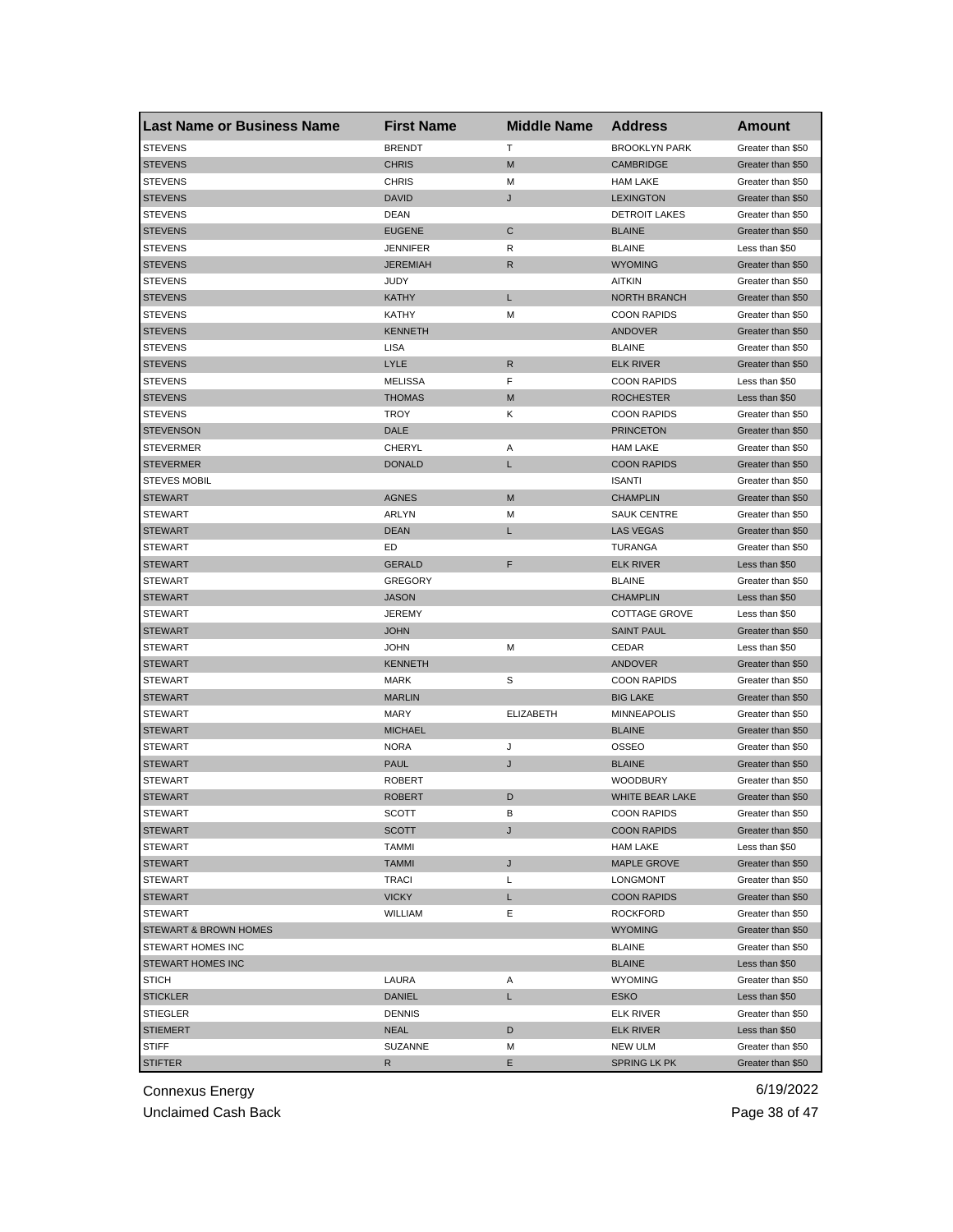| <b>Last Name or Business Name</b> | <b>First Name</b> | <b>Middle Name</b> | <b>Address</b>       | Amount            |
|-----------------------------------|-------------------|--------------------|----------------------|-------------------|
| <b>STEVENS</b>                    | <b>BRENDT</b>     | Т                  | <b>BROOKLYN PARK</b> | Greater than \$50 |
| <b>STEVENS</b>                    | <b>CHRIS</b>      | M                  | <b>CAMBRIDGE</b>     | Greater than \$50 |
| <b>STEVENS</b>                    | <b>CHRIS</b>      | M                  | <b>HAM LAKE</b>      | Greater than \$50 |
| <b>STEVENS</b>                    | <b>DAVID</b>      | J                  | <b>LEXINGTON</b>     | Greater than \$50 |
| <b>STEVENS</b>                    | DEAN              |                    | <b>DETROIT LAKES</b> | Greater than \$50 |
| <b>STEVENS</b>                    | <b>EUGENE</b>     | C                  | <b>BLAINE</b>        | Greater than \$50 |
| <b>STEVENS</b>                    | <b>JENNIFER</b>   | R                  | <b>BLAINE</b>        | Less than \$50    |
| <b>STEVENS</b>                    | <b>JEREMIAH</b>   | R                  | <b>WYOMING</b>       | Greater than \$50 |
| <b>STEVENS</b>                    | JUDY              |                    | <b>AITKIN</b>        | Greater than \$50 |
| <b>STEVENS</b>                    | <b>KATHY</b>      | L                  | <b>NORTH BRANCH</b>  | Greater than \$50 |
| <b>STEVENS</b>                    | KATHY             | M                  | <b>COON RAPIDS</b>   | Greater than \$50 |
| <b>STEVENS</b>                    | <b>KENNETH</b>    |                    | ANDOVER              | Greater than \$50 |
| <b>STEVENS</b>                    | LISA              |                    | <b>BLAINE</b>        | Greater than \$50 |
| <b>STEVENS</b>                    | LYLE              | $\mathsf{R}$       | <b>ELK RIVER</b>     | Greater than \$50 |
| <b>STEVENS</b>                    | <b>MELISSA</b>    | F                  | <b>COON RAPIDS</b>   | Less than \$50    |
| <b>STEVENS</b>                    | <b>THOMAS</b>     | M                  | <b>ROCHESTER</b>     | Less than \$50    |
| <b>STEVENS</b>                    | <b>TROY</b>       | Κ                  | <b>COON RAPIDS</b>   | Greater than \$50 |
| <b>STEVENSON</b>                  | DALE              |                    | <b>PRINCETON</b>     | Greater than \$50 |
| <b>STEVERMER</b>                  | CHERYL            | Α                  | <b>HAM LAKE</b>      | Greater than \$50 |
| <b>STEVERMER</b>                  | <b>DONALD</b>     | L                  | <b>COON RAPIDS</b>   | Greater than \$50 |
| <b>STEVES MOBIL</b>               |                   |                    | <b>ISANTI</b>        | Greater than \$50 |
| <b>STEWART</b>                    | <b>AGNES</b>      | M                  | <b>CHAMPLIN</b>      | Greater than \$50 |
| <b>STEWART</b>                    | ARLYN             | M                  | <b>SAUK CENTRE</b>   | Greater than \$50 |
| <b>STEWART</b>                    | <b>DEAN</b>       | L                  | <b>LAS VEGAS</b>     | Greater than \$50 |
| <b>STEWART</b>                    | ED                |                    | <b>TURANGA</b>       | Greater than \$50 |
| <b>STEWART</b>                    | <b>GERALD</b>     | F                  | <b>ELK RIVER</b>     | Less than \$50    |
| <b>STEWART</b>                    | <b>GREGORY</b>    |                    | <b>BLAINE</b>        | Greater than \$50 |
| <b>STEWART</b>                    | <b>JASON</b>      |                    | <b>CHAMPLIN</b>      | Less than \$50    |
| <b>STEWART</b>                    | <b>JEREMY</b>     |                    | <b>COTTAGE GROVE</b> | Less than \$50    |
| <b>STEWART</b>                    | JOHN              |                    | <b>SAINT PAUL</b>    | Greater than \$50 |
| <b>STEWART</b>                    | <b>JOHN</b>       | M                  | CEDAR                | Less than \$50    |
| <b>STEWART</b>                    | <b>KENNETH</b>    |                    | ANDOVER              | Greater than \$50 |
| <b>STEWART</b>                    | MARK              | S                  | <b>COON RAPIDS</b>   | Greater than \$50 |
| <b>STEWART</b>                    | <b>MARLIN</b>     |                    | <b>BIG LAKE</b>      | Greater than \$50 |
| <b>STEWART</b>                    | MARY              | <b>ELIZABETH</b>   | <b>MINNEAPOLIS</b>   | Greater than \$50 |
| <b>STEWART</b>                    | <b>MICHAEL</b>    |                    | <b>BLAINE</b>        | Greater than \$50 |
| <b>STEWART</b>                    | <b>NORA</b>       | J                  | OSSEO                | Greater than \$50 |
| <b>STEWART</b>                    | <b>PAUL</b>       | J                  | <b>BLAINE</b>        | Greater than \$50 |
| <b>STEWART</b>                    | <b>ROBERT</b>     |                    | <b>WOODBURY</b>      | Greater than \$50 |
| <b>STEWART</b>                    | ROBERT            | D                  | WHITE BEAR LAKE      | Greater than \$50 |
| <b>STEWART</b>                    | SCOTT             | В                  | <b>COON RAPIDS</b>   | Greater than \$50 |
| <b>STEWART</b>                    | SCOTT             | J                  | <b>COON RAPIDS</b>   | Greater than \$50 |
| <b>STEWART</b>                    | TAMMI             |                    | <b>HAM LAKE</b>      | Less than \$50    |
| <b>STEWART</b>                    | <b>TAMMI</b>      | J                  | <b>MAPLE GROVE</b>   | Greater than \$50 |
| <b>STEWART</b>                    | TRACI             | Г                  | LONGMONT             | Greater than \$50 |
| <b>STEWART</b>                    | <b>VICKY</b>      | L                  | <b>COON RAPIDS</b>   | Greater than \$50 |
| <b>STEWART</b>                    | WILLIAM           | Ε                  | <b>ROCKFORD</b>      | Greater than \$50 |
| STEWART & BROWN HOMES             |                   |                    | <b>WYOMING</b>       | Greater than \$50 |
| STEWART HOMES INC                 |                   |                    | <b>BLAINE</b>        | Greater than \$50 |
| <b>STEWART HOMES INC</b>          |                   |                    | <b>BLAINE</b>        | Less than \$50    |
| <b>STICH</b>                      | LAURA             | Α                  | <b>WYOMING</b>       | Greater than \$50 |
| <b>STICKLER</b>                   | <b>DANIEL</b>     | L                  | <b>ESKO</b>          | Less than \$50    |
| <b>STIEGLER</b>                   | <b>DENNIS</b>     |                    | <b>ELK RIVER</b>     | Greater than \$50 |
| <b>STIEMERT</b>                   | <b>NEAL</b>       | D                  | <b>ELK RIVER</b>     | Less than \$50    |
| <b>STIFF</b>                      | SUZANNE           | M                  | NEW ULM              | Greater than \$50 |
| <b>STIFTER</b>                    | R.                | Е                  | <b>SPRING LK PK</b>  | Greater than \$50 |
|                                   |                   |                    |                      |                   |

Unclaimed Cash Back **Page 38 of 47**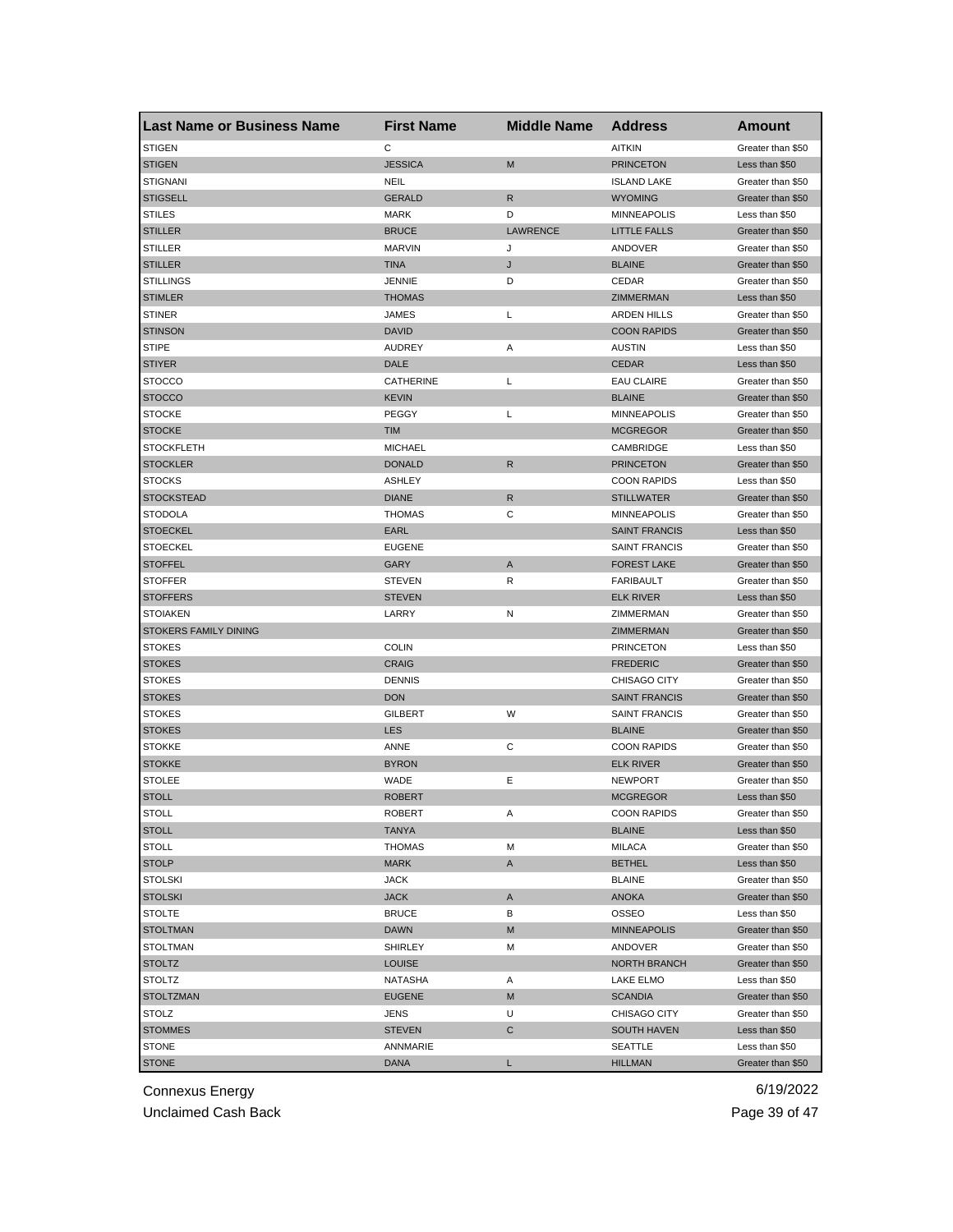| <b>Last Name or Business Name</b> | <b>First Name</b> | <b>Middle Name</b> | <b>Address</b>       | Amount            |
|-----------------------------------|-------------------|--------------------|----------------------|-------------------|
| <b>STIGEN</b>                     | C                 |                    | <b>AITKIN</b>        | Greater than \$50 |
| <b>STIGEN</b>                     | <b>JESSICA</b>    | M                  | <b>PRINCETON</b>     | Less than \$50    |
| <b>STIGNANI</b>                   | NEIL              |                    | <b>ISLAND LAKE</b>   | Greater than \$50 |
| <b>STIGSELL</b>                   | <b>GERALD</b>     | $\mathsf R$        | <b>WYOMING</b>       | Greater than \$50 |
| <b>STILES</b>                     | <b>MARK</b>       | D                  | <b>MINNEAPOLIS</b>   | Less than \$50    |
| <b>STILLER</b>                    | <b>BRUCE</b>      | <b>LAWRENCE</b>    | <b>LITTLE FALLS</b>  | Greater than \$50 |
| STILLER                           | <b>MARVIN</b>     | J                  | ANDOVER              | Greater than \$50 |
| <b>STILLER</b>                    | <b>TINA</b>       | J                  | <b>BLAINE</b>        | Greater than \$50 |
| <b>STILLINGS</b>                  | <b>JENNIE</b>     | D                  | CEDAR                | Greater than \$50 |
| <b>STIMLER</b>                    | <b>THOMAS</b>     |                    | ZIMMERMAN            | Less than \$50    |
| <b>STINER</b>                     | JAMES             | L                  | <b>ARDEN HILLS</b>   | Greater than \$50 |
| <b>STINSON</b>                    | <b>DAVID</b>      |                    | <b>COON RAPIDS</b>   | Greater than \$50 |
| <b>STIPE</b>                      | <b>AUDREY</b>     | Α                  | <b>AUSTIN</b>        | Less than \$50    |
| <b>STIYER</b>                     | DALE              |                    | <b>CEDAR</b>         | Less than \$50    |
| <b>STOCCO</b>                     | CATHERINE         | Г                  | <b>EAU CLAIRE</b>    | Greater than \$50 |
| <b>STOCCO</b>                     | <b>KEVIN</b>      |                    | <b>BLAINE</b>        | Greater than \$50 |
| <b>STOCKE</b>                     | PEGGY             | L                  | <b>MINNEAPOLIS</b>   | Greater than \$50 |
| <b>STOCKE</b>                     | <b>TIM</b>        |                    | <b>MCGREGOR</b>      | Greater than \$50 |
| <b>STOCKFLETH</b>                 | <b>MICHAEL</b>    |                    | CAMBRIDGE            | Less than \$50    |
| <b>STOCKLER</b>                   | <b>DONALD</b>     | R                  | <b>PRINCETON</b>     | Greater than \$50 |
| <b>STOCKS</b>                     | <b>ASHLEY</b>     |                    | <b>COON RAPIDS</b>   | Less than \$50    |
| <b>STOCKSTEAD</b>                 | <b>DIANE</b>      | R                  | <b>STILLWATER</b>    | Greater than \$50 |
| <b>STODOLA</b>                    | <b>THOMAS</b>     | С                  | <b>MINNEAPOLIS</b>   | Greater than \$50 |
| <b>STOECKEL</b>                   | <b>EARL</b>       |                    | <b>SAINT FRANCIS</b> | Less than \$50    |
| STOECKEL                          | <b>EUGENE</b>     |                    | <b>SAINT FRANCIS</b> | Greater than \$50 |
| <b>STOFFEL</b>                    | GARY              | Α                  | <b>FOREST LAKE</b>   | Greater than \$50 |
| <b>STOFFER</b>                    | <b>STEVEN</b>     | R                  | <b>FARIBAULT</b>     | Greater than \$50 |
| <b>STOFFERS</b>                   | <b>STEVEN</b>     |                    | <b>ELK RIVER</b>     | Less than \$50    |
| <b>STOIAKEN</b>                   | LARRY             | Ν                  | ZIMMERMAN            | Greater than \$50 |
|                                   |                   |                    | ZIMMERMAN            |                   |
| STOKERS FAMILY DINING             |                   |                    |                      | Greater than \$50 |
| <b>STOKES</b>                     | <b>COLIN</b>      |                    | <b>PRINCETON</b>     | Less than \$50    |
| <b>STOKES</b>                     | <b>CRAIG</b>      |                    | <b>FREDERIC</b>      | Greater than \$50 |
| <b>STOKES</b>                     | <b>DENNIS</b>     |                    | <b>CHISAGO CITY</b>  | Greater than \$50 |
| <b>STOKES</b>                     | <b>DON</b>        |                    | <b>SAINT FRANCIS</b> | Greater than \$50 |
| <b>STOKES</b>                     | <b>GILBERT</b>    | W                  | <b>SAINT FRANCIS</b> | Greater than \$50 |
| <b>STOKES</b>                     | <b>LES</b>        |                    | <b>BLAINE</b>        | Greater than \$50 |
| <b>STOKKE</b>                     | ANNE              | С                  | <b>COON RAPIDS</b>   | Greater than \$50 |
| <b>STOKKE</b>                     | <b>BYRON</b>      |                    | <b>ELK RIVER</b>     | Greater than \$50 |
| STOLEE                            | WADE              | Ε                  | NEWPORT              | Greater than \$50 |
| <b>STOLL</b>                      | <b>ROBERT</b>     |                    | <b>MCGREGOR</b>      | Less than \$50    |
| <b>STOLL</b>                      | ROBERT            | A                  | COON RAPIDS          | Greater than \$50 |
| <b>STOLL</b>                      | TANYA             |                    | <b>BLAINE</b>        | Less than \$50    |
| <b>STOLL</b>                      | <b>THOMAS</b>     | М                  | MILACA               | Greater than \$50 |
| <b>STOLP</b>                      | <b>MARK</b>       | A                  | <b>BETHEL</b>        | Less than \$50    |
| <b>STOLSKI</b>                    | JACK              |                    | <b>BLAINE</b>        | Greater than \$50 |
| <b>STOLSKI</b>                    | <b>JACK</b>       | A                  | ANOKA                | Greater than \$50 |
| <b>STOLTE</b>                     | <b>BRUCE</b>      | в                  | OSSEO                | Less than \$50    |
| <b>STOLTMAN</b>                   | <b>DAWN</b>       | M                  | <b>MINNEAPOLIS</b>   | Greater than \$50 |
| <b>STOLTMAN</b>                   | <b>SHIRLEY</b>    | М                  | ANDOVER              | Greater than \$50 |
| <b>STOLTZ</b>                     | <b>LOUISE</b>     |                    | <b>NORTH BRANCH</b>  | Greater than \$50 |
| <b>STOLTZ</b>                     | <b>NATASHA</b>    | Α                  | LAKE ELMO            | Less than \$50    |
| <b>STOLTZMAN</b>                  | <b>EUGENE</b>     | М                  | <b>SCANDIA</b>       | Greater than \$50 |
| STOLZ                             | JENS              | U                  | CHISAGO CITY         | Greater than \$50 |
| <b>STOMMES</b>                    | <b>STEVEN</b>     | С                  | <b>SOUTH HAVEN</b>   | Less than \$50    |
| <b>STONE</b>                      | ANNMARIE          |                    | SEATTLE              | Less than \$50    |
| <b>STONE</b>                      | <b>DANA</b>       | L                  | <b>HILLMAN</b>       | Greater than \$50 |

Unclaimed Cash Back **Page 39 of 47**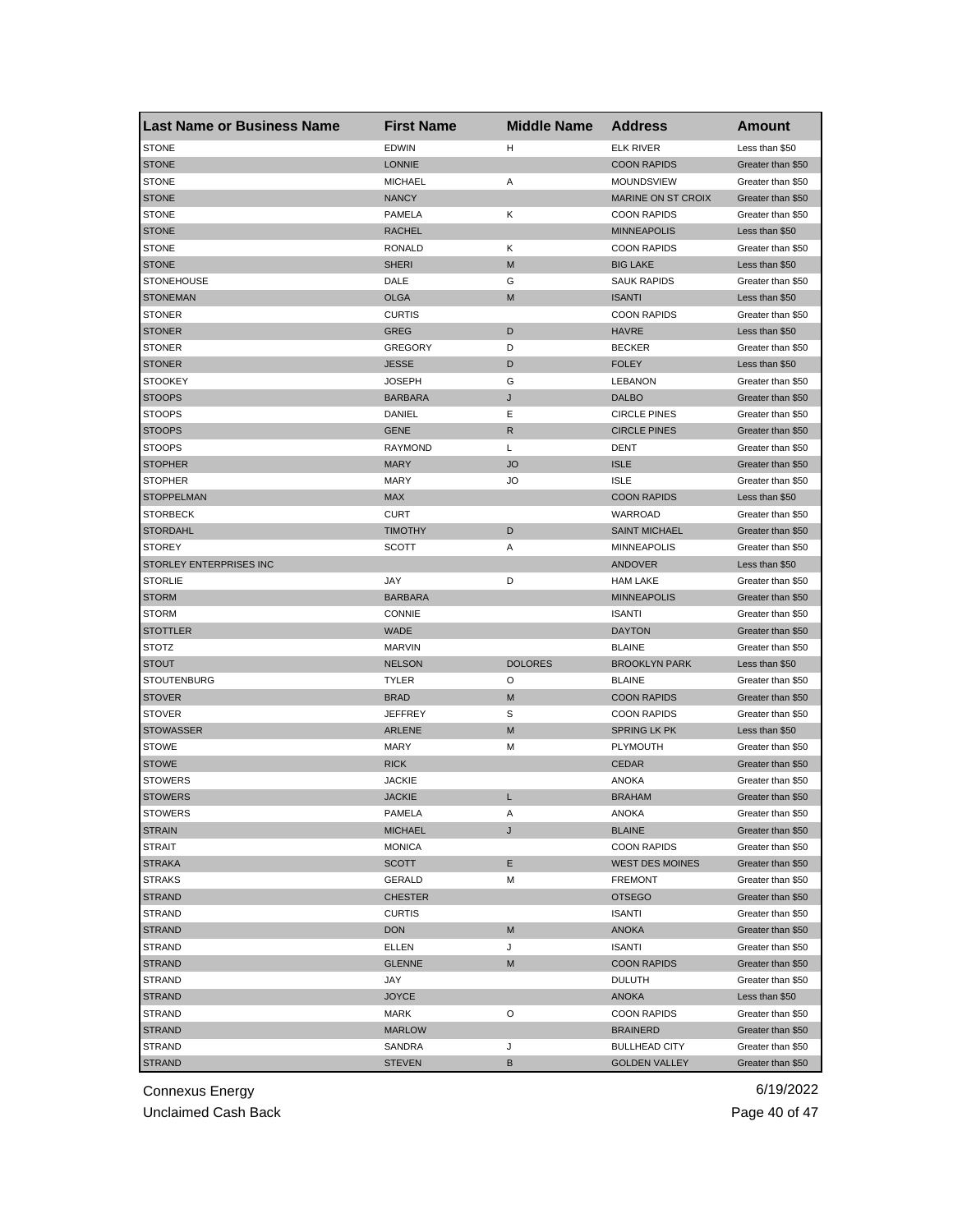| <b>Last Name or Business Name</b> | <b>First Name</b> | <b>Middle Name</b> | <b>Address</b>            | Amount            |
|-----------------------------------|-------------------|--------------------|---------------------------|-------------------|
| <b>STONE</b>                      | <b>EDWIN</b>      | н                  | <b>ELK RIVER</b>          | Less than \$50    |
| <b>STONE</b>                      | <b>LONNIE</b>     |                    | <b>COON RAPIDS</b>        | Greater than \$50 |
| <b>STONE</b>                      | <b>MICHAEL</b>    | Α                  | <b>MOUNDSVIEW</b>         | Greater than \$50 |
| <b>STONE</b>                      | <b>NANCY</b>      |                    | <b>MARINE ON ST CROIX</b> | Greater than \$50 |
| <b>STONE</b>                      | PAMELA            | Κ                  | <b>COON RAPIDS</b>        | Greater than \$50 |
| <b>STONE</b>                      | <b>RACHEL</b>     |                    | <b>MINNEAPOLIS</b>        | Less than \$50    |
| <b>STONE</b>                      | <b>RONALD</b>     | Κ                  | <b>COON RAPIDS</b>        | Greater than \$50 |
| <b>STONE</b>                      | <b>SHERI</b>      | M                  | <b>BIG LAKE</b>           | Less than \$50    |
| <b>STONEHOUSE</b>                 | DALE              | G                  | <b>SAUK RAPIDS</b>        | Greater than \$50 |
| <b>STONEMAN</b>                   | OLGA              | M                  | <b>ISANTI</b>             | Less than \$50    |
| STONER                            | <b>CURTIS</b>     |                    | <b>COON RAPIDS</b>        | Greater than \$50 |
| <b>STONER</b>                     | GREG              | D                  | <b>HAVRE</b>              | Less than \$50    |
| <b>STONER</b>                     | <b>GREGORY</b>    | D                  | <b>BECKER</b>             | Greater than \$50 |
| <b>STONER</b>                     | <b>JESSE</b>      | D                  | <b>FOLEY</b>              | Less than \$50    |
| <b>STOOKEY</b>                    | <b>JOSEPH</b>     | G                  | <b>LEBANON</b>            | Greater than \$50 |
| <b>STOOPS</b>                     | <b>BARBARA</b>    | J                  | <b>DALBO</b>              | Greater than \$50 |
| <b>STOOPS</b>                     | DANIEL            | Ε                  | <b>CIRCLE PINES</b>       | Greater than \$50 |
| <b>STOOPS</b>                     | <b>GENE</b>       | $\mathsf R$        | <b>CIRCLE PINES</b>       | Greater than \$50 |
| <b>STOOPS</b>                     | <b>RAYMOND</b>    | Г                  | DENT                      | Greater than \$50 |
| <b>STOPHER</b>                    | <b>MARY</b>       | <b>JO</b>          | <b>ISLE</b>               | Greater than \$50 |
| <b>STOPHER</b>                    | <b>MARY</b>       | JO                 | <b>ISLE</b>               | Greater than \$50 |
| <b>STOPPELMAN</b>                 | <b>MAX</b>        |                    | <b>COON RAPIDS</b>        | Less than \$50    |
| <b>STORBECK</b>                   | <b>CURT</b>       |                    | WARROAD                   | Greater than \$50 |
| <b>STORDAHL</b>                   | <b>TIMOTHY</b>    | D                  | <b>SAINT MICHAEL</b>      | Greater than \$50 |
| <b>STOREY</b>                     | SCOTT             | Α                  | <b>MINNEAPOLIS</b>        | Greater than \$50 |
| STORLEY ENTERPRISES INC           |                   |                    | <b>ANDOVER</b>            | Less than \$50    |
| <b>STORLIE</b>                    | JAY               | D                  | <b>HAM LAKE</b>           | Greater than \$50 |
| <b>STORM</b>                      | <b>BARBARA</b>    |                    | <b>MINNEAPOLIS</b>        | Greater than \$50 |
| <b>STORM</b>                      | <b>CONNIE</b>     |                    | <b>ISANTI</b>             | Greater than \$50 |
| <b>STOTTLER</b>                   | <b>WADE</b>       |                    | <b>DAYTON</b>             | Greater than \$50 |
| <b>STOTZ</b>                      | <b>MARVIN</b>     |                    | <b>BLAINE</b>             | Greater than \$50 |
| <b>STOUT</b>                      | <b>NELSON</b>     | <b>DOLORES</b>     | <b>BROOKLYN PARK</b>      | Less than \$50    |
| <b>STOUTENBURG</b>                | TYLER             | O                  | <b>BLAINE</b>             | Greater than \$50 |
| <b>STOVER</b>                     | <b>BRAD</b>       | M                  | <b>COON RAPIDS</b>        | Greater than \$50 |
| <b>STOVER</b>                     | <b>JEFFREY</b>    | S                  | <b>COON RAPIDS</b>        | Greater than \$50 |
| <b>STOWASSER</b>                  | <b>ARLENE</b>     | M                  | <b>SPRING LK PK</b>       | Less than \$50    |
| <b>STOWE</b>                      | <b>MARY</b>       | М                  | PLYMOUTH                  | Greater than \$50 |
| <b>STOWE</b>                      | <b>RICK</b>       |                    | <b>CEDAR</b>              | Greater than \$50 |
| <b>STOWERS</b>                    | <b>JACKIE</b>     |                    | <b>ANOKA</b>              | Greater than \$50 |
| <b>STOWERS</b>                    | <b>JACKIE</b>     | Г                  | <b>BRAHAM</b>             | Greater than \$50 |
| <b>SIOWERS</b>                    | PAMELA            | A                  | ANOKA                     | Greater than \$50 |
| <b>STRAIN</b>                     | <b>MICHAEL</b>    | J                  | <b>BLAINE</b>             | Greater than \$50 |
| <b>STRAIT</b>                     | <b>MONICA</b>     |                    | <b>COON RAPIDS</b>        | Greater than \$50 |
| <b>STRAKA</b>                     | SCOTT             | Ε                  | <b>WEST DES MOINES</b>    | Greater than \$50 |
| <b>STRAKS</b>                     | GERALD            | М                  | <b>FREMONT</b>            | Greater than \$50 |
| <b>STRAND</b>                     | <b>CHESTER</b>    |                    | <b>OTSEGO</b>             | Greater than \$50 |
| <b>STRAND</b>                     | <b>CURTIS</b>     |                    | <b>ISANTI</b>             | Greater than \$50 |
| <b>STRAND</b>                     | <b>DON</b>        | M                  | <b>ANOKA</b>              | Greater than \$50 |
| <b>STRAND</b>                     | ELLEN             | J                  | <b>ISANTI</b>             | Greater than \$50 |
| <b>STRAND</b>                     | <b>GLENNE</b>     | M                  | <b>COON RAPIDS</b>        | Greater than \$50 |
| <b>STRAND</b>                     | JAY               |                    | DULUTH                    | Greater than \$50 |
| <b>STRAND</b>                     | <b>JOYCE</b>      |                    | <b>ANOKA</b>              | Less than \$50    |
| <b>STRAND</b>                     | MARK              | O                  | <b>COON RAPIDS</b>        | Greater than \$50 |
| <b>STRAND</b>                     | <b>MARLOW</b>     |                    | <b>BRAINERD</b>           | Greater than \$50 |
| <b>STRAND</b>                     | SANDRA            | J                  | <b>BULLHEAD CITY</b>      | Greater than \$50 |
| <b>STRAND</b>                     | <b>STEVEN</b>     | В                  | <b>GOLDEN VALLEY</b>      | Greater than \$50 |
|                                   |                   |                    |                           |                   |

Unclaimed Cash Back **Page 40 of 47**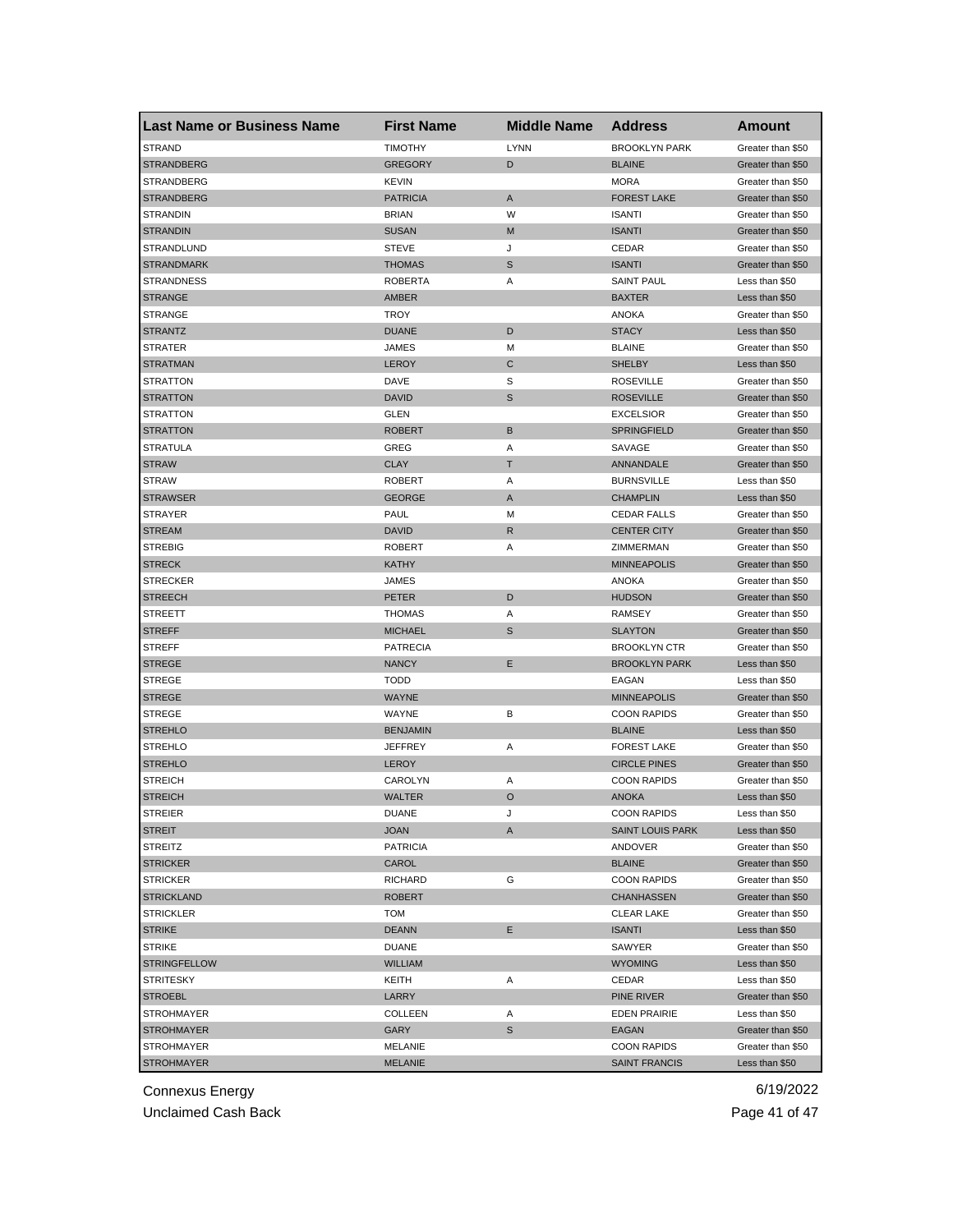| <b>Last Name or Business Name</b> | <b>First Name</b> | <b>Middle Name</b> | <b>Address</b>          | Amount            |
|-----------------------------------|-------------------|--------------------|-------------------------|-------------------|
| <b>STRAND</b>                     | <b>TIMOTHY</b>    | <b>LYNN</b>        | <b>BROOKLYN PARK</b>    | Greater than \$50 |
| <b>STRANDBERG</b>                 | <b>GREGORY</b>    | D                  | <b>BLAINE</b>           | Greater than \$50 |
| <b>STRANDBERG</b>                 | <b>KEVIN</b>      |                    | <b>MORA</b>             | Greater than \$50 |
| <b>STRANDBERG</b>                 | <b>PATRICIA</b>   | Α                  | <b>FOREST LAKE</b>      | Greater than \$50 |
| <b>STRANDIN</b>                   | <b>BRIAN</b>      | W                  | <b>ISANTI</b>           | Greater than \$50 |
| <b>STRANDIN</b>                   | <b>SUSAN</b>      | M                  | <b>ISANTI</b>           | Greater than \$50 |
| STRANDLUND                        | <b>STEVE</b>      | J                  | CEDAR                   | Greater than \$50 |
| <b>STRANDMARK</b>                 | <b>THOMAS</b>     | S                  | <b>ISANTI</b>           | Greater than \$50 |
| <b>STRANDNESS</b>                 | <b>ROBERTA</b>    | Α                  | <b>SAINT PAUL</b>       | Less than \$50    |
| <b>STRANGE</b>                    | AMBER             |                    | <b>BAXTER</b>           | Less than \$50    |
| <b>STRANGE</b>                    | TROY              |                    | ANOKA                   | Greater than \$50 |
| <b>STRANTZ</b>                    | <b>DUANE</b>      | D                  | <b>STACY</b>            | Less than \$50    |
| <b>STRATER</b>                    | JAMES             | M                  | <b>BLAINE</b>           | Greater than \$50 |
| <b>STRATMAN</b>                   | <b>LEROY</b>      | C                  | <b>SHELBY</b>           | Less than \$50    |
| <b>STRATTON</b>                   | DAVE              | S                  | <b>ROSEVILLE</b>        | Greater than \$50 |
| <b>STRATTON</b>                   | <b>DAVID</b>      | S                  | <b>ROSEVILLE</b>        | Greater than \$50 |
| <b>STRATTON</b>                   | <b>GLEN</b>       |                    | <b>EXCELSIOR</b>        | Greater than \$50 |
| <b>STRATTON</b>                   | <b>ROBERT</b>     | B                  | <b>SPRINGFIELD</b>      | Greater than \$50 |
| <b>STRATULA</b>                   | GREG              | Α                  | SAVAGE                  | Greater than \$50 |
| <b>STRAW</b>                      | <b>CLAY</b>       | т                  | ANNANDALE               | Greater than \$50 |
| <b>STRAW</b>                      | <b>ROBERT</b>     | Α                  | <b>BURNSVILLE</b>       | Less than \$50    |
| <b>STRAWSER</b>                   | <b>GEORGE</b>     | A                  | <b>CHAMPLIN</b>         | Less than \$50    |
| STRAYER                           | PAUL              | M                  | <b>CEDAR FALLS</b>      | Greater than \$50 |
| <b>STREAM</b>                     | <b>DAVID</b>      | R                  | <b>CENTER CITY</b>      | Greater than \$50 |
| <b>STREBIG</b>                    | <b>ROBERT</b>     | Α                  | ZIMMERMAN               | Greater than \$50 |
| <b>STRECK</b>                     | <b>KATHY</b>      |                    | <b>MINNEAPOLIS</b>      | Greater than \$50 |
| <b>STRECKER</b>                   | JAMES             |                    | ANOKA                   | Greater than \$50 |
| <b>STREECH</b>                    | PETER             | D                  | <b>HUDSON</b>           | Greater than \$50 |
| <b>STREETT</b>                    | <b>THOMAS</b>     | Α                  | RAMSEY                  | Greater than \$50 |
| <b>STREFF</b>                     | <b>MICHAEL</b>    | S                  | <b>SLAYTON</b>          | Greater than \$50 |
| <b>STREFF</b>                     | <b>PATRECIA</b>   |                    | <b>BROOKLYN CTR</b>     | Greater than \$50 |
| <b>STREGE</b>                     | <b>NANCY</b>      | E                  | <b>BROOKLYN PARK</b>    | Less than \$50    |
| <b>STREGE</b>                     | <b>TODD</b>       |                    | EAGAN                   | Less than \$50    |
| <b>STREGE</b>                     | <b>WAYNE</b>      |                    | <b>MINNEAPOLIS</b>      | Greater than \$50 |
| <b>STREGE</b>                     | WAYNE             | В                  | <b>COON RAPIDS</b>      | Greater than \$50 |
| <b>STREHLO</b>                    | <b>BENJAMIN</b>   |                    | <b>BLAINE</b>           | Less than \$50    |
| <b>STREHLO</b>                    | <b>JEFFREY</b>    | Α                  | <b>FOREST LAKE</b>      | Greater than \$50 |
| <b>STREHLO</b>                    | LEROY             |                    | <b>CIRCLE PINES</b>     | Greater than \$50 |
| <b>STREICH</b>                    | CAROLYN           | Α                  | <b>COON RAPIDS</b>      | Greater than \$50 |
| <b>STREICH</b>                    | <b>WALTER</b>     | O                  | <b>ANOKA</b>            | Less than \$50    |
| <b>STREIER</b>                    | DUANE             | J                  | COON RAPIDS             | Less than \$50    |
| <b>STREIT</b>                     | <b>JOAN</b>       | A                  | <b>SAINT LOUIS PARK</b> | Less than \$50    |
| <b>STREITZ</b>                    | <b>PATRICIA</b>   |                    | ANDOVER                 | Greater than \$50 |
| <b>STRICKER</b>                   | CAROL             |                    | <b>BLAINE</b>           | Greater than \$50 |
| <b>STRICKER</b>                   | <b>RICHARD</b>    | G                  | <b>COON RAPIDS</b>      | Greater than \$50 |
| <b>STRICKLAND</b>                 | <b>ROBERT</b>     |                    | CHANHASSEN              | Greater than \$50 |
| <b>STRICKLER</b>                  | <b>TOM</b>        |                    | <b>CLEAR LAKE</b>       | Greater than \$50 |
| <b>STRIKE</b>                     | <b>DEANN</b>      | E                  | <b>ISANTI</b>           | Less than \$50    |
| <b>STRIKE</b>                     | <b>DUANE</b>      |                    | SAWYER                  | Greater than \$50 |
| <b>STRINGFELLOW</b>               | <b>WILLIAM</b>    |                    | <b>WYOMING</b>          | Less than \$50    |
|                                   |                   |                    |                         | Less than \$50    |
| <b>STRITESKY</b>                  | KEITH             | Α                  | CEDAR                   |                   |
| <b>STROEBL</b>                    | LARRY             |                    | PINE RIVER              | Greater than \$50 |
| STROHMAYER                        | COLLEEN           | Α                  | <b>EDEN PRAIRIE</b>     | Less than \$50    |
| <b>STROHMAYER</b>                 | GARY              | $\mathbb S$        | EAGAN                   | Greater than \$50 |
| <b>STROHMAYER</b>                 | MELANIE           |                    | <b>COON RAPIDS</b>      | Greater than \$50 |
| <b>STROHMAYER</b>                 | MELANIE           |                    | <b>SAINT FRANCIS</b>    | Less than \$50    |

Unclaimed Cash Back **Page 41 of 47**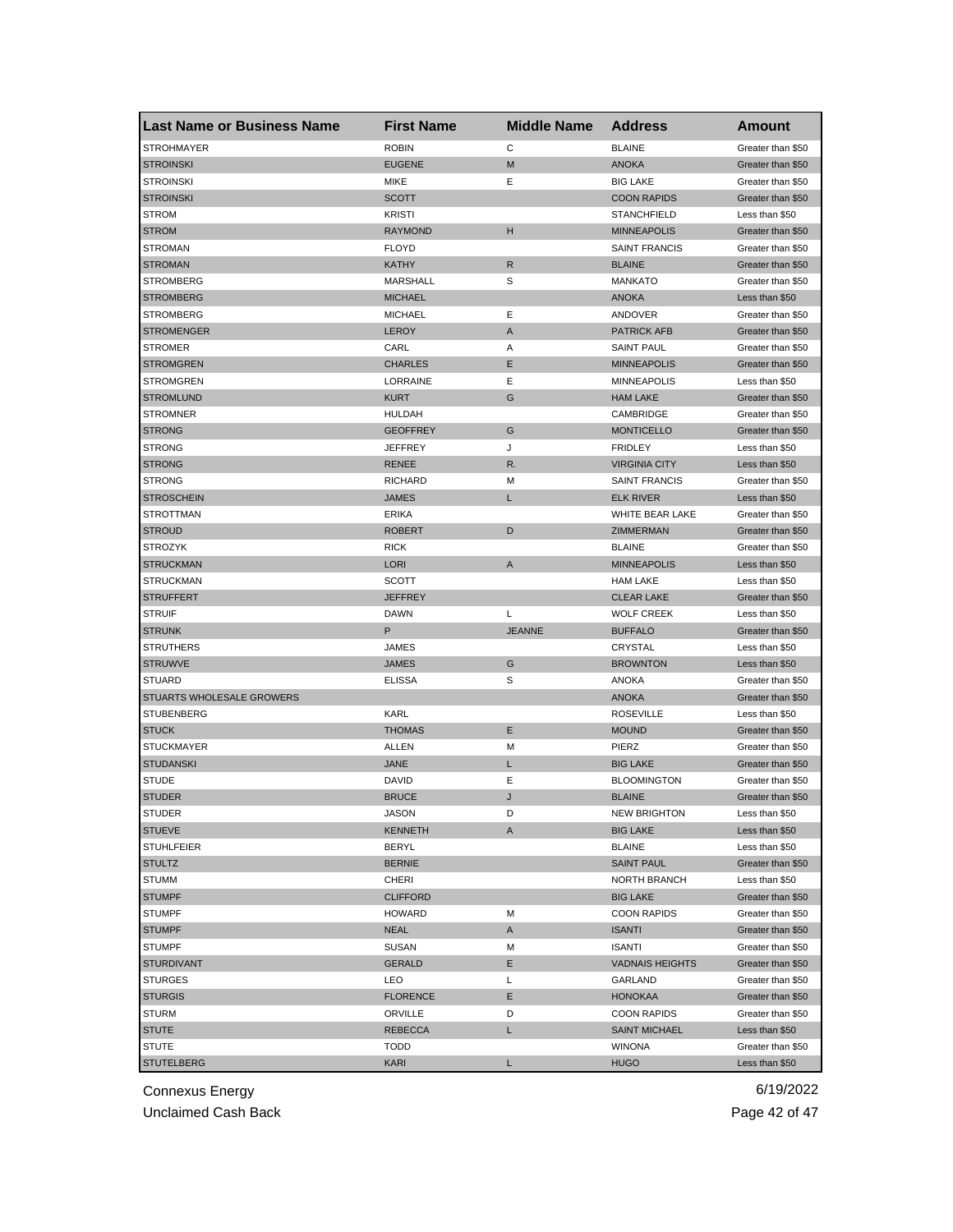| <b>Last Name or Business Name</b> | <b>First Name</b> | <b>Middle Name</b> | <b>Address</b>                 | Amount                                 |
|-----------------------------------|-------------------|--------------------|--------------------------------|----------------------------------------|
| <b>STROHMAYER</b>                 | <b>ROBIN</b>      | C                  | <b>BLAINE</b>                  | Greater than \$50                      |
| <b>STROINSKI</b>                  | <b>EUGENE</b>     | M                  | <b>ANOKA</b>                   | Greater than \$50                      |
| <b>STROINSKI</b>                  | <b>MIKE</b>       | Ε                  | <b>BIG LAKE</b>                | Greater than \$50                      |
| <b>STROINSKI</b>                  | SCOTT             |                    | <b>COON RAPIDS</b>             | Greater than \$50                      |
| <b>STROM</b>                      | KRISTI            |                    | <b>STANCHFIELD</b>             | Less than \$50                         |
| <b>STROM</b>                      | <b>RAYMOND</b>    | н                  | <b>MINNEAPOLIS</b>             | Greater than \$50                      |
| <b>STROMAN</b>                    | <b>FLOYD</b>      |                    | <b>SAINT FRANCIS</b>           | Greater than \$50                      |
| <b>STROMAN</b>                    | KATHY             | R                  | <b>BLAINE</b>                  | Greater than \$50                      |
| <b>STROMBERG</b>                  | MARSHALL          | S                  | <b>MANKATO</b>                 | Greater than \$50                      |
| <b>STROMBERG</b>                  | <b>MICHAEL</b>    |                    | <b>ANOKA</b>                   | Less than \$50                         |
| <b>STROMBERG</b>                  | <b>MICHAEL</b>    | Ε                  | ANDOVER                        | Greater than \$50                      |
| <b>STROMENGER</b>                 | <b>LEROY</b>      | A                  | <b>PATRICK AFB</b>             | Greater than \$50                      |
| <b>STROMER</b>                    | CARL              | Α                  | <b>SAINT PAUL</b>              | Greater than \$50                      |
| <b>STROMGREN</b>                  | <b>CHARLES</b>    | Ε                  | <b>MINNEAPOLIS</b>             | Greater than \$50                      |
| <b>STROMGREN</b>                  | LORRAINE          | Ε                  | <b>MINNEAPOLIS</b>             | Less than \$50                         |
| <b>STROMLUND</b>                  | <b>KURT</b>       | G                  | <b>HAM LAKE</b>                | Greater than \$50                      |
| <b>STROMNER</b>                   | HULDAH            |                    | CAMBRIDGE                      | Greater than \$50                      |
| <b>STRONG</b>                     | <b>GEOFFREY</b>   | G                  | <b>MONTICELLO</b>              | Greater than \$50                      |
| <b>STRONG</b>                     | JEFFREY           | J                  | <b>FRIDLEY</b>                 | Less than \$50                         |
| <b>STRONG</b>                     | <b>RENEE</b>      | R.                 | <b>VIRGINIA CITY</b>           | Less than \$50                         |
| <b>STRONG</b>                     | <b>RICHARD</b>    | M                  | <b>SAINT FRANCIS</b>           | Greater than \$50                      |
| <b>STROSCHEIN</b>                 | <b>JAMES</b>      | L                  | <b>ELK RIVER</b>               | Less than \$50                         |
| <b>STROTTMAN</b>                  | <b>ERIKA</b>      |                    | WHITE BEAR LAKE                | Greater than \$50                      |
| <b>STROUD</b>                     | <b>ROBERT</b>     | D                  | ZIMMERMAN                      | Greater than \$50                      |
| STROZYK                           | <b>RICK</b>       |                    | <b>BLAINE</b>                  | Greater than \$50                      |
| <b>STRUCKMAN</b>                  | <b>LORI</b>       | A                  | <b>MINNEAPOLIS</b>             | Less than \$50                         |
| <b>STRUCKMAN</b>                  | <b>SCOTT</b>      |                    | <b>HAM LAKE</b>                | Less than \$50                         |
| <b>STRUFFERT</b>                  | <b>JEFFREY</b>    |                    | <b>CLEAR LAKE</b>              | Greater than \$50                      |
| <b>STRUIF</b>                     | <b>DAWN</b>       | L                  | <b>WOLF CREEK</b>              | Less than \$50                         |
| <b>STRUNK</b>                     | P                 | <b>JEANNE</b>      | <b>BUFFALO</b>                 | Greater than \$50                      |
| <b>STRUTHERS</b>                  | JAMES             |                    | CRYSTAL                        | Less than \$50                         |
| <b>STRUWVE</b>                    | <b>JAMES</b>      | G                  | <b>BROWNTON</b>                | Less than \$50                         |
| <b>STUARD</b>                     | <b>ELISSA</b>     | S                  | ANOKA                          | Greater than \$50                      |
| STUARTS WHOLESALE GROWERS         |                   |                    | <b>ANOKA</b>                   | Greater than \$50                      |
| <b>STUBENBERG</b>                 | KARL              |                    | <b>ROSEVILLE</b>               | Less than \$50                         |
| <b>STUCK</b>                      | <b>THOMAS</b>     | Ε                  | <b>MOUND</b>                   | Greater than \$50                      |
| <b>STUCKMAYER</b>                 | ALLEN             | м                  | PIERZ                          | Greater than \$50                      |
| <b>STUDANSKI</b>                  | <b>JANE</b>       | L                  | <b>BIG LAKE</b>                | Greater than \$50                      |
| <b>STUDE</b>                      | DAVID             | Ε                  | <b>BLOOMINGTON</b>             | Greater than \$50                      |
| <b>STUDER</b>                     | <b>BRUCE</b>      | J                  | <b>BLAINE</b>                  | Greater than \$50                      |
|                                   | JASON             | D                  | <b>NEW BRIGHTON</b>            |                                        |
| <b>STUDER</b><br><b>STUEVE</b>    | KENNETH           | A                  | <b>BIG LAKE</b>                | Less than \$50<br>Less than \$50       |
| <b>STUHLFEIER</b>                 | BERYL             |                    | <b>BLAINE</b>                  | Less than \$50                         |
| <b>STULTZ</b>                     | <b>BERNIE</b>     |                    | <b>SAINT PAUL</b>              | Greater than \$50                      |
| STUMM                             | CHERI             |                    | NORTH BRANCH                   | Less than \$50                         |
| <b>STUMPF</b>                     | <b>CLIFFORD</b>   |                    | <b>BIG LAKE</b>                | Greater than \$50                      |
| <b>STUMPF</b>                     | <b>HOWARD</b>     | М                  | <b>COON RAPIDS</b>             | Greater than \$50                      |
|                                   |                   |                    |                                |                                        |
| <b>STUMPF</b><br><b>STUMPF</b>    | <b>NEAL</b>       | A                  | <b>ISANTI</b><br><b>ISANTI</b> | Greater than \$50<br>Greater than \$50 |
|                                   | SUSAN             | M                  |                                |                                        |
| <b>STURDIVANT</b>                 | <b>GERALD</b>     | Е                  | <b>VADNAIS HEIGHTS</b>         | Greater than \$50                      |
| <b>STURGES</b>                    | LEO               | L                  | GARLAND                        | Greater than \$50                      |
| <b>STURGIS</b>                    | <b>FLORENCE</b>   | Е                  | <b>HONOKAA</b>                 | Greater than \$50                      |
| STURM                             | ORVILLE           | D                  | <b>COON RAPIDS</b>             | Greater than \$50                      |
| <b>STUTE</b>                      | REBECCA           | L                  | <b>SAINT MICHAEL</b>           | Less than \$50                         |
| <b>STUTE</b>                      | TODD              |                    | <b>WINONA</b>                  | Greater than \$50                      |
| <b>STUTELBERG</b>                 | KARI              | L                  | <b>HUGO</b>                    | Less than \$50                         |

Unclaimed Cash Back **Page 42 of 47**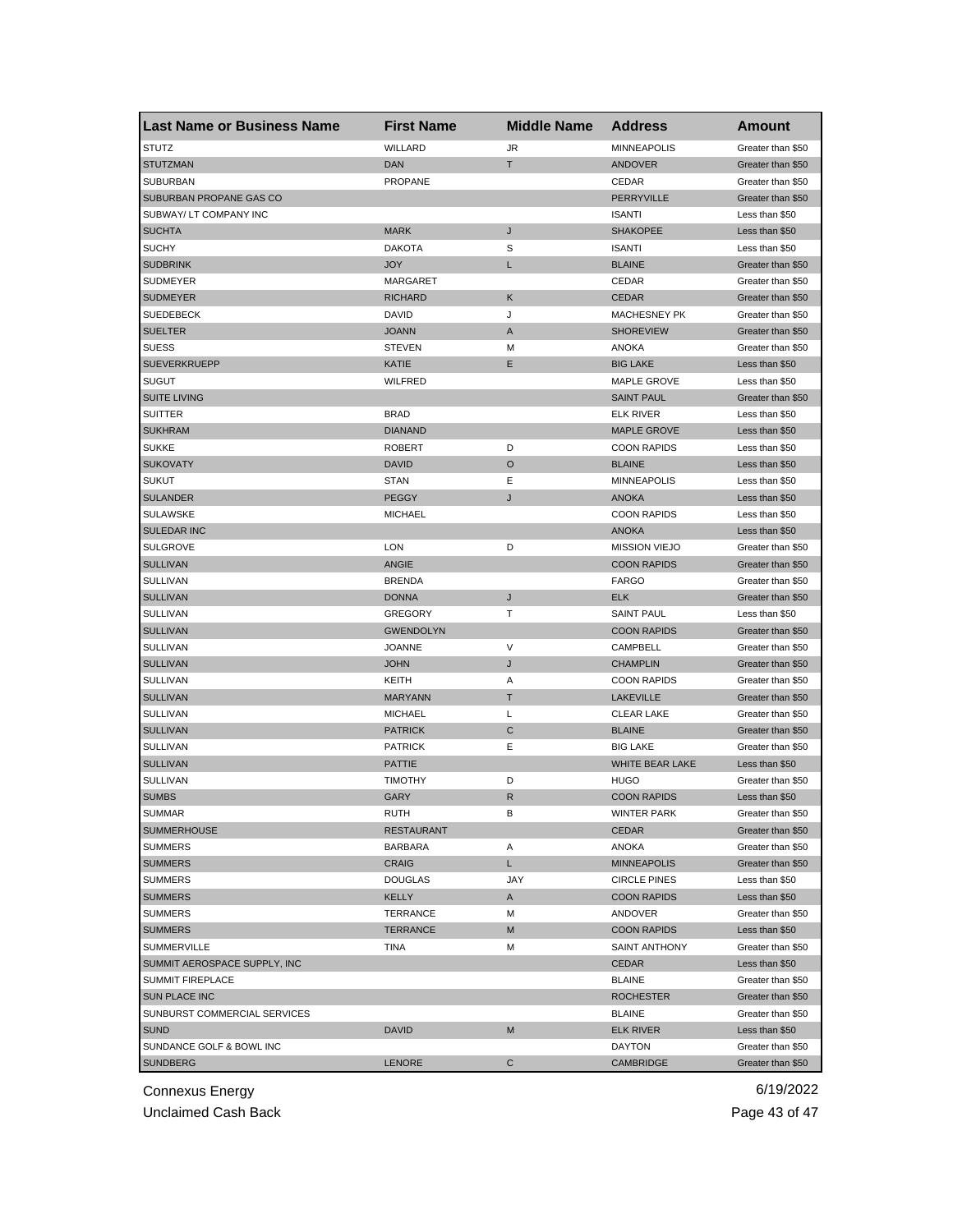| <b>Last Name or Business Name</b> | <b>First Name</b> | <b>Middle Name</b> | <b>Address</b>       | <b>Amount</b>     |
|-----------------------------------|-------------------|--------------------|----------------------|-------------------|
| <b>STUTZ</b>                      | WILLARD           | JR                 | <b>MINNEAPOLIS</b>   | Greater than \$50 |
| <b>STUTZMAN</b>                   | <b>DAN</b>        | T                  | ANDOVER              | Greater than \$50 |
| <b>SUBURBAN</b>                   | <b>PROPANE</b>    |                    | CEDAR                | Greater than \$50 |
| SUBURBAN PROPANE GAS CO           |                   |                    | <b>PERRYVILLE</b>    | Greater than \$50 |
| SUBWAY/ LT COMPANY INC            |                   |                    | <b>ISANTI</b>        | Less than \$50    |
| <b>SUCHTA</b>                     | <b>MARK</b>       | J                  | <b>SHAKOPEE</b>      | Less than \$50    |
| <b>SUCHY</b>                      | <b>DAKOTA</b>     | S                  | <b>ISANTI</b>        | Less than \$50    |
| <b>SUDBRINK</b>                   | <b>JOY</b>        | L                  | <b>BLAINE</b>        | Greater than \$50 |
| <b>SUDMEYER</b>                   | <b>MARGARET</b>   |                    | CEDAR                | Greater than \$50 |
| <b>SUDMEYER</b>                   | <b>RICHARD</b>    | Κ                  | <b>CEDAR</b>         | Greater than \$50 |
| <b>SUEDEBECK</b>                  | <b>DAVID</b>      | J                  | <b>MACHESNEY PK</b>  | Greater than \$50 |
| <b>SUELTER</b>                    | <b>JOANN</b>      | A                  | <b>SHOREVIEW</b>     | Greater than \$50 |
| <b>SUESS</b>                      | <b>STEVEN</b>     | М                  | ANOKA                | Greater than \$50 |
| <b>SUEVERKRUEPP</b>               | <b>KATIE</b>      | Ε                  | <b>BIG LAKE</b>      | Less than \$50    |
| <b>SUGUT</b>                      | <b>WILFRED</b>    |                    | MAPLE GROVE          | Less than \$50    |
| <b>SUITE LIVING</b>               |                   |                    | <b>SAINT PAUL</b>    | Greater than \$50 |
| <b>SUITTER</b>                    | <b>BRAD</b>       |                    | <b>ELK RIVER</b>     | Less than \$50    |
| <b>SUKHRAM</b>                    | <b>DIANAND</b>    |                    | <b>MAPLE GROVE</b>   | Less than \$50    |
| <b>SUKKE</b>                      | <b>ROBERT</b>     | D                  | <b>COON RAPIDS</b>   | Less than \$50    |
| <b>SUKOVATY</b>                   | <b>DAVID</b>      | O                  | <b>BLAINE</b>        | Less than \$50    |
| <b>SUKUT</b>                      | <b>STAN</b>       | Ε                  | <b>MINNEAPOLIS</b>   | Less than \$50    |
| <b>SULANDER</b>                   | <b>PEGGY</b>      | J                  | <b>ANOKA</b>         | Less than \$50    |
| <b>SULAWSKE</b>                   | <b>MICHAEL</b>    |                    | <b>COON RAPIDS</b>   | Less than \$50    |
| <b>SULEDAR INC</b>                |                   |                    | <b>ANOKA</b>         | Less than \$50    |
| <b>SULGROVE</b>                   | <b>LON</b>        | D                  | <b>MISSION VIEJO</b> | Greater than \$50 |
| <b>SULLIVAN</b>                   | <b>ANGIE</b>      |                    | <b>COON RAPIDS</b>   | Greater than \$50 |
| SULLIVAN                          | <b>BRENDA</b>     |                    | <b>FARGO</b>         | Greater than \$50 |
| <b>SULLIVAN</b>                   | <b>DONNA</b>      | J                  | <b>ELK</b>           | Greater than \$50 |
| SULLIVAN                          | <b>GREGORY</b>    | т                  | <b>SAINT PAUL</b>    | Less than \$50    |
| <b>SULLIVAN</b>                   | <b>GWENDOLYN</b>  |                    | <b>COON RAPIDS</b>   | Greater than \$50 |
| SULLIVAN                          | <b>JOANNE</b>     | V                  | CAMPBELL             | Greater than \$50 |
| <b>SULLIVAN</b>                   | <b>JOHN</b>       | J                  | <b>CHAMPLIN</b>      | Greater than \$50 |
| SULLIVAN                          | KEITH             | Α                  | <b>COON RAPIDS</b>   | Greater than \$50 |
| <b>SULLIVAN</b>                   | <b>MARYANN</b>    | Τ                  | <b>LAKEVILLE</b>     | Greater than \$50 |
| SULLIVAN                          | <b>MICHAEL</b>    | L                  | <b>CLEAR LAKE</b>    | Greater than \$50 |
| <b>SULLIVAN</b>                   | <b>PATRICK</b>    | C                  | <b>BLAINE</b>        | Greater than \$50 |
| SULLIVAN                          | <b>PATRICK</b>    | Ε                  | <b>BIG LAKE</b>      | Greater than \$50 |
| <b>SULLIVAN</b>                   | <b>PATTIE</b>     |                    | WHITE BEAR LAKE      | Less than \$50    |
| SULLIVAN                          | <b>TIMOTHY</b>    | D                  | <b>HUGO</b>          | Greater than \$50 |
| <b>SUMBS</b>                      | GARY              | R                  | <b>COON RAPIDS</b>   | Less than \$50    |
| SUMMAR                            | RUIH              | в                  | WINTER PARK          | Greater than \$50 |
| <b>SUMMERHOUSE</b>                | <b>RESTAURANT</b> |                    | <b>CEDAR</b>         | Greater than \$50 |
| <b>SUMMERS</b>                    | <b>BARBARA</b>    | Α                  | ANOKA                | Greater than \$50 |
| <b>SUMMERS</b>                    | <b>CRAIG</b>      | L.                 | <b>MINNEAPOLIS</b>   | Greater than \$50 |
| <b>SUMMERS</b>                    | <b>DOUGLAS</b>    | JAY                | <b>CIRCLE PINES</b>  | Less than \$50    |
| <b>SUMMERS</b>                    | KELLY             | A                  | <b>COON RAPIDS</b>   | Less than \$50    |
| <b>SUMMERS</b>                    | TERRANCE          | М                  | ANDOVER              | Greater than \$50 |
| <b>SUMMERS</b>                    | TERRANCE          | M                  | <b>COON RAPIDS</b>   | Less than \$50    |
| <b>SUMMERVILLE</b>                | <b>TINA</b>       | М                  | SAINT ANTHONY        | Greater than \$50 |
| SUMMIT AEROSPACE SUPPLY, INC      |                   |                    | <b>CEDAR</b>         | Less than \$50    |
| SUMMIT FIREPLACE                  |                   |                    | <b>BLAINE</b>        | Greater than \$50 |
| SUN PLACE INC                     |                   |                    | <b>ROCHESTER</b>     | Greater than \$50 |
| SUNBURST COMMERCIAL SERVICES      |                   |                    | <b>BLAINE</b>        | Greater than \$50 |
| <b>SUND</b>                       | <b>DAVID</b>      | M                  | <b>ELK RIVER</b>     | Less than \$50    |
| SUNDANCE GOLF & BOWL INC          |                   |                    | <b>DAYTON</b>        | Greater than \$50 |
| <b>SUNDBERG</b>                   | <b>LENORE</b>     | C                  | CAMBRIDGE            | Greater than \$50 |
|                                   |                   |                    |                      |                   |

Unclaimed Cash Back **Page 43 of 47**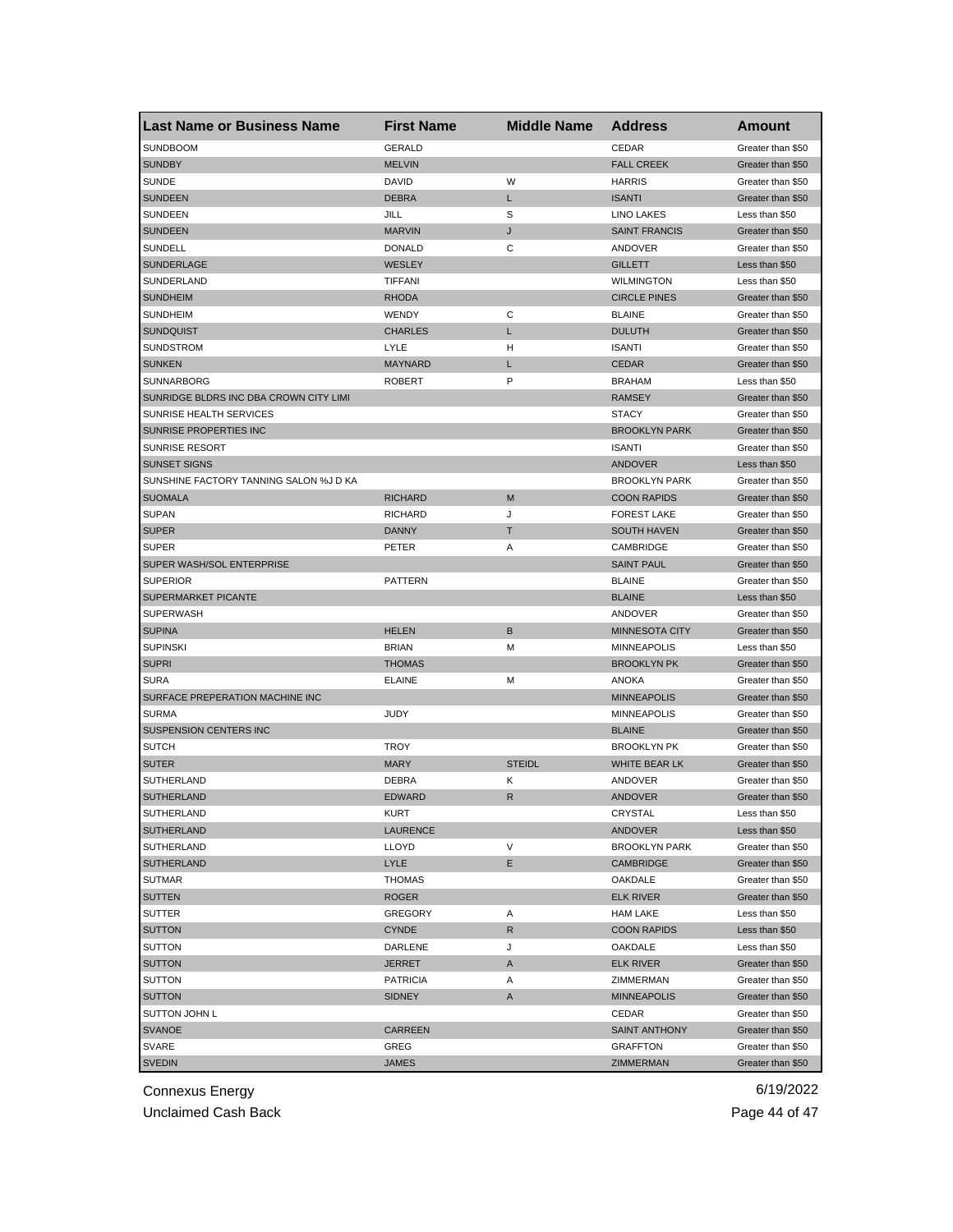| <b>Last Name or Business Name</b>      | <b>First Name</b> | <b>Middle Name</b> | <b>Address</b>        | Amount                                 |
|----------------------------------------|-------------------|--------------------|-----------------------|----------------------------------------|
| <b>SUNDBOOM</b>                        | <b>GERALD</b>     |                    | CEDAR                 | Greater than \$50                      |
| <b>SUNDBY</b>                          | <b>MELVIN</b>     |                    | <b>FALL CREEK</b>     | Greater than \$50                      |
| <b>SUNDE</b>                           | DAVID             | W                  | <b>HARRIS</b>         | Greater than \$50                      |
| <b>SUNDEEN</b>                         | <b>DEBRA</b>      | L                  | <b>ISANTI</b>         | Greater than \$50                      |
| <b>SUNDEEN</b>                         | JILL              | S                  | <b>LINO LAKES</b>     | Less than \$50                         |
| <b>SUNDEEN</b>                         | <b>MARVIN</b>     | J                  | <b>SAINT FRANCIS</b>  | Greater than \$50                      |
| SUNDELL                                | <b>DONALD</b>     | C                  | ANDOVER               | Greater than \$50                      |
| <b>SUNDERLAGE</b>                      | <b>WESLEY</b>     |                    | <b>GILLETT</b>        | Less than \$50                         |
| SUNDERLAND                             | <b>TIFFANI</b>    |                    | <b>WILMINGTON</b>     | Less than \$50                         |
| <b>SUNDHEIM</b>                        | <b>RHODA</b>      |                    | <b>CIRCLE PINES</b>   | Greater than \$50                      |
| <b>SUNDHEIM</b>                        | <b>WENDY</b>      | С                  | <b>BLAINE</b>         | Greater than \$50                      |
| <b>SUNDQUIST</b>                       | <b>CHARLES</b>    | L                  | <b>DULUTH</b>         | Greater than \$50                      |
| <b>SUNDSTROM</b>                       | LYLE              | н                  | <b>ISANTI</b>         | Greater than \$50                      |
| <b>SUNKEN</b>                          | <b>MAYNARD</b>    | L                  | <b>CEDAR</b>          | Greater than \$50                      |
| SUNNARBORG                             | <b>ROBERT</b>     | P                  | <b>BRAHAM</b>         | Less than \$50                         |
| SUNRIDGE BLDRS INC DBA CROWN CITY LIMI |                   |                    | <b>RAMSEY</b>         | Greater than \$50                      |
| SUNRISE HEALTH SERVICES                |                   |                    | <b>STACY</b>          | Greater than \$50                      |
| SUNRISE PROPERTIES INC                 |                   |                    | <b>BROOKLYN PARK</b>  | Greater than \$50                      |
| <b>SUNRISE RESORT</b>                  |                   |                    | <b>ISANTI</b>         | Greater than \$50                      |
| <b>SUNSET SIGNS</b>                    |                   |                    | ANDOVER               | Less than \$50                         |
| SUNSHINE FACTORY TANNING SALON %J D KA |                   |                    | <b>BROOKLYN PARK</b>  | Greater than \$50                      |
| <b>SUOMALA</b>                         | <b>RICHARD</b>    | M                  | <b>COON RAPIDS</b>    | Greater than \$50                      |
| <b>SUPAN</b>                           | <b>RICHARD</b>    | J                  | <b>FOREST LAKE</b>    | Greater than \$50                      |
| <b>SUPER</b>                           | <b>DANNY</b>      | Т                  | <b>SOUTH HAVEN</b>    | Greater than \$50                      |
| <b>SUPER</b>                           | PETER             | Α                  | CAMBRIDGE             | Greater than \$50                      |
| SUPER WASH/SOL ENTERPRISE              |                   |                    | <b>SAINT PAUL</b>     | Greater than \$50                      |
| <b>SUPERIOR</b>                        | PATTERN           |                    | <b>BLAINE</b>         | Greater than \$50                      |
| SUPERMARKET PICANTE                    |                   |                    | <b>BLAINE</b>         | Less than \$50                         |
| <b>SUPERWASH</b>                       |                   |                    | ANDOVER               | Greater than \$50                      |
| <b>SUPINA</b>                          | <b>HELEN</b>      | B                  | <b>MINNESOTA CITY</b> | Greater than \$50                      |
| <b>SUPINSKI</b>                        | <b>BRIAN</b>      | M                  | <b>MINNEAPOLIS</b>    | Less than \$50                         |
| <b>SUPRI</b>                           | <b>THOMAS</b>     |                    | <b>BROOKLYN PK</b>    | Greater than \$50                      |
| <b>SURA</b>                            | <b>ELAINE</b>     | M                  | ANOKA                 |                                        |
| SURFACE PREPERATION MACHINE INC        |                   |                    | <b>MINNEAPOLIS</b>    | Greater than \$50                      |
| <b>SURMA</b>                           | <b>JUDY</b>       |                    | <b>MINNEAPOLIS</b>    | Greater than \$50<br>Greater than \$50 |
| SUSPENSION CENTERS INC                 |                   |                    |                       | Greater than \$50                      |
|                                        |                   |                    | <b>BLAINE</b>         |                                        |
| <b>SUTCH</b>                           | <b>TROY</b>       |                    | <b>BROOKLYN PK</b>    | Greater than \$50                      |
| <b>SUTER</b>                           | <b>MARY</b>       | <b>STEIDL</b>      | WHITE BEAR LK         | Greater than \$50                      |
| SUTHERLAND                             | DEBRA             | Κ                  | ANDOVER               | Greater than \$50                      |
| <b>SUTHERLAND</b>                      | <b>EDWARD</b>     | R                  | <b>ANDOVER</b>        | Greater than \$50                      |
| SUTHERLAND                             | KURT              |                    | CRYSTAL               | Less than \$50                         |
| <b>SUTHERLAND</b>                      | <b>LAURENCE</b>   |                    | <b>ANDOVER</b>        | Less than \$50                         |
| SUTHERLAND                             | LLOYD             | V                  | <b>BROOKLYN PARK</b>  | Greater than \$50                      |
| <b>SUTHERLAND</b>                      | LYLE              | Е                  | CAMBRIDGE             | Greater than \$50                      |
| <b>SUTMAR</b>                          | <b>THOMAS</b>     |                    | OAKDALE               | Greater than \$50                      |
| <b>SUTTEN</b>                          | <b>ROGER</b>      |                    | <b>ELK RIVER</b>      | Greater than \$50                      |
| SUTTER                                 | GREGORY           | Α                  | <b>HAM LAKE</b>       | Less than \$50                         |
| <b>SUTTON</b>                          | <b>CYNDE</b>      | R                  | <b>COON RAPIDS</b>    | Less than \$50                         |
| SUTTON                                 | DARLENE           | J                  | OAKDALE               | Less than \$50                         |
| <b>SUTTON</b>                          | <b>JERRET</b>     | A                  | <b>ELK RIVER</b>      | Greater than \$50                      |
| <b>SUTTON</b>                          | <b>PATRICIA</b>   | Α                  | ZIMMERMAN             | Greater than \$50                      |
| <b>SUTTON</b>                          | <b>SIDNEY</b>     | A                  | <b>MINNEAPOLIS</b>    | Greater than \$50                      |
| SUTTON JOHN L                          |                   |                    | CEDAR                 | Greater than \$50                      |
| <b>SVANOE</b>                          | CARREEN           |                    | SAINT ANTHONY         | Greater than \$50                      |
| SVARE                                  | GREG              |                    | <b>GRAFFTON</b>       | Greater than \$50                      |
| <b>SVEDIN</b>                          | <b>JAMES</b>      |                    | ZIMMERMAN             | Greater than \$50                      |

Unclaimed Cash Back **Page 44 of 47**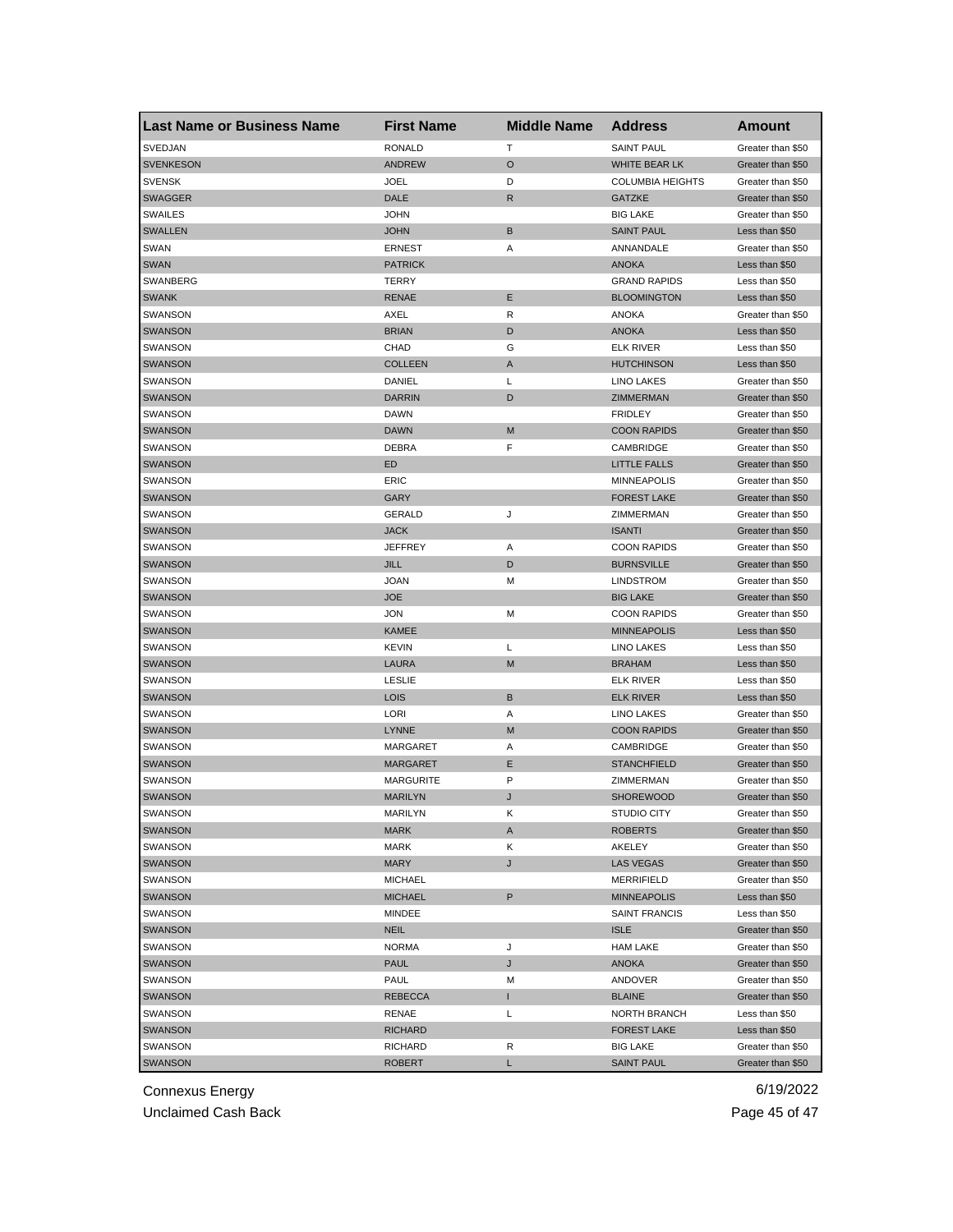| <b>Last Name or Business Name</b> | <b>First Name</b> | <b>Middle Name</b> | <b>Address</b>          | Amount            |
|-----------------------------------|-------------------|--------------------|-------------------------|-------------------|
| SVEDJAN                           | <b>RONALD</b>     | Т                  | <b>SAINT PAUL</b>       | Greater than \$50 |
| <b>SVENKESON</b>                  | <b>ANDREW</b>     | $\circ$            | WHITE BEAR LK           | Greater than \$50 |
| <b>SVENSK</b>                     | <b>JOEL</b>       | D                  | <b>COLUMBIA HEIGHTS</b> | Greater than \$50 |
| <b>SWAGGER</b>                    | DALE              | R                  | <b>GATZKE</b>           | Greater than \$50 |
| <b>SWAILES</b>                    | <b>JOHN</b>       |                    | <b>BIG LAKE</b>         | Greater than \$50 |
| <b>SWALLEN</b>                    | <b>JOHN</b>       | B                  | <b>SAINT PAUL</b>       | Less than \$50    |
| SWAN                              | <b>ERNEST</b>     | Α                  | ANNANDALE               | Greater than \$50 |
| <b>SWAN</b>                       | <b>PATRICK</b>    |                    | <b>ANOKA</b>            | Less than \$50    |
| SWANBERG                          | TERRY             |                    | <b>GRAND RAPIDS</b>     | Less than \$50    |
| <b>SWANK</b>                      | <b>RENAE</b>      | Ε                  | <b>BLOOMINGTON</b>      | Less than \$50    |
| SWANSON                           | AXEL              | R                  | ANOKA                   | Greater than \$50 |
| <b>SWANSON</b>                    | <b>BRIAN</b>      | D                  | <b>ANOKA</b>            | Less than \$50    |
| SWANSON                           | CHAD              | G                  | <b>ELK RIVER</b>        | Less than \$50    |
| <b>SWANSON</b>                    | <b>COLLEEN</b>    | A                  | <b>HUTCHINSON</b>       | Less than \$50    |
| SWANSON                           | DANIEL            | L                  | <b>LINO LAKES</b>       | Greater than \$50 |
| <b>SWANSON</b>                    | <b>DARRIN</b>     | D                  | ZIMMERMAN               | Greater than \$50 |
| SWANSON                           | <b>DAWN</b>       |                    | <b>FRIDLEY</b>          | Greater than \$50 |
| <b>SWANSON</b>                    | <b>DAWN</b>       | M                  | <b>COON RAPIDS</b>      | Greater than \$50 |
| <b>SWANSON</b>                    | DEBRA             | F                  | CAMBRIDGE               | Greater than \$50 |
| <b>SWANSON</b>                    | ED                |                    | <b>LITTLE FALLS</b>     | Greater than \$50 |
| <b>SWANSON</b>                    | ERIC              |                    | <b>MINNEAPOLIS</b>      | Greater than \$50 |
| <b>SWANSON</b>                    | <b>GARY</b>       |                    | <b>FOREST LAKE</b>      | Greater than \$50 |
| SWANSON                           | <b>GERALD</b>     | J                  | ZIMMERMAN               | Greater than \$50 |
| <b>SWANSON</b>                    | <b>JACK</b>       |                    | <b>ISANTI</b>           | Greater than \$50 |
| SWANSON                           | <b>JEFFREY</b>    | Α                  | <b>COON RAPIDS</b>      | Greater than \$50 |
| <b>SWANSON</b>                    | <b>JILL</b>       | D                  | <b>BURNSVILLE</b>       | Greater than \$50 |
| SWANSON                           | JOAN              | М                  | <b>LINDSTROM</b>        | Greater than \$50 |
| <b>SWANSON</b>                    | <b>JOE</b>        |                    | <b>BIG LAKE</b>         | Greater than \$50 |
| SWANSON                           | <b>JON</b>        | M                  | <b>COON RAPIDS</b>      | Greater than \$50 |
| <b>SWANSON</b>                    | KAMEE             |                    | <b>MINNEAPOLIS</b>      | Less than \$50    |
| SWANSON                           | <b>KEVIN</b>      | L                  | LINO LAKES              | Less than \$50    |
| <b>SWANSON</b>                    | <b>LAURA</b>      | M                  | <b>BRAHAM</b>           | Less than \$50    |
| SWANSON                           | <b>LESLIE</b>     |                    | <b>ELK RIVER</b>        | Less than \$50    |
| <b>SWANSON</b>                    | <b>LOIS</b>       | B                  | <b>ELK RIVER</b>        | Less than \$50    |
| SWANSON                           | LORI              | Α                  | <b>LINO LAKES</b>       | Greater than \$50 |
| <b>SWANSON</b>                    | <b>LYNNE</b>      | M                  | <b>COON RAPIDS</b>      | Greater than \$50 |
| SWANSON                           | <b>MARGARET</b>   | Α                  | CAMBRIDGE               | Greater than \$50 |
| <b>SWANSON</b>                    | <b>MARGARET</b>   | Ε                  | <b>STANCHFIELD</b>      | Greater than \$50 |
| SWANSON                           | <b>MARGURITE</b>  | P                  | ZIMMERMAN               | Greater than \$50 |
| <b>SWANSON</b>                    | <b>MARILYN</b>    | J                  | <b>SHOREWOOD</b>        | Greater than \$50 |
| SWANSON                           | MARILYN           | Κ                  | <b>STUDIO CITY</b>      | Greater than \$50 |
| <b>SWANSON</b>                    | MARK              | A                  | <b>ROBERTS</b>          | Greater than \$50 |
| SWANSON                           | MARK              | Κ                  | AKELEY                  | Greater than \$50 |
| <b>SWANSON</b>                    | MARY              | J                  | LAS VEGAS               | Greater than \$50 |
| SWANSON                           | <b>MICHAEL</b>    |                    | MERRIFIELD              | Greater than \$50 |
| <b>SWANSON</b>                    | <b>MICHAEL</b>    | P                  | <b>MINNEAPOLIS</b>      | Less than \$50    |
| SWANSON                           | MINDEE            |                    | SAINT FRANCIS           | Less than \$50    |
| <b>SWANSON</b>                    | <b>NEIL</b>       |                    | <b>ISLE</b>             | Greater than \$50 |
| SWANSON                           | <b>NORMA</b>      | J                  | <b>HAM LAKE</b>         | Greater than \$50 |
| <b>SWANSON</b>                    | PAUL              | J                  | <b>ANOKA</b>            | Greater than \$50 |
| SWANSON                           | PAUL              | M                  | ANDOVER                 | Greater than \$50 |
| <b>SWANSON</b>                    | <b>REBECCA</b>    | $\mathbf{I}$       | <b>BLAINE</b>           | Greater than \$50 |
| SWANSON                           | RENAE             | L                  | NORTH BRANCH            | Less than \$50    |
| <b>SWANSON</b>                    | <b>RICHARD</b>    |                    | <b>FOREST LAKE</b>      | Less than \$50    |
| SWANSON                           | RICHARD           | R                  | <b>BIG LAKE</b>         | Greater than \$50 |
| <b>SWANSON</b>                    | <b>ROBERT</b>     | L                  | <b>SAINT PAUL</b>       | Greater than \$50 |
|                                   |                   |                    |                         |                   |

Unclaimed Cash Back **Page 45 of 47**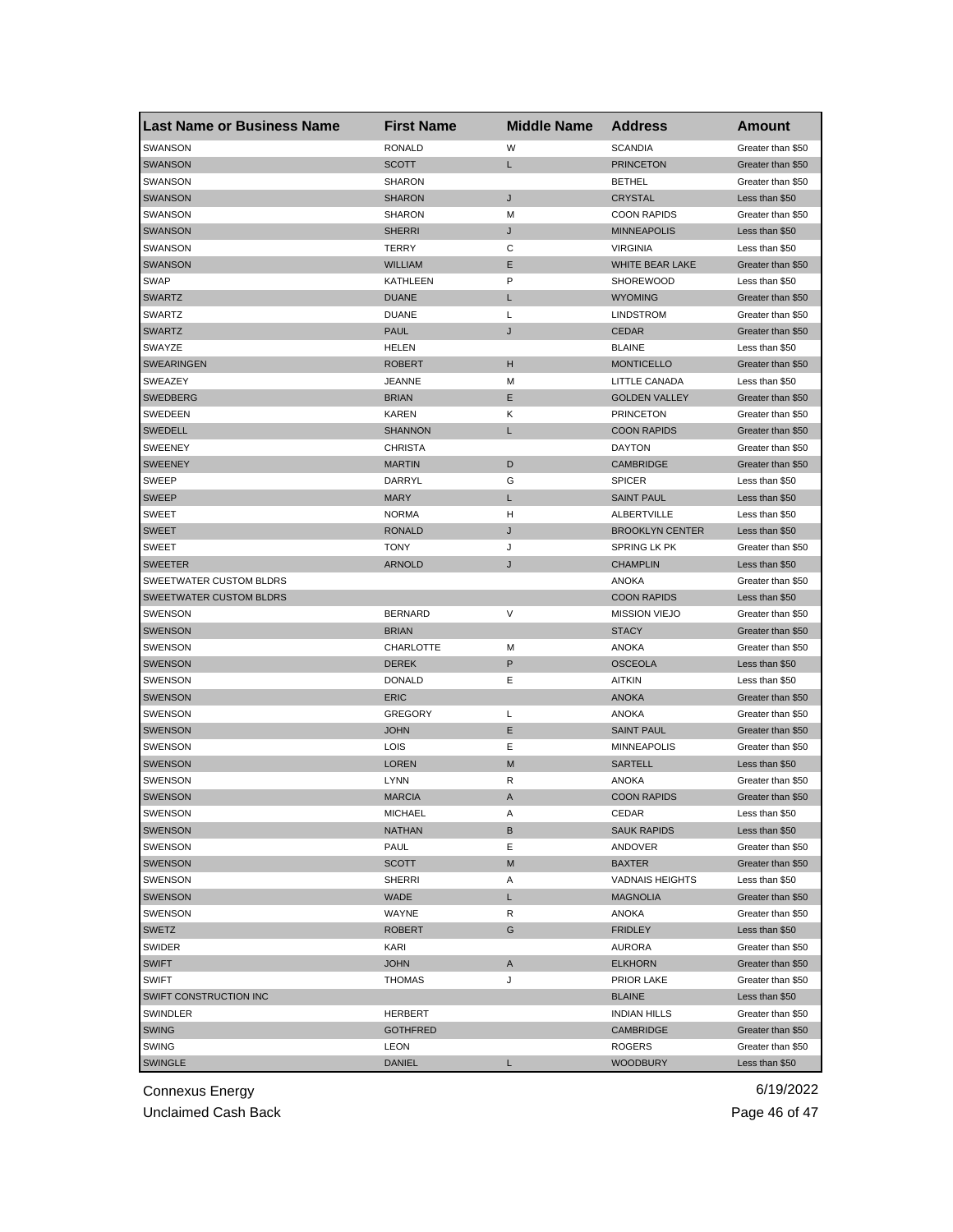| <b>Last Name or Business Name</b> | <b>First Name</b> | <b>Middle Name</b> | <b>Address</b>         | Amount            |
|-----------------------------------|-------------------|--------------------|------------------------|-------------------|
| SWANSON                           | <b>RONALD</b>     | W                  | <b>SCANDIA</b>         | Greater than \$50 |
| <b>SWANSON</b>                    | <b>SCOTT</b>      | L                  | <b>PRINCETON</b>       | Greater than \$50 |
| SWANSON                           | <b>SHARON</b>     |                    | <b>BETHEL</b>          | Greater than \$50 |
| <b>SWANSON</b>                    | SHARON            | J                  | <b>CRYSTAL</b>         | Less than \$50    |
| SWANSON                           | <b>SHARON</b>     | M                  | <b>COON RAPIDS</b>     | Greater than \$50 |
| <b>SWANSON</b>                    | <b>SHERRI</b>     | J                  | <b>MINNEAPOLIS</b>     | Less than \$50    |
| SWANSON                           | TERRY             | С                  | <b>VIRGINIA</b>        | Less than \$50    |
| <b>SWANSON</b>                    | <b>WILLIAM</b>    | Ε                  | WHITE BEAR LAKE        | Greater than \$50 |
| SWAP                              | KATHLEEN          | P                  | <b>SHOREWOOD</b>       | Less than \$50    |
| <b>SWARTZ</b>                     | <b>DUANE</b>      | L                  | <b>WYOMING</b>         | Greater than \$50 |
| SWARTZ                            | <b>DUANE</b>      | Г                  | <b>LINDSTROM</b>       | Greater than \$50 |
| <b>SWARTZ</b>                     | <b>PAUL</b>       | J                  | <b>CEDAR</b>           | Greater than \$50 |
| SWAYZE                            | HELEN             |                    | <b>BLAINE</b>          | Less than \$50    |
| <b>SWEARINGEN</b>                 | <b>ROBERT</b>     | н                  | <b>MONTICELLO</b>      | Greater than \$50 |
| <b>SWEAZEY</b>                    | <b>JEANNE</b>     | М                  | LITTLE CANADA          | Less than \$50    |
| <b>SWEDBERG</b>                   | <b>BRIAN</b>      | Ε                  | <b>GOLDEN VALLEY</b>   | Greater than \$50 |
| SWEDEEN                           | <b>KAREN</b>      | Κ                  | <b>PRINCETON</b>       | Greater than \$50 |
| <b>SWEDELL</b>                    | <b>SHANNON</b>    | L                  | <b>COON RAPIDS</b>     | Greater than \$50 |
| <b>SWEENEY</b>                    | <b>CHRISTA</b>    |                    | <b>DAYTON</b>          | Greater than \$50 |
| <b>SWEENEY</b>                    | <b>MARTIN</b>     | D                  | <b>CAMBRIDGE</b>       | Greater than \$50 |
| <b>SWEEP</b>                      | DARRYL            | G                  | <b>SPICER</b>          | Less than \$50    |
| <b>SWEEP</b>                      | <b>MARY</b>       | L                  | <b>SAINT PAUL</b>      | Less than \$50    |
| SWEET                             | <b>NORMA</b>      | н                  | ALBERTVILLE            | Less than \$50    |
| <b>SWEET</b>                      | <b>RONALD</b>     | J                  | <b>BROOKLYN CENTER</b> | Less than \$50    |
| SWEET                             | <b>TONY</b>       | J                  | <b>SPRING LK PK</b>    | Greater than \$50 |
| <b>SWEETER</b>                    | <b>ARNOLD</b>     | J                  | <b>CHAMPLIN</b>        | Less than \$50    |
| SWEETWATER CUSTOM BLDRS           |                   |                    | ANOKA                  | Greater than \$50 |
| SWEETWATER CUSTOM BLDRS           |                   |                    | <b>COON RAPIDS</b>     | Less than \$50    |
| <b>SWENSON</b>                    | <b>BERNARD</b>    | V                  | <b>MISSION VIEJO</b>   | Greater than \$50 |
| <b>SWENSON</b>                    | <b>BRIAN</b>      |                    | <b>STACY</b>           | Greater than \$50 |
| SWENSON                           | CHARLOTTE         | M                  | <b>ANOKA</b>           | Greater than \$50 |
| <b>SWENSON</b>                    | <b>DEREK</b>      | P                  | <b>OSCEOLA</b>         | Less than \$50    |
| <b>SWENSON</b>                    | <b>DONALD</b>     | Е                  | <b>AITKIN</b>          | Less than \$50    |
| <b>SWENSON</b>                    | <b>ERIC</b>       |                    | <b>ANOKA</b>           | Greater than \$50 |
| <b>SWENSON</b>                    | <b>GREGORY</b>    | L                  | <b>ANOKA</b>           | Greater than \$50 |
| <b>SWENSON</b>                    | <b>JOHN</b>       | Ε                  | <b>SAINT PAUL</b>      | Greater than \$50 |
| <b>SWENSON</b>                    | LOIS              | Ε                  | <b>MINNEAPOLIS</b>     | Greater than \$50 |
| <b>SWENSON</b>                    | <b>LOREN</b>      | M                  | SARTELL                | Less than \$50    |
| SWENSON                           | <b>LYNN</b>       | R                  | <b>ANOKA</b>           | Greater than \$50 |
| <b>SWENSON</b>                    | <b>MARCIA</b>     | A                  | <b>COON RAPIDS</b>     | Greater than \$50 |
| <b>SWENSON</b>                    | MICHAEL           | A                  | CEDAR                  | Less than \$50    |
| <b>SWENSON</b>                    | <b>NATHAN</b>     | В                  | <b>SAUK RAPIDS</b>     | Less than \$50    |
| SWENSON                           | PAUL              | Ε                  | ANDOVER                | Greater than \$50 |
| <b>SWENSON</b>                    | SCOTT             | M                  | <b>BAXTER</b>          | Greater than \$50 |
| SWENSON                           | SHERRI            | Α                  | <b>VADNAIS HEIGHTS</b> | Less than \$50    |
| <b>SWENSON</b>                    | WADE              | L                  | <b>MAGNOLIA</b>        | Greater than \$50 |
| SWENSON                           | WAYNE             | R                  | ANOKA                  | Greater than \$50 |
| <b>SWETZ</b>                      | <b>ROBERT</b>     | G                  | <b>FRIDLEY</b>         | Less than \$50    |
| SWIDER                            | KARI              |                    | AURORA                 | Greater than \$50 |
| <b>SWIFT</b>                      | <b>JOHN</b>       | Α                  | <b>ELKHORN</b>         | Greater than \$50 |
| <b>SWIFT</b>                      | <b>THOMAS</b>     | J                  | PRIOR LAKE             | Greater than \$50 |
| SWIFT CONSTRUCTION INC            |                   |                    | <b>BLAINE</b>          | Less than \$50    |
| SWINDLER                          | HERBERT           |                    | <b>INDIAN HILLS</b>    | Greater than \$50 |
| <b>SWING</b>                      | <b>GOTHFRED</b>   |                    | <b>CAMBRIDGE</b>       | Greater than \$50 |
| <b>SWING</b>                      | LEON              |                    | ROGERS                 | Greater than \$50 |
| <b>SWINGLE</b>                    | DANIEL            | L                  | <b>WOODBURY</b>        | Less than \$50    |
|                                   |                   |                    |                        |                   |

Unclaimed Cash Back **Page 46 of 47**